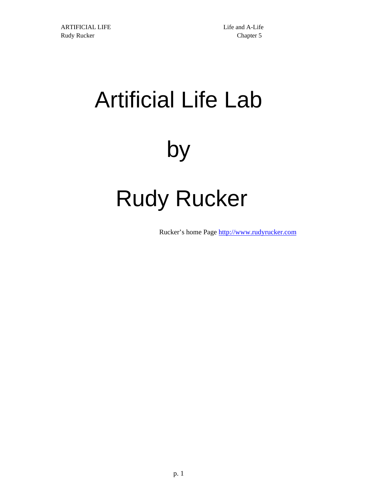# Artificial Life Lab

# by

# Rudy Rucker

Rucker's home Page [http://www.rudyrucker.com](http://www.rudyrucker.com/)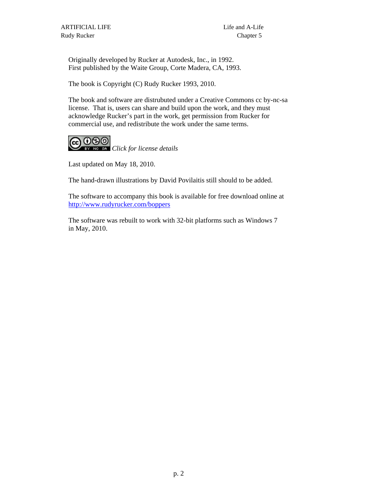Originally developed by Rucker at Autodesk, Inc., in 1992. First published by the Waite Group, Corte Madera, CA, 1993.

The book is Copyright (C) Rudy Rucker 1993, 2010.

The book and software are distrubuted under a Creative Commons cc by-nc-sa license. That is, users can share and build upon the work, and they must acknowledge Rucker's part in the work, get permission from Rucker for commercial use, and redistribute the work under the same terms.



Last updated on May 18, 2010.

The hand-drawn illustrations by David Povilaitis still should to be added.

The software to accompany this book is available for free download online at <http://www.rudyrucker.com/boppers>

The software was rebuilt to work with 32-bit platforms such as Windows 7 in May, 2010.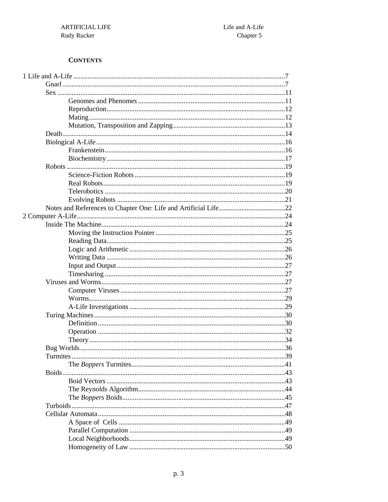## **CONTENTS**

| Turmites. | .39 |
|-----------|-----|
|           |     |
|           |     |
|           |     |
|           |     |
|           |     |
|           |     |
|           |     |
|           |     |
|           |     |
|           |     |
|           |     |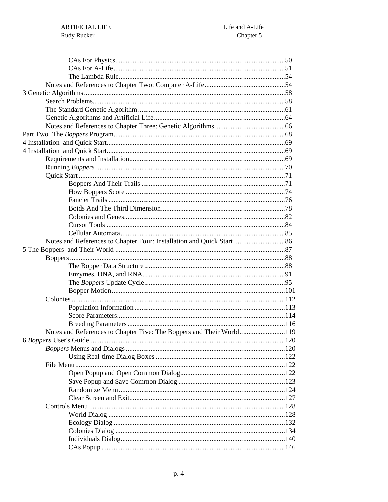| Notes and References to Chapter Five: The Boppers and Their World119 |  |
|----------------------------------------------------------------------|--|
|                                                                      |  |
|                                                                      |  |
|                                                                      |  |
|                                                                      |  |
|                                                                      |  |
|                                                                      |  |
|                                                                      |  |
|                                                                      |  |
|                                                                      |  |
|                                                                      |  |
|                                                                      |  |
|                                                                      |  |
|                                                                      |  |
|                                                                      |  |
|                                                                      |  |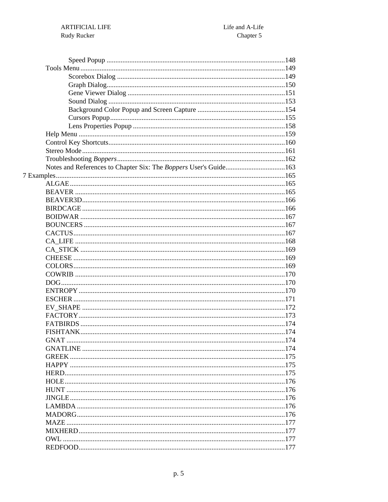| Notes and References to Chapter Six: The Boppers User's Guide163 |  |
|------------------------------------------------------------------|--|
|                                                                  |  |
|                                                                  |  |
|                                                                  |  |
|                                                                  |  |
|                                                                  |  |
|                                                                  |  |
|                                                                  |  |
|                                                                  |  |
|                                                                  |  |
|                                                                  |  |
|                                                                  |  |
|                                                                  |  |
|                                                                  |  |
|                                                                  |  |
|                                                                  |  |
|                                                                  |  |
|                                                                  |  |
|                                                                  |  |
|                                                                  |  |
|                                                                  |  |
|                                                                  |  |
| <b>GNAT</b>                                                      |  |
|                                                                  |  |
|                                                                  |  |
|                                                                  |  |
|                                                                  |  |
|                                                                  |  |
|                                                                  |  |
|                                                                  |  |
|                                                                  |  |
|                                                                  |  |
|                                                                  |  |
|                                                                  |  |
|                                                                  |  |
|                                                                  |  |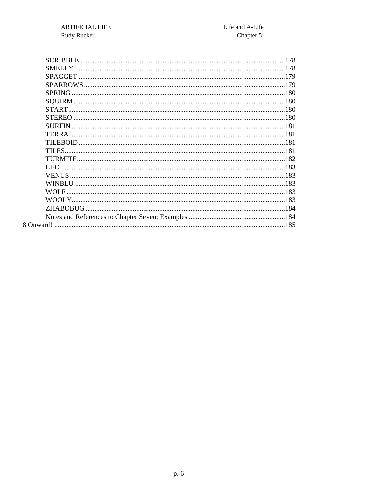|               | 178 |
|---------------|-----|
| <b>SMELLY</b> |     |
|               |     |
|               |     |
| <b>SPRING</b> |     |
|               |     |
|               |     |
|               |     |
|               |     |
|               |     |
|               |     |
| TILES.        |     |
|               |     |
|               |     |
|               |     |
|               |     |
|               |     |
|               |     |
|               |     |
|               |     |
|               |     |
|               |     |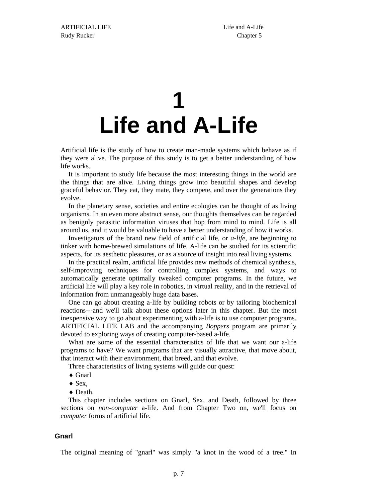# <span id="page-6-0"></span>**1 Life and A-Life**

<span id="page-6-1"></span>Artificial life is the study of how to create man-made systems which behave as if they were alive. The purpose of this study is to get a better understanding of how life works.

It is important to study life because the most interesting things in the world are the things that are alive. Living things grow into beautiful shapes and develop graceful behavior. They eat, they mate, they compete, and over the generations they evolve.

In the planetary sense, societies and entire ecologies can be thought of as living organisms. In an even more abstract sense, our thoughts themselves can be regarded as benignly parasitic information viruses that hop from mind to mind. Life is all around us, and it would be valuable to have a better understanding of how it works.

Investigators of the brand new field of artificial life, or *a-life*, are beginning to tinker with home-brewed simulations of life. A-life can be studied for its scientific aspects, for its aesthetic pleasures, or as a source of insight into real living systems.

In the practical realm, artificial life provides new methods of chemical synthesis, self-improving techniques for controlling complex systems, and ways to automatically generate optimally tweaked computer programs. In the future, we artificial life will play a key role in robotics, in virtual reality, and in the retrieval of information from unmanageably huge data bases.

One can go about creating a-life by building robots or by tailoring biochemical reactions---and we'll talk about these options later in this chapter. But the most inexpensive way to go about experimenting with a-life is to use computer programs. ARTIFICIAL LIFE LAB and the accompanying *Boppers* program are primarily devoted to exploring ways of creating computer-based a-life.

What are some of the essential characteristics of life that we want our a-life programs to have? We want programs that are visually attractive, that move about, that interact with their environment, that breed, and that evolve.

Three characteristics of living systems will guide our quest:

- ♦ Gnarl
- $\bullet$  Sex.
- ♦ Death.

This chapter includes sections on Gnarl, Sex, and Death, followed by three sections on *non-computer* a-life. And from Chapter Two on, we'll focus on *computer* forms of artificial life.

#### <span id="page-6-2"></span>**Gnarl**

The original meaning of "gnarl" was simply "a knot in the wood of a tree." In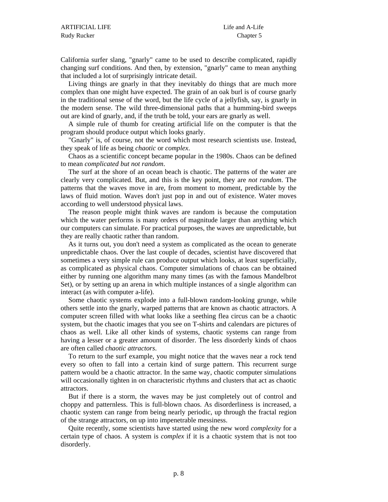California surfer slang, "gnarly" came to be used to describe complicated, rapidly changing surf conditions. And then, by extension, "gnarly" came to mean anything that included a lot of surprisingly intricate detail.

Living things are gnarly in that they inevitably do things that are much more complex than one might have expected. The grain of an oak burl is of course gnarly in the traditional sense of the word, but the life cycle of a jellyfish, say, is gnarly in the modern sense. The wild three-dimensional paths that a humming-bird sweeps out are kind of gnarly, and, if the truth be told, your ears are gnarly as well.

A simple rule of thumb for creating artificial life on the computer is that the program should produce output which looks gnarly.

"Gnarly" is, of course, not the word which most research scientists use. Instead, they speak of life as being *chaotic* or *complex*.

Chaos as a scientific concept became popular in the 1980s. Chaos can be defined to mean *complicated but not random*.

The surf at the shore of an ocean beach is chaotic. The patterns of the water are clearly very complicated. But, and this is the key point, they are *not random*. The patterns that the waves move in are, from moment to moment, predictable by the laws of fluid motion. Waves don't just pop in and out of existence. Water moves according to well understood physical laws.

The reason people might think waves are random is because the computation which the water performs is many orders of magnitude larger than anything which our computers can simulate. For practical purposes, the waves are unpredictable, but they are really chaotic rather than random.

As it turns out, you don't need a system as complicated as the ocean to generate unpredictable chaos. Over the last couple of decades, scientist have discovered that sometimes a very simple rule can produce output which looks, at least superficially, as complicated as physical chaos. Computer simulations of chaos can be obtained either by running one algorithm many many times (as with the famous Mandelbrot Set), or by setting up an arena in which multiple instances of a single algorithm can interact (as with computer a-life).

Some chaotic systems explode into a full-blown random-looking grunge, while others settle into the gnarly, warped patterns that are known as chaotic attractors. A computer screen filled with what looks like a seething flea circus can be a chaotic system, but the chaotic images that you see on T-shirts and calendars are pictures of chaos as well. Like all other kinds of systems, chaotic systems can range from having a lesser or a greater amount of disorder. The less disorderly kinds of chaos are often called *chaotic attractors*.

To return to the surf example, you might notice that the waves near a rock tend every so often to fall into a certain kind of surge pattern. This recurrent surge pattern would be a chaotic attractor. In the same way, chaotic computer simulations will occasionally tighten in on characteristic rhythms and clusters that act as chaotic attractors.

But if there is a storm, the waves may be just completely out of control and choppy and patternless. This is full-blown chaos. As disorderliness is increased, a chaotic system can range from being nearly periodic, up through the fractal region of the strange attractors, on up into impenetrable messiness.

Quite recently, some scientists have started using the new word *complexity* for a certain type of chaos. A system is *complex* if it is a chaotic system that is not too disorderly.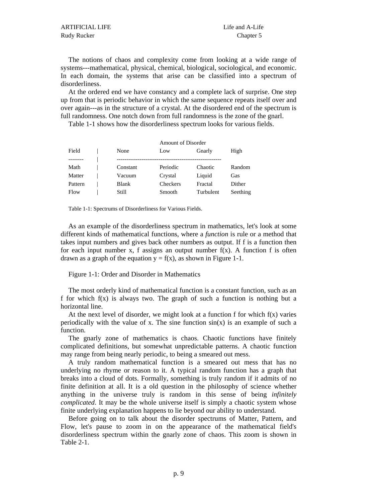The notions of chaos and complexity come from looking at a wide range of systems---mathematical, physical, chemical, biological, sociological, and economic. In each domain, the systems that arise can be classified into a spectrum of disorderliness.

At the ordered end we have constancy and a complete lack of surprise. One step up from that is periodic behavior in which the same sequence repeats itself over and over again---as in the structure of a crystal. At the disordered end of the spectrum is full randomness. One notch down from full randomness is the zone of the gnarl.

Table 1-1 shows how the disorderliness spectrum looks for various fields.

|         |              | Amount of Disorder |           |          |
|---------|--------------|--------------------|-----------|----------|
| Field   | None         | Low                | Gnarly    | High     |
|         |              |                    |           |          |
| Math    | Constant     | Periodic           | Chaotic   | Random   |
| Matter  | Vacuum       | Crystal            | Liquid    | Gas      |
| Pattern | <b>Blank</b> | <b>Checkers</b>    | Fractal   | Dither   |
| Flow    | Still        | Smooth             | Turbulent | Seething |

Table 1-1: Spectrums of Disorderliness for Various Fields.

As an example of the disorderliness spectrum in mathematics, let's look at some different kinds of mathematical functions, where a *function* is rule or a method that takes input numbers and gives back other numbers as output. If f is a function then for each input number x, f assigns an output number  $f(x)$ . A function f is often drawn as a graph of the equation  $y = f(x)$ , as shown in Figure 1-1.

Figure 1-1: Order and Disorder in Mathematics

The most orderly kind of mathematical function is a constant function, such as an f for which  $f(x)$  is always two. The graph of such a function is nothing but a horizontal line.

At the next level of disorder, we might look at a function  $f(x)$  varies periodically with the value of x. The sine function  $sin(x)$  is an example of such a function.

The gnarly zone of mathematics is chaos. Chaotic functions have finitely complicated definitions, but somewhat unpredictable patterns. A chaotic function may range from being nearly periodic, to being a smeared out mess.

A truly random mathematical function is a smeared out mess that has no underlying no rhyme or reason to it. A typical random function has a graph that breaks into a cloud of dots. Formally, something is truly random if it admits of no finite definition at all. It is a old question in the philosophy of science whether anything in the universe truly is random in this sense of being *infinitely complicated*. It may be the whole universe itself is simply a chaotic system whose finite underlying explanation happens to lie beyond our ability to understand.

Before going on to talk about the disorder spectrums of Matter, Pattern, and Flow, let's pause to zoom in on the appearance of the mathematical field's disorderliness spectrum within the gnarly zone of chaos. This zoom is shown in Table 2-1.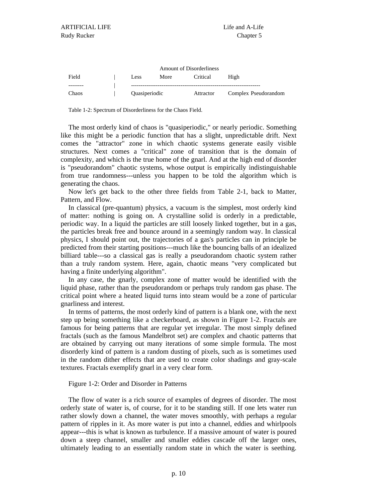

Table 1-2: Spectrum of Disorderliness for the Chaos Field.

The most orderly kind of chaos is "quasiperiodic," or nearly periodic. Something like this might be a periodic function that has a slight, unpredictable drift. Next comes the "attractor" zone in which chaotic systems generate easily visible structures. Next comes a "critical" zone of transition that is the domain of complexity, and which is the true home of the gnarl. And at the high end of disorder is "pseudorandom" chaotic systems, whose output is empirically indistinguishable from true randomness---unless you happen to be told the algorithm which is generating the chaos.

Now let's get back to the other three fields from Table 2-1, back to Matter, Pattern, and Flow.

In classical (pre-quantum) physics, a vacuum is the simplest, most orderly kind of matter: nothing is going on. A crystalline solid is orderly in a predictable, periodic way. In a liquid the particles are still loosely linked together, but in a gas, the particles break free and bounce around in a seemingly random way. In classical physics, I should point out, the trajectories of a gas's particles can in principle be predicted from their starting positions---much like the bouncing balls of an idealized billiard table---so a classical gas is really a pseudorandom chaotic system rather than a truly random system. Here, again, chaotic means "very complicated but having a finite underlying algorithm".

In any case, the gnarly, complex zone of matter would be identified with the liquid phase, rather than the pseudorandom or perhaps truly random gas phase. The critical point where a heated liquid turns into steam would be a zone of particular gnarliness and interest.

In terms of patterns, the most orderly kind of pattern is a blank one, with the next step up being something like a checkerboard, as shown in Figure 1-2. Fractals are famous for being patterns that are regular yet irregular. The most simply defined fractals (such as the famous Mandelbrot set) are complex and chaotic patterns that are obtained by carrying out many iterations of some simple formula. The most disorderly kind of pattern is a random dusting of pixels, such as is sometimes used in the random dither effects that are used to create color shadings and gray-scale textures. Fractals exemplify gnarl in a very clear form.

#### Figure 1-2: Order and Disorder in Patterns

The flow of water is a rich source of examples of degrees of disorder. The most orderly state of water is, of course, for it to be standing still. If one lets water run rather slowly down a channel, the water moves smoothly, with perhaps a regular pattern of ripples in it. As more water is put into a channel, eddies and whirlpools appear---this is what is known as turbulence. If a massive amount of water is poured down a steep channel, smaller and smaller eddies cascade off the larger ones, ultimately leading to an essentially random state in which the water is seething.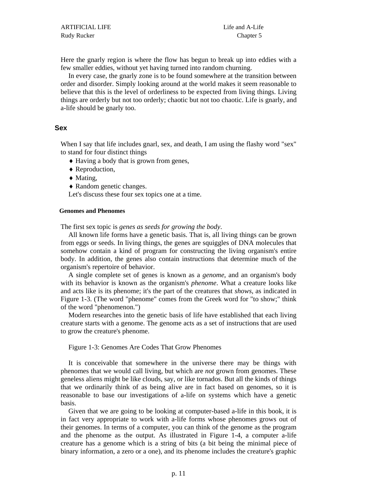<span id="page-10-0"></span>Here the gnarly region is where the flow has begun to break up into eddies with a few smaller eddies, without yet having turned into random churning.

In every case, the gnarly zone is to be found somewhere at the transition between order and disorder. Simply looking around at the world makes it seem reasonable to believe that this is the level of orderliness to be expected from living things. Living things are orderly but not too orderly; chaotic but not too chaotic. Life is gnarly, and a-life should be gnarly too.

#### <span id="page-10-1"></span>**Sex**

When I say that life includes gnarl, sex, and death, I am using the flashy word "sex" to stand for four distinct things

- ♦ Having a body that is grown from genes,
- ♦ Reproduction,
- ♦ Mating,
- ♦ Random genetic changes.

Let's discuss these four sex topics one at a time.

#### <span id="page-10-2"></span>**Genomes and Phenomes**

The first sex topic is *genes as seeds for growing the body*.

All known life forms have a genetic basis. That is, all living things can be grown from eggs or seeds. In living things, the genes are squiggles of DNA molecules that somehow contain a kind of program for constructing the living organism's entire body. In addition, the genes also contain instructions that determine much of the organism's repertoire of behavior.

A single complete set of genes is known as a *genome*, and an organism's body with its behavior is known as the organism's *phenome*. What a creature looks like and acts like is its phenome; it's the part of the creatures that *shows*, as indicated in Figure 1-3. (The word "phenome" comes from the Greek word for "to show;" think of the word "phenomenon.")

Modern researches into the genetic basis of life have established that each living creature starts with a genome. The genome acts as a set of instructions that are used to grow the creature's phenome.

#### Figure 1-3: Genomes Are Codes That Grow Phenomes

It is conceivable that somewhere in the universe there may be things with phenomes that we would call living, but which are *not* grown from genomes. These geneless aliens might be like clouds, say, or like tornados. But all the kinds of things that we ordinarily think of as being alive are in fact based on genomes, so it is reasonable to base our investigations of a-life on systems which have a genetic basis.

Given that we are going to be looking at computer-based a-life in this book, it is in fact very appropriate to work with a-life forms whose phenomes grows out of their genomes. In terms of a computer, you can think of the genome as the program and the phenome as the output. As illustrated in Figure 1-4, a computer a-life creature has a genome which is a string of bits (a bit being the minimal piece of binary information, a zero or a one), and its phenome includes the creature's graphic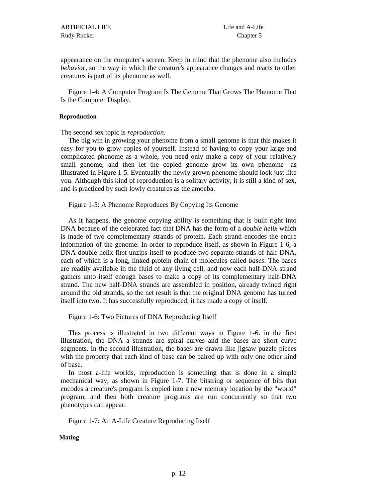<span id="page-11-0"></span>appearance on the computer's screen. Keep in mind that the phenome also includes *behavior*, so the way in which the creature's appearance changes and reacts to other creatures is part of its phenome as well.

Figure 1-4: A Computer Program Is The Genome That Grows The Phenome That Is the Computer Display.

#### <span id="page-11-1"></span>**Reproduction**

The second sex topic is *reproduction*.

The big win in growing your phenome from a small genome is that this makes it easy for you to grow copies of yourself. Instead of having to copy your large and complicated phenome as a whole, you need only make a copy of your relatively small genome, and then let the copied genome grow its own phenome---as illustrated in Figure 1-5. Eventually the newly grown phenome should look just like you. Although this kind of reproduction is a solitary activity, it is still a kind of sex, and is practiced by such lowly creatures as the amoeba.

Figure 1-5: A Phenome Reproduces By Copying Its Genome

As it happens, the genome copying ability is something that is built right into DNA because of the celebrated fact that DNA has the form of a *double helix* which is made of two complementary strands of protein. Each strand encodes the entire information of the genome. In order to reproduce itself, as shown in Figure 1-6, a DNA double helix first unzips itself to produce two separate strands of half-DNA, each of which is a long, linked protein chain of molecules called *bases*. The bases are readily available in the fluid of any living cell, and now each half-DNA strand gathers unto itself enough bases to make a copy of its complementary half-DNA strand. The new half-DNA strands are assembled in position, already twined right around the old strands, so the net result is that the original DNA genome has turned itself into two. It has successfully reproduced; it has made a copy of itself.

Figure 1-6: Two Pictures of DNA Reproducing Itself

This process is illustrated in two different ways in Figure 1-6. in the first illustration, the DNA a strands are spiral curves and the bases are short curve segments. In the second illustration, the bases are drawn like jigsaw puzzle pieces with the property that each kind of base can be paired up with only one other kind of base.

In most a-life worlds, reproduction is something that is done in a simple mechanical way, as shown in Figure 1-7. The bitstring or sequence of bits that encodes a creature's program is copied into a new memory location by the "world" program, and then both creature programs are run concurrently so that two phenotypes can appear.

Figure 1-7: An A-Life Creature Reproducing Itself

#### <span id="page-11-2"></span>**Mating**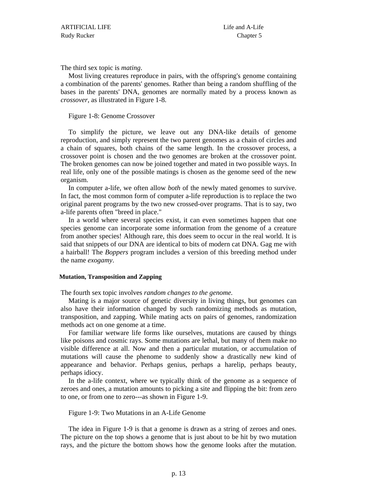<span id="page-12-0"></span>The third sex topic is *mating*.

Most living creatures reproduce in pairs, with the offspring's genome containing a combination of the parents' genomes. Rather than being a random shuffling of the bases in the parents' DNA, genomes are normally mated by a process known as *crossover*, as illustrated in Figure 1-8.

#### Figure 1-8: Genome Crossover

To simplify the picture, we leave out any DNA-like details of genome reproduction, and simply represent the two parent genomes as a chain of circles and a chain of squares, both chains of the same length. In the crossover process, a crossover point is chosen and the two genomes are broken at the crossover point. The broken genomes can now be joined together and mated in two possible ways. In real life, only one of the possible matings is chosen as the genome seed of the new organism.

In computer a-life, we often allow *both* of the newly mated genomes to survive. In fact, the most common form of computer a-life reproduction is to replace the two original parent programs by the two new crossed-over programs. That is to say, two a-life parents often "breed in place."

In a world where several species exist, it can even sometimes happen that one species genome can incorporate some information from the genome of a creature from another species! Although rare, this does seem to occur in the real world. It is said that snippets of our DNA are identical to bits of modern cat DNA. Gag me with a hairball! The *Boppers* program includes a version of this breeding method under the name *exogamy*.

#### <span id="page-12-1"></span>**Mutation, Transposition and Zapping**

The fourth sex topic involves *random changes to the genome.*

Mating is a major source of genetic diversity in living things, but genomes can also have their information changed by such randomizing methods as mutation, transposition, and zapping. While mating acts on pairs of genomes, randomization methods act on one genome at a time.

For familiar wetware life forms like ourselves, mutations are caused by things like poisons and cosmic rays. Some mutations are lethal, but many of them make no visible difference at all. Now and then a particular mutation, or accumulation of mutations will cause the phenome to suddenly show a drastically new kind of appearance and behavior. Perhaps genius, perhaps a harelip, perhaps beauty, perhaps idiocy.

In the a-life context, where we typically think of the genome as a sequence of zeroes and ones, a mutation amounts to picking a site and flipping the bit: from zero to one, or from one to zero---as shown in Figure 1-9.

#### Figure 1-9: Two Mutations in an A-Life Genome

The idea in Figure 1-9 is that a genome is drawn as a string of zeroes and ones. The picture on the top shows a genome that is just about to be hit by two mutation rays, and the picture the bottom shows how the genome looks after the mutation.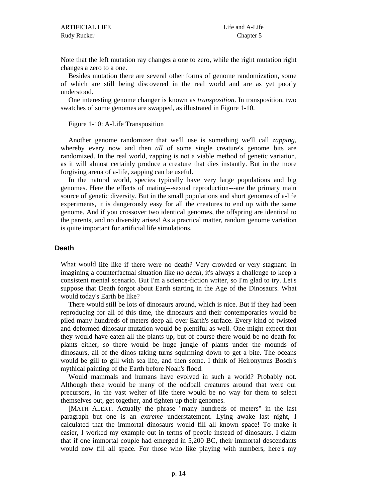<span id="page-13-0"></span>Note that the left mutation ray changes a one to zero, while the right mutation right changes a zero to a one.

Besides mutation there are several other forms of genome randomization, some of which are still being discovered in the real world and are as yet poorly understood.

One interesting genome changer is known as *transposition*. In transposition, two swatches of some genomes are swapped, as illustrated in Figure 1-10.

Figure 1-10: A-Life Transposition

Another genome randomizer that we'll use is something we'll call *zapping*, whereby every now and then *all* of some single creature's genome bits are randomized. In the real world, zapping is not a viable method of genetic variation, as it will almost certainly produce a creature that dies instantly. But in the more forgiving arena of a-life, zapping can be useful.

In the natural world, species typically have very large populations and big genomes. Here the effects of mating---sexual reproduction---are the primary main source of genetic diversity. But in the small populations and short genomes of a-life experiments, it is dangerously easy for all the creatures to end up with the same genome. And if you crossover two identical genomes, the offspring are identical to the parents, and no diversity arises! As a practical matter, random genome variation is quite important for artificial life simulations.

#### <span id="page-13-1"></span>**Death**

What would life like if there were no death? Very crowded or very stagnant. In imagining a counterfactual situation like *no death*, it's always a challenge to keep a consistent mental scenario. But I'm a science-fiction writer, so I'm glad to try. Let's suppose that Death forgot about Earth starting in the Age of the Dinosaurs. What would today's Earth be like?

There would still be lots of dinosaurs around, which is nice. But if they had been reproducing for all of this time, the dinosaurs and their contemporaries would be piled many hundreds of meters deep all over Earth's surface. Every kind of twisted and deformed dinosaur mutation would be plentiful as well. One might expect that they would have eaten all the plants up, but of course there would be no death for plants either, so there would be huge jungle of plants under the mounds of dinosaurs, all of the dinos taking turns squirming down to get a bite. The oceans would be gill to gill with sea life, and then some. I think of Heironymus Bosch's mythical painting of the Earth before Noah's flood.

Would mammals and humans have evolved in such a world? Probably not. Although there would be many of the oddball creatures around that were our precursors, in the vast welter of life there would be no way for them to select themselves out, get together, and tighten up their genomes.

[MATH ALERT. Actually the phrase "many hundreds of meters" in the last paragraph but one is an *extreme* understatement. Lying awake last night, I calculated that the immortal dinosaurs would fill all known space! To make it easier, I worked my example out in terms of people instead of dinosaurs. I claim that if one immortal couple had emerged in 5,200 BC, their immortal descendants would now fill all space. For those who like playing with numbers, here's my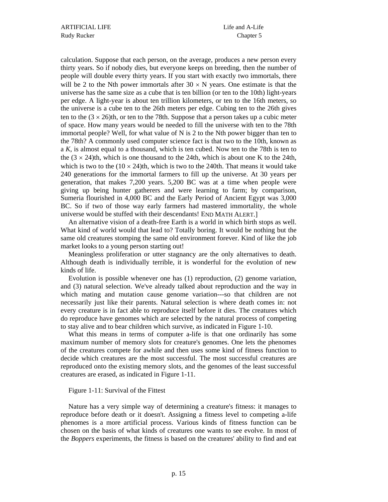calculation. Suppose that each person, on the average, produces a new person every thirty years. So if nobody dies, but everyone keeps on breeding, then the number of people will double every thirty years. If you start with exactly two immortals, there will be 2 to the Nth power immortals after  $30 \times N$  years. One estimate is that the universe has the same size as a cube that is ten billion (or ten to the 10th) light-years per edge. A light-year is about ten trillion kilometers, or ten to the 16th meters, so the universe is a cube ten to the 26th meters per edge. Cubing ten to the 26th gives ten to the  $(3 \times 26)$ th, or ten to the 78th. Suppose that a person takes up a cubic meter of space. How many years would be needed to fill the universe with ten to the 78th immortal people? Well, for what value of N is 2 to the Nth power bigger than ten to the 78th? A commonly used computer science fact is that two to the 10th, known as a *K*, is almost equal to a thousand, which is ten cubed. Now ten to the 78th is ten to the  $(3 \times 24)$ th, which is one thousand to the 24th, which is about one K to the 24th, which is two to the  $(10 \times 24)$ th, which is two to the 240th. That means it would take 240 generations for the immortal farmers to fill up the universe. At 30 years per generation, that makes 7,200 years. 5,200 BC was at a time when people were giving up being hunter gatherers and were learning to farm; by comparison, Sumeria flourished in 4,000 BC and the Early Period of Ancient Egypt was 3,000 BC. So if two of those way early farmers had mastered immortality, the whole universe would be stuffed with their descendants! END MATH ALERT.]

An alternative vision of a death-free Earth is a world in which birth stops as well. What kind of world would that lead to? Totally boring. It would be nothing but the same old creatures stomping the same old environment forever. Kind of like the job market looks to a young person starting out!

Meaningless proliferation or utter stagnancy are the only alternatives to death. Although death is individually terrible, it is wonderful for the evolution of new kinds of life.

Evolution is possible whenever one has (1) reproduction, (2) genome variation, and (3) natural selection. We've already talked about reproduction and the way in which mating and mutation cause genome variation---so that children are not necessarily just like their parents. Natural selection is where death comes in: not every creature is in fact able to reproduce itself before it dies. The creatures which do reproduce have genomes which are selected by the natural process of competing to stay alive and to bear children which survive, as indicated in Figure 1-10.

What this means in terms of computer a-life is that one ordinarily has some maximum number of memory slots for creature's genomes. One lets the phenomes of the creatures compete for awhile and then uses some kind of fitness function to decide which creatures are the most successful. The most successful creatures are reproduced onto the existing memory slots, and the genomes of the least successful creatures are erased, as indicated in Figure 1-11.

Figure 1-11: Survival of the Fittest

Nature has a very simple way of determining a creature's fitness: it manages to reproduce before death or it doesn't. Assigning a fitness level to competing a-life phenomes is a more artificial process. Various kinds of fitness function can be chosen on the basis of what kinds of creatures one wants to see evolve. In most of the *Boppers* experiments, the fitness is based on the creatures' ability to find and eat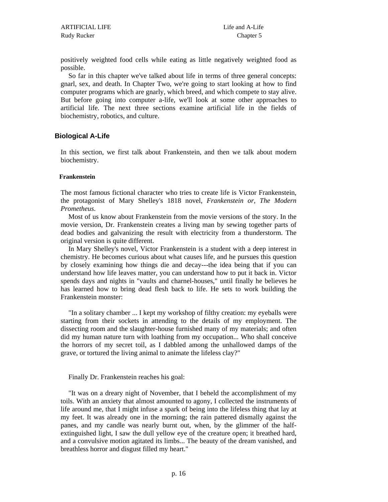<span id="page-15-0"></span>positively weighted food cells while eating as little negatively weighted food as possible.

So far in this chapter we've talked about life in terms of three general concepts: gnarl, sex, and death. In Chapter Two, we're going to start looking at how to find computer programs which are gnarly, which breed, and which compete to stay alive. But before going into computer a-life, we'll look at some other approaches to artificial life. The next three sections examine artificial life in the fields of biochemistry, robotics, and culture.

#### <span id="page-15-1"></span>**Biological A-Life**

In this section, we first talk about Frankenstein, and then we talk about modern biochemistry.

#### <span id="page-15-2"></span>**Frankenstein**

The most famous fictional character who tries to create life is Victor Frankenstein, the protagonist of Mary Shelley's 1818 novel, *Frankenstein or, The Modern Prometheus*.

Most of us know about Frankenstein from the movie versions of the story. In the movie version, Dr. Frankenstein creates a living man by sewing together parts of dead bodies and galvanizing the result with electricity from a thunderstorm. The original version is quite different.

In Mary Shelley's novel, Victor Frankenstein is a student with a deep interest in chemistry. He becomes curious about what causes life, and he pursues this question by closely examining how things die and decay---the idea being that if you can understand how life leaves matter, you can understand how to put it back in. Victor spends days and nights in "vaults and charnel-houses," until finally he believes he has learned how to bring dead flesh back to life. He sets to work building the Frankenstein monster:

"In a solitary chamber ... I kept my workshop of filthy creation: my eyeballs were starting from their sockets in attending to the details of my employment. The dissecting room and the slaughter-house furnished many of my materials; and often did my human nature turn with loathing from my occupation... Who shall conceive the horrors of my secret toil, as I dabbled among the unhallowed damps of the grave, or tortured the living animal to animate the lifeless clay?"

#### Finally Dr. Frankenstein reaches his goal:

"It was on a dreary night of November, that I beheld the accomplishment of my toils. With an anxiety that almost amounted to agony, I collected the instruments of life around me, that I might infuse a spark of being into the lifeless thing that lay at my feet. It was already one in the morning; the rain pattered dismally against the panes, and my candle was nearly burnt out, when, by the glimmer of the halfextinguished light, I saw the dull yellow eye of the creature open; it breathed hard, and a convulsive motion agitated its limbs... The beauty of the dream vanished, and breathless horror and disgust filled my heart."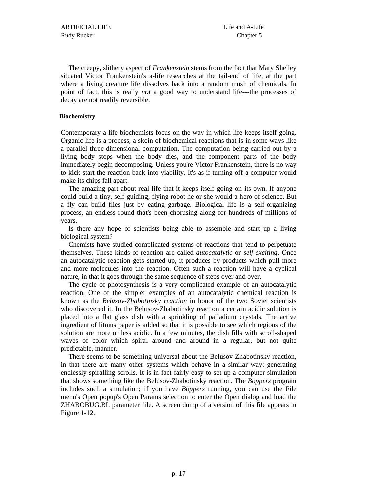<span id="page-16-0"></span>The creepy, slithery aspect of *Frankenstein* stems from the fact that Mary Shelley situated Victor Frankenstein's a-life researches at the tail-end of life, at the part where a living creature life dissolves back into a random mush of chemicals. In point of fact, this is really *not* a good way to understand life---the processes of decay are not readily reversible.

#### <span id="page-16-1"></span>**Biochemistry**

Contemporary a-life biochemists focus on the way in which life keeps itself going. Organic life is a process, a skein of biochemical reactions that is in some ways like a parallel three-dimensional computation. The computation being carried out by a living body stops when the body dies, and the component parts of the body immediately begin decomposing. Unless you're Victor Frankenstein, there is no way to kick-start the reaction back into viability. It's as if turning off a computer would make its chips fall apart.

The amazing part about real life that it keeps itself going on its own. If anyone could build a tiny, self-guiding, flying robot he or she would a hero of science. But a fly can build flies just by eating garbage. Biological life is a self-organizing process, an endless round that's been chorusing along for hundreds of millions of years.

Is there any hope of scientists being able to assemble and start up a living biological system?

Chemists have studied complicated systems of reactions that tend to perpetuate themselves. These kinds of reaction are called *autocatalytic* or *self-exciting*. Once an autocatalytic reaction gets started up, it produces by-products which pull more and more molecules into the reaction. Often such a reaction will have a cyclical nature, in that it goes through the same sequence of steps over and over.

The cycle of photosynthesis is a very complicated example of an autocatalytic reaction. One of the simpler examples of an autocatalytic chemical reaction is known as the *Belusov-Zhabotinsky reaction* in honor of the two Soviet scientists who discovered it. In the Belusov-Zhabotinsky reaction a certain acidic solution is placed into a flat glass dish with a sprinkling of palladium crystals. The active ingredient of litmus paper is added so that it is possible to see which regions of the solution are more or less acidic. In a few minutes, the dish fills with scroll-shaped waves of color which spiral around and around in a regular, but not quite predictable, manner.

There seems to be something universal about the Belusov-Zhabotinsky reaction, in that there are many other systems which behave in a similar way: generating endlessly spiralling scrolls. It is in fact fairly easy to set up a computer simulation that shows something like the Belusov-Zhabotinsky reaction. The *Boppers* program includes such a simulation; if you have *Boppers* running, you can use the File menu's Open popup's Open Params selection to enter the Open dialog and load the ZHABOBUG.BL parameter file. A screen dump of a version of this file appears in Figure 1-12.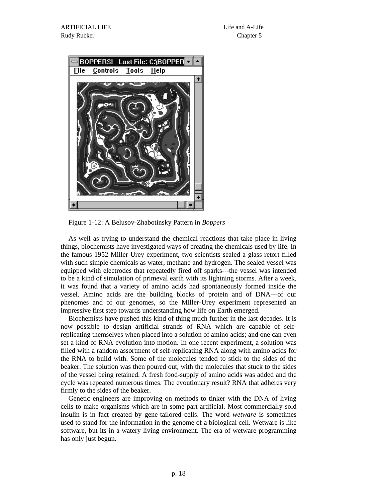

Figure 1-12: A Belusov-Zhabotinsky Pattern in *Boppers*

As well as trying to understand the chemical reactions that take place in living things, biochemists have investigated ways of creating the chemicals used by life. In the famous 1952 Miller-Urey experiment, two scientists sealed a glass retort filled with such simple chemicals as water, methane and hydrogen. The sealed vessel was equipped with electrodes that repeatedly fired off sparks---the vessel was intended to be a kind of simulation of primeval earth with its lightning storms. After a week, it was found that a variety of amino acids had spontaneously formed inside the vessel. Amino acids are the building blocks of protein and of DNA---of our phenomes and of our genomes, so the Miller-Urey experiment represented an impressive first step towards understanding how life on Earth emerged.

Biochemists have pushed this kind of thing much further in the last decades. It is now possible to design artificial strands of RNA which are capable of selfreplicating themselves when placed into a solution of amino acids; and one can even set a kind of RNA evolution into motion. In one recent experiment, a solution was filled with a random assortment of self-replicating RNA along with amino acids for the RNA to build with. Some of the molecules tended to stick to the sides of the beaker. The solution was then poured out, with the molecules that stuck to the sides of the vessel being retained. A fresh food-supply of amino acids was added and the cycle was repeated numerous times. The evoutionary result? RNA that adheres very firmly to the sides of the beaker.

Genetic engineers are improving on methods to tinker with the DNA of living cells to make organisms which are in some part artificial. Most commercially sold insulin is in fact created by gene-tailored cells. The word *wetware* is sometimes used to stand for the information in the genome of a biological cell. Wetware is like software, but its in a watery living environment. The era of wetware programming has only just begun.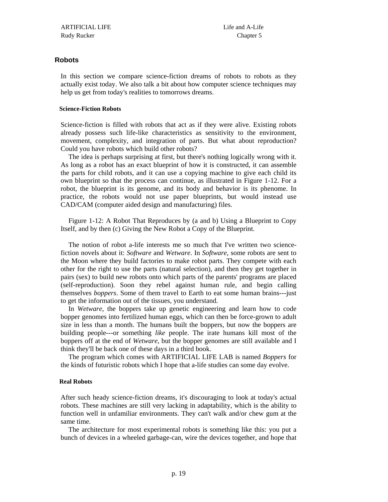#### <span id="page-18-1"></span><span id="page-18-0"></span>**Robots**

In this section we compare science-fiction dreams of robots to robots as they actually exist today. We also talk a bit about how computer science techniques may help us get from today's realities to tomorrows dreams.

#### <span id="page-18-2"></span>**Science-Fiction Robots**

Science-fiction is filled with robots that act as if they were alive. Existing robots already possess such life-like characteristics as sensitivity to the environment, movement, complexity, and integration of parts. But what about reproduction? Could you have robots which build other robots?

The idea is perhaps surprising at first, but there's nothing logically wrong with it. As long as a robot has an exact blueprint of how it is constructed, it can assemble the parts for child robots, and it can use a copying machine to give each child its own blueprint so that the process can continue, as illustrated in Figure 1-12. For a robot, the blueprint is its genome, and its body and behavior is its phenome. In practice, the robots would not use paper blueprints, but would instead use CAD/CAM (computer aided design and manufacturing) files.

Figure 1-12: A Robot That Reproduces by (a and b) Using a Blueprint to Copy Itself, and by then (c) Giving the New Robot a Copy of the Blueprint.

The notion of robot a-life interests me so much that I've written two sciencefiction novels about it: *Software* and *Wetware*. In *Software*, some robots are sent to the Moon where they build factories to make robot parts. They compete with each other for the right to use the parts (natural selection), and then they get together in pairs (sex) to build new robots onto which parts of the parents' programs are placed (self-reproduction). Soon they rebel against human rule, and begin calling themselves *boppers*. Some of them travel to Earth to eat some human brains---just to get the information out of the tissues, you understand.

In *Wetware*, the boppers take up genetic engineering and learn how to code bopper genomes into fertilized human eggs, which can then be force-grown to adult size in less than a month. The humans built the boppers, but now the boppers are building people---or something *like* people. The irate humans kill most of the boppers off at the end of *Wetware*, but the bopper genomes are still available and I think they'll be back one of these days in a third book.

The program which comes with ARTIFICIAL LIFE LAB is named *Boppers* for the kinds of futuristic robots which I hope that a-life studies can some day evolve.

#### <span id="page-18-3"></span>**Real Robots**

After such heady science-fiction dreams, it's discouraging to look at today's actual robots. These machines are still very lacking in adaptability, which is the ability to function well in unfamiliar environments. They can't walk and/or chew gum at the same time.

The architecture for most experimental robots is something like this: you put a bunch of devices in a wheeled garbage-can, wire the devices together, and hope that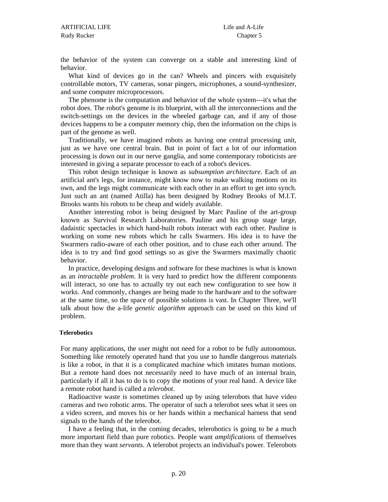<span id="page-19-0"></span>the behavior of the system can converge on a stable and interesting kind of behavior.

What kind of devices go in the can? Wheels and pincers with exquisitely controllable motors, TV cameras, sonar pingers, microphones, a sound-synthesizer, and some computer microprocessors.

The phenome is the computation and behavior of the whole system---it's what the robot does. The robot's genome is its blueprint, with all the interconnections and the switch-settings on the devices in the wheeled garbage can, and if any of those devices happens to be a computer memory chip, then the information on the chips is part of the genome as well.

Traditionally, we have imagined robots as having one central processing unit, just as we have one central brain. But in point of fact a lot of our information processing is down out in our nerve ganglia, and some contemporary roboticists are interested in giving a separate processor to each of a robot's devices.

This robot design technique is known as *subsumption architecture*. Each of an artificial ant's legs, for instance, might know now to make walking motions on its own, and the legs might communicate with each other in an effort to get into synch. Just such an ant (named Atilla) has been designed by Rodney Brooks of M.I.T. Brooks wants his robots to be cheap and widely available.

Another interesting robot is being designed by Marc Pauline of the art-group known as Survival Research Laboratories. Pauline and his group stage large, dadaistic spectacles in which hand-built robots interact with each other. Pauline is working on some new robots which he calls Swarmers. His idea is to have the Swarmers radio-aware of each other position, and to chase each other around. The idea is to try and find good settings so as give the Swarmers maximally chaotic behavior.

In practice, developing designs and software for these machines is what is known as an *intractable problem*. It is very hard to predict how the different components will interact, so one has to actually try out each new configuration to see how it works. And commonly, changes are being made to the hardware and to the software at the same time, so the space of possible solutions is vast. In Chapter Three, we'll talk about how the a-life *genetic algorithm* approach can be used on this kind of problem.

#### <span id="page-19-1"></span>**Telerobotics**

For many applications, the user might not need for a robot to be fully autonomous. Something like remotely operated hand that you use to handle dangerous materials is like a robot, in that it is a complicated machine which imitates human motions. But a remote hand does not necessarily need to have much of an internal brain, particularly if all it has to do is to copy the motions of your real hand. A device like a remote robot hand is called a *telerobot*.

Radioactive waste is sometimes cleaned up by using telerobots that have video cameras and two robotic arms. The operator of such a telerobot sees what it sees on a video screen, and moves his or her hands within a mechanical harness that send signals to the hands of the telerobot.

I have a feeling that, in the coming decades, telerobotics is going to be a much more important field than pure robotics. People want *amplifications* of themselves more than they want *servants*. A telerobot projects an individual's power. Telerobots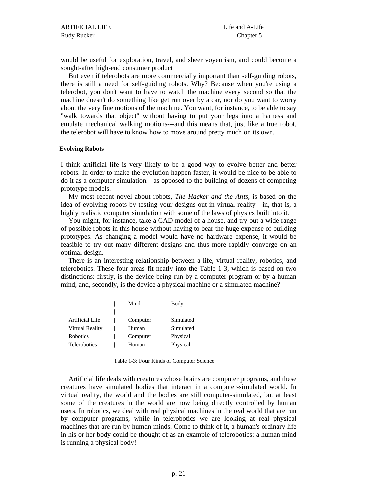<span id="page-20-0"></span>would be useful for exploration, travel, and sheer voyeurism, and could become a sought-after high-end consumer product

But even if telerobots are more commercially important than self-guiding robots, there is still a need for self-guiding robots. Why? Because when you're using a telerobot, you don't want to have to watch the machine every second so that the machine doesn't do something like get run over by a car, nor do you want to worry about the very fine motions of the machine. You want, for instance, to be able to say "walk towards that object" without having to put your legs into a harness and emulate mechanical walking motions---and this means that, just like a true robot, the telerobot will have to know how to move around pretty much on its own.

#### <span id="page-20-1"></span>**Evolving Robots**

I think artificial life is very likely to be a good way to evolve better and better robots. In order to make the evolution happen faster, it would be nice to be able to do it as a computer simulation---as opposed to the building of dozens of competing prototype models.

My most recent novel about robots, *The Hacker and the Ants*, is based on the idea of evolving robots by testing your designs out in virtual reality---in, that is, a highly realistic computer simulation with some of the laws of physics built into it.

You might, for instance, take a CAD model of a house, and try out a wide range of possible robots in this house without having to bear the huge expense of building prototypes. As changing a model would have no hardware expense, it would be feasible to try out many different designs and thus more rapidly converge on an optimal design.

There is an interesting relationship between a-life, virtual reality, robotics, and telerobotics. These four areas fit neatly into the Table 1-3, which is based on two distinctions: firstly, is the device being run by a computer program or by a human mind; and, secondly, is the device a physical machine or a simulated machine?

|                 | Mind     | Body      |
|-----------------|----------|-----------|
|                 |          |           |
| Artificial Life | Computer | Simulated |
| Virtual Reality | Human    | Simulated |
| Robotics        | Computer | Physical  |
| Telerobotics    | Human    | Physical  |

Table 1-3: Four Kinds of Computer Science

Artificial life deals with creatures whose brains are computer programs, and these creatures have simulated bodies that interact in a computer-simulated world. In virtual reality, the world and the bodies are still computer-simulated, but at least some of the creatures in the world are now being directly controlled by human users. In robotics, we deal with real physical machines in the real world that are run by computer programs, while in telerobotics we are looking at real physical machines that are run by human minds. Come to think of it, a human's ordinary life in his or her body could be thought of as an example of telerobotics: a human mind is running a physical body!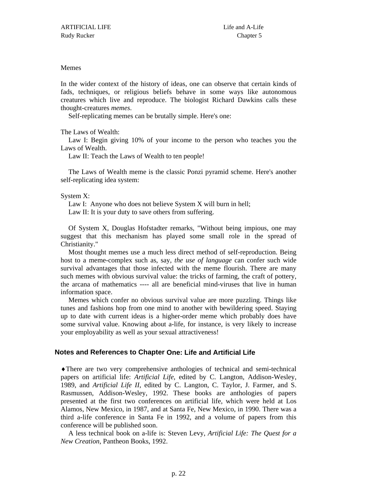#### <span id="page-21-0"></span>Memes

In the wider context of the history of ideas, one can observe that certain kinds of fads, techniques, or religious beliefs behave in some ways like autonomous creatures which live and reproduce. The biologist Richard Dawkins calls these thought-creatures *memes*.

Self-replicating memes can be brutally simple. Here's one:

The Laws of Wealth:

Law I: Begin giving 10% of your income to the person who teaches you the Laws of Wealth.

Law II: Teach the Laws of Wealth to ten people!

The Laws of Wealth meme is the classic Ponzi pyramid scheme. Here's another self-replicating idea system:

#### System X:

Law I: Anyone who does not believe System X will burn in hell;

Law II: It is your duty to save others from suffering.

Of System X, Douglas Hofstadter remarks, "Without being impious, one may suggest that this mechanism has played some small role in the spread of Christianity."

Most thought memes use a much less direct method of self-reproduction. Being host to a meme-complex such as, say, *the use of language* can confer such wide survival advantages that those infected with the meme flourish. There are many such memes with obvious survival value: the tricks of farming, the craft of pottery, the arcana of mathematics ---- all are beneficial mind-viruses that live in human information space.

Memes which confer no obvious survival value are more puzzling. Things like tunes and fashions hop from one mind to another with bewildering speed. Staying up to date with current ideas is a higher-order meme which probably does have some survival value. Knowing about a-life, for instance, is very likely to increase your employability as well as your sexual attractiveness!

#### <span id="page-21-1"></span>**Notes and References to Chapter One: Life and Artificial Life**

♦There are two very comprehensive anthologies of technical and semi-technical papers on artificial life: *Artificial Life*, edited by C. Langton, Addison-Wesley, 1989, and *Artificial Life II*, edited by C. Langton, C. Taylor, J. Farmer, and S. Rasmussen, Addison-Wesley, 1992. These books are anthologies of papers presented at the first two conferences on artificial life, which were held at Los Alamos, New Mexico, in 1987, and at Santa Fe, New Mexico, in 1990. There was a third a-life conference in Santa Fe in 1992, and a volume of papers from this conference will be published soon.

A less technical book on a-life is: Steven Levy, *Artificial Life: The Quest for a New Creation*, Pantheon Books, 1992.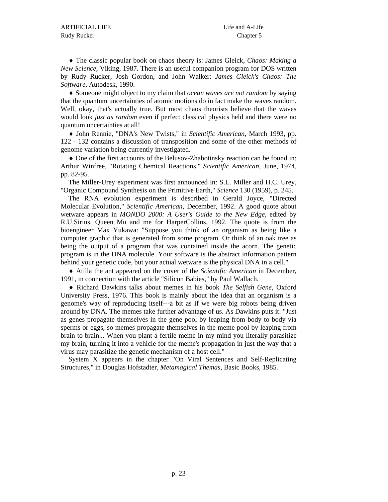♦ The classic popular book on chaos theory is: James Gleick, *Chaos: Making a New Science*, Viking, 1987. There is an useful companion program for DOS written by Rudy Rucker, Josh Gordon, and John Walker: *James Gleick's Chaos: The Software*, Autodesk, 1990.

♦ Someone might object to my claim that *ocean waves are not random* by saying that the quantum uncertainties of atomic motions do in fact make the waves random. Well, okay, that's actually true. But most chaos theorists believe that the waves would look *just as random* even if perfect classical physics held and there were no quantum uncertainties at all!

♦ John Rennie, "DNA's New Twists," in *Scientific American*, March 1993, pp. 122 - 132 contains a discussion of transposition and some of the other methods of genome variation being currently investigated.

♦ One of the first accounts of the Belusov-Zhabotinsky reaction can be found in: Arthur Winfree, "Rotating Chemical Reactions," *Scientific American*, June, 1974, pp. 82-95.

The Miller-Urey experiment was first announced in: S.L. Miller and H.C. Urey, "Organic Compound Synthesis on the Primitive Earth," *Science* 130 (1959), p. 245.

The RNA evolution experiment is described in Gerald Joyce, "Directed Molecular Evolution," *Scientific American*, December, 1992. A good quote about wetware appears in *MONDO 2000: A User's Guide to the New Edge*, edited by R.U.Sirius, Queen Mu and me for HarperCollins, 1992. The quote is from the bioengineer Max Yukawa: "Suppose you think of an organism as being like a computer graphic that is generated from some program. Or think of an oak tree as being the output of a program that was contained inside the acorn. The genetic program is in the DNA molecule. Your software is the abstract information pattern behind your genetic code, but your actual wetware is the physical DNA in a cell."

♦ Atilla the ant appeared on the cover of the *Scientific American* in December, 1991, in connection with the article "Silicon Babies," by Paul Wallach.

♦ Richard Dawkins talks about memes in his book *The Selfish Gene*, Oxford University Press, 1976. This book is mainly about the idea that an organism is a genome's way of reproducing itself---a bit as if we were big robots being driven around by DNA. The memes take further advantage of us. As Dawkins puts it: "Just as genes propagate themselves in the gene pool by leaping from body to body via sperms or eggs, so memes propagate themselves in the meme pool by leaping from brain to brain... When you plant a fertile meme in my mind you literally parasitize my brain, turning it into a vehicle for the meme's propagation in just the way that a virus may parasitize the genetic mechanism of a host cell."

System X appears in the chapter "On Viral Sentences and Self-Replicating Structures," in Douglas Hofstadter, *Metamagical Themas,* Basic Books, 1985.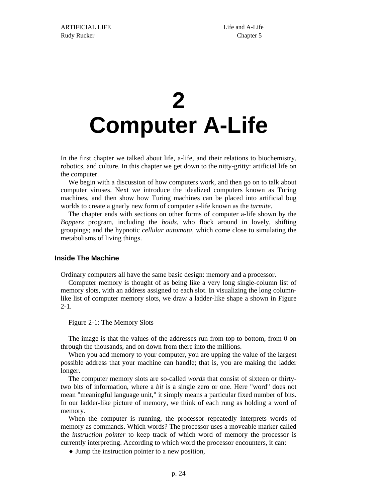# <span id="page-23-1"></span><span id="page-23-0"></span>**2 Computer A-Life**

In the first chapter we talked about life, a-life, and their relations to biochemistry, robotics, and culture. In this chapter we get down to the nitty-gritty: artificial life on the computer.

We begin with a discussion of how computers work, and then go on to talk about computer viruses. Next we introduce the idealized computers known as Turing machines, and then show how Turing machines can be placed into artificial bug worlds to create a gnarly new form of computer a-life known as the *turmite*.

The chapter ends with sections on other forms of computer a-life shown by the *Boppers* program, including the *boids*, who flock around in lovely, shifting groupings; and the hypnotic *cellular automata*, which come close to simulating the metabolisms of living things.

#### <span id="page-23-2"></span>**Inside The Machine**

Ordinary computers all have the same basic design: memory and a processor.

Computer memory is thought of as being like a very long single-column list of memory slots, with an address assigned to each slot. In visualizing the long columnlike list of computer memory slots, we draw a ladder-like shape a shown in Figure 2-1.

Figure 2-1: The Memory Slots

The image is that the values of the addresses run from top to bottom, from 0 on through the thousands, and on down from there into the millions.

When you add memory to your computer, you are upping the value of the largest possible address that your machine can handle; that is, you are making the ladder longer.

The computer memory slots are so-called *words* that consist of sixteen or thirtytwo bits of information, where a *bit* is a single zero or one. Here "word" does not mean "meaningful language unit," it simply means a particular fixed number of bits. In our ladder-like picture of memory, we think of each rung as holding a word of memory.

When the computer is running, the processor repeatedly interprets words of memory as commands. Which words? The processor uses a moveable marker called the *instruction pointer* to keep track of which word of memory the processor is currently interpreting. According to which word the processor encounters, it can:

♦ Jump the instruction pointer to a new position,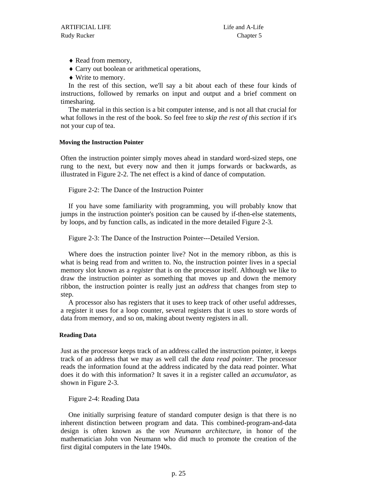- <span id="page-24-0"></span>♦ Read from memory,
- ♦ Carry out boolean or arithmetical operations,
- ♦ Write to memory.

In the rest of this section, we'll say a bit about each of these four kinds of instructions, followed by remarks on input and output and a brief comment on timesharing.

The material in this section is a bit computer intense, and is not all that crucial for what follows in the rest of the book. So feel free to *skip the rest of this section* if it's not your cup of tea.

#### <span id="page-24-1"></span>**Moving the Instruction Pointer**

Often the instruction pointer simply moves ahead in standard word-sized steps, one rung to the next, but every now and then it jumps forwards or backwards, as illustrated in Figure 2-2. The net effect is a kind of dance of computation.

Figure 2-2: The Dance of the Instruction Pointer

If you have some familiarity with programming, you will probably know that jumps in the instruction pointer's position can be caused by if-then-else statements, by loops, and by function calls, as indicated in the more detailed Figure 2-3.

Figure 2-3: The Dance of the Instruction Pointer---Detailed Version.

Where does the instruction pointer live? Not in the memory ribbon, as this is what is being read from and written to. No, the instruction pointer lives in a special memory slot known as a *register* that is on the processor itself. Although we like to draw the instruction pointer as something that moves up and down the memory ribbon, the instruction pointer is really just an *address* that changes from step to step.

A processor also has registers that it uses to keep track of other useful addresses, a register it uses for a loop counter, several registers that it uses to store words of data from memory, and so on, making about twenty registers in all.

#### <span id="page-24-2"></span>**Reading Data**

Just as the processor keeps track of an address called the instruction pointer, it keeps track of an address that we may as well call the *data read pointer*. The processor reads the information found at the address indicated by the data read pointer. What does it do with this information? It saves it in a register called an *accumulator*, as shown in Figure 2-3.

Figure 2-4: Reading Data

One initially surprising feature of standard computer design is that there is no inherent distinction between program and data. This combined-program-and-data design is often known as the *von Neumann architecture*, in honor of the mathematician John von Neumann who did much to promote the creation of the first digital computers in the late 1940s.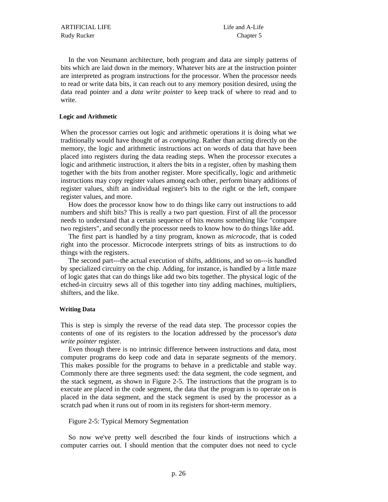<span id="page-25-0"></span>In the von Neumann architecture, both program and data are simply patterns of bits which are laid down in the memory. Whatever bits are at the instruction pointer are interpreted as program instructions for the processor. When the processor needs to read or write data bits, it can reach out to any memory position desired, using the data read pointer and a *data write pointer* to keep track of where to read and to write.

#### <span id="page-25-1"></span>**Logic and Arithmetic**

When the processor carries out logic and arithmetic operations it is doing what we traditionally would have thought of as *computing*. Rather than acting directly on the memory, the logic and arithmetic instructions act on words of data that have been placed into registers during the data reading steps. When the processor executes a logic and arithmetic instruction, it alters the bits in a register, often by mashing them together with the bits from another register. More specifically, logic and arithmetic instructions may copy register values among each other, perform binary additions of register values, shift an individual register's bits to the right or the left, compare register values, and more.

How does the processor know how to do things like carry out instructions to add numbers and shift bits? This is really a two part question. First of all the processor needs to understand that a certain sequence of bits *means* something like "compare two registers", and secondly the processor needs to know how to do things like add.

The first part is handled by a tiny program, known as *microcode*, that is coded right into the processor. Microcode interprets strings of bits as instructions to do things with the registers.

The second part---the actual execution of shifts, additions, and so on---is handled by specialized circuitry on the chip. Adding, for instance, is handled by a little maze of logic gates that can do things like add two bits together. The physical logic of the etched-in circuitry sews all of this together into tiny adding machines, multipliers, shifters, and the like.

#### <span id="page-25-2"></span>**Writing Data**

This is step is simply the reverse of the read data step. The processor copies the contents of one of its registers to the location addressed by the processor's *data write pointer* register.

Even though there is no intrinsic difference between instructions and data, most computer programs do keep code and data in separate segments of the memory. This makes possible for the programs to behave in a predictable and stable way. Commonly there are three segments used: the data segment, the code segment, and the stack segment, as shown in Figure 2-5. The instructions that the program is to execute are placed in the code segment, the data that the program is to operate on is placed in the data segment, and the stack segment is used by the processor as a scratch pad when it runs out of room in its registers for short-term memory.

#### Figure 2-5: Typical Memory Segmentation

So now we've pretty well described the four kinds of instructions which a computer carries out. I should mention that the computer does not need to cycle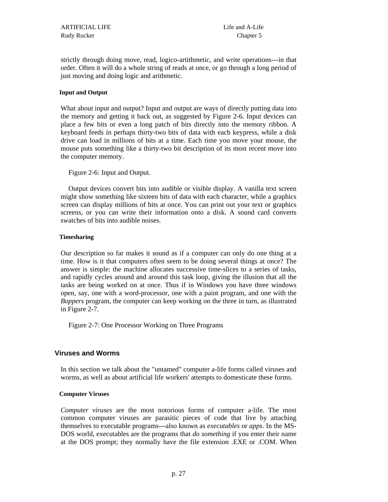<span id="page-26-0"></span>strictly through doing move, read, logico-artithmetic, and write operations---in that order. Often it will do a whole string of reads at once, or go through a long period of just moving and doing logic and arithmetic.

#### <span id="page-26-1"></span>**Input and Output**

What about input and output? Input and output are ways of directly putting data into the memory and getting it back out, as suggested by Figure 2-6. Input devices can place a few bits or even a long patch of bits directly into the memory ribbon. A keyboard feeds in perhaps thirty-two bits of data with each keypress, while a disk drive can load in millions of bits at a time. Each time you move your mouse, the mouse puts something like a thirty-two bit description of its most recent move into the computer memory.

Figure 2-6: Input and Output.

Output devices convert bits into audible or visible display. A vanilla text screen might show something like sixteen bits of data with each character, while a graphics screen can display millions of bits at once. You can print out your text or graphics screens, or you can write their information onto a disk. A sound card converts swatches of bits into audible noises.

#### <span id="page-26-2"></span>**Timesharing**

Our description so far makes it sound as if a computer can only do one thing at a time. How is it that computers often seem to be doing several things at once? The answer is simple: the machine allocates successive time-slices to a series of tasks, and rapidly cycles around and around this task loop, giving the illusion that all the tasks are being worked on at once. Thus if in Windows you have three windows open, say, one with a word-processor, one with a paint program, and one with the *Boppers* program, the computer can keep working on the three in turn, as illustrated in Figure 2-7.

Figure 2-7: One Processor Working on Three Programs

### <span id="page-26-3"></span>**Viruses and Worms**

In this section we talk about the "untamed" computer a-life forms called viruses and worms, as well as about artificial life workers' attempts to domesticate these forms.

#### <span id="page-26-4"></span>**Computer Viruses**

*Computer viruses* are the most notorious forms of computer a-life. The most common computer viruses are parasitic pieces of code that live by attaching themselves to executable programs---also known as *executables* or *apps*. In the MS-DOS world, executables are the programs that *do something* if you enter their name at the DOS prompt; they normally have the file extension .EXE or .COM. When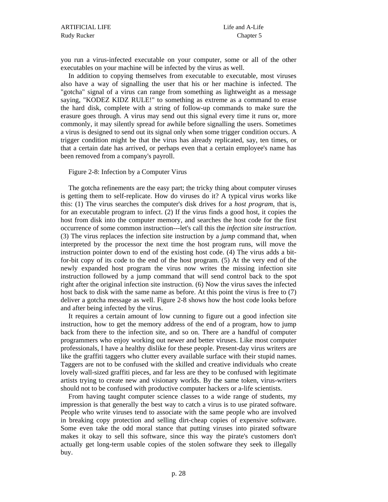you run a virus-infected executable on your computer, some or all of the other executables on your machine will be infected by the virus as well.

In addition to copying themselves from executable to executable, most viruses also have a way of signalling the user that his or her machine is infected. The "gotcha" signal of a virus can range from something as lightweight as a message saying, "KODEZ KIDZ RULE!" to something as extreme as a command to erase the hard disk, complete with a string of follow-up commands to make sure the erasure goes through. A virus may send out this signal every time it runs or, more commonly, it may silently spread for awhile before signalling the users. Sometimes a virus is designed to send out its signal only when some trigger condition occurs. A trigger condition might be that the virus has already replicated, say, ten times, or that a certain date has arrived, or perhaps even that a certain employee's name has been removed from a company's payroll.

#### Figure 2-8: Infection by a Computer Virus

The gotcha refinements are the easy part; the tricky thing about computer viruses is getting them to self-replicate. How do viruses do it? A typical virus works like this: (1) The virus searches the computer's disk drives for a *host program*, that is, for an executable program to infect. (2) If the virus finds a good host, it copies the host from disk into the computer memory, and searches the host code for the first occurrence of some common instruction---let's call this the *infection site instruction*. (3) The virus replaces the infection site instruction by a *jump* command that, when interpreted by the processor the next time the host program runs, will move the instruction pointer down to end of the existing host code. (4) The virus adds a bitfor-bit copy of its code to the end of the host program. (5) At the very end of the newly expanded host program the virus now writes the missing infection site instruction followed by a jump command that will send control back to the spot right after the original infection site instruction. (6) Now the virus saves the infected host back to disk with the same name as before. At this point the virus is free to (7) deliver a gotcha message as well. Figure 2-8 shows how the host code looks before and after being infected by the virus.

It requires a certain amount of low cunning to figure out a good infection site instruction, how to get the memory address of the end of a program, how to jump back from there to the infection site, and so on. There are a handful of computer programmers who enjoy working out newer and better viruses. Like most computer professionals, I have a healthy dislike for these people. Present-day virus writers are like the graffiti taggers who clutter every available surface with their stupid names. Taggers are not to be confused with the skilled and creative individuals who create lovely wall-sized graffiti pieces, and far less are they to be confused with legitimate artists trying to create new and visionary worlds. By the same token, virus-writers should not to be confused with productive computer hackers or a-life scientists.

From having taught computer science classes to a wide range of students, my impression is that generally the best way to catch a virus is to use pirated software. People who write viruses tend to associate with the same people who are involved in breaking copy protection and selling dirt-cheap copies of expensive software. Some even take the odd moral stance that putting viruses into pirated software makes it okay to sell this software, since this way the pirate's customers don't actually get long-term usable copies of the stolen software they seek to illegally buy.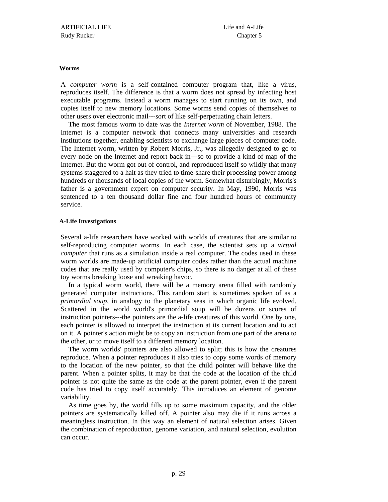#### <span id="page-28-1"></span><span id="page-28-0"></span>**Worms**

A *computer worm* is a self-contained computer program that, like a virus, reproduces itself. The difference is that a worm does not spread by infecting host executable programs. Instead a worm manages to start running on its own, and copies itself to new memory locations. Some worms send copies of themselves to other users over electronic mail---sort of like self-perpetuating chain letters.

The most famous worm to date was the *Internet worm* of November, 1988. The Internet is a computer network that connects many universities and research institutions together, enabling scientists to exchange large pieces of computer code. The Internet worm, written by Robert Morris, Jr., was allegedly designed to go to every node on the Internet and report back in---so to provide a kind of map of the Internet. But the worm got out of control, and reproduced itself so wildly that many systems staggered to a halt as they tried to time-share their processing power among hundreds or thousands of local copies of the worm. Somewhat disturbingly, Morris's father is a government expert on computer security. In May, 1990, Morris was sentenced to a ten thousand dollar fine and four hundred hours of community service.

#### <span id="page-28-2"></span>**A-Life Investigations**

Several a-life researchers have worked with worlds of creatures that are similar to self-reproducing computer worms. In each case, the scientist sets up a *virtual computer* that runs as a simulation inside a real computer. The codes used in these worm worlds are made-up artificial computer codes rather than the actual machine codes that are really used by computer's chips, so there is no danger at all of these toy worms breaking loose and wreaking havoc.

In a typical worm world, there will be a memory arena filled with randomly generated computer instructions. This random start is sometimes spoken of as a *primordial soup*, in analogy to the planetary seas in which organic life evolved. Scattered in the world world's primordial soup will be dozens or scores of instruction pointers---the pointers are the a-life creatures of this world. One by one, each pointer is allowed to interpret the instruction at its current location and to act on it. A pointer's action might be to copy an instruction from one part of the arena to the other, or to move itself to a different memory location.

The worm worlds' pointers are also allowed to split; this is how the creatures reproduce. When a pointer reproduces it also tries to copy some words of memory to the location of the new pointer, so that the child pointer will behave like the parent. When a pointer splits, it may be that the code at the location of the child pointer is not quite the same as the code at the parent pointer, even if the parent code has tried to copy itself accurately. This introduces an element of genome variability.

As time goes by, the world fills up to some maximum capacity, and the older pointers are systematically killed off. A pointer also may die if it runs across a meaningless instruction. In this way an element of natural selection arises. Given the combination of reproduction, genome variation, and natural selection, evolution can occur.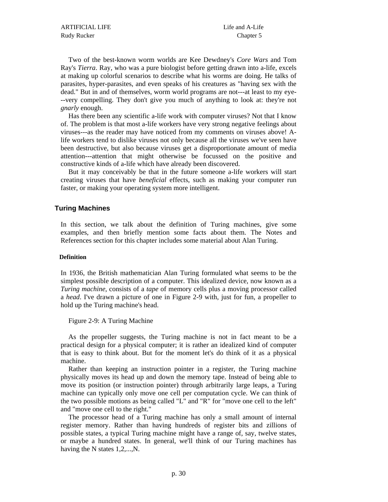<span id="page-29-0"></span>Two of the best-known worm worlds are Kee Dewdney's *Core Wars* and Tom Ray's *Tierra*. Ray, who was a pure biologist before getting drawn into a-life, excels at making up colorful scenarios to describe what his worms are doing. He talks of parasites, hyper-parasites, and even speaks of his creatures as "having sex with the dead." But in and of themselves, worm world programs are not---at least to my eye- --very compelling. They don't give you much of anything to look at: they're not *gnarly* enough.

Has there been any scientific a-life work with computer viruses? Not that I know of. The problem is that most a-life workers have very strong negative feelings about viruses---as the reader may have noticed from my comments on viruses above! Alife workers tend to dislike viruses not only because all the viruses we've seen have been destructive, but also because viruses get a disproportionate amount of media attention---attention that might otherwise be focussed on the positive and constructive kinds of a-life which have already been discovered.

But it may conceivably be that in the future someone a-life workers will start creating viruses that have *beneficial* effects, such as making your computer run faster, or making your operating system more intelligent.

#### <span id="page-29-1"></span>**Turing Machines**

In this section, we talk about the definition of Turing machines, give some examples, and then briefly mention some facts about them. The Notes and References section for this chapter includes some material about Alan Turing.

#### <span id="page-29-2"></span>**Definition**

In 1936, the British mathematician Alan Turing formulated what seems to be the simplest possible description of a computer. This idealized device, now known as a *Turing machine*, consists of a *tape* of memory cells plus a moving processor called a *head*. I've drawn a picture of one in Figure 2-9 with, just for fun, a propeller to hold up the Turing machine's head.

Figure 2-9: A Turing Machine

As the propeller suggests, the Turing machine is not in fact meant to be a practical design for a physical computer; it is rather an idealized kind of computer that is easy to think about. But for the moment let's do think of it as a physical machine.

Rather than keeping an instruction pointer in a register, the Turing machine physically moves its head up and down the memory tape. Instead of being able to move its position (or instruction pointer) through arbitrarily large leaps, a Turing machine can typically only move one cell per computation cycle. We can think of the two possible motions as being called "L" and "R" for "move one cell to the left" and "move one cell to the right."

The processor head of a Turing machine has only a small amount of internal register memory. Rather than having hundreds of register bits and zillions of possible states, a typical Turing machine might have a range of, say, twelve states, or maybe a hundred states. In general, we'll think of our Turing machines has having the N states 1,2,...,N.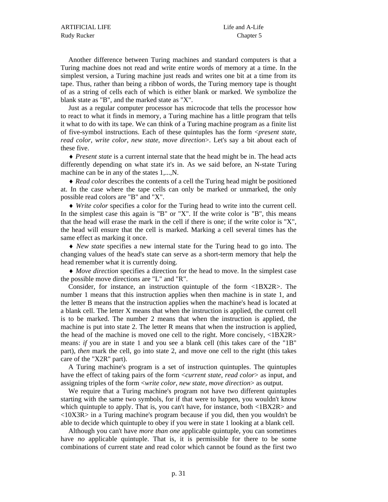Another difference between Turing machines and standard computers is that a Turing machine does not read and write entire words of memory at a time. In the simplest version, a Turing machine just reads and writes one bit at a time from its tape. Thus, rather than being a ribbon of words, the Turing memory tape is thought of as a string of cells each of which is either blank or marked. We symbolize the blank state as "B", and the marked state as "X".

Just as a regular computer processor has microcode that tells the processor how to react to what it finds in memory, a Turing machine has a little program that tells it what to do with its tape. We can think of a Turing machine program as a finite list of five-symbol instructions. Each of these quintuples has the form <*present state, read color, write color, new state*, *move direction*>. Let's say a bit about each of these five.

♦ *Present state* is a current internal state that the head might be in. The head acts differently depending on what state it's in. As we said before, an N-state Turing machine can be in any of the states 1,..., N.

♦ *Read color* describes the contents of a cell the Turing head might be positioned at. In the case where the tape cells can only be marked or unmarked, the only possible read colors are "B" and "X".

♦ *Write color* specifies a color for the Turing head to write into the current cell. In the simplest case this again is "B" or "X". If the write color is "B", this means that the head will erase the mark in the cell if there is one; if the write color is "X", the head will ensure that the cell is marked. Marking a cell several times has the same effect as marking it once.

♦ *New state* specifies a new internal state for the Turing head to go into. The changing values of the head's state can serve as a short-term memory that help the head remember what it is currently doing.

♦ *Move direction* specifies a direction for the head to move. In the simplest case the possible move directions are "L" and "R".

Consider, for instance, an instruction quintuple of the form <1BX2R>. The number 1 means that this instruction applies when then machine is in state 1, and the letter B means that the instruction applies when the machine's head is located at a blank cell. The letter X means that when the instruction is applied, the current cell is to be marked. The number 2 means that when the instruction is applied, the machine is put into state 2. The letter R means that when the instruction is applied, the head of the machine is moved one cell to the right. More concisely, <1BX2R> means: *if* you are in state 1 and you see a blank cell (this takes care of the "1B" part), *then* mark the cell, go into state 2, and move one cell to the right (this takes care of the "X2R" part).

A Turing machine's program is a set of instruction quintuples. The quintuples have the effect of taking pairs of the form <*current state, read color*> as input, and assigning triples of the form <*write color, new state, move direction*> as output.

We require that a Turing machine's program not have two different quintuples starting with the same two symbols, for if that were to happen, you wouldn't know which quintuple to apply. That is, you can't have, for instance, both <1BX2R> and <10X3R> in a Turing machine's program because if you did, then you wouldn't be able to decide which quintuple to obey if you were in state 1 looking at a blank cell.

Although you can't have *more than one* applicable quintuple, you can sometimes have *no* applicable quintuple. That is, it is permissible for there to be some combinations of current state and read color which cannot be found as the first two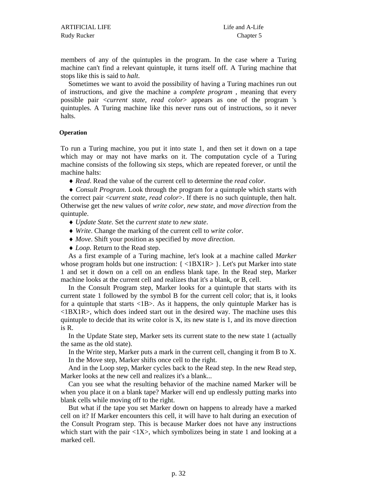<span id="page-31-0"></span>members of any of the quintuples in the program. In the case where a Turing machine can't find a relevant quintuple, it turns itself off. A Turing machine that stops like this is said to *halt*.

Sometimes we want to avoid the possibility of having a Turing machines run out of instructions, and give the machine a *complete program* , meaning that every possible pair <*current state, read color*> appears as one of the program 's quintuples. A Turing machine like this never runs out of instructions, so it never halts.

#### <span id="page-31-1"></span>**Operation**

To run a Turing machine, you put it into state 1, and then set it down on a tape which may or may not have marks on it. The computation cycle of a Turing machine consists of the following six steps, which are repeated forever, or until the machine halts:

♦ *Read*. Read the value of the current cell to determine the *read color*.

♦ *Consult Program*. Look through the program for a quintuple which starts with the correct pair <*current state*, *read color*>. If there is no such quintuple, then halt. Otherwise get the new values of *write color*, *new state*, and *move direction* from the quintuple.

- ♦ *Update State*. Set the *current state* to *new state*.
- ♦ *Write*. Change the marking of the current cell to *write color*.
- ♦ *Move*. Shift your position as specified by *move direction*.
- ♦ *Loop*. Return to the Read step.

As a first example of a Turing machine, let's look at a machine called *Marker* whose program holds but one instruction:  $\{ <1BX1R> \}$ . Let's put Marker into state 1 and set it down on a cell on an endless blank tape. In the Read step, Marker machine looks at the current cell and realizes that it's a blank, or B, cell.

In the Consult Program step, Marker looks for a quintuple that starts with its current state 1 followed by the symbol B for the current cell color; that is, it looks for a quintuple that starts  $\langle 1B \rangle$ . As it happens, the only quintuple Marker has is <1BX1R>, which does indeed start out in the desired way. The machine uses this quintuple to decide that its write color is  $X$ , its new state is 1, and its move direction is R.

In the Update State step, Marker sets its current state to the new state 1 (actually the same as the old state).

In the Write step, Marker puts a mark in the current cell, changing it from B to X. In the Move step, Marker shifts once cell to the right.

And in the Loop step, Marker cycles back to the Read step. In the new Read step, Marker looks at the new cell and realizes it's a blank...

Can you see what the resulting behavior of the machine named Marker will be when you place it on a blank tape? Marker will end up endlessly putting marks into blank cells while moving off to the right.

But what if the tape you set Marker down on happens to already have a marked cell on it? If Marker encounters this cell, it will have to halt during an execution of the Consult Program step. This is because Marker does not have any instructions which start with the pair  $\langle 1 \times \rangle$ , which symbolizes being in state 1 and looking at a marked cell.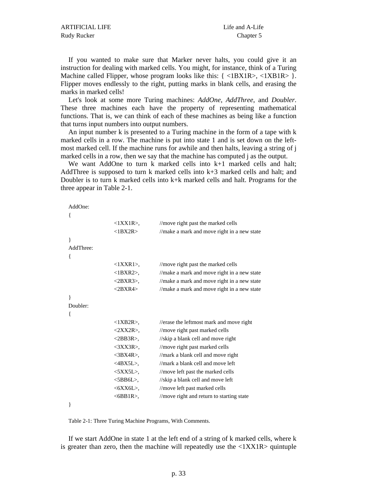ARTIFICIAL LIFELife and A-Life Rudy Rucker Chapter 5

If you wanted to make sure that Marker never halts, you could give it an instruction for dealing with marked cells. You might, for instance, think of a Turing Machine called Flipper, whose program looks like this: {  $\langle 1BX1R \rangle$ ,  $\langle 1XB1R \rangle$  }. Flipper moves endlessly to the right, putting marks in blank cells, and erasing the marks in marked cells!

Let's look at some more Turing machines: *AddOne*, *AddThree*, and *Doubler*. These three machines each have the property of representing mathematical functions. That is, we can think of each of these machines as being like a function that turns input numbers into output numbers.

An input number k is presented to a Turing machine in the form of a tape with k marked cells in a row. The machine is put into state 1 and is set down on the leftmost marked cell. If the machine runs for awhile and then halts, leaving a string of j marked cells in a row, then we say that the machine has computed j as the output.

We want AddOne to turn k marked cells into k+1 marked cells and halt; AddThree is supposed to turn k marked cells into  $k+3$  marked cells and halt; and Doubler is to turn k marked cells into k+k marked cells and halt. Programs for the three appear in Table 2-1.

AddOne: { <1XX1R>, //move right past the marked cells <1BX2R> //make a mark and move right in a new state } AddThree: { <1XXR1>, //move right past the marked cells <1BXR2>, //make a mark and move right in a new state <2BXR3>, //make a mark and move right in a new state <2BXR4> //make a mark and move right in a new state } Doubler: { <1XB2R>, //erase the leftmost mark and move right <2XX2R>, //move right past marked cells <2BB3R>, //skip a blank cell and move right <3XX3R>, //move right past marked cells <3BX4R>, //mark a blank cell and move right <4BX5L>, //mark a blank cell and move left <5XX5L>, //move left past the marked cells <5BB6L>, //skip a blank cell and move left <6XX6L>, //move left past marked cells <6BB1R>, //move right and return to starting state

}

Table 2-1: Three Turing Machine Programs, With Comments.

If we start AddOne in state 1 at the left end of a string of k marked cells, where k is greater than zero, then the machine will repeatedly use the  $\langle 1XX1R \rangle$  quintuple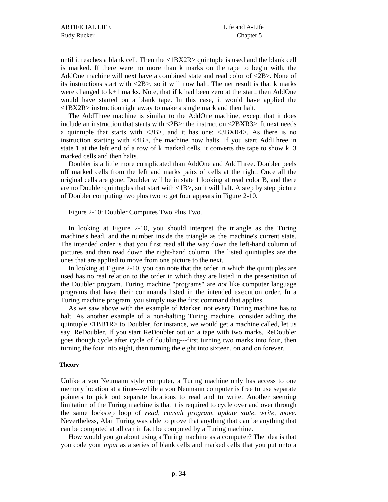<span id="page-33-0"></span>until it reaches a blank cell. Then the <1BX2R> quintuple is used and the blank cell is marked. If there were no more than k marks on the tape to begin with, the AddOne machine will next have a combined state and read color of <2B>. None of its instructions start with  $\langle 2B \rangle$ , so it will now halt. The net result is that k marks were changed to  $k+1$  marks. Note, that if k had been zero at the start, then AddOne would have started on a blank tape. In this case, it would have applied the <1BX2R> instruction right away to make a single mark and then halt.

The AddThree machine is similar to the AddOne machine, except that it does include an instruction that starts with <2B>: the instruction <2BXR3>. It next needs a quintuple that starts with  $\langle 3B \rangle$ , and it has one:  $\langle 3BXR4 \rangle$ . As there is no instruction starting with <4B>, the machine now halts. If you start AddThree in state 1 at the left end of a row of k marked cells, it converts the tape to show  $k+3$ marked cells and then halts.

Doubler is a little more complicated than AddOne and AddThree. Doubler peels off marked cells from the left and marks pairs of cells at the right. Once all the original cells are gone, Doubler will be in state 1 looking at read color B, and there are no Doubler quintuples that start with  $\langle 1B \rangle$ , so it will halt. A step by step picture of Doubler computing two plus two to get four appears in Figure 2-10.

Figure 2-10: Doubler Computes Two Plus Two.

In looking at Figure 2-10, you should interpret the triangle as the Turing machine's head, and the number inside the triangle as the machine's current state. The intended order is that you first read all the way down the left-hand column of pictures and then read down the right-hand column. The listed quintuples are the ones that are applied to move from one picture to the next.

In looking at Figure 2-10, you can note that the order in which the quintuples are used has no real relation to the order in which they are listed in the presentation of the Doubler program. Turing machine "programs" are *not* like computer language programs that have their commands listed in the intended execution order. In a Turing machine program, you simply use the first command that applies.

As we saw above with the example of Marker, not every Turing machine has to halt. As another example of a non-halting Turing machine, consider adding the quintuple <1BB1R> to Doubler, for instance, we would get a machine called, let us say, ReDoubler. If you start ReDoubler out on a tape with two marks, ReDoubler goes though cycle after cycle of doubling---first turning two marks into four, then turning the four into eight, then turning the eight into sixteen, on and on forever.

#### <span id="page-33-1"></span>**Theory**

Unlike a von Neumann style computer, a Turing machine only has access to one memory location at a time---while a von Neumann computer is free to use separate pointers to pick out separate locations to read and to write. Another seeming limitation of the Turing machine is that it is required to cycle over and over through the same lockstep loop of *read, consult program, update state, write, move*. Nevertheless, Alan Turing was able to prove that anything that can be anything that can be computed at all can in fact be computed by a Turing machine.

How would you go about using a Turing machine as a computer? The idea is that you code your *input* as a series of blank cells and marked cells that you put onto a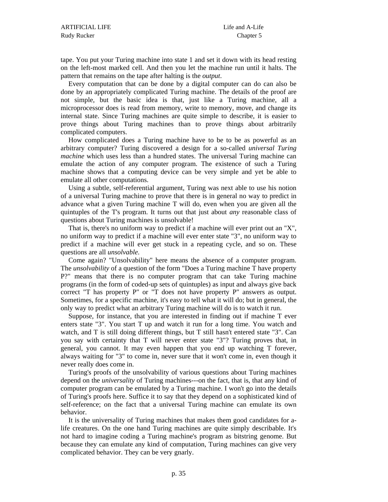tape. You put your Turing machine into state 1 and set it down with its head resting on the left-most marked cell. And then you let the machine run until it halts. The pattern that remains on the tape after halting is the *output*.

Every computation that can be done by a digital computer can do can also be done by an appropriately complicated Turing machine. The details of the proof are not simple, but the basic idea is that, just like a Turing machine, all a microprocessor does is read from memory, write to memory, move, and change its internal state. Since Turing machines are quite simple to describe, it is easier to prove things about Turing machines than to prove things about arbitrarily complicated computers.

How complicated does a Turing machine have to be to be as powerful as an arbitrary computer? Turing discovered a design for a so-called *universal Turing machine* which uses less than a hundred states. The universal Turing machine can emulate the action of any computer program. The existence of such a Turing machine shows that a computing device can be very simple and yet be able to emulate all other computations.

Using a subtle, self-referential argument, Turing was next able to use his notion of a universal Turing machine to prove that there is in general no way to predict in advance what a given Turing machine T will do, even when you are given all the quintuples of the T's program. It turns out that just about *any* reasonable class of questions about Turing machines is unsolvable!

That is, there's no uniform way to predict if a machine will ever print out an "X", no uniform way to predict if a machine will ever enter state "3", no uniform way to predict if a machine will ever get stuck in a repeating cycle, and so on. These questions are all *unsolvable*.

Come again? "Unsolvability" here means the absence of a computer program. The *unsolvability* of a question of the form "Does a Turing machine T have property P?" means that there is no computer program that can take Turing machine programs (in the form of coded-up sets of quintuples) as input and always give back correct "T has property P" or "T does not have property P" answers as output. Sometimes, for a specific machine, it's easy to tell what it will do; but in general, the only way to predict what an arbitrary Turing machine will do is to watch it run.

Suppose, for instance, that you are interested in finding out if machine T ever enters state "3". You start T up and watch it run for a long time. You watch and watch, and T is still doing different things, but T still hasn't entered state "3". Can you say with certainty that T will never enter state "3"? Turing proves that, in general, you cannot. It may even happen that you end up watching T forever, always waiting for "3" to come in, never sure that it won't come in, even though it never really does come in.

Turing's proofs of the unsolvability of various questions about Turing machines depend on the *universality* of Turing machines---on the fact, that is, that any kind of computer program can be emulated by a Turing machine. I won't go into the details of Turing's proofs here. Suffice it to say that they depend on a sophisticated kind of self-reference; on the fact that a universal Turing machine can emulate its own behavior.

It is the universality of Turing machines that makes them good candidates for alife creatures. On the one hand Turing machines are quite simply describable. It's not hard to imagine coding a Turing machine's program as bitstring genome. But because they can emulate any kind of computation, Turing machines can give very complicated behavior. They can be very gnarly.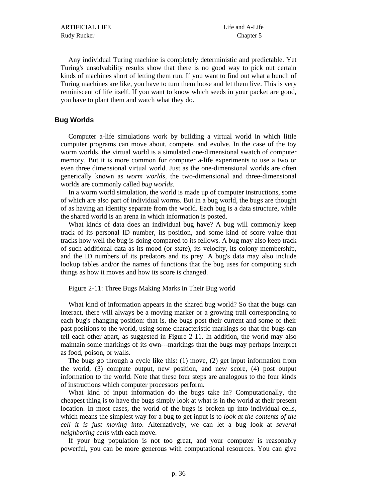<span id="page-35-0"></span>Any individual Turing machine is completely deterministic and predictable. Yet Turing's unsolvability results show that there is no good way to pick out certain kinds of machines short of letting them run. If you want to find out what a bunch of Turing machines are like, you have to turn them loose and let them live. This is very reminiscent of life itself. If you want to know which seeds in your packet are good, you have to plant them and watch what they do.

#### <span id="page-35-1"></span>**Bug Worlds**

Computer a-life simulations work by building a virtual world in which little computer programs can move about, compete, and evolve. In the case of the toy worm worlds, the virtual world is a simulated one-dimensional swatch of computer memory. But it is more common for computer a-life experiments to use a two or even three dimensional virtual world. Just as the one-dimensional worlds are often generically known as *worm worlds*, the two-dimensional and three-dimensional worlds are commonly called *bug worlds*.

In a worm world simulation, the world is made up of computer instructions, some of which are also part of individual worms. But in a bug world, the bugs are thought of as having an identity separate from the world. Each bug is a data structure, while the shared world is an arena in which information is posted.

What kinds of data does an individual bug have? A bug will commonly keep track of its personal ID number, its position, and some kind of score value that tracks how well the bug is doing compared to its fellows. A bug may also keep track of such additional data as its mood (or *state*), its velocity, its colony membership, and the ID numbers of its predators and its prey. A bug's data may also include lookup tables and/or the names of functions that the bug uses for computing such things as how it moves and how its score is changed.

Figure 2-11: Three Bugs Making Marks in Their Bug world

What kind of information appears in the shared bug world? So that the bugs can interact, there will always be a moving marker or a growing trail corresponding to each bug's changing position: that is, the bugs post their current and some of their past positions to the world, using some characteristic markings so that the bugs can tell each other apart, as suggested in Figure 2-11. In addition, the world may also maintain some markings of its own---markings that the bugs may perhaps interpret as food, poison, or walls.

The bugs go through a cycle like this: (1) move, (2) get input information from the world, (3) compute output, new position, and new score, (4) post output information to the world. Note that these four steps are analogous to the four kinds of instructions which computer processors perform.

What kind of input information do the bugs take in? Computationally, the cheapest thing is to have the bugs simply look at what is in the world at their present location. In most cases, the world of the bugs is broken up into individual cells, which means the simplest way for a bug to get input is to *look at the contents of the cell it is just moving into*. Alternatively, we can let a bug look at *several neighboring cells* with each move.

If your bug population is not too great, and your computer is reasonably powerful, you can be more generous with computational resources. You can give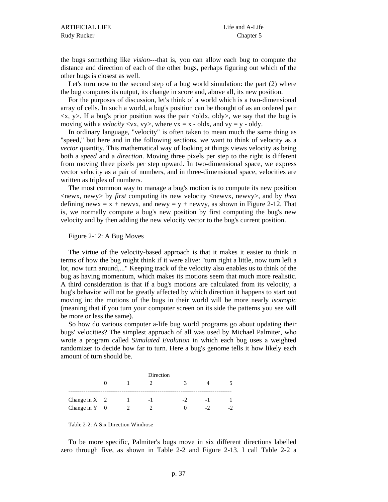the bugs something like *vision*---that is, you can allow each bug to compute the distance and direction of each of the other bugs, perhaps figuring out which of the other bugs is closest as well.

Let's turn now to the second step of a bug world simulation: the part (2) where the bug computes its output, its change in score and, above all, its new position.

For the purposes of discussion, let's think of a world which is a two-dimensional array of cells. In such a world, a bug's position can be thought of as an ordered pair  $\langle x, y \rangle$ . If a bug's prior position was the pair  $\langle \text{old}x, \text{old}y \rangle$ , we say that the bug is moving with a *velocity*  $\langle vx, vy \rangle$ , where  $vx = x - oldx$ , and  $vy = y - oldy$ .

In ordinary language, "velocity" is often taken to mean much the same thing as "speed," but here and in the following sections, we want to think of velocity as a *vector* quantity. This mathematical way of looking at things views velocity as being both a *speed* and a *direction*. Moving three pixels per step to the right is different from moving three pixels per step upward. In two-dimensional space, we express vector velocity as a pair of numbers, and in three-dimensional space, velocities are written as triples of numbers.

The most common way to manage a bug's motion is to compute its new position <newx, newy> by *first* computing its new velocity <newvx, newvy>, and by *then* defining news  $x = x + newvx$ , and newy  $y = y + newvy$ , as shown in Figure 2-12. That is, we normally compute a bug's new position by first computing the bug's new velocity and by then adding the new velocity vector to the bug's current position.

#### Figure 2-12: A Bug Moves

The virtue of the velocity-based approach is that it makes it easier to think in terms of how the bug might think if it were alive: "turn right a little, now turn left a lot, now turn around,..." Keeping track of the velocity also enables us to think of the bug as having momentum, which makes its motions seem that much more realistic. A third consideration is that if a bug's motions are calculated from its velocity, a bug's behavior will not be greatly affected by which direction it happens to start out moving in: the motions of the bugs in their world will be more nearly *isotropic* (meaning that if you turn your computer screen on its side the patterns you see will be more or less the same).

So how do various computer a-life bug world programs go about updating their bugs' velocities? The simplest approach of all was used by Michael Palmiter, who wrote a program called *Simulated Evolution* in which each bug uses a weighted randomizer to decide how far to turn. Here a bug's genome tells it how likely each amount of turn should be.

|                 |  | Direction |                          |  |
|-----------------|--|-----------|--------------------------|--|
|                 |  |           |                          |  |
| Change in $X$ 2 |  | - 1       | $\overline{\phantom{0}}$ |  |
| Change in Y 0   |  |           |                          |  |

Table 2-2: A Six Direction Windrose

To be more specific, Palmiter's bugs move in six different directions labelled zero through five, as shown in Table 2-2 and Figure 2-13. I call Table 2-2 a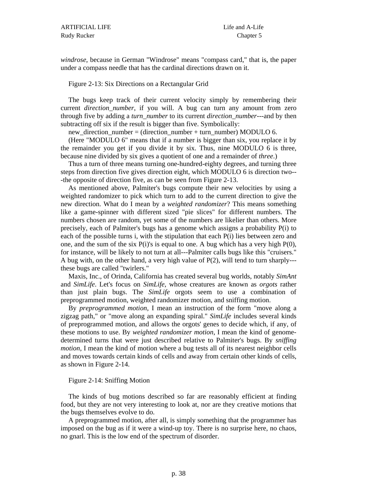*windrose*, because in German "Windrose" means "compass card," that is, the paper under a compass needle that has the cardinal directions drawn on it.

#### Figure 2-13: Six Directions on a Rectangular Grid

The bugs keep track of their current velocity simply by remembering their current *direction\_number*, if you will. A bug can turn any amount from zero through five by adding a *turn\_number* to its current *direction\_number*---and by then subtracting off six if the result is bigger than five. Symbolically:

new\_direction\_number = (direction\_number + turn\_number) MODULO 6.

(Here "MODULO 6" means that if a number is bigger than six, you replace it by the remainder you get if you divide it by six. Thus, nine MODULO 6 is three, because nine divided by six gives a quotient of one and a remainder of *three*.)

Thus a turn of three means turning one-hundred-eighty degrees, and turning three steps from direction five gives direction eight, which MODULO 6 is direction two-- -the opposite of direction five, as can be seen from Figure 2-13.

As mentioned above, Palmiter's bugs compute their new velocities by using a weighted randomizer to pick which turn to add to the current direction to give the new direction. What do I mean by a *weighted randomizer*? This means something like a game-spinner with different sized "pie slices" for different numbers. The numbers chosen are random, yet some of the numbers are likelier than others. More precisely, each of Palmiter's bugs has a genome which assigns a probability P(i) to each of the possible turns i, with the stipulation that each P(i) lies between zero and one, and the sum of the six  $P(i)$ 's is equal to one. A bug which has a very high  $P(0)$ , for instance, will be likely to not turn at all---Palmiter calls bugs like this "cruisers." A bug with, on the other hand, a very high value of P(2), will tend to turn sharply-- these bugs are called "twirlers."

Maxis, Inc., of Orinda, California has created several bug worlds, notably *SimAnt* and *SimLife*. Let's focus on *SimLife*, whose creatures are known as *orgots* rather than just plain bugs. The *SimLife* orgots seem to use a combination of preprogrammed motion, weighted randomizer motion, and sniffing motion.

By *preprogrammed motion*, I mean an instruction of the form "move along a zigzag path," or "move along an expanding spiral." *SimLife* includes several kinds of preprogrammed motion, and allows the orgots' genes to decide which, if any, of these motions to use. By *weighted randomizer motion*, I mean the kind of genomedetermined turns that were just described relative to Palmiter's bugs. By *sniffing motion*, I mean the kind of motion where a bug tests all of its nearest neighbor cells and moves towards certain kinds of cells and away from certain other kinds of cells, as shown in Figure 2-14.

#### Figure 2-14: Sniffing Motion

The kinds of bug motions described so far are reasonably efficient at finding food, but they are not very interesting to look at, nor are they creative motions that the bugs themselves evolve to do.

A preprogrammed motion, after all, is simply something that the programmer has imposed on the bug as if it were a wind-up toy. There is no surprise here, no chaos, no gnarl. This is the low end of the spectrum of disorder.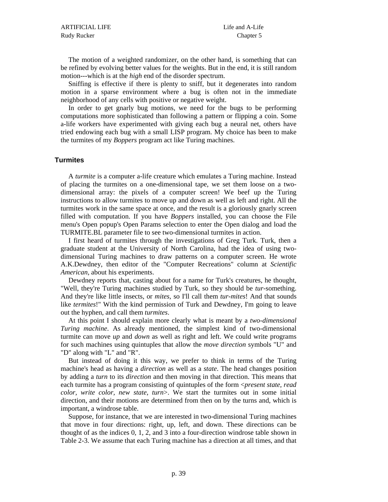The motion of a weighted randomizer, on the other hand, is something that can be refined by evolving better values for the weights. But in the end, it is still random motion---which is at the *high* end of the disorder spectrum.

Sniffing is effective if there is plenty to sniff, but it degenerates into random motion in a sparse environment where a bug is often not in the immediate neighborhood of any cells with positive or negative weight.

In order to get gnarly bug motions, we need for the bugs to be performing computations more sophisticated than following a pattern or flipping a coin. Some a-life workers have experimented with giving each bug a neural net, others have tried endowing each bug with a small LISP program. My choice has been to make the turmites of my *Boppers* program act like Turing machines.

## **Turmites**

A *turmite* is a computer a-life creature which emulates a Turing machine. Instead of placing the turmites on a one-dimensional tape, we set them loose on a twodimensional array: the pixels of a computer screen! We beef up the Turing instructions to allow turmites to move up and down as well as left and right. All the turmites work in the same space at once, and the result is a gloriously gnarly screen filled with computation. If you have *Boppers* installed, you can choose the File menu's Open popup's Open Params selection to enter the Open dialog and load the TURMITE.BL parameter file to see two-dimensional turmites in action.

I first heard of turmites through the investigations of Greg Turk. Turk, then a graduate student at the University of North Carolina, had the idea of using twodimensional Turing machines to draw patterns on a computer screen. He wrote A.K.Dewdney, then editor of the "Computer Recreations" column at *Scientific American*, about his experiments.

Dewdney reports that, casting about for a name for Turk's creatures, he thought, "Well, they're Turing machines studied by Turk, so they should be *tur*-something. And they're like little insects, or *mites*, so I'll call them *tur-mites*! And that sounds like *termites*!" With the kind permission of Turk and Dewdney, I'm going to leave out the hyphen, and call them *turmites*.

At this point I should explain more clearly what is meant by a *two-dimensional Turing machine*. As already mentioned, the simplest kind of two-dimensional turmite can move *up* and *down* as well as right and left. We could write programs for such machines using quintuples that allow the *move direction* symbols "U" and "D" along with "L" and "R".

But instead of doing it this way, we prefer to think in terms of the Turing machine's head as having a *direction* as well as a *state*. The head changes position by adding a *turn* to its *direction* and then moving in that direction. This means that each turmite has a program consisting of quintuples of the form <*present state, read color, write color, new state*, *turn*>. We start the turmites out in some initial direction, and their motions are determined from then on by the turns and, which is important, a windrose table.

Suppose, for instance, that we are interested in two-dimensional Turing machines that move in four directions: right, up, left, and down. These directions can be thought of as the indices 0, 1, 2, and 3 into a four-direction windrose table shown in Table 2-3. We assume that each Turing machine has a direction at all times, and that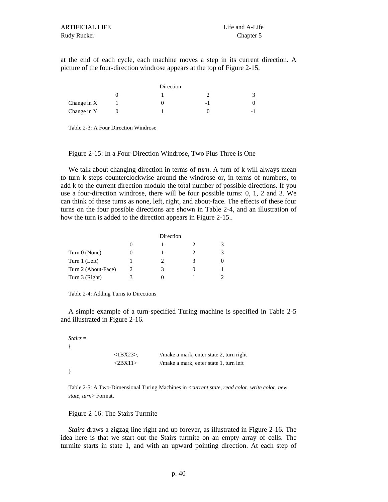at the end of each cycle, each machine moves a step in its current direction. A picture of the four-direction windrose appears at the top of Figure 2-15.

|               | Direction |      |                          |
|---------------|-----------|------|--------------------------|
|               |           |      |                          |
| Change in $X$ |           | $-1$ |                          |
| Change in Y   |           |      | $\overline{\phantom{0}}$ |

Table 2-3: A Four Direction Windrose

Figure 2-15: In a Four-Direction Windrose, Two Plus Three is One

We talk about changing direction in terms of *turn*. A turn of k will always mean to turn k steps counterclockwise around the windrose or, in terms of numbers, to add k to the current direction modulo the total number of possible directions. If you use a four-direction windrose, there will be four possible turns: 0, 1, 2 and 3. We can think of these turns as none, left, right, and about-face. The effects of these four turns on the four possible directions are shown in Table 2-4, and an illustration of how the turn is added to the direction appears in Figure 2-15..

|                     | Direction |  |   |  |  |  |  |  |  |
|---------------------|-----------|--|---|--|--|--|--|--|--|
|                     |           |  |   |  |  |  |  |  |  |
| Turn 0 (None)       |           |  |   |  |  |  |  |  |  |
| Turn 1 (Left)       |           |  | 3 |  |  |  |  |  |  |
| Turn 2 (About-Face) | 2         |  |   |  |  |  |  |  |  |
| Turn 3 (Right)      |           |  |   |  |  |  |  |  |  |

Table 2-4: Adding Turns to Directions

A simple example of a turn-specified Turing machine is specified in Table 2-5 and illustrated in Figure 2-16.

```
Stairs = 
{ 
                 <1BX23>, //make a mark, enter state 2, turn right 
                 <2BX11> //make a mark, enter state 1, turn left 
}
```
Table 2-5: A Two-Dimensional Turing Machines in <*current state, read color, write color, new state, turn*> Format.

Figure 2-16: The Stairs Turmite

*Stairs* draws a zigzag line right and up forever, as illustrated in Figure 2-16. The idea here is that we start out the Stairs turmite on an empty array of cells. The turmite starts in state 1, and with an upward pointing direction. At each step of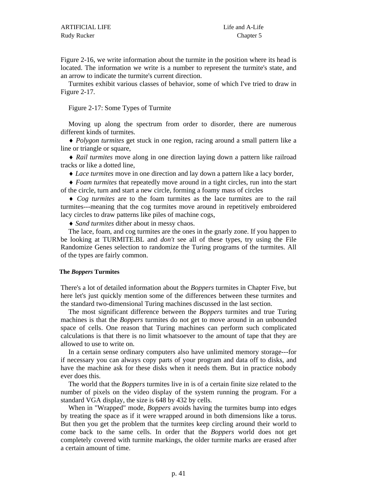Figure 2-16, we write information about the turmite in the position where its head is located. The information we write is a number to represent the turmite's state, and an arrow to indicate the turmite's current direction.

Turmites exhibit various classes of behavior, some of which I've tried to draw in Figure 2-17.

## Figure 2-17: Some Types of Turmite

Moving up along the spectrum from order to disorder, there are numerous different kinds of turmites.

♦ *Polygon turmites* get stuck in one region, racing around a small pattern like a line or triangle or square,

♦ *Rail turmites* move along in one direction laying down a pattern like railroad tracks or like a dotted line,

♦ *Lace turmites* move in one direction and lay down a pattern like a lacy border,

♦ *Foam turmites* that repeatedly move around in a tight circles, run into the start of the circle, turn and start a new circle, forming a foamy mass of circles

♦ *Cog turmites* are to the foam turmites as the lace turmites are to the rail turmites---meaning that the cog turmites move around in repetitively embroidered lacy circles to draw patterns like piles of machine cogs,

♦ *Sand turmites* dither about in messy chaos.

The lace, foam, and cog turmites are the ones in the gnarly zone. If you happen to be looking at TURMITE.BL and *don't* see all of these types, try using the File Randomize Genes selection to randomize the Turing programs of the turmites. All of the types are fairly common.

## **The** *Boppers* **Turmites**

There's a lot of detailed information about the *Boppers* turmites in Chapter Five, but here let's just quickly mention some of the differences between these turmites and the standard two-dimensional Turing machines discussed in the last section.

The most significant difference between the *Boppers* turmites and true Turing machines is that the *Boppers* turmites do not get to move around in an unbounded space of cells. One reason that Turing machines can perform such complicated calculations is that there is no limit whatsoever to the amount of tape that they are allowed to use to write on.

In a certain sense ordinary computers also have unlimited memory storage---for if necessary you can always copy parts of your program and data off to disks, and have the machine ask for these disks when it needs them. But in practice nobody ever does this.

The world that the *Boppers* turmites live in is of a certain finite size related to the number of pixels on the video display of the system running the program. For a standard VGA display, the size is 648 by 432 by cells.

When in "Wrapped" mode, *Boppers* avoids having the turmites bump into edges by treating the space as if it were wrapped around in both dimensions like a torus. But then you get the problem that the turmites keep circling around their world to come back to the same cells. In order that the *Boppers* world does not get completely covered with turmite markings, the older turmite marks are erased after a certain amount of time.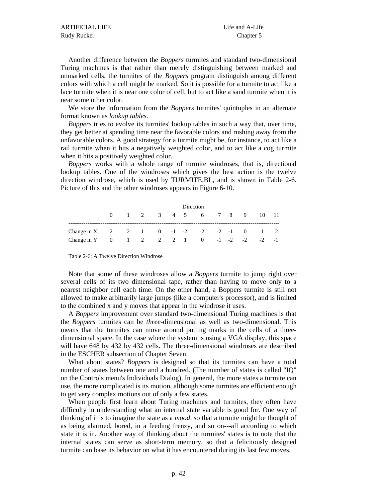Another difference between the *Boppers* turmites and standard two-dimensional Turing machines is that rather than merely distinguishing between marked and unmarked cells, the turmites of the *Boppers* program distinguish among different colors with which a cell might be marked. So it is possible for a turmite to act like a lace turmite when it is near one color of cell, but to act like a sand turmite when it is near some other color.

We store the information from the *Boppers* turmites' quintuples in an alternate format known as *lookup tables*.

*Boppers* tries to evolve its turmites' lookup tables in such a way that, over time, they get better at spending time near the favorable colors and rushing away from the unfavorable colors. A good strategy for a turmite might be, for instance, to act like a rail turmite when it hits a negatively weighted color, and to act like a cog turmite when it hits a positively weighted color.

*Boppers* works with a whole range of turmite windroses, that is, directional lookup tables. One of the windroses which gives the best action is the twelve direction windrose, which is used by TURMITE.BL, and is shown in Table 2-6. Picture of this and the other windroses appears in Figure 6-10.

|                                                                             | Direction |  |  |  |  |  |                        |  |  |  |           |    |  |
|-----------------------------------------------------------------------------|-----------|--|--|--|--|--|------------------------|--|--|--|-----------|----|--|
|                                                                             |           |  |  |  |  |  | 0 1 2 3 4 5 6 7 8 9 10 |  |  |  |           | 11 |  |
| Change in X $2 \t 2 \t 1 \t 0 \t -1 \t -2 \t -2 \t -2 \t -1 \t 0 \t 1 \t 2$ |           |  |  |  |  |  |                        |  |  |  |           |    |  |
| Change in Y 0 1 2 2 2 1 0 -1 -2 -2                                          |           |  |  |  |  |  |                        |  |  |  | $-2$ $-1$ |    |  |

Table 2-6: A Twelve Direction Windrose

Note that some of these windroses allow a *Boppers* turmite to jump right over several cells of its two dimensional tape, rather than having to move only to a nearest neighbor cell each time. On the other hand, a Boppers turmite is still not allowed to make arbitrarily large jumps (like a computer's processor), and is limited to the combined x and y moves that appear in the windrose it uses.

A *Boppers* improvement over standard two-dimensional Turing machines is that the *Boppers* turmites can be *three*-dimensional as well as two-dimensional. This means that the turmites can move around putting marks in the cells of a threedimensional space. In the case where the system is using a VGA display, this space will have 648 by 432 by 432 cells. The three-dimensional windroses are described in the ESCHER subsection of Chapter Seven.

What about states? *Boppers* is designed so that its turmites can have a total number of states between one and a hundred. (The number of states is called "IQ" on the Controls menu's Individuals Dialog). In general, the more states a turmite can use, the more complicated is its motion, although some turmites are efficient enough to get very complex motions out of only a few states.

When people first learn about Turing machines and turmites, they often have difficulty in understanding what an internal state variable is good for. One way of thinking of it is to imagine the state as a *mood*, so that a turmite might be thought of as being alarmed, bored, in a feeding frenzy, and so on---all according to which state it is in. Another way of thinking about the turmites' states is to note that the internal states can serve as short-term memory, so that a felicitously designed turmite can base its behavior on what it has encountered during its last few moves.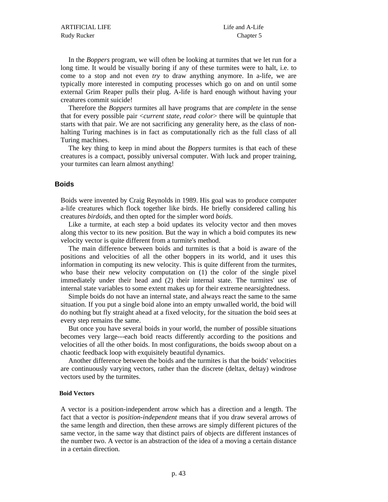In the *Boppers* program, we will often be looking at turmites that we let run for a long time. It would be visually boring if any of these turmites were to halt, i.e. to come to a stop and not even *try* to draw anything anymore. In a-life, we are typically more interested in computing processes which go on and on until some external Grim Reaper pulls their plug. A-life is hard enough without having your creatures commit suicide!

Therefore the *Boppers* turmites all have programs that are *complete* in the sense that for every possible pair <*current state*, *read color*> there will be quintuple that starts with that pair. We are not sacrificing any generality here, as the class of nonhalting Turing machines is in fact as computationally rich as the full class of all Turing machines.

The key thing to keep in mind about the *Boppers* turmites is that each of these creatures is a compact, possibly universal computer. With luck and proper training, your turmites can learn almost anything!

## **Boids**

Boids were invented by Craig Reynolds in 1989. His goal was to produce computer a-life creatures which flock together like birds. He briefly considered calling his creatures *birdoids*, and then opted for the simpler word *boids*.

Like a turmite, at each step a boid updates its velocity vector and then moves along this vector to its new position. But the way in which a boid computes its new velocity vector is quite different from a turmite's method.

The main difference between boids and turmites is that a boid is aware of the positions and velocities of all the other boppers in its world, and it uses this information in computing its new velocity. This is quite different from the turmites, who base their new velocity computation on (1) the color of the single pixel immediately under their head and (2) their internal state. The turmites' use of internal state variables to some extent makes up for their extreme nearsightedness.

Simple boids do not have an internal state, and always react the same to the same situation. If you put a single boid alone into an empty unwalled world, the boid will do nothing but fly straight ahead at a fixed velocity, for the situation the boid sees at every step remains the same.

But once you have several boids in your world, the number of possible situations becomes very large---each boid reacts differently according to the positions and velocities of all the other boids. In most configurations, the boids swoop about on a chaotic feedback loop with exquisitely beautiful dynamics.

Another difference between the boids and the turmites is that the boids' velocities are continuously varying vectors, rather than the discrete (deltax, deltay) windrose vectors used by the turmites.

#### **Boid Vectors**

A vector is a position-independent arrow which has a direction and a length. The fact that a vector is *position-independent* means that if you draw several arrows of the same length and direction, then these arrows are simply different pictures of the same vector, in the same way that distinct pairs of objects are different instances of the number two. A vector is an abstraction of the idea of a moving a certain distance in a certain direction.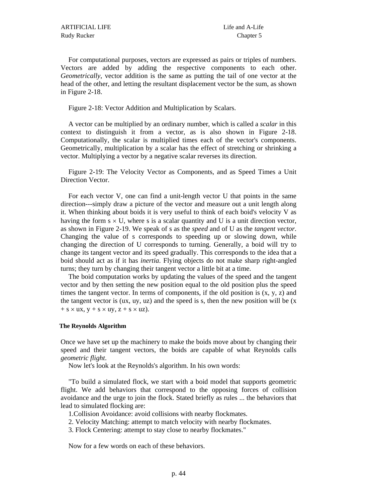For computational purposes, vectors are expressed as pairs or triples of numbers. Vectors are added by adding the respective components to each other. *Geometrically*, vector addition is the same as putting the tail of one vector at the head of the other, and letting the resultant displacement vector be the sum, as shown in Figure 2-18.

Figure 2-18: Vector Addition and Multiplication by Scalars.

A vector can be multiplied by an ordinary number, which is called a *scalar* in this context to distinguish it from a vector, as is also shown in Figure 2-18. Computationally, the scalar is multiplied times each of the vector's components. Geometrically, multiplication by a scalar has the effect of stretching or shrinking a vector. Multiplying a vector by a negative scalar reverses its direction.

Figure 2-19: The Velocity Vector as Components, and as Speed Times a Unit Direction Vector.

For each vector V, one can find a unit-length vector U that points in the same direction---simply draw a picture of the vector and measure out a unit length along it. When thinking about boids it is very useful to think of each boid's velocity V as having the form  $s \times U$ , where s is a scalar quantity and U is a unit direction vector, as shown in Figure 2-19. We speak of s as the *speed* and of U as the *tangent vector*. Changing the value of s corresponds to speeding up or slowing down, while changing the direction of U corresponds to turning. Generally, a boid will try to change its tangent vector and its speed gradually. This corresponds to the idea that a boid should act as if it has *inertia*. Flying objects do not make sharp right-angled turns; they turn by changing their tangent vector a little bit at a time.

The boid computation works by updating the values of the speed and the tangent vector and by then setting the new position equal to the old position plus the speed times the tangent vector. In terms of components, if the old position is  $(x, y, z)$  and the tangent vector is (ux, uy, uz) and the speed is s, then the new position will be (x  $+$  s  $\times$  ux,  $y$  + s  $\times$  uy,  $z$  + s  $\times$  uz).

#### **The Reynolds Algorithm**

Once we have set up the machinery to make the boids move about by changing their speed and their tangent vectors, the boids are capable of what Reynolds calls *geometric flight*.

Now let's look at the Reynolds's algorithm. In his own words:

"To build a simulated flock, we start with a boid model that supports geometric flight. We add behaviors that correspond to the opposing forces of collision avoidance and the urge to join the flock. Stated briefly as rules ... the behaviors that lead to simulated flocking are:

1.Collision Avoidance: avoid collisions with nearby flockmates.

2. Velocity Matching: attempt to match velocity with nearby flockmates.

3. Flock Centering: attempt to stay close to nearby flockmates."

Now for a few words on each of these behaviors.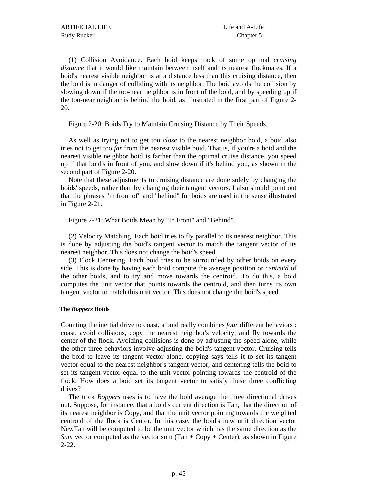(1) Collision Avoidance. Each boid keeps track of some optimal *cruising distance* that it would like maintain between itself and its nearest flockmates. If a boid's nearest visible neighbor is at a distance less than this cruising distance, then the boid is in danger of colliding with its neighbor. The boid avoids the collision by slowing down if the too-near neighbor is in front of the boid, and by speeding up if the too-near neighbor is behind the boid, as illustrated in the first part of Figure 2- 20.

Figure 2-20: Boids Try to Maintain Cruising Distance by Their Speeds.

As well as trying not to get too *close* to the nearest neighbor boid, a boid also tries not to get too *far* from the nearest visible boid. That is, if you're a boid and the nearest visible neighbor boid is farther than the optimal cruise distance, you speed up if that boid's in front of you, and slow down if it's behind you, as shown in the second part of Figure 2-20.

Note that these adjustments to cruising distance are done solely by changing the boids' speeds, rather than by changing their tangent vectors. I also should point out that the phrases "in front of" and "behind" for boids are used in the sense illustrated in Figure 2-21.

Figure 2-21: What Boids Mean by "In Front" and "Behind".

(2) Velocity Matching. Each boid tries to fly parallel to its nearest neighbor. This is done by adjusting the boid's tangent vector to match the tangent vector of its nearest neighbor. This does not change the boid's speed.

(3) Flock Centering. Each boid tries to be surrounded by other boids on every side. This is done by having each boid compute the average position or *centroid* of the other boids, and to try and move towards the centroid. To do this, a boid computes the unit vector that points towards the centroid, and then turns its own tangent vector to match this unit vector. This does not change the boid's speed.

## **The** *Boppers* **Boids**

Counting the inertial drive to coast, a boid really combines *four* different behaviors : coast, avoid collisions, copy the nearest neighbor's velocity, and fly towards the center of the flock. Avoiding collisions is done by adjusting the speed alone, while the other three behaviors involve adjusting the boid's tangent vector. Cruising tells the boid to leave its tangent vector alone, copying says tells it to set its tangent vector equal to the nearest neighbor's tangent vector, and centering tells the boid to set its tangent vector equal to the unit vector pointing towards the centroid of the flock. How does a boid set its tangent vector to satisfy these three conflicting drives?

The trick *Boppers* uses is to have the boid average the three directional drives out. Suppose, for instance, that a boid's current direction is Tan, that the direction of its nearest neighbor is Copy, and that the unit vector pointing towards the weighted centroid of the flock is Center. In this case, the boid's new unit direction vector NewTan will be computed to be the unit vector which has the same direction as the *Sum* vector computed as the vector sum  $(Tan + Copy + Center)$ , as shown in Figure 2-22.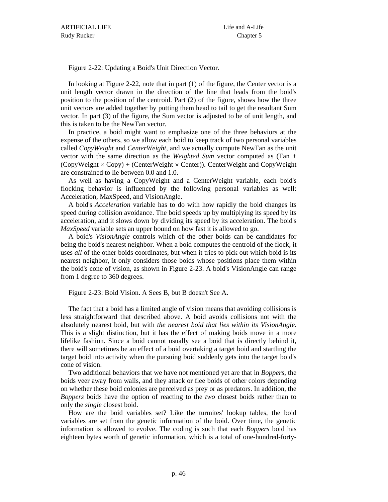Figure 2-22: Updating a Boid's Unit Direction Vector.

In looking at Figure 2-22, note that in part (1) of the figure, the Center vector is a unit length vector drawn in the direction of the line that leads from the boid's position to the position of the centroid. Part (2) of the figure, shows how the three unit vectors are added together by putting them head to tail to get the resultant Sum vector. In part (3) of the figure, the Sum vector is adjusted to be of unit length, and this is taken to be the NewTan vector.

In practice, a boid might want to emphasize one of the three behaviors at the expense of the others, so we allow each boid to keep track of two personal variables called *CopyWeight* and *CenterWeight*, and we actually compute NewTan as the unit vector with the same direction as the *Weighted Sum* vector computed as (Tan +  $(CopyWeight \times Copy) + (CenterWeight \times Center)$ ). CenterWeight and CopyWeight are constrained to lie between 0.0 and 1.0.

As well as having a CopyWeight and a CenterWeight variable, each boid's flocking behavior is influenced by the following personal variables as well: Acceleration, MaxSpeed, and VisionAngle.

A boid's *Acceleration* variable has to do with how rapidly the boid changes its speed during collision avoidance. The boid speeds up by multiplying its speed by its acceleration, and it slows down by dividing its speed by its acceleration. The boid's *MaxSpeed* variable sets an upper bound on how fast it is allowed to go.

A boid's *VisionAngle* controls which of the other boids can be candidates for being the boid's nearest neighbor. When a boid computes the centroid of the flock, it uses *all* of the other boids coordinates, but when it tries to pick out which boid is its nearest neighbor, it only considers those boids whose positions place them within the boid's cone of vision, as shown in Figure 2-23. A boid's VisionAngle can range from 1 degree to 360 degrees.

Figure 2-23: Boid Vision. A Sees B, but B doesn't See A.

The fact that a boid has a limited angle of vision means that avoiding collisions is less straightforward that described above. A boid avoids collisions not with the absolutely nearest boid, but with *the nearest boid that lies within its VisionAngle*. This is a slight distinction, but it has the effect of making boids move in a more lifelike fashion. Since a boid cannot usually see a boid that is directly behind it, there will sometimes be an effect of a boid overtaking a target boid and startling the target boid into activity when the pursuing boid suddenly gets into the target boid's cone of vision.

Two additional behaviors that we have not mentioned yet are that in *Boppers*, the boids veer away from walls, and they attack or flee boids of other colors depending on whether these boid colonies are perceived as prey or as predators. In addition, the *Boppers* boids have the option of reacting to the *two* closest boids rather than to only the *single* closest boid.

How are the boid variables set? Like the turmites' lookup tables, the boid variables are set from the genetic information of the boid. Over time, the genetic information is allowed to evolve. The coding is such that each *Boppers* boid has eighteen bytes worth of genetic information, which is a total of one-hundred-forty-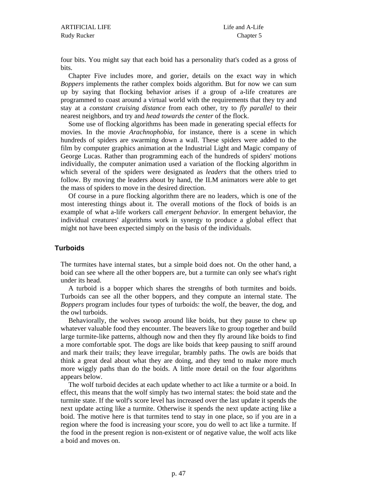four bits. You might say that each boid has a personality that's coded as a gross of bits.

Chapter Five includes more, and gorier, details on the exact way in which *Boppers* implements the rather complex boids algorithm. But for now we can sum up by saying that flocking behavior arises if a group of a-life creatures are programmed to coast around a virtual world with the requirements that they try and stay at a *constant cruising distance* from each other, try to *fly parallel* to their nearest neighbors, and try and *head towards the center* of the flock.

Some use of flocking algorithms has been made in generating special effects for movies. In the movie *Arachnophobia*, for instance, there is a scene in which hundreds of spiders are swarming down a wall. These spiders were added to the film by computer graphics animation at the Industrial Light and Magic company of George Lucas. Rather than programming each of the hundreds of spiders' motions individually, the computer animation used a variation of the flocking algorithm in which several of the spiders were designated as *leaders* that the others tried to follow. By moving the leaders about by hand, the ILM animators were able to get the mass of spiders to move in the desired direction.

Of course in a pure flocking algorithm there are no leaders, which is one of the most interesting things about it. The overall motions of the flock of boids is an example of what a-life workers call *emergent behavior*. In emergent behavior, the individual creatures' algorithms work in synergy to produce a global effect that might not have been expected simply on the basis of the individuals.

## **Turboids**

The turmites have internal states, but a simple boid does not. On the other hand, a boid can see where all the other boppers are, but a turmite can only see what's right under its head.

A turboid is a bopper which shares the strengths of both turmites and boids. Turboids can see all the other boppers, and they compute an internal state. The *Boppers* program includes four types of turboids: the wolf, the beaver, the dog, and the owl turboids.

Behaviorally, the wolves swoop around like boids, but they pause to chew up whatever valuable food they encounter. The beavers like to group together and build large turmite-like patterns, although now and then they fly around like boids to find a more comfortable spot. The dogs are like boids that keep pausing to sniff around and mark their trails; they leave irregular, brambly paths. The owls are boids that think a great deal about what they are doing, and they tend to make more much more wiggly paths than do the boids. A little more detail on the four algorithms appears below.

The wolf turboid decides at each update whether to act like a turmite or a boid. In effect, this means that the wolf simply has two internal states: the boid state and the turmite state. If the wolf's score level has increased over the last update it spends the next update acting like a turmite. Otherwise it spends the next update acting like a boid. The motive here is that turmites tend to stay in one place, so if you are in a region where the food is increasing your score, you do well to act like a turmite. If the food in the present region is non-existent or of negative value, the wolf acts like a boid and moves on.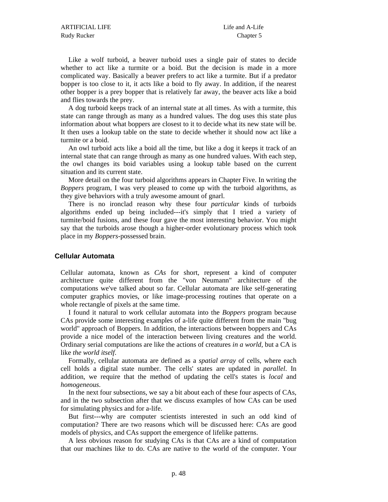Like a wolf turboid, a beaver turboid uses a single pair of states to decide whether to act like a turmite or a boid. But the decision is made in a more complicated way. Basically a beaver prefers to act like a turmite. But if a predator bopper is too close to it, it acts like a boid to fly away. In addition, if the nearest other bopper is a prey bopper that is relatively far away, the beaver acts like a boid and flies towards the prey.

A dog turboid keeps track of an internal state at all times. As with a turmite, this state can range through as many as a hundred values. The dog uses this state plus information about what boppers are closest to it to decide what its new state will be. It then uses a lookup table on the state to decide whether it should now act like a turmite or a boid.

An owl turboid acts like a boid all the time, but like a dog it keeps it track of an internal state that can range through as many as one hundred values. With each step, the owl changes its boid variables using a lookup table based on the current situation and its current state.

More detail on the four turboid algorithms appears in Chapter Five. In writing the *Boppers* program, I was very pleased to come up with the turboid algorithms, as they give behaviors with a truly awesome amount of gnarl.

There is no ironclad reason why these four *particular* kinds of turboids algorithms ended up being included---it's simply that I tried a variety of turmite/boid fusions, and these four gave the most interesting behavior. You might say that the turboids arose though a higher-order evolutionary process which took place in my *Boppers*-possessed brain.

## **Cellular Automata**

Cellular automata, known as *CAs* for short, represent a kind of computer architecture quite different from the "von Neumann" architecture of the computations we've talked about so far. Cellular automata are like self-generating computer graphics movies, or like image-processing routines that operate on a whole rectangle of pixels at the same time.

I found it natural to work cellular automata into the *Boppers* program because CAs provide some interesting examples of a-life quite different from the main "bug world" approach of Boppers. In addition, the interactions between boppers and CAs provide a nice model of the interaction between living creatures and the world. Ordinary serial computations are like the actions of creatures *in a world*, but a CA is like *the world itself*.

Formally, cellular automata are defined as a *spatial array* of cells, where each cell holds a digital state number. The cells' states are updated in *parallel*. In addition, we require that the method of updating the cell's states is *local* and *homogeneous*.

In the next four subsections, we say a bit about each of these four aspects of CAs, and in the two subsection after that we discuss examples of how CAs can be used for simulating physics and for a-life.

But first---why are computer scientists interested in such an odd kind of computation? There are two reasons which will be discussed here: CAs are good models of physics, and CAs support the emergence of lifelike patterns.

A less obvious reason for studying CAs is that CAs are a kind of computation that our machines like to do. CAs are native to the world of the computer. Your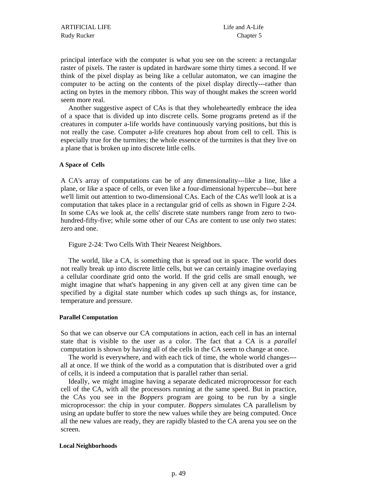principal interface with the computer is what you see on the screen: a rectangular raster of pixels. The raster is updated in hardware some thirty times a second. If we think of the pixel display as being like a cellular automaton, we can imagine the computer to be acting on the contents of the pixel display directly---rather than acting on bytes in the memory ribbon. This way of thought makes the screen world seem more real.

Another suggestive aspect of CAs is that they wholeheartedly embrace the idea of a space that is divided up into discrete cells. Some programs pretend as if the creatures in computer a-life worlds have continuously varying positions, but this is not really the case. Computer a-life creatures hop about from cell to cell. This is especially true for the turmites; the whole essence of the turmites is that they live on a plane that is broken up into discrete little cells.

## **A Space of Cells**

A CA's array of computations can be of any dimensionality---like a line, like a plane, or like a space of cells, or even like a four-dimensional hypercube---but here we'll limit out attention to two-dimensional CAs. Each of the CAs we'll look at is a computation that takes place in a rectangular grid of cells as shown in Figure 2-24. In some CAs we look at, the cells' discrete state numbers range from zero to twohundred-fifty-five; while some other of our CAs are content to use only two states: zero and one.

Figure 2-24: Two Cells With Their Nearest Neighbors.

The world, like a CA, is something that is spread out in space. The world does not really break up into discrete little cells, but we can certainly imagine overlaying a cellular coordinate grid onto the world. If the grid cells are small enough, we might imagine that what's happening in any given cell at any given time can be specified by a digital state number which codes up such things as, for instance, temperature and pressure.

#### **Parallel Computation**

So that we can observe our CA computations in action, each cell in has an internal state that is visible to the user as a color. The fact that a CA is a *parallel* computation is shown by having all of the cells in the CA seem to change at once.

The world is everywhere, and with each tick of time, the whole world changes-- all at once. If we think of the world as a computation that is distributed over a grid of cells, it is indeed a computation that is parallel rather than serial.

Ideally, we might imagine having a separate dedicated microprocessor for each cell of the CA, with all the processors running at the same speed. But in practice, the CAs you see in the *Boppers* program are going to be run by a single microprocessor: the chip in your computer. *Boppers* simulates CA parallelism by using an update buffer to store the new values while they are being computed. Once all the new values are ready, they are rapidly blasted to the CA arena you see on the screen.

#### **Local Neighborhoods**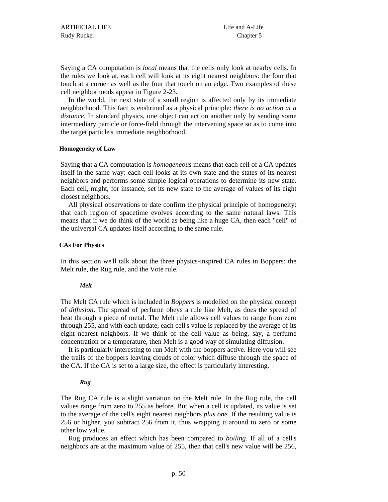Saying a CA computation is *local* means that the cells only look at nearby cells. In the rules we look at, each cell will look at its eight nearest neighbors: the four that touch at a corner as well as the four that touch on an edge. Two examples of these cell neighborhoods appear in Figure 2-23.

In the world, the next state of a small region is affected only by its immediate neighborhood. This fact is enshrined as a physical principle: *there is no action at a distance*. In standard physics, one object can act on another only by sending some intermediary particle or force-field through the intervening space so as to come into the target particle's immediate neighborhood.

#### **Homogeneity of Law**

Saying that a CA computation is *homogeneous* means that each cell of a CA updates itself in the same way: each cell looks at its own state and the states of its nearest neighbors and performs some simple logical operations to determine its new state. Each cell, might, for instance, set its new state to the average of values of its eight closest neighbors.

All physical observations to date confirm the physical principle of homogeneity: that each region of spacetime evolves according to the same natural laws. This means that if we do think of the world as being like a huge CA, then each "cell" of the universal CA updates itself according to the same rule.

#### **CAs For Physics**

In this section we'll talk about the three physics-inspired CA rules in Boppers: the Melt rule, the Rug rule, and the Vote rule.

## *Melt*

The Melt CA rule which is included in *Boppers* is modelled on the physical concept of *diffusion*. The spread of perfume obeys a rule like Melt, as does the spread of heat through a piece of metal. The Melt rule allows cell values to range from zero through 255, and with each update, each cell's value is replaced by the average of its eight nearest neighbors. If we think of the cell value as being, say, a perfume concentration or a temperature, then Melt is a good way of simulating diffusion.

It is particularly interesting to run Melt with the boppers active. Here you will see the trails of the boppers leaving clouds of color which diffuse through the space of the CA. If the CA is set to a large size, the effect is particularly interesting.

#### *Rug*

The Rug CA rule is a slight variation on the Melt rule. In the Rug rule, the cell values range from zero to 255 as before. But when a cell is updated, its value is set to the average of the cell's eight nearest neighbors *plus one*. If the resulting value is 256 or higher, you subtract 256 from it, thus wrapping it around to zero or some other low value.

Rug produces an effect which has been compared to *boiling*. If all of a cell's neighbors are at the maximum value of 255, then that cell's new value will be 256,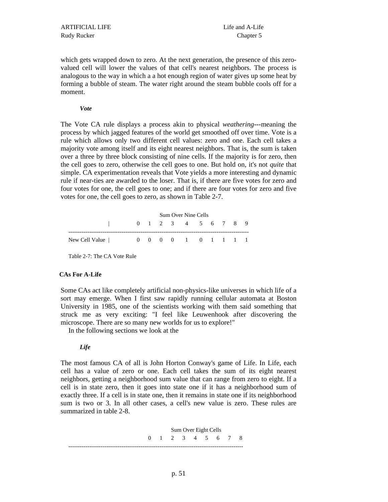which gets wrapped down to zero. At the next generation, the presence of this zerovalued cell will lower the values of that cell's nearest neighbors. The process is analogous to the way in which a a hot enough region of water gives up some heat by forming a bubble of steam. The water right around the steam bubble cools off for a moment.

#### *Vote*

The Vote CA rule displays a process akin to physical *weathering*---meaning the process by which jagged features of the world get smoothed off over time. Vote is a rule which allows only two different cell values: zero and one. Each cell takes a majority vote among itself and its eight nearest neighbors. That is, the sum is taken over a three by three block consisting of nine cells. If the majority is for zero, then the cell goes to zero, otherwise the cell goes to one. But hold on, it's not *quite* that simple. CA experimentation reveals that Vote yields a more interesting and dynamic rule if near-ties are awarded to the loser. That is, if there are five votes for zero and four votes for one, the cell goes to one; and if there are four votes for zero and five votes for one, the cell goes to zero, as shown in Table 2-7.

|                | Sum Over Nine Cells |  |  |                     |  |  |  |  |  |  |  |
|----------------|---------------------|--|--|---------------------|--|--|--|--|--|--|--|
|                |                     |  |  | 0 1 2 3 4 5 6 7 8 9 |  |  |  |  |  |  |  |
| New Cell Value |                     |  |  | 0 0 0 0 1 0 1 1 1 1 |  |  |  |  |  |  |  |

Table 2-7: The CA Vote Rule

## **CAs For A-Life**

Some CAs act like completely artificial non-physics-like universes in which life of a sort may emerge. When I first saw rapidly running cellular automata at Boston University in 1985, one of the scientists working with them said something that struck me as very exciting: "I feel like Leuwenhook after discovering the microscope. There are so many new worlds for us to explore!"

In the following sections we look at the

## *Life*

The most famous CA of all is John Horton Conway's game of Life. In Life, each cell has a value of zero or one. Each cell takes the sum of its eight nearest neighbors, getting a neighborhood sum value that can range from zero to eight. If a cell is in state zero, then it goes into state one if it has a neighborhood sum of exactly three. If a cell is in state one, then it remains in state one if its neighborhood sum is two or 3. In all other cases, a cell's new value is zero. These rules are summarized in table 2-8.

 Sum Over Eight Cells 0 1 2 3 4 5 6 7 8 --------------------------------------------------------------------------------------------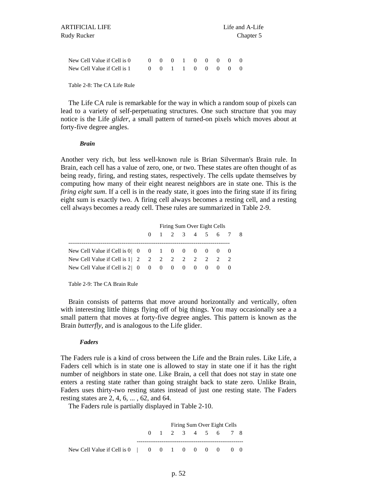| New Cell Value if Cell is 0 |  |  |  | 0 0 0 1 0 0 0 0 0 |  |
|-----------------------------|--|--|--|-------------------|--|
| New Cell Value if Cell is 1 |  |  |  | 0 0 1 1 0 0 0 0 0 |  |

Table 2-8: The CA Life Rule

The Life CA rule is remarkable for the way in which a random soup of pixels can lead to a variety of self-perpetuating structures. One such structure that you may notice is the Life *glider*, a small pattern of turned-on pixels which moves about at forty-five degree angles.

#### *Brain*

Another very rich, but less well-known rule is Brian Silverman's Brain rule. In Brain, each cell has a value of zero, one, or two. These states are often thought of as being ready, firing, and resting states, respectively. The cells update themselves by computing how many of their eight nearest neighbors are in state one. This is the *firing eight sum.* If a cell is in the ready state, it goes into the firing state if its firing eight sum is exactly two. A firing cell always becomes a resting cell, and a resting cell always becomes a ready cell. These rules are summarized in Table 2-9.

| Firing Sum Over Eight Cells |  |  |  |  |  |  |  |                                                                                                                                                                                                                   |  |
|-----------------------------|--|--|--|--|--|--|--|-------------------------------------------------------------------------------------------------------------------------------------------------------------------------------------------------------------------|--|
|                             |  |  |  |  |  |  |  |                                                                                                                                                                                                                   |  |
|                             |  |  |  |  |  |  |  |                                                                                                                                                                                                                   |  |
|                             |  |  |  |  |  |  |  |                                                                                                                                                                                                                   |  |
|                             |  |  |  |  |  |  |  |                                                                                                                                                                                                                   |  |
|                             |  |  |  |  |  |  |  |                                                                                                                                                                                                                   |  |
|                             |  |  |  |  |  |  |  | 0 1 2 3 4 5 6 7 8<br>New Cell Value if Cell is $0 \mid 0 \mid 0 \mid 1 \mid 0 \mid 0 \mid 0 \mid 0 \mid 0 \mid 0$<br>New Cell Value if Cell is $2 \mid 0 \quad 0 \quad 0 \quad 0 \quad 0 \quad 0 \quad 0 \quad 0$ |  |

Table 2-9: The CA Brain Rule

Brain consists of patterns that move around horizontally and vertically, often with interesting little things flying off of big things. You may occasionally see a a small pattern that moves at forty-five degree angles. This pattern is known as the Brain *butterfly*, and is analogous to the Life glider.

#### *Faders*

The Faders rule is a kind of cross between the Life and the Brain rules. Like Life, a Faders cell which is in state one is allowed to stay in state one if it has the right number of neighbors in state one. Like Brain, a cell that does not stay in state one enters a resting state rather than going straight back to state zero. Unlike Brain, Faders uses thirty-two resting states instead of just one resting state. The Faders resting states are 2, 4, 6, ... , 62, and 64.

The Faders rule is partially displayed in Table 2-10.

|                                                                       | Firing Sum Over Eight Cells |  |  |  |  |  |  |                   |  |
|-----------------------------------------------------------------------|-----------------------------|--|--|--|--|--|--|-------------------|--|
|                                                                       |                             |  |  |  |  |  |  | 0 1 2 3 4 5 6 7 8 |  |
| New Cell Value if Cell is $0 \t 0 \t 0 \t 1 \t 0 \t 0 \t 0 \t 0 \t 0$ |                             |  |  |  |  |  |  |                   |  |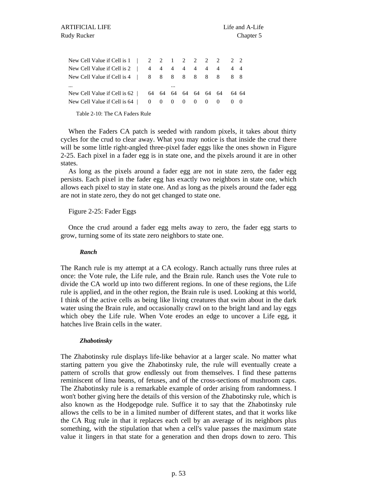| New Cell Value if Cell is 1   2 2 1 2 2 2 2 2 2 2            |  |  |  |  |  |
|--------------------------------------------------------------|--|--|--|--|--|
| New Cell Value if Cell is 2   4 4 4 4 4 4 4 4 4 4 4          |  |  |  |  |  |
| New Cell Value if Cell is 4   8 8 8 8 8 8 8 8 8 8 8 8        |  |  |  |  |  |
| $\cdots$                                                     |  |  |  |  |  |
|                                                              |  |  |  |  |  |
| New Cell Value if Cell is 62   64 64 64 64 64 64 64 64 64 64 |  |  |  |  |  |
|                                                              |  |  |  |  |  |

Table 2-10: The CA Faders Rule

When the Faders CA patch is seeded with random pixels, it takes about thirty cycles for the crud to clear away. What you may notice is that inside the crud there will be some little right-angled three-pixel fader eggs like the ones shown in Figure 2-25. Each pixel in a fader egg is in state one, and the pixels around it are in other states.

As long as the pixels around a fader egg are not in state zero, the fader egg persists. Each pixel in the fader egg has exactly two neighbors in state one, which allows each pixel to stay in state one. And as long as the pixels around the fader egg are not in state zero, they do not get changed to state one.

## Figure 2-25: Fader Eggs

Once the crud around a fader egg melts away to zero, the fader egg starts to grow, turning some of its state zero neighbors to state one.

#### *Ranch*

The Ranch rule is my attempt at a CA ecology. Ranch actually runs three rules at once: the Vote rule, the Life rule, and the Brain rule. Ranch uses the Vote rule to divide the CA world up into two different regions. In one of these regions, the Life rule is applied, and in the other region, the Brain rule is used. Looking at this world, I think of the active cells as being like living creatures that swim about in the dark water using the Brain rule, and occasionally crawl on to the bright land and lay eggs which obey the Life rule. When Vote erodes an edge to uncover a Life egg, it hatches live Brain cells in the water.

## *Zhabotinsky*

The Zhabotinsky rule displays life-like behavior at a larger scale. No matter what starting pattern you give the Zhabotinsky rule, the rule will eventually create a pattern of scrolls that grow endlessly out from themselves. I find these patterns reminiscent of lima beans, of fetuses, and of the cross-sections of mushroom caps. The Zhabotinsky rule is a remarkable example of order arising from randomness. I won't bother giving here the details of this version of the Zhabotinsky rule, which is also known as the Hodgepodge rule. Suffice it to say that the Zhabotinsky rule allows the cells to be in a limited number of different states, and that it works like the CA Rug rule in that it replaces each cell by an average of its neighbors plus something, with the stipulation that when a cell's value passes the maximum state value it lingers in that state for a generation and then drops down to zero. This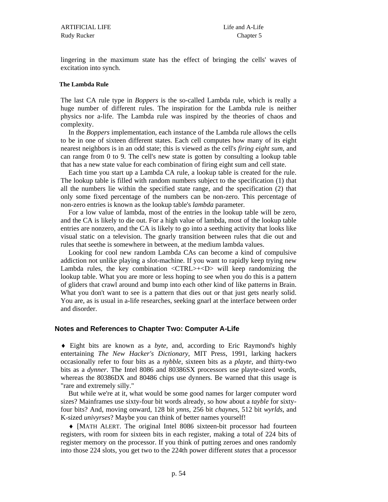lingering in the maximum state has the effect of bringing the cells' waves of excitation into synch.

#### **The Lambda Rule**

The last CA rule type in *Boppers* is the so-called Lambda rule, which is really a huge number of different rules. The inspiration for the Lambda rule is neither physics nor a-life. The Lambda rule was inspired by the theories of chaos and complexity.

In the *Boppers* implementation, each instance of the Lambda rule allows the cells to be in one of sixteen different states. Each cell computes how many of its eight nearest neighbors is in an odd state; this is viewed as the cell's *firing eight sum*, and can range from 0 to 9. The cell's new state is gotten by consulting a lookup table that has a new state value for each combination of firing eight sum and cell state.

Each time you start up a Lambda CA rule, a lookup table is created for the rule. The lookup table is filled with random numbers subject to the specification (1) that all the numbers lie within the specified state range, and the specification (2) that only some fixed percentage of the numbers can be non-zero. This percentage of non-zero entries is known as the lookup table's *lambda* parameter.

For a low value of lambda, most of the entries in the lookup table will be zero, and the CA is likely to die out. For a high value of lambda, most of the lookup table entries are nonzero, and the CA is likely to go into a seething activity that looks like visual static on a television. The gnarly transition between rules that die out and rules that seethe is somewhere in between, at the medium lambda values.

Looking for cool new random Lambda CAs can become a kind of compulsive addiction not unlike playing a slot-machine. If you want to rapidly keep trying new Lambda rules, the key combination  $\langle \text{CTR} \rangle \rightarrow \langle \text{D} \rangle$  will keep randomizing the lookup table. What you are more or less hoping to see when you do this is a pattern of gliders that crawl around and bump into each other kind of like patterns in Brain. What you don't want to see is a pattern that dies out or that just gets nearly solid. You are, as is usual in a-life researches, seeking gnarl at the interface between order and disorder.

## **Notes and References to Chapter Two: Computer A-Life**

♦ Eight bits are known as a *byte*, and, according to Eric Raymond's highly entertaining *The New Hacker's Dictionary*, MIT Press, 1991, larking hackers occasionally refer to four bits as a *nybble*, sixteen bits as a *playte*, and thirty-two bits as a *dynner*. The Intel 8086 and 80386SX processors use playte-sized words, whereas the 80386DX and 80486 chips use dynners. Be warned that this usage is "rare and extremely silly."

But while we're at it, what would be some good names for larger computer word sizes? Mainframes use sixty-four bit words already, so how about a *tayble* for sixtyfour bits? And, moving onward, 128 bit *ynns*, 256 bit *chaynes*, 512 bit *wyrlds*, and K-sized *univyrses*? Maybe you can think of better names yourself!

♦ [MATH ALERT. The original Intel 8086 sixteen-bit processor had fourteen registers, with room for sixteen bits in each register, making a total of 224 bits of register memory on the processor. If you think of putting zeroes and ones randomly into those 224 slots, you get two to the 224th power different *states* that a processor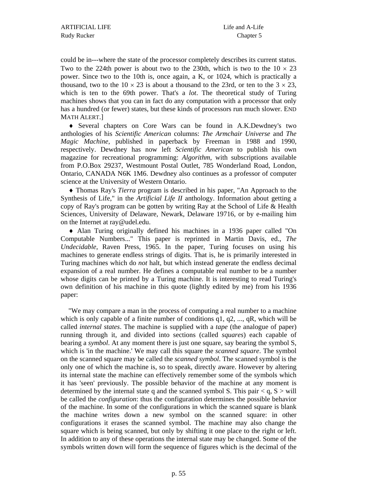could be in---where the state of the processor completely describes its current status. Two to the 224th power is about two to the 230th, which is two to the  $10 \times 23$ power. Since two to the 10th is, once again, a K, or 1024, which is practically a thousand, two to the  $10 \times 23$  is about a thousand to the 23rd, or ten to the  $3 \times 23$ , which is ten to the 69th power. That's a *lot*. The theoretical study of Turing machines shows that you can in fact do any computation with a processor that only has a hundred (or fewer) states, but these kinds of processors run much slower. END MATH ALERT.]

♦ Several chapters on Core Wars can be found in A.K.Dewdney's two anthologies of his *Scientific American* columns: *The Armchair Universe* and *The Magic Machine*, published in paperback by Freeman in 1988 and 1990, respectively. Dewdney has now left *Scientific American* to publish his own magazine for recreational programming: *Algorithm*, with subscriptions available from P.O.Box 29237, Westmount Postal Outlet, 785 Wonderland Road, London, Ontario, CANADA N6K 1M6. Dewdney also continues as a professor of computer science at the University of Western Ontario.

♦ Thomas Ray's *Tierra* program is described in his paper, "An Approach to the Synthesis of Life," in the *Artificial Life II* anthology. Information about getting a copy of Ray's program can be gotten by writing Ray at the School of Life & Health Sciences, University of Delaware, Newark, Delaware 19716, or by e-mailing him on the Internet at ray@udel.edu.

♦ Alan Turing originally defined his machines in a 1936 paper called "On Computable Numbers..." This paper is reprinted in Martin Davis, ed., *The Undecidable*, Raven Press, 1965. In the paper, Turing focuses on using his machines to generate endless strings of digits. That is, he is primarily interested in Turing machines which do *not* halt, but which instead generate the endless decimal expansion of a real number. He defines a computable real number to be a number whose digits can be printed by a Turing machine. It is interesting to read Turing's own definition of his machine in this quote (lightly edited by me) from his 1936 paper:

"We may compare a man in the process of computing a real number to a machine which is only capable of a finite number of conditions  $q1, q2, \dots, qR$ , which will be called *internal states*. The machine is supplied with a *tape* (the analogue of paper) running through it, and divided into sections (called *squares*) each capable of bearing a *symbol*. At any moment there is just one square, say bearing the symbol S, which is 'in the machine.' We may call this square the *scanned square*. The symbol on the scanned square may be called the *scanned symbol*. The scanned symbol is the only one of which the machine is, so to speak, directly aware. However by altering its internal state the machine can effectively remember some of the symbols which it has 'seen' previously. The possible behavior of the machine at any moment is determined by the internal state q and the scanned symbol S. This pair  $\lt q$ ,  $S >$  will be called the *configuration*: thus the configuration determines the possible behavior of the machine. In some of the configurations in which the scanned square is blank the machine writes down a new symbol on the scanned square: in other configurations it erases the scanned symbol. The machine may also change the square which is being scanned, but only by shifting it one place to the right or left. In addition to any of these operations the internal state may be changed. Some of the symbols written down will form the sequence of figures which is the decimal of the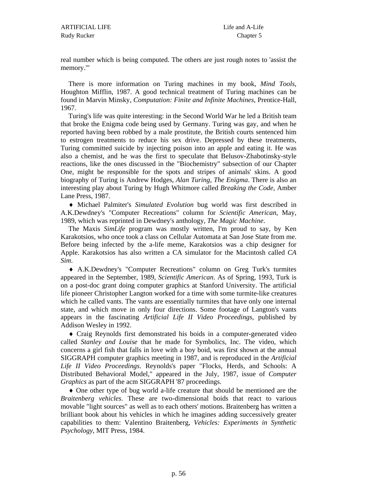real number which is being computed. The others are just rough notes to 'assist the memory.'"

There is more information on Turing machines in my book, *Mind Tools*, Houghton Mifflin, 1987. A good technical treatment of Turing machines can be found in Marvin Minsky, *Computation: Finite and Infinite Machines*, Prentice-Hall, 1967.

Turing's life was quite interesting: in the Second World War he led a British team that broke the Enigma code being used by Germany. Turing was gay, and when he reported having been robbed by a male prostitute, the British courts sentenced him to estrogen treatments to reduce his sex drive. Depressed by these treatments, Turing committed suicide by injecting poison into an apple and eating it. He was also a chemist, and he was the first to speculate that Belusov-Zhabotinsky-style reactions, like the ones discussed in the "Biochemistry" subsection of our Chapter One, might be responsible for the spots and stripes of animals' skins. A good biography of Turing is Andrew Hodges, *Alan Turing, The Enigma*. There is also an interesting play about Turing by Hugh Whitmore called *Breaking the Code*, Amber Lane Press, 1987.

♦ Michael Palmiter's *Simulated Evolution* bug world was first described in A.K.Dewdney's "Computer Recreations" column for *Scientific American*, May, 1989, which was reprinted in Dewdney's anthology, *The Magic Machine*.

The Maxis *SimLife* program was mostly written, I'm proud to say, by Ken Karakotsios, who once took a class on Cellular Automata at San Jose State from me. Before being infected by the a-life meme, Karakotsios was a chip designer for Apple. Karakotsios has also written a CA simulator for the Macintosh called *CA Sim*.

♦ A.K.Dewdney's "Computer Recreations" column on Greg Turk's turmites appeared in the September, 1989, *Scientific American*. As of Spring, 1993, Turk is on a post-doc grant doing computer graphics at Stanford University. The artificial life pioneer Christopher Langton worked for a time with some turmite-like creatures which he called vants. The vants are essentially turmites that have only one internal state, and which move in only four directions. Some footage of Langton's vants appears in the fascinating *Artificial Life II Video Proceedings*, published by Addison Wesley in 1992.

♦ Craig Reynolds first demonstrated his boids in a computer-generated video called *Stanley and Louise* that he made for Symbolics, Inc. The video, which concerns a girl fish that falls in love with a boy boid, was first shown at the annual SIGGRAPH computer graphics meeting in 1987, and is reproduced in the *Artificial Life II Video Proceedings*. Reynolds's paper "Flocks, Herds, and Schools: A Distributed Behavioral Model," appeared in the July, 1987, issue of *Computer Graphics* as part of the acm SIGGRAPH '87 proceedings.

♦ One other type of bug world a-life creature that should be mentioned are the *Braitenberg vehicles*. These are two-dimensional boids that react to various movable "light sources" as well as to each others' motions. Braitenberg has written a brilliant book about his vehicles in which he imagines adding successively greater capabilities to them: Valentino Braitenberg, *Vehicles: Experiments in Synthetic Psychology*, MIT Press, 1984.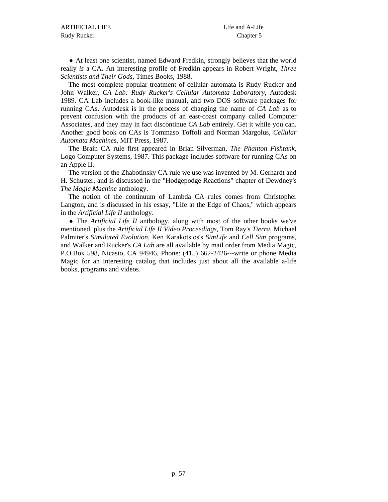♦ At least one scientist, named Edward Fredkin, strongly believes that the world really *is* a CA. An interesting profile of Fredkin appears in Robert Wright, *Three Scientists and Their Gods*, Times Books, 1988.

The most complete popular treatment of cellular automata is Rudy Rucker and John Walker, *CA Lab: Rudy Rucker's Cellular Automata Laboratory*, Autodesk 1989. CA Lab includes a book-like manual, and two DOS software packages for running CAs. Autodesk is in the process of changing the name of *CA Lab* as to prevent confusion with the products of an east-coast company called Computer Associates, and they may in fact discontinue *CA Lab* entirely. Get it while you can. Another good book on CAs is Tommaso Toffoli and Norman Margolus, *Cellular Automata Machines*, MIT Press, 1987.

The Brain CA rule first appeared in Brian Silverman, *The Phanton Fishtank*, Logo Computer Systems, 1987. This package includes software for running CAs on an Apple II.

The version of the Zhabotinsky CA rule we use was invented by M. Gerhardt and H. Schuster, and is discussed in the "Hodgepodge Reactions" chapter of Dewdney's *The Magic Machine* anthology.

The notion of the continuum of Lambda CA rules comes from Christopher Langton, and is discussed in his essay, "Life at the Edge of Chaos," which appears in the *Artificial Life II* anthology.

♦ The *Artificial Life II* anthology, along with most of the other books we've mentioned, plus the *Artificial Life II Video Proceedings*, Tom Ray's *Tierra*, Michael Palmiter's *Simulated Evolution*, Ken Karakotsios's *SimLife* and *Cell Sim* programs, and Walker and Rucker's *CA Lab* are all available by mail order from Media Magic, P.O.Box 598, Nicasio, CA 94946, Phone: (415) 662-2426---write or phone Media Magic for an interesting catalog that includes just about all the available a-life books, programs and videos.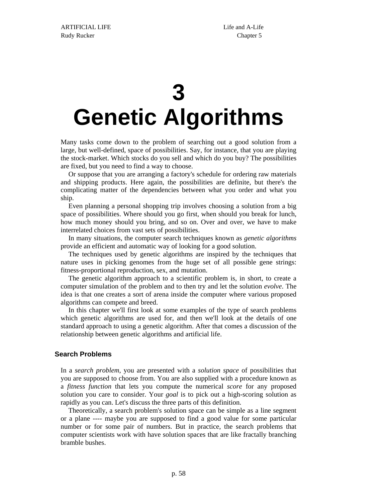# **3 Genetic Algorithms**

Many tasks come down to the problem of searching out a good solution from a large, but well-defined, space of possibilities. Say, for instance, that you are playing the stock-market. Which stocks do you sell and which do you buy? The possibilities are fixed, but you need to find a way to choose.

Or suppose that you are arranging a factory's schedule for ordering raw materials and shipping products. Here again, the possibilities are definite, but there's the complicating matter of the dependencies between what you order and what you ship.

Even planning a personal shopping trip involves choosing a solution from a big space of possibilities. Where should you go first, when should you break for lunch, how much money should you bring, and so on. Over and over, we have to make interrelated choices from vast sets of possibilities.

In many situations, the computer search techniques known as *genetic algorithms* provide an efficient and automatic way of looking for a good solution.

The techniques used by genetic algorithms are inspired by the techniques that nature uses in picking genomes from the huge set of all possible gene strings: fitness-proportional reproduction, sex, and mutation.

The genetic algorithm approach to a scientific problem is, in short, to create a computer simulation of the problem and to then try and let the solution *evolve*. The idea is that one creates a sort of arena inside the computer where various proposed algorithms can compete and breed.

In this chapter we'll first look at some examples of the type of search problems which genetic algorithms are used for, and then we'll look at the details of one standard approach to using a genetic algorithm. After that comes a discussion of the relationship between genetic algorithms and artificial life.

## **Search Problems**

In a *search problem*, you are presented with a *solution space* of possibilities that you are supposed to choose from. You are also supplied with a procedure known as a *fitness function* that lets you compute the numerical *score* for any proposed solution you care to consider. Your *goal* is to pick out a high-scoring solution as rapidly as you can. Let's discuss the three parts of this definition.

Theoretically, a search problem's solution space can be simple as a line segment or a plane ---- maybe you are supposed to find a good value for some particular number or for some pair of numbers. But in practice, the search problems that computer scientists work with have solution spaces that are like fractally branching bramble bushes.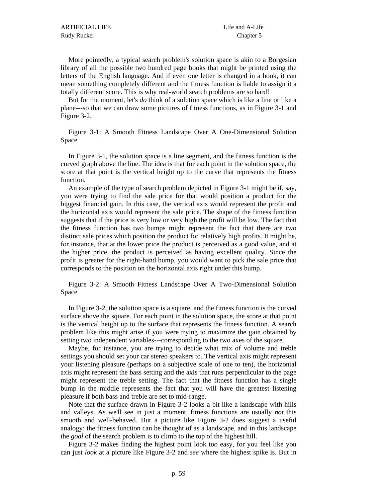More pointedly, a typical search problem's solution space is akin to a Borgesian library of all the possible two hundred page books that might be printed using the letters of the English language. And if even one letter is changed in a book, it can mean something completely different and the fitness function is liable to assign it a totally different score. This is why real-world search problems are so hard!

But for the moment, let's *do* think of a solution space which is like a line or like a plane---so that we can draw some pictures of fitness functions, as in Figure 3-1 and Figure 3-2.

Figure 3-1: A Smooth Fitness Landscape Over A One-Dimensional Solution Space

In Figure 3-1, the solution space is a line segment, and the fitness function is the curved graph above the line. The idea is that for each point in the solution space, the score at that point is the vertical height up to the curve that represents the fitness function.

An example of the type of search problem depicted in Figure 3-1 might be if, say, you were trying to find the sale price for that would position a product for the biggest financial gain. In this case, the vertical axis would represent the profit and the horizontal axis would represent the sale price. The shape of the fitness function suggests that if the price is very low or very high the profit will be low. The fact that the fitness function has two bumps might represent the fact that there are two distinct sale prices which position the product for relatively high profits. It might be, for instance, that at the lower price the product is perceived as a good value, and at the higher price, the product is perceived as having excellent quality. Since the profit is greater for the right-hand bump, you would want to pick the sale price that corresponds to the position on the horizontal axis right under this bump.

Figure 3-2: A Smooth Fitness Landscape Over A Two-Dimensional Solution Space

In Figure 3-2, the solution space is a square, and the fitness function is the curved surface above the square. For each point in the solution space, the score at that point is the vertical height up to the surface that represents the fitness function. A search problem like this might arise if you were trying to maximize the gain obtained by setting two independent variables---corresponding to the two axes of the square.

Maybe, for instance, you are trying to decide what mix of volume and treble settings you should set your car stereo speakers to. The vertical axis might represent your listening pleasure (perhaps on a subjective scale of one to ten), the horizontal axis might represent the bass setting and the axis that runs perpendicular to the page might represent the treble setting. The fact that the fitness function has a single bump in the middle represents the fact that you will have the greatest listening pleasure if both bass and treble are set to mid-range.

Note that the surface drawn in Figure 3-2 looks a bit like a landscape with hills and valleys. As we'll see in just a moment, fitness functions are usually *not* this smooth and well-behaved. But a picture like Figure 3-2 does suggest a useful analogy: the fitness function can be thought of as a landscape, and in this landscape the *goal* of the search problem is to climb to the top of the highest hill.

Figure 3-2 makes finding the highest point look too easy, for you feel like you can just *look* at a picture like Figure 3-2 and *see* where the highest spike is. But in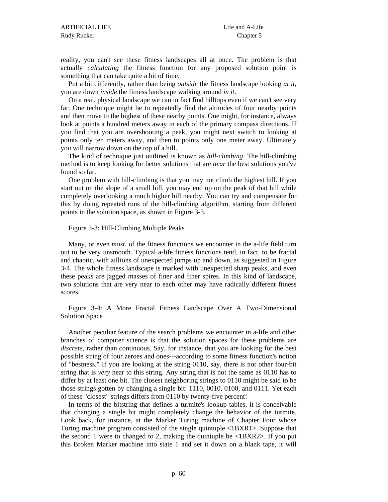reality, you can't see these fitness landscapes all at once. The problem is that actually *calculating* the fitness function for any proposed solution point is something that can take quite a bit of time.

Put a bit differently, rather than being *outside* the fitness landscape looking *at it*, you are down *inside* the fitness landscape walking around *in it*.

On a real, physical landscape we can in fact find hilltops even if we can't see very far. One technique might be to repeatedly find the altitudes of four nearby points and then move to the highest of these nearby points. One might, for instance, always look at points a hundred meters away in each of the primary compass directions. If you find that you are overshooting a peak, you might next switch to looking at points only ten meters away, and then to points only one meter away. Ultimately you will narrow down on the top of a hill.

The kind of technique just outlined is known as *hill-climbing*. The hill-climbing method is to keep looking for better solutions that are *near* the best solutions you've found so far.

One problem with hill-climbing is that you may not climb the highest hill. If you start out on the slope of a small hill, you may end up on the peak of that hill while completely overlooking a much higher hill nearby. You can try and compensate for this by doing repeated runs of the hill-climbing algorithm, starting from different points in the solution space, as shown in Figure 3-3.

#### Figure 3-3: Hill-Climbing Multiple Peaks

Many, or even *most*, of the fitness functions we encounter in the a-life field turn out to be very unsmooth. Typical a-life fitness functions tend, in fact, to be fractal and chaotic, with zillions of unexpected jumps up and down, as suggested in Figure 3-4. The whole fitness landscape is marked with unexpected sharp peaks, and even these peaks are jagged masses of finer and finer spires. In this kind of landscape, two solutions that are very near to each other may have radically different fitness scores.

Figure 3-4: A More Fractal Fitness Landscape Over A Two-Dimensional Solution Space

Another peculiar feature of the search problems we encounter in a-life and other branches of computer science is that the solution spaces for these problems are *discrete*, rather than continuous. Say, for instance, that you are looking for the best possible string of four zeroes and ones---according to some fitness function's notion of "bestness." If you are looking at the string 0110, say, there is not other four-bit string that is *very* near to this string. Any string that is not the same as 0110 has to differ by at least one bit. The closest neighboring strings to 0110 might be said to be those strings gotten by changing a single bit: 1110, 0010, 0100, and 0111. Yet each of these "closest" strings differs from 0110 by twenty-five percent!

In terms of the bitstring that defines a turmite's lookup tables, it is conceivable that changing a single bit might completely change the behavior of the turmite. Look back, for instance, at the Marker Turing machine of Chapter Four whose Turing machine program consisted of the single quintuple <1BXR1>. Suppose that the second 1 were to changed to 2, making the quintuple be  $\langle$ 1BXR2 $\rangle$ . If you put this Broken Marker machine into state 1 and set it down on a blank tape, it will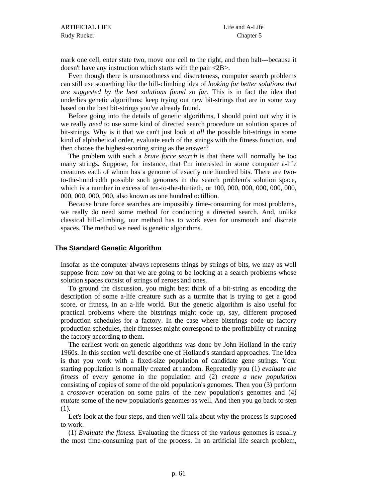mark one cell, enter state two, move one cell to the right, and then halt---because it doesn't have any instruction which starts with the pair <2B>.

Even though there is unsmoothness and discreteness, computer search problems can still use something like the hill-climbing idea of *looking for better solutions that are suggested by the best solutions found so far*. This is in fact the idea that underlies genetic algorithms: keep trying out new bit-strings that are in some way based on the best bit-strings you've already found.

Before going into the details of genetic algorithms, I should point out why it is we really *need* to use some kind of directed search procedure on solution spaces of bit-strings. Why is it that we can't just look at *all* the possible bit-strings in some kind of alphabetical order, evaluate each of the strings with the fitness function, and then choose the highest-scoring string as the answer?

The problem with such a *brute force search* is that there will normally be too many strings. Suppose, for instance, that I'm interested in some computer a-life creatures each of whom has a genome of exactly one hundred bits. There are twoto-the-hundredth possible such genomes in the search problem's solution space, which is a number in excess of ten-to-the-thirtieth, or 100, 000, 000, 000, 000, 000, 000, 000, 000, 000, also known as one hundred octillion.

Because brute force searches are impossibly time-consuming for most problems, we really do need some method for conducting a directed search. And, unlike classical hill-climbing, our method has to work even for unsmooth and discrete spaces. The method we need is genetic algorithms.

#### **The Standard Genetic Algorithm**

Insofar as the computer always represents things by strings of bits, we may as well suppose from now on that we are going to be looking at a search problems whose solution spaces consist of strings of zeroes and ones.

To ground the discussion, you might best think of a bit-string as encoding the description of some a-life creature such as a turmite that is trying to get a good score, or fitness, in an a-life world. But the genetic algorithm is also useful for practical problems where the bitstrings might code up, say, different proposed production schedules for a factory. In the case where bitstrings code up factory production schedules, their fitnesses might correspond to the profitability of running the factory according to them.

The earliest work on genetic algorithms was done by John Holland in the early 1960s. In this section we'll describe one of Holland's standard approaches. The idea is that you work with a fixed-size population of candidate gene strings. Your starting population is normally created at random. Repeatedly you (1) *evaluate the fitness* of every genome in the population and (2) *create a new population* consisting of copies of some of the old population's genomes. Then you (3) perform a *crossover* operation on some pairs of the new population's genomes and (4) *mutate* some of the new population's genomes as well. And then you go back to step (1).

Let's look at the four steps, and then we'll talk about why the process is supposed to work.

(1) *Evaluate the fitness.* Evaluating the fitness of the various genomes is usually the most time-consuming part of the process. In an artificial life search problem,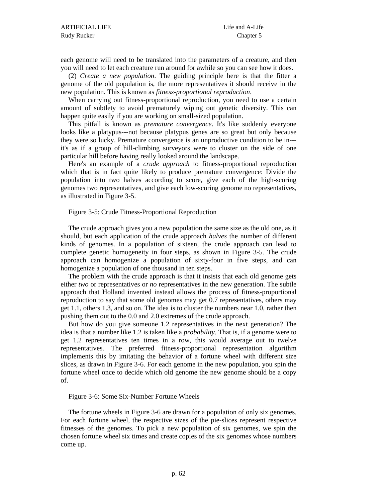each genome will need to be translated into the parameters of a creature, and then you will need to let each creature run around for awhile so you can see how it does.

(2) *Create a new population*. The guiding principle here is that the fitter a genome of the old population is, the more representatives it should receive in the new population. This is known as *fitness-proportional reproduction*.

When carrying out fitness-proportional reproduction, you need to use a certain amount of subtlety to avoid prematurely wiping out genetic diversity. This can happen quite easily if you are working on small-sized population.

This pitfall is known as *premature convergence*. It's like suddenly everyone looks like a platypus---not because platypus genes are so great but only because they were so lucky. Premature convergence is an unproductive condition to be in-- it's as if a group of hill-climbing surveyors were to cluster on the side of one particular hill before having really looked around the landscape.

Here's an example of a *crude approach* to fitness-proportional reproduction which that is in fact quite likely to produce premature convergence: Divide the population into two halves according to score, give each of the high-scoring genomes two representatives, and give each low-scoring genome no representatives, as illustrated in Figure 3-5.

Figure 3-5: Crude Fitness-Proportional Reproduction

The crude approach gives you a new population the same size as the old one, as it should, but each application of the crude approach *halves* the number of different kinds of genomes. In a population of sixteen, the crude approach can lead to complete genetic homogeneity in four steps, as shown in Figure 3-5. The crude approach can homogenize a population of sixty-four in five steps, and can homogenize a population of one thousand in ten steps.

The problem with the crude approach is that it insists that each old genome gets either *two* or representatives or *no* representatives in the new generation. The subtle approach that Holland invented instead allows the process of fitness-proportional reproduction to say that some old genomes may get 0.7 representatives, others may get 1.1, others 1.3, and so on. The idea is to cluster the numbers near 1.0, rather then pushing them out to the 0.0 and 2.0 extremes of the crude approach.

But how do you give someone 1.2 representatives in the next generation? The idea is that a number like 1.2 is taken like a *probability*. That is, if a genome were to get 1.2 representatives ten times in a row, this would average out to twelve representatives. The preferred fitness-proportional representation algorithm implements this by imitating the behavior of a fortune wheel with different size slices, as drawn in Figure 3-6. For each genome in the new population, you spin the fortune wheel once to decide which old genome the new genome should be a copy of.

Figure 3-6: Some Six-Number Fortune Wheels

The fortune wheels in Figure 3-6 are drawn for a population of only six genomes. For each fortune wheel, the respective sizes of the pie-slices represent respective fitnesses of the genomes. To pick a new population of six genomes, we spin the chosen fortune wheel six times and create copies of the six genomes whose numbers come up.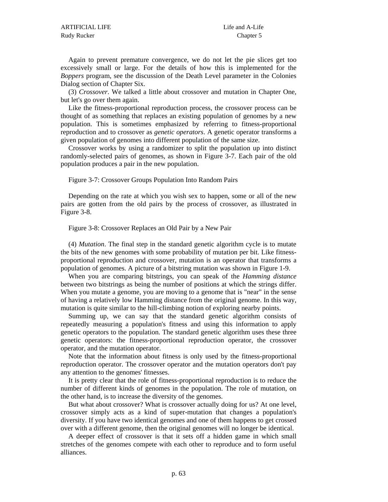Again to prevent premature convergence, we do not let the pie slices get too excessively small or large. For the details of how this is implemented for the *Boppers* program, see the discussion of the Death Level parameter in the Colonies Dialog section of Chapter Six.

(3) *Crossover*. We talked a little about crossover and mutation in Chapter One, but let's go over them again.

Like the fitness-proportional reproduction process, the crossover process can be thought of as something that replaces an existing population of genomes by a new population. This is sometimes emphasized by referring to fitness-proportional reproduction and to crossover as *genetic operators*. A genetic operator transforms a given population of genomes into different population of the same size.

Crossover works by using a randomizer to split the population up into distinct randomly-selected pairs of genomes, as shown in Figure 3-7. Each pair of the old population produces a pair in the new population.

Figure 3-7: Crossover Groups Population Into Random Pairs

Depending on the rate at which you wish sex to happen, some or all of the new pairs are gotten from the old pairs by the process of crossover, as illustrated in Figure 3-8.

Figure 3-8: Crossover Replaces an Old Pair by a New Pair

(4) *Mutation*. The final step in the standard genetic algorithm cycle is to mutate the bits of the new genomes with some probability of mutation per bit. Like fitnessproportional reproduction and crossover, mutation is an operator that transforms a population of genomes. A picture of a bitstring mutation was shown in Figure 1-9.

When you are comparing bitstrings, you can speak of the *Hamming distance* between two bitstrings as being the number of positions at which the strings differ. When you mutate a genome, you are moving to a genome that is "near" in the sense of having a relatively low Hamming distance from the original genome. In this way, mutation is quite similar to the hill-climbing notion of exploring nearby points.

Summing up, we can say that the standard genetic algorithm consists of repeatedly measuring a population's fitness and using this information to apply genetic operators to the population. The standard genetic algorithm uses these three genetic operators: the fitness-proportional reproduction operator, the crossover operator, and the mutation operator.

Note that the information about fitness is only used by the fitness-proportional reproduction operator. The crossover operator and the mutation operators don't pay any attention to the genomes' fitnesses.

It is pretty clear that the role of fitness-proportional reproduction is to reduce the number of different kinds of genomes in the population. The role of mutation, on the other hand, is to increase the diversity of the genomes.

But what about crossover? What is crossover actually doing for us? At one level, crossover simply acts as a kind of super-mutation that changes a population's diversity. If you have two identical genomes and one of them happens to get crossed over with a different genome, then the original genomes will no longer be identical.

A deeper effect of crossover is that it sets off a hidden game in which small stretches of the genomes compete with each other to reproduce and to form useful alliances.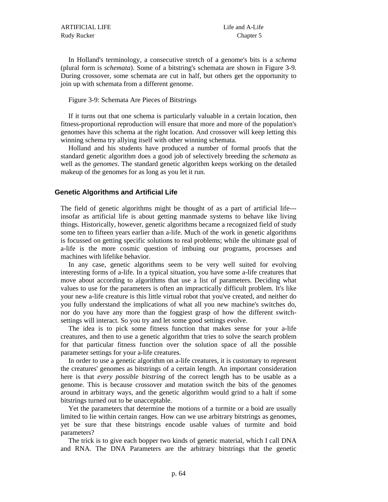In Holland's terminology, a consecutive stretch of a genome's bits is a *schema* (plural form is *schemata*). Some of a bitstring's schemata are shown in Figure 3-9. During crossover, some schemata are cut in half, but others get the opportunity to join up with schemata from a different genome.

#### Figure 3-9: Schemata Are Pieces of Bitstrings

If it turns out that one schema is particularly valuable in a certain location, then fitness-proportional reproduction will ensure that more and more of the population's genomes have this schema at the right location. And crossover will keep letting this winning schema try allying itself with other winning schemata.

Holland and his students have produced a number of formal proofs that the standard genetic algorithm does a good job of selectively breeding the *schemata* as well as the *genomes*. The standard genetic algorithm keeps working on the detailed makeup of the genomes for as long as you let it run.

## **Genetic Algorithms and Artificial Life**

The field of genetic algorithms might be thought of as a part of artificial life-- insofar as artificial life is about getting manmade systems to behave like living things. Historically, however, genetic algorithms became a recognized field of study some ten to fifteen years earlier than a-life. Much of the work in genetic algorithms is focussed on getting specific solutions to real problems; while the ultimate goal of a-life is the more cosmic question of imbuing our programs, processes and machines with lifelike behavior.

In any case, genetic algorithms seem to be very well suited for evolving interesting forms of a-life. In a typical situation, you have some a-life creatures that move about according to algorithms that use a list of parameters. Deciding what values to use for the parameters is often an impractically difficult problem. It's like your new a-life creature is this little virtual robot that you've created, and neither do you fully understand the implications of what all you new machine's switches do, nor do you have any more than the foggiest grasp of how the different switchsettings will interact. So you try and let some good settings evolve.

The idea is to pick some fitness function that makes sense for your a-life creatures, and then to use a genetic algorithm that tries to solve the search problem for that particular fitness function over the solution space of all the possible parameter settings for your a-life creatures.

In order to use a genetic algorithm on a-life creatures, it is customary to represent the creatures' genomes as bitstrings of a certain length. An important consideration here is that *every possible bitstring* of the correct length has to be usable as a genome. This is because crossover and mutation switch the bits of the genomes around in arbitrary ways, and the genetic algorithm would grind to a halt if some bitstrings turned out to be unacceptable.

Yet the parameters that determine the motions of a turmite or a boid are usually limited to lie within certain ranges. How can we use arbitrary bitstrings as genomes, yet be sure that these bitstrings encode usable values of turmite and boid parameters?

The trick is to give each bopper two kinds of genetic material, which I call DNA and RNA. The DNA Parameters are the arbitrary bitstrings that the genetic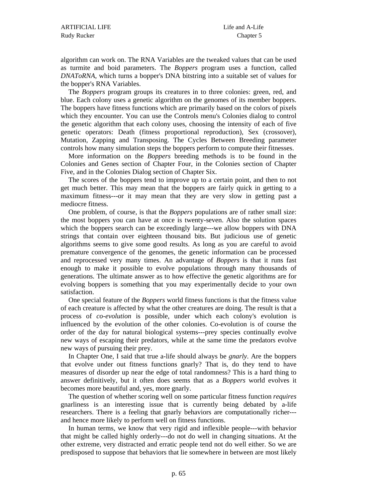algorithm can work on. The RNA Variables are the tweaked values that can be used as turmite and boid parameters. The *Boppers* program uses a function, called *DNAToRNA*, which turns a bopper's DNA bitstring into a suitable set of values for the bopper's RNA Variables.

The *Boppers* program groups its creatures in to three colonies: green, red, and blue. Each colony uses a genetic algorithm on the genomes of its member boppers. The boppers have fitness functions which are primarily based on the colors of pixels which they encounter. You can use the Controls menu's Colonies dialog to control the genetic algorithm that each colony uses, choosing the intensity of each of five genetic operators: Death (fitness proportional reproduction), Sex (crossover), Mutation, Zapping and Transposing. The Cycles Between Breeding parameter controls how many simulation steps the boppers perform to compute their fitnesses.

More information on the *Boppers* breeding methods is to be found in the Colonies and Genes section of Chapter Four, in the Colonies section of Chapter Five, and in the Colonies Dialog section of Chapter Six.

The scores of the boppers tend to improve up to a certain point, and then to not get much better. This may mean that the boppers are fairly quick in getting to a maximum fitness---or it may mean that they are very slow in getting past a mediocre fitness.

One problem, of course, is that the *Boppers* populations are of rather small size: the most boppers you can have at once is twenty-seven. Also the solution spaces which the boppers search can be exceedingly large---we allow boppers with DNA strings that contain over eighteen thousand bits. But judicious use of genetic algorithms seems to give some good results. As long as you are careful to avoid premature convergence of the genomes, the genetic information can be processed and reprocessed very many times. An advantage of *Boppers* is that it runs fast enough to make it possible to evolve populations through many thousands of generations. The ultimate answer as to how effective the genetic algorithms are for evolving boppers is something that you may experimentally decide to your own satisfaction.

One special feature of the *Boppers* world fitness functions is that the fitness value of each creature is affected by what the other creatures are doing. The result is that a process of *co-evolution* is possible, under which each colony's evolution is influenced by the evolution of the other colonies. Co-evolution is of course the order of the day for natural biological systems---prey species continually evolve new ways of escaping their predators, while at the same time the predators evolve new ways of pursuing their prey.

In Chapter One, I said that true a-life should always be *gnarly*. Are the boppers that evolve under out fitness functions gnarly? That is, do they tend to have measures of disorder up near the edge of total randomness? This is a hard thing to answer definitively, but it often does seems that as a *Boppers* world evolves it becomes more beautiful and, yes, more gnarly.

The question of whether scoring well on some particular fitness function *requires* gnarliness is an interesting issue that is currently being debated by a-life researchers. There is a feeling that gnarly behaviors are computationally richer-- and hence more likely to perform well on fitness functions.

In human terms, we know that very rigid and inflexible people---with behavior that might be called highly orderly---do not do well in changing situations. At the other extreme, very distracted and erratic people tend not do well either. So we are predisposed to suppose that behaviors that lie somewhere in between are most likely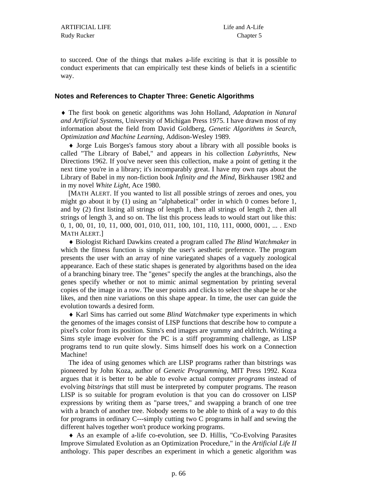to succeed. One of the things that makes a-life exciting is that it is possible to conduct experiments that can empirically test these kinds of beliefs in a scientific way.

## **Notes and References to Chapter Three: Genetic Algorithms**

♦ The first book on genetic algorithms was John Holland, *Adaptation in Natural and Artificial Systems*, University of Michigan Press 1975. I have drawn most of my information about the field from David Goldberg, *Genetic Algorithms in Search, Optimization and Machine Learning*, Addison-Wesley 1989.

♦ Jorge Luis Borges's famous story about a library with all possible books is called "The Library of Babel," and appears in his collection *Labyrinths*, New Directions 1962. If you've never seen this collection, make a point of getting it the next time you're in a library; it's incomparably great. I have my own raps about the Library of Babel in my non-fiction book *Infinity and the Mind*, Birkhauser 1982 and in my novel *White Light*, Ace 1980.

[MATH ALERT. If you wanted to list all possible strings of zeroes and ones, you might go about it by (1) using an "alphabetical" order in which 0 comes before 1, and by (2) first listing all strings of length 1, then all strings of length 2, then all strings of length 3, and so on. The list this process leads to would start out like this: 0, 1, 00, 01, 10, 11, 000, 001, 010, 011, 100, 101, 110, 111, 0000, 0001, ... . END MATH ALERT.]

♦ Biologist Richard Dawkins created a program called *The Blind Watchmaker* in which the fitness function is simply the user's aesthetic preference. The program presents the user with an array of nine variegated shapes of a vaguely zoological appearance. Each of these static shapes is generated by algorithms based on the idea of a branching binary tree. The "genes" specify the angles at the branchings, also the genes specify whether or not to mimic animal segmentation by printing several copies of the image in a row. The user points and clicks to select the shape he or she likes, and then nine variations on this shape appear. In time, the user can guide the evolution towards a desired form.

♦ Karl Sims has carried out some *Blind Watchmaker* type experiments in which the genomes of the images consist of LISP functions that describe how to compute a pixel's color from its position. Sims's end images are yummy and eldritch. Writing a Sims style image evolver for the PC is a stiff programming challenge, as LISP programs tend to run quite slowly. Sims himself does his work on a Connection Machine!

The idea of using genomes which are LISP programs rather than bitstrings was pioneered by John Koza, author of *Genetic Programming*, MIT Press 1992. Koza argues that it is better to be able to evolve actual computer *programs* instead of evolving *bitstrings* that still must be interpreted by computer programs. The reason LISP is so suitable for program evolution is that you can do crossover on LISP expressions by writing them as "parse trees," and swapping a branch of one tree with a branch of another tree. Nobody seems to be able to think of a way to do this for programs in ordinary C---simply cutting two C programs in half and sewing the different halves together won't produce working programs.

♦ As an example of a-life co-evolution, see D. Hillis, "Co-Evolving Parasites Improve Simulated Evolution as an Optimization Procedure," in the *Artificial Life II* anthology. This paper describes an experiment in which a genetic algorithm was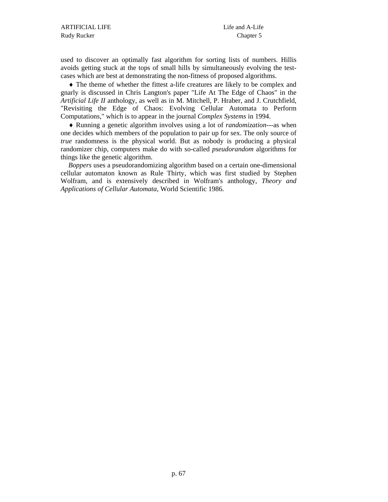used to discover an optimally fast algorithm for sorting lists of numbers. Hillis avoids getting stuck at the tops of small hills by simultaneously evolving the testcases which are best at demonstrating the non-fitness of proposed algorithms.

♦ The theme of whether the fittest a-life creatures are likely to be complex and gnarly is discussed in Chris Langton's paper "Life At The Edge of Chaos" in the *Artificial Life II* anthology, as well as in M. Mitchell, P. Hraber, and J. Crutchfield, "Revisiting the Edge of Chaos: Evolving Cellular Automata to Perform Computations," which is to appear in the journal *Complex Systems* in 1994.

♦ Running a genetic algorithm involves using a lot of *randomization*---as when one decides which members of the population to pair up for sex. The only source of *true* randomness is the physical world. But as nobody is producing a physical randomizer chip, computers make do with so-called *pseudorandom* algorithms for things like the genetic algorithm.

*Boppers* uses a pseudorandomizing algorithm based on a certain one-dimensional cellular automaton known as Rule Thirty, which was first studied by Stephen Wolfram, and is extensively described in Wolfram's anthology, *Theory and Applications of Cellular Automata*, World Scientific 1986.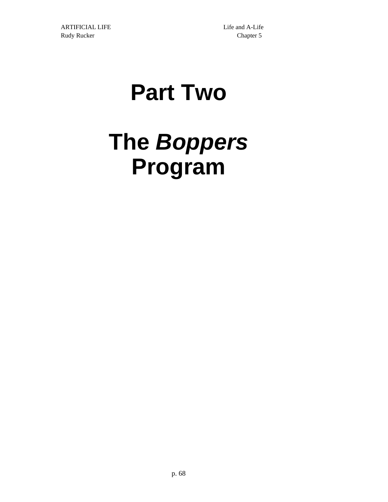# **Part Two**

# **The** *Boppers* **Program**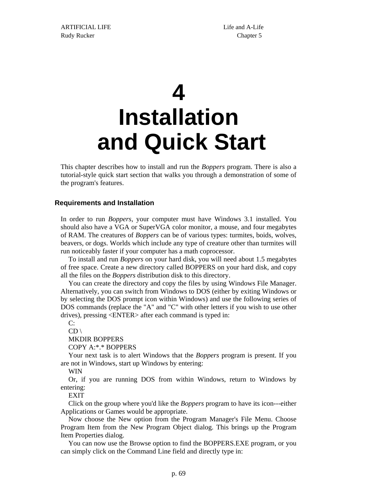# **4 Installation and Quick Start**

This chapter describes how to install and run the *Boppers* program. There is also a tutorial-style quick start section that walks you through a demonstration of some of the program's features.

## **Requirements and Installation**

In order to run *Boppers*, your computer must have Windows 3.1 installed. You should also have a VGA or SuperVGA color monitor, a mouse, and four megabytes of RAM. The creatures of *Boppers* can be of various types: turmites, boids, wolves, beavers, or dogs. Worlds which include any type of creature other than turmites will run noticeably faster if your computer has a math coprocessor.

To install and run *Boppers* on your hard disk, you will need about 1.5 megabytes of free space. Create a new directory called BOPPERS on your hard disk, and copy all the files on the *Boppers* distribution disk to this directory.

You can create the directory and copy the files by using Windows File Manager. Alternatively, you can switch from Windows to DOS (either by exiting Windows or by selecting the DOS prompt icon within Windows) and use the following series of DOS commands (replace the "A" and "C" with other letters if you wish to use other drives), pressing <ENTER> after each command is typed in:

C:

 $CD \setminus$ MKDIR BOPPERS COPY A:\*.\* BOPPERS

Your next task is to alert Windows that the *Boppers* program is present. If you are not in Windows, start up Windows by entering:

WIN

Or, if you are running DOS from within Windows, return to Windows by entering:

EXIT

Click on the group where you'd like the *Boppers* program to have its icon---either Applications or Games would be appropriate.

Now choose the New option from the Program Manager's File Menu. Choose Program Item from the New Program Object dialog. This brings up the Program Item Properties dialog.

You can now use the Browse option to find the BOPPERS.EXE program, or you can simply click on the Command Line field and directly type in: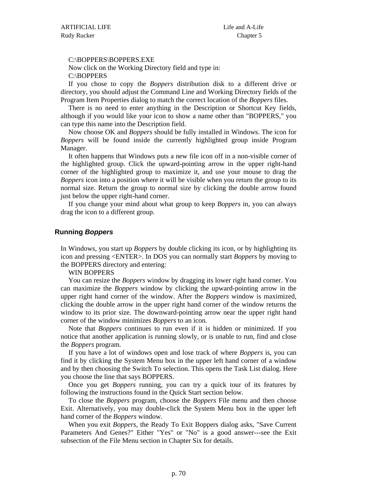#### C:\BOPPERS\BOPPERS.EXE

Now click on the Working Directory field and type in: C:\BOPPERS

If you chose to copy the *Boppers* distribution disk to a different drive or directory, you should adjust the Command Line and Working Directory fields of the Program Item Properties dialog to match the correct location of the *Boppers* files.

There is no need to enter anything in the Description or Shortcut Key fields, although if you would like your icon to show a name other than "BOPPERS," you can type this name into the Description field.

Now choose OK and *Boppers* should be fully installed in Windows. The icon for *Boppers* will be found inside the currently highlighted group inside Program Manager.

It often happens that Windows puts a new file icon off in a non-visible corner of the highlighted group. Click the upward-pointing arrow in the upper right-hand corner of the highlighted group to maximize it, and use your mouse to drag the *Boppers* icon into a position where it will be visible when you return the group to its normal size. Return the group to normal size by clicking the double arrow found just below the upper right-hand corner.

If you change your mind about what group to keep *Boppers* in, you can always drag the icon to a different group.

#### **Running** *Boppers*

In Windows, you start up *Boppers* by double clicking its icon, or by highlighting its icon and pressing <ENTER>. In DOS you can normally start *Boppers* by moving to the BOPPERS directory and entering:

WIN BOPPERS

You can resize the *Boppers* window by dragging its lower right hand corner. You can maximize the *Boppers* window by clicking the upward-pointing arrow in the upper right hand corner of the window. After the *Boppers* window is maximized, clicking the double arrow in the upper right hand corner of the window returns the window to its prior size. The downward-pointing arrow near the upper right hand corner of the window minimizes *Boppers* to an icon.

Note that *Boppers* continues to run even if it is hidden or minimized. If you notice that another application is running slowly, or is unable to run, find and close the *Boppers* program.

If you have a lot of windows open and lose track of where *Boppers* is, you can find it by clicking the System Menu box in the upper left hand corner of a window and by then choosing the Switch To selection. This opens the Task List dialog. Here you choose the line that says BOPPERS.

Once you get *Boppers* running, you can try a quick tour of its features by following the instructions found in the Quick Start section below.

To close the *Boppers* program, choose the *Boppers* File menu and then choose Exit. Alternatively, you may double-click the System Menu box in the upper left hand corner of the *Boppers* window.

When you exit *Boppers*, the Ready To Exit Boppers dialog asks, "Save Current Parameters And Genes?" Either "Yes" or "No" is a good answer---see the Exit subsection of the File Menu section in Chapter Six for details.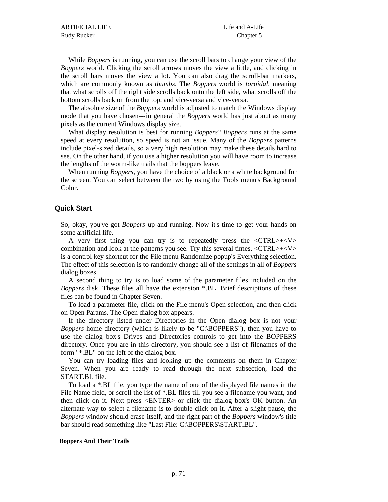While *Boppers* is running, you can use the scroll bars to change your view of the *Boppers* world. Clicking the scroll arrows moves the view a little, and clicking in the scroll bars moves the view a lot. You can also drag the scroll-bar markers, which are commonly known as *thumbs*. The *Boppers* world is *toroidal*, meaning that what scrolls off the right side scrolls back onto the left side, what scrolls off the bottom scrolls back on from the top, and vice-versa and vice-versa.

The absolute size of the *Boppers* world is adjusted to match the Windows display mode that you have chosen---in general the *Boppers* world has just about as many pixels as the current Windows display size.

What display resolution is best for running *Boppers*? *Boppers* runs at the same speed at every resolution, so speed is not an issue. Many of the *Boppers* patterns include pixel-sized details, so a very high resolution may make these details hard to see. On the other hand, if you use a higher resolution you will have room to increase the lengths of the worm-like trails that the boppers leave.

When running *Boppers*, you have the choice of a black or a white background for the screen. You can select between the two by using the Tools menu's Background Color.

## **Quick Start**

So, okay, you've got *Boppers* up and running. Now it's time to get your hands on some artificial life.

A very first thing you can try is to repeatedly press the  $\langle \text{CTR} \rangle + \langle \text{V} \rangle$ combination and look at the patterns you see. Try this several times.  $\langle \text{CTRL}>+\langle \text{V}\rangle$ is a control key shortcut for the File menu Randomize popup's Everything selection. The effect of this selection is to randomly change all of the settings in all of *Boppers* dialog boxes.

A second thing to try is to load some of the parameter files included on the *Boppers* disk. These files all have the extension \*.BL. Brief descriptions of these files can be found in Chapter Seven.

To load a parameter file, click on the File menu's Open selection, and then click on Open Params. The Open dialog box appears.

If the directory listed under Directories in the Open dialog box is not your *Boppers* home directory (which is likely to be "C:\BOPPERS"), then you have to use the dialog box's Drives and Directories controls to get into the BOPPERS directory. Once you are in this directory, you should see a list of filenames of the form "\*.BL" on the left of the dialog box.

You can try loading files and looking up the comments on them in Chapter Seven. When you are ready to read through the next subsection, load the START.BL file.

To load a \*.BL file, you type the name of one of the displayed file names in the File Name field, or scroll the list of \*.BL files till you see a filename you want, and then click on it. Next press <ENTER> or click the dialog box's OK button. An alternate way to select a filename is to double-click on it. After a slight pause, the *Boppers* window should erase itself, and the right part of the *Boppers* window's title bar should read something like "Last File: C:\BOPPERS\START.BL".

## **Boppers And Their Trails**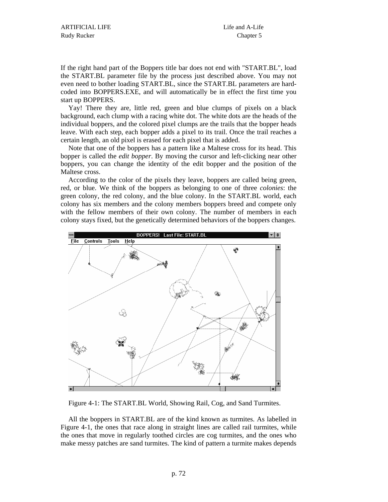If the right hand part of the Boppers title bar does not end with "START.BL", load the START.BL parameter file by the process just described above. You may not even need to bother loading START.BL, since the START.BL parameters are hardcoded into BOPPERS.EXE, and will automatically be in effect the first time you start up BOPPERS.

Yay! There they are, little red, green and blue clumps of pixels on a black background, each clump with a racing white dot. The white dots are the heads of the individual boppers, and the colored pixel clumps are the trails that the bopper heads leave. With each step, each bopper adds a pixel to its trail. Once the trail reaches a certain length, an old pixel is erased for each pixel that is added.

Note that one of the boppers has a pattern like a Maltese cross for its head. This bopper is called the *edit bopper*. By moving the cursor and left-clicking near other boppers, you can change the identity of the edit bopper and the position of the Maltese cross.

According to the color of the pixels they leave, boppers are called being green, red, or blue. We think of the boppers as belonging to one of three *colonies*: the green colony, the red colony, and the blue colony. In the START.BL world, each colony has six members and the colony members boppers breed and compete only with the fellow members of their own colony. The number of members in each colony stays fixed, but the genetically determined behaviors of the boppers changes.



Figure 4-1: The START.BL World, Showing Rail, Cog, and Sand Turmites.

All the boppers in START.BL are of the kind known as turmites. As labelled in Figure 4-1, the ones that race along in straight lines are called rail turmites, while the ones that move in regularly toothed circles are cog turmites, and the ones who make messy patches are sand turmites. The kind of pattern a turmite makes depends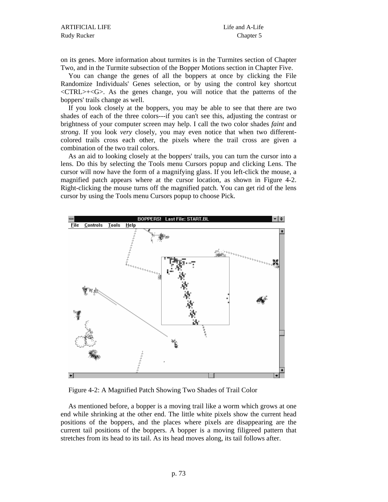on its genes. More information about turmites is in the Turmites section of Chapter Two, and in the Turmite subsection of the Bopper Motions section in Chapter Five.

You can change the genes of all the boppers at once by clicking the File Randomize Individuals' Genes selection, or by using the control key shortcut  $\langle \text{CTRL}\rangle + \langle \text{G}\rangle$ . As the genes change, you will notice that the patterns of the boppers' trails change as well.

If you look closely at the boppers, you may be able to see that there are two shades of each of the three colors---if you can't see this, adjusting the contrast or brightness of your computer screen may help. I call the two color shades *faint* and *strong*. If you look *very* closely, you may even notice that when two differentcolored trails cross each other, the pixels where the trail cross are given a combination of the two trail colors.

As an aid to looking closely at the boppers' trails, you can turn the cursor into a lens. Do this by selecting the Tools menu Cursors popup and clicking Lens. The cursor will now have the form of a magnifying glass. If you left-click the mouse, a magnified patch appears where at the cursor location, as shown in Figure 4-2. Right-clicking the mouse turns off the magnified patch. You can get rid of the lens cursor by using the Tools menu Cursors popup to choose Pick.



Figure 4-2: A Magnified Patch Showing Two Shades of Trail Color

As mentioned before, a bopper is a moving trail like a worm which grows at one end while shrinking at the other end. The little white pixels show the current head positions of the boppers, and the places where pixels are disappearing are the current tail positions of the boppers. A bopper is a moving filigreed pattern that stretches from its head to its tail. As its head moves along, its tail follows after.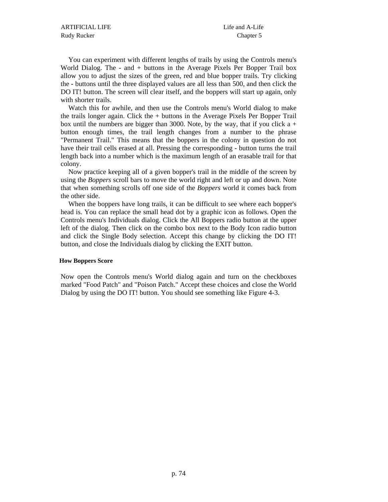You can experiment with different lengths of trails by using the Controls menu's World Dialog. The - and + buttons in the Average Pixels Per Bopper Trail box allow you to adjust the sizes of the green, red and blue bopper trails. Try clicking the - buttons until the three displayed values are all less than 500, and then click the DO IT! button. The screen will clear itself, and the boppers will start up again, only with shorter trails.

Watch this for awhile, and then use the Controls menu's World dialog to make the trails longer again. Click the + buttons in the Average Pixels Per Bopper Trail box until the numbers are bigger than 3000. Note, by the way, that if you click  $a +$ button enough times, the trail length changes from a number to the phrase "Permanent Trail." This means that the boppers in the colony in question do not have their trail cells erased at all. Pressing the corresponding - button turns the trail length back into a number which is the maximum length of an erasable trail for that colony.

Now practice keeping all of a given bopper's trail in the middle of the screen by using the *Boppers* scroll bars to move the world right and left or up and down. Note that when something scrolls off one side of the *Boppers* world it comes back from the other side.

When the boppers have long trails, it can be difficult to see where each bopper's head is. You can replace the small head dot by a graphic icon as follows. Open the Controls menu's Individuals dialog. Click the All Boppers radio button at the upper left of the dialog. Then click on the combo box next to the Body Icon radio button and click the Single Body selection. Accept this change by clicking the DO IT! button, and close the Individuals dialog by clicking the EXIT button.

## **How Boppers Score**

Now open the Controls menu's World dialog again and turn on the checkboxes marked "Food Patch" and "Poison Patch." Accept these choices and close the World Dialog by using the DO IT! button. You should see something like Figure 4-3.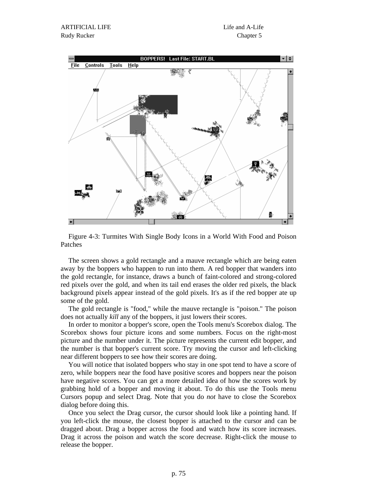

Figure 4-3: Turmites With Single Body Icons in a World With Food and Poison Patches

The screen shows a gold rectangle and a mauve rectangle which are being eaten away by the boppers who happen to run into them. A red bopper that wanders into the gold rectangle, for instance, draws a bunch of faint-colored and strong-colored red pixels over the gold, and when its tail end erases the older red pixels, the black background pixels appear instead of the gold pixels. It's as if the red bopper ate up some of the gold.

The gold rectangle is "food," while the mauve rectangle is "poison." The poison does not actually *kill* any of the boppers, it just lowers their scores.

In order to monitor a bopper's score, open the Tools menu's Scorebox dialog. The Scorebox shows four picture icons and some numbers. Focus on the right-most picture and the number under it. The picture represents the current edit bopper, and the number is that bopper's current score. Try moving the cursor and left-clicking near different boppers to see how their scores are doing.

You will notice that isolated boppers who stay in one spot tend to have a score of zero, while boppers near the food have positive scores and boppers near the poison have negative scores. You can get a more detailed idea of how the scores work by grabbing hold of a bopper and moving it about. To do this use the Tools menu Cursors popup and select Drag. Note that you do *not* have to close the Scorebox dialog before doing this.

Once you select the Drag cursor, the cursor should look like a pointing hand. If you left-click the mouse, the closest bopper is attached to the cursor and can be dragged about. Drag a bopper across the food and watch how its score increases. Drag it across the poison and watch the score decrease. Right-click the mouse to release the bopper.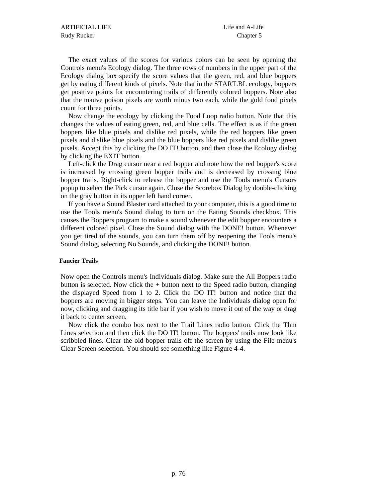The exact values of the scores for various colors can be seen by opening the Controls menu's Ecology dialog. The three rows of numbers in the upper part of the Ecology dialog box specify the score values that the green, red, and blue boppers get by eating different kinds of pixels. Note that in the START.BL ecology, boppers get positive points for encountering trails of differently colored boppers. Note also that the mauve poison pixels are worth minus two each, while the gold food pixels count for three points.

Now change the ecology by clicking the Food Loop radio button. Note that this changes the values of eating green, red, and blue cells. The effect is as if the green boppers like blue pixels and dislike red pixels, while the red boppers like green pixels and dislike blue pixels and the blue boppers like red pixels and dislike green pixels. Accept this by clicking the DO IT! button, and then close the Ecology dialog by clicking the EXIT button.

Left-click the Drag cursor near a red bopper and note how the red bopper's score is increased by crossing green bopper trails and is decreased by crossing blue bopper trails. Right-click to release the bopper and use the Tools menu's Cursors popup to select the Pick cursor again. Close the Scorebox Dialog by double-clicking on the gray button in its upper left hand corner.

If you have a Sound Blaster card attached to your computer, this is a good time to use the Tools menu's Sound dialog to turn on the Eating Sounds checkbox. This causes the Boppers program to make a sound whenever the edit bopper encounters a different colored pixel. Close the Sound dialog with the DONE! button. Whenever you get tired of the sounds, you can turn them off by reopening the Tools menu's Sound dialog, selecting No Sounds, and clicking the DONE! button.

## **Fancier Trails**

Now open the Controls menu's Individuals dialog. Make sure the All Boppers radio button is selected. Now click the + button next to the Speed radio button, changing the displayed Speed from 1 to 2. Click the DO IT! button and notice that the boppers are moving in bigger steps. You can leave the Individuals dialog open for now, clicking and dragging its title bar if you wish to move it out of the way or drag it back to center screen.

Now click the combo box next to the Trail Lines radio button. Click the Thin Lines selection and then click the DO IT! button. The boppers' trails now look like scribbled lines. Clear the old bopper trails off the screen by using the File menu's Clear Screen selection. You should see something like Figure 4-4.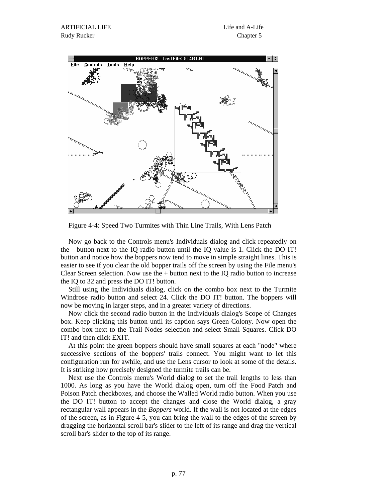

Figure 4-4: Speed Two Turmites with Thin Line Trails, With Lens Patch

Now go back to the Controls menu's Individuals dialog and click repeatedly on the - button next to the IQ radio button until the IQ value is 1. Click the DO IT! button and notice how the boppers now tend to move in simple straight lines. This is easier to see if you clear the old bopper trails off the screen by using the File menu's Clear Screen selection. Now use the + button next to the IQ radio button to increase the IQ to 32 and press the DO IT! button.

Still using the Individuals dialog, click on the combo box next to the Turmite Windrose radio button and select 24. Click the DO IT! button. The boppers will now be moving in larger steps, and in a greater variety of directions.

Now click the second radio button in the Individuals dialog's Scope of Changes box. Keep clicking this button until its caption says Green Colony. Now open the combo box next to the Trail Nodes selection and select Small Squares. Click DO IT! and then click EXIT.

At this point the green boppers should have small squares at each "node" where successive sections of the boppers' trails connect. You might want to let this configuration run for awhile, and use the Lens cursor to look at some of the details. It is striking how precisely designed the turmite trails can be.

Next use the Controls menu's World dialog to set the trail lengths to less than 1000. As long as you have the World dialog open, turn off the Food Patch and Poison Patch checkboxes, and choose the Walled World radio button. When you use the DO IT! button to accept the changes and close the World dialog, a gray rectangular wall appears in the *Boppers* world. If the wall is not located at the edges of the screen, as in Figure 4-5, you can bring the wall to the edges of the screen by dragging the horizontal scroll bar's slider to the left of its range and drag the vertical scroll bar's slider to the top of its range.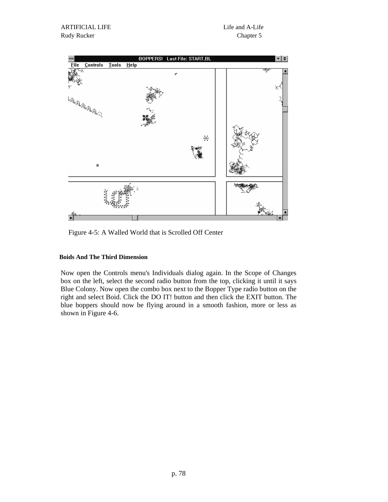

Figure 4-5: A Walled World that is Scrolled Off Center

# **Boids And The Third Dimension**

Now open the Controls menu's Individuals dialog again. In the Scope of Changes box on the left, select the second radio button from the top, clicking it until it says Blue Colony. Now open the combo box next to the Bopper Type radio button on the right and select Boid. Click the DO IT! button and then click the EXIT button. The blue boppers should now be flying around in a smooth fashion, more or less as shown in Figure 4-6.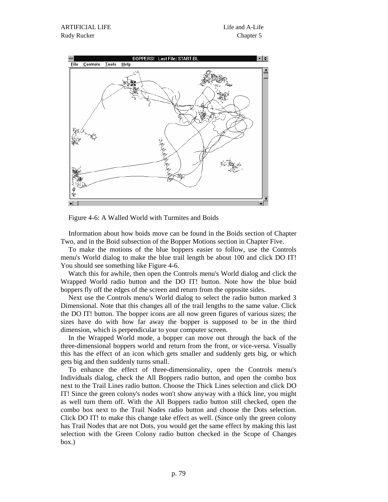

Figure 4-6: A Walled World with Turmites and Boids

Information about how boids move can be found in the Boids section of Chapter Two, and in the Boid subsection of the Bopper Motions section in Chapter Five.

To make the motions of the blue boppers easier to follow, use the Controls menu's World dialog to make the blue trail length be about 100 and click DO IT! You should see something like Figure 4-6.

Watch this for awhile, then open the Controls menu's World dialog and click the Wrapped World radio button and the DO IT! button. Note how the blue boid boppers fly off the edges of the screen and return from the opposite sides.

Next use the Controls menu's World dialog to select the radio button marked 3 Dimensional. Note that this changes all of the trail lengths to the same value. Click the DO IT! button. The bopper icons are all now green figures of various sizes; the sizes have do with how far away the bopper is supposed to be in the third dimension, which is perpendicular to your computer screen.

In the Wrapped World mode, a bopper can move out through the back of the three-dimensional boppers world and return from the front, or vice-versa. Visually this has the effect of an icon which gets smaller and suddenly gets big, or which gets big and then suddenly turns small.

To enhance the effect of three-dimensionality, open the Controls menu's Individuals dialog, check the All Boppers radio button, and open the combo box next to the Trail Lines radio button. Choose the Thick Lines selection and click DO IT! Since the green colony's nodes won't show anyway with a thick line, you might as well turn them off. With the All Boppers radio button still checked, open the combo box next to the Trail Nodes radio button and choose the Dots selection. Click DO IT! to make this change take effect as well. (Since only the green colony has Trail Nodes that are not Dots, you would get the same effect by making this last selection with the Green Colony radio button checked in the Scope of Changes box.)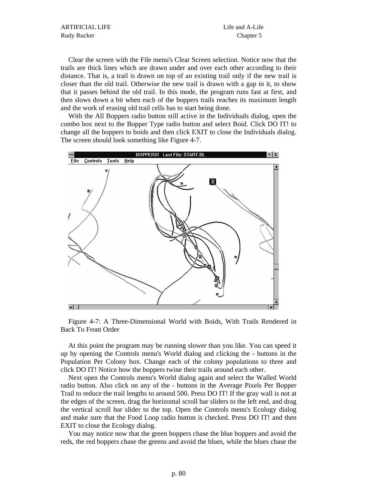Clear the screen with the File menu's Clear Screen selection. Notice now that the trails are thick lines which are drawn under and over each other according to their distance. That is, a trail is drawn on top of an existing trail only if the new trail is closer than the old trail. Otherwise the new trail is drawn with a gap in it, to show that it passes behind the old trail. In this mode, the program runs fast at first, and then slows down a bit when each of the boppers trails reaches its maximum length and the work of erasing old trail cells has to start being done.

With the All Boppers radio button still active in the Individuals dialog, open the combo box next to the Bopper Type radio button and select Boid. Click DO IT! to change all the boppers to boids and then click EXIT to close the Individuals dialog. The screen should look something like Figure 4-7.



Figure 4-7: A Three-Dimensional World with Boids, With Trails Rendered in Back To Front Order

At this point the program may be running slower than you like. You can speed it up by opening the Controls menu's World dialog and clicking the - buttons in the Population Per Colony box. Change each of the colony populations to three and click DO IT! Notice how the boppers twine their trails around each other.

Next open the Controls menu's World dialog again and select the Walled World radio button. Also click on any of the - buttons in the Average Pixels Per Bopper Trail to reduce the trail lengths to around 500. Press DO IT! If the gray wall is not at the edges of the screen, drag the horizontal scroll bar sliders to the left end, and drag the vertical scroll bar slider to the top. Open the Controls menu's Ecology dialog and make sure that the Food Loop radio button is checked. Press DO IT! and then EXIT to close the Ecology dialog.

You may notice now that the green boppers chase the blue boppers and avoid the reds, the red boppers chase the greens and avoid the blues, while the blues chase the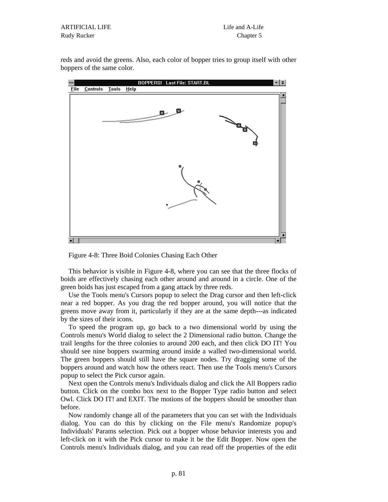reds and avoid the greens. Also, each color of bopper tries to group itself with other boppers of the same color.



Figure 4-8: Three Boid Colonies Chasing Each Other

This behavior is visible in Figure 4-8, where you can see that the three flocks of boids are effectively chasing each other around and around in a circle. One of the green boids has just escaped from a gang attack by three reds.

Use the Tools menu's Cursors popup to select the Drag cursor and then left-click near a red bopper. As you drag the red bopper around, you will notice that the greens move away from it, particularly if they are at the same depth---as indicated by the sizes of their icons.

To speed the program up, go back to a two dimensional world by using the Controls menu's World dialog to select the 2 Dimensional radio button. Change the trail lengths for the three colonies to around 200 each, and then click DO IT! You should see nine boppers swarming around inside a walled two-dimensional world. The green boppers should still have the square nodes. Try dragging some of the boppers around and watch how the others react. Then use the Tools menu's Cursors popup to select the Pick cursor again.

Next open the Controls menu's Individuals dialog and click the All Boppers radio button. Click on the combo box next to the Bopper Type radio button and select Owl. Click DO IT! and EXIT. The motions of the boppers should be smoother than before.

Now randomly change all of the parameters that you can set with the Individuals dialog. You can do this by clicking on the File menu's Randomize popup's Individuals' Params selection. Pick out a bopper whose behavior interests you and left-click on it with the Pick cursor to make it be the Edit Bopper. Now open the Controls menu's Individuals dialog, and you can read off the properties of the edit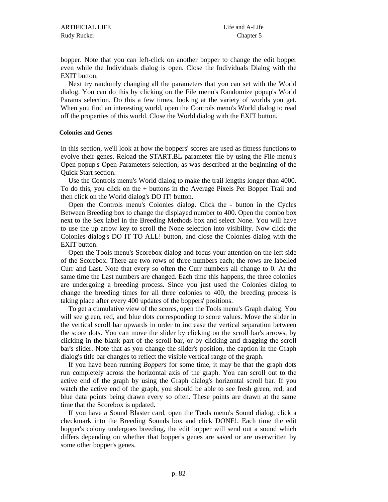bopper. Note that you can left-click on another bopper to change the edit bopper even while the Individuals dialog is open. Close the Individuals Dialog with the EXIT button.

Next try randomly changing all the parameters that you can set with the World dialog. You can do this by clicking on the File menu's Randomize popup's World Params selection. Do this a few times, looking at the variety of worlds you get. When you find an interesting world, open the Controls menu's World dialog to read off the properties of this world. Close the World dialog with the EXIT button.

# **Colonies and Genes**

In this section, we'll look at how the boppers' scores are used as fitness functions to evolve their genes. Reload the START.BL parameter file by using the File menu's Open popup's Open Parameters selection, as was described at the beginning of the Quick Start section.

Use the Controls menu's World dialog to make the trail lengths longer than 4000. To do this, you click on the + buttons in the Average Pixels Per Bopper Trail and then click on the World dialog's DO IT! button.

Open the Controls menu's Colonies dialog. Click the - button in the Cycles Between Breeding box to change the displayed number to 400. Open the combo box next to the Sex label in the Breeding Methods box and select None. You will have to use the up arrow key to scroll the None selection into visibility. Now click the Colonies dialog's DO IT TO ALL! button, and close the Colonies dialog with the EXIT button.

Open the Tools menu's Scorebox dialog and focus your attention on the left side of the Scorebox. There are two rows of three numbers each; the rows are labelled Curr and Last. Note that every so often the Curr numbers all change to 0. At the same time the Last numbers are changed. Each time this happens, the three colonies are undergoing a breeding process. Since you just used the Colonies dialog to change the breeding times for all three colonies to 400, the breeding process is taking place after every 400 updates of the boppers' positions.

To get a cumulative view of the scores, open the Tools menu's Graph dialog. You will see green, red, and blue dots corresponding to score values. Move the slider in the vertical scroll bar upwards in order to increase the vertical separation between the score dots. You can move the slider by clicking on the scroll bar's arrows, by clicking in the blank part of the scroll bar, or by clicking and dragging the scroll bar's slider. Note that as you change the slider's position, the caption in the Graph dialog's title bar changes to reflect the visible vertical range of the graph.

If you have been running *Boppers* for some time, it may be that the graph dots run completely across the horizontal axis of the graph. You can scroll out to the active end of the graph by using the Graph dialog's horizontal scroll bar. If you watch the active end of the graph, you should be able to see fresh green, red, and blue data points being drawn every so often. These points are drawn at the same time that the Scorebox is updated.

If you have a Sound Blaster card, open the Tools menu's Sound dialog, click a checkmark into the Breeding Sounds box and click DONE!. Each time the edit bopper's colony undergoes breeding, the edit bopper will send out a sound which differs depending on whether that bopper's genes are saved or are overwritten by some other bopper's genes.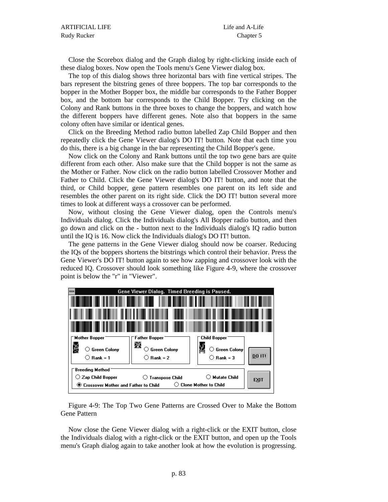Close the Scorebox dialog and the Graph dialog by right-clicking inside each of these dialog boxes. Now open the Tools menu's Gene Viewer dialog box.

The top of this dialog shows three horizontal bars with fine vertical stripes. The bars represent the bitstring genes of three boppers. The top bar corresponds to the bopper in the Mother Bopper box, the middle bar corresponds to the Father Bopper box, and the bottom bar corresponds to the Child Bopper. Try clicking on the Colony and Rank buttons in the three boxes to change the boppers, and watch how the different boppers have different genes. Note also that boppers in the same colony often have similar or identical genes.

Click on the Breeding Method radio button labelled Zap Child Bopper and then repeatedly click the Gene Viewer dialog's DO IT! button. Note that each time you do this, there is a big change in the bar representing the Child Bopper's gene.

Now click on the Colony and Rank buttons until the top two gene bars are quite different from each other. Also make sure that the Child bopper is not the same as the Mother or Father. Now click on the radio button labelled Crossover Mother and Father to Child. Click the Gene Viewer dialog's DO IT! button, and note that the third, or Child bopper, gene pattern resembles one parent on its left side and resembles the other parent on its right side. Click the DO IT! button several more times to look at different ways a crossover can be performed.

Now, without closing the Gene Viewer dialog, open the Controls menu's Individuals dialog. Click the Individuals dialog's All Bopper radio button, and then go down and click on the - button next to the Individuals dialog's IQ radio button until the IQ is 16. Now click the Individuals dialog's DO IT! button.

The gene patterns in the Gene Viewer dialog should now be coarser. Reducing the IQs of the boppers shortens the bitstrings which control their behavior. Press the Gene Viewer's DO IT! button again to see how zapping and crossover look with the reduced IQ. Crossover should look something like Figure 4-9, where the crossover point is below the "r" in "Viewer".



# Figure 4-9: The Top Two Gene Patterns are Crossed Over to Make the Bottom Gene Pattern

Now close the Gene Viewer dialog with a right-click or the EXIT button, close the Individuals dialog with a right-click or the EXIT button, and open up the Tools menu's Graph dialog again to take another look at how the evolution is progressing.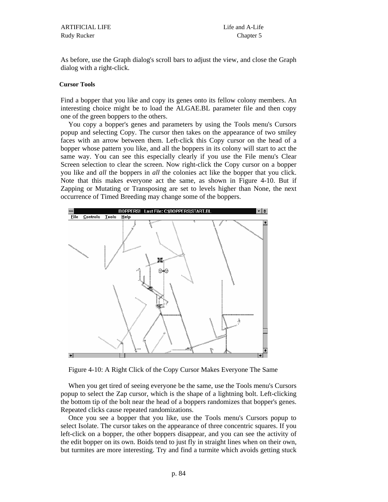As before, use the Graph dialog's scroll bars to adjust the view, and close the Graph dialog with a right-click.

#### **Cursor Tools**

Find a bopper that you like and copy its genes onto its fellow colony members. An interesting choice might be to load the ALGAE.BL parameter file and then copy one of the green boppers to the others.

You copy a bopper's genes and parameters by using the Tools menu's Cursors popup and selecting Copy. The cursor then takes on the appearance of two smiley faces with an arrow between them. Left-click this Copy cursor on the head of a bopper whose pattern you like, and all the boppers in its colony will start to act the same way. You can see this especially clearly if you use the File menu's Clear Screen selection to clear the screen. Now right-click the Copy cursor on a bopper you like and *all* the boppers in *all* the colonies act like the bopper that you click. Note that this makes everyone act the same, as shown in Figure 4-10. But if Zapping or Mutating or Transposing are set to levels higher than None, the next occurrence of Timed Breeding may change some of the boppers.



Figure 4-10: A Right Click of the Copy Cursor Makes Everyone The Same

When you get tired of seeing everyone be the same, use the Tools menu's Cursors popup to select the Zap cursor, which is the shape of a lightning bolt. Left-clicking the bottom tip of the bolt near the head of a boppers randomizes that bopper's genes. Repeated clicks cause repeated randomizations.

Once you see a bopper that you like, use the Tools menu's Cursors popup to select Isolate. The cursor takes on the appearance of three concentric squares. If you left-click on a bopper, the other boppers disappear, and you can see the activity of the edit bopper on its own. Boids tend to just fly in straight lines when on their own, but turmites are more interesting. Try and find a turmite which avoids getting stuck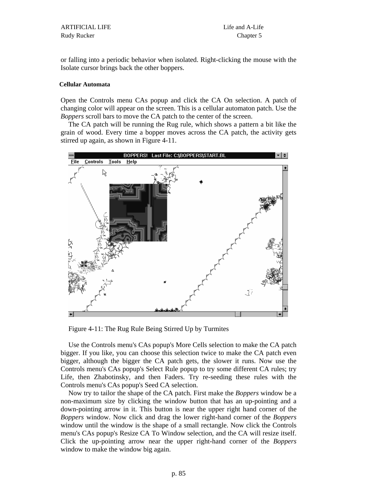or falling into a periodic behavior when isolated. Right-clicking the mouse with the Isolate cursor brings back the other boppers.

#### **Cellular Automata**

Open the Controls menu CAs popup and click the CA On selection. A patch of changing color will appear on the screen. This is a cellular automaton patch. Use the *Boppers* scroll bars to move the CA patch to the center of the screen.

The CA patch will be running the Rug rule, which shows a pattern a bit like the grain of wood. Every time a bopper moves across the CA patch, the activity gets stirred up again, as shown in Figure 4-11.



Figure 4-11: The Rug Rule Being Stirred Up by Turmites

Use the Controls menu's CAs popup's More Cells selection to make the CA patch bigger. If you like, you can choose this selection twice to make the CA patch even bigger, although the bigger the CA patch gets, the slower it runs. Now use the Controls menu's CAs popup's Select Rule popup to try some different CA rules; try Life, then Zhabotinsky, and then Faders. Try re-seeding these rules with the Controls menu's CAs popup's Seed CA selection.

Now try to tailor the shape of the CA patch. First make the *Boppers* window be a non-maximum size by clicking the window button that has an up-pointing and a down-pointing arrow in it. This button is near the upper right hand corner of the *Boppers* window. Now click and drag the lower right-hand corner of the *Boppers* window until the window is the shape of a small rectangle. Now click the Controls menu's CAs popup's Resize CA To Window selection, and the CA will resize itself. Click the up-pointing arrow near the upper right-hand corner of the *Boppers* window to make the window big again.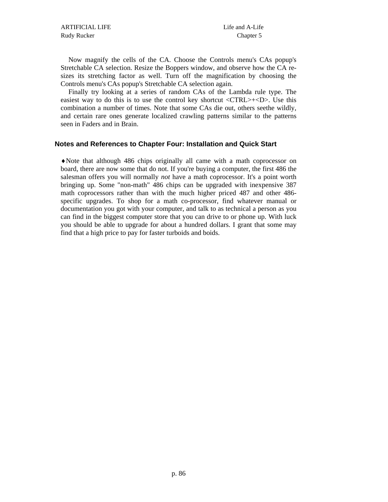Now magnify the cells of the CA. Choose the Controls menu's CAs popup's Stretchable CA selection. Resize the Boppers window, and observe how the CA resizes its stretching factor as well. Turn off the magnification by choosing the Controls menu's CAs popup's Stretchable CA selection again.

Finally try looking at a series of random CAs of the Lambda rule type. The easiest way to do this is to use the control key shortcut  $\langle \text{CTR} \rangle + \langle \text{D} \rangle$ . Use this combination a number of times. Note that some CAs die out, others seethe wildly, and certain rare ones generate localized crawling patterns similar to the patterns seen in Faders and in Brain.

# **Notes and References to Chapter Four: Installation and Quick Start**

♦Note that although 486 chips originally all came with a math coprocessor on board, there are now some that do not. If you're buying a computer, the first 486 the salesman offers you will normally *not* have a math coprocessor. It's a point worth bringing up. Some "non-math" 486 chips can be upgraded with inexpensive 387 math coprocessors rather than with the much higher priced 487 and other 486 specific upgrades. To shop for a math co-processor, find whatever manual or documentation you got with your computer, and talk to as technical a person as you can find in the biggest computer store that you can drive to or phone up. With luck you should be able to upgrade for about a hundred dollars. I grant that some may find that a high price to pay for faster turboids and boids.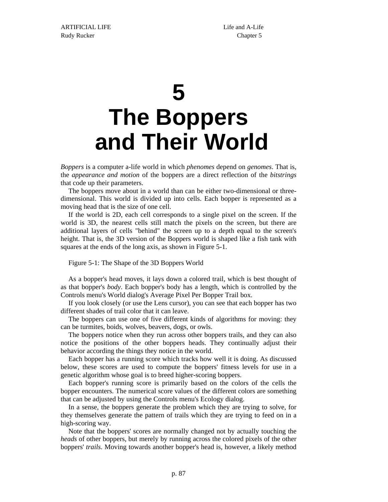# **5 The Boppers and Their World**

*Boppers* is a computer a-life world in which *phenomes* depend on *genomes*. That is, the *appearance and motion* of the boppers are a direct reflection of the *bitstrings* that code up their parameters.

The boppers move about in a world than can be either two-dimensional or threedimensional. This world is divided up into cells. Each bopper is represented as a moving head that is the size of one cell.

If the world is 2D, each cell corresponds to a single pixel on the screen. If the world is 3D, the nearest cells still match the pixels on the screen, but there are additional layers of cells "behind" the screen up to a depth equal to the screen's height. That is, the 3D version of the Boppers world is shaped like a fish tank with squares at the ends of the long axis, as shown in Figure 5-1.

Figure 5-1: The Shape of the 3D Boppers World

As a bopper's head moves, it lays down a colored trail, which is best thought of as that bopper's *body*. Each bopper's body has a length, which is controlled by the Controls menu's World dialog's Average Pixel Per Bopper Trail box.

If you look closely (or use the Lens cursor), you can see that each bopper has two different shades of trail color that it can leave.

The boppers can use one of five different kinds of algorithms for moving: they can be turmites, boids, wolves, beavers, dogs, or owls.

The boppers notice when they run across other boppers trails, and they can also notice the positions of the other boppers heads. They continually adjust their behavior according the things they notice in the world.

Each bopper has a running score which tracks how well it is doing. As discussed below, these scores are used to compute the boppers' fitness levels for use in a genetic algorithm whose goal is to breed higher-scoring boppers.

Each bopper's running score is primarily based on the colors of the cells the bopper encounters. The numerical score values of the different colors are something that can be adjusted by using the Controls menu's Ecology dialog.

In a sense, the boppers generate the problem which they are trying to solve, for they themselves generate the pattern of trails which they are trying to feed on in a high-scoring way.

Note that the boppers' scores are normally changed not by actually touching the *heads* of other boppers, but merely by running across the colored pixels of the other boppers' *trails*. Moving towards another bopper's head is, however, a likely method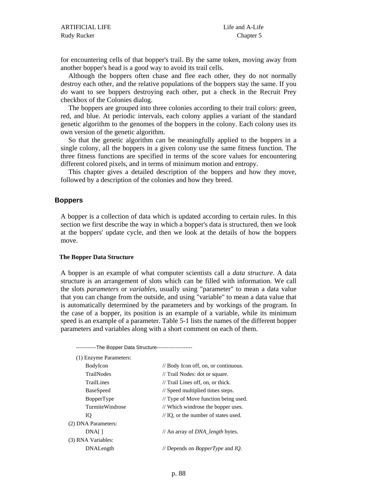for encountering cells of that bopper's trail. By the same token, moving away from another bopper's head is a good way to avoid its trail cells.

Although the boppers often chase and flee each other, they do not normally destroy each other, and the relative populations of the boppers stay the same. If you *do* want to see boppers destroying each other, put a check in the Recruit Prey checkbox of the Colonies dialog.

The boppers are grouped into three colonies according to their trail colors: green, red, and blue. At periodic intervals, each colony applies a variant of the standard genetic algorithm to the genomes of the boppers in the colony. Each colony uses its own version of the genetic algorithm.

So that the genetic algorithm can be meaningfully applied to the boppers in a single colony, all the boppers in a given colony use the same fitness function. The three fitness functions are specified in terms of the score values for encountering different colored pixels, and in terms of minimum motion and entropy.

This chapter gives a detailed description of the boppers and how they move, followed by a description of the colonies and how they breed.

## **Boppers**

A bopper is a collection of data which is updated according to certain rules. In this section we first describe the way in which a bopper's data is structured, then we look at the boppers' update cycle, and then we look at the details of how the boppers move.

#### **The Bopper Data Structure**

A bopper is an example of what computer scientists call a *data structure*. A data structure is an arrangement of slots which can be filled with information. We call the slots *parameters* or *variables*, usually using "parameter" to mean a data value that you can change from the outside, and using "variable" to mean a data value that is automatically determined by the parameters and by workings of the program. In the case of a bopper, its position is an example of a variable, while its minimum speed is an example of a parameter. Table 5-1 lists the names of the different bopper parameters and variables along with a short comment on each of them.

| ------------The Bopper Data Structure--------------------- |                                                  |  |  |
|------------------------------------------------------------|--------------------------------------------------|--|--|
| (1) Enzyme Parameters:                                     |                                                  |  |  |
| <b>BodyIcon</b>                                            | // Body Icon off, on, or continuous.             |  |  |
| TrailNodes                                                 | // Trail Nodes: dot or square.                   |  |  |
| TrailLines                                                 | $\frac{1}{\pi}$ Trail Lines off, on, or thick.   |  |  |
| <b>BaseSpeed</b>                                           | // Speed multiplied times steps.                 |  |  |
| <b>BopperType</b>                                          | $\frac{1}{2}$ Type of Move function being used.  |  |  |
| TurmiteWindrose                                            | // Which windrose the bopper uses.               |  |  |
| IQ                                                         | $\frac{1}{10}$ IO, or the number of states used. |  |  |
| (2) DNA Parameters:                                        |                                                  |  |  |
| DNA[]                                                      | // An array of <i>DNA length</i> bytes.          |  |  |
| (3) RNA Variables:                                         |                                                  |  |  |
| DNALength                                                  | // Depends on $BopperType$ and $IQ$ .            |  |  |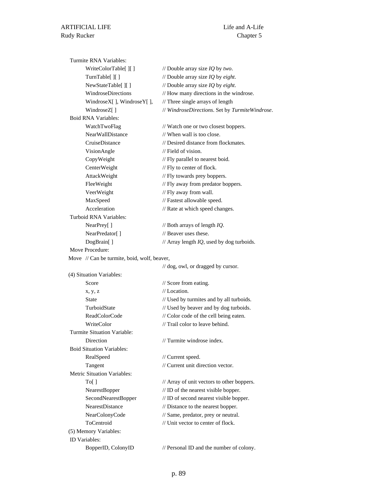| Turmite RNA Variables:                      |                                                |  |
|---------------------------------------------|------------------------------------------------|--|
| WriteColorTable[][]                         | // Double array size $IQ$ by two.              |  |
| TurnTable[][]                               | // Double array size $IQ$ by eight.            |  |
| NewStateTable[][]                           | // Double array size $IQ$ by eight.            |  |
| WindroseDirections                          | // How many directions in the windrose.        |  |
| WindroseX[], WindroseY[],                   | // Three single arrays of length               |  |
| WindroseZ[]                                 | // WindroseDirections. Set by TurmiteWindrose. |  |
| <b>Boid RNA Variables:</b>                  |                                                |  |
| WatchTwoFlag                                | // Watch one or two closest boppers.           |  |
| <b>NearWallDistance</b>                     | $\frac{1}{2}$ When wall is too close.          |  |
| CruiseDistance                              | // Desired distance from flockmates.           |  |
| VisionAngle                                 | // Field of vision.                            |  |
| CopyWeight                                  | // Fly parallel to nearest boid.               |  |
| CenterWeight                                | // Fly to center of flock.                     |  |
| AttackWeight                                | // Fly towards prey boppers.                   |  |
| FleeWeight                                  | // Fly away from predator boppers.             |  |
| VeerWeight                                  | // Fly away from wall.                         |  |
| MaxSpeed                                    | // Fastest allowable speed.                    |  |
| Acceleration                                | // Rate at which speed changes.                |  |
| Turboid RNA Variables:                      |                                                |  |
| NearPrey[]                                  | // Both arrays of length $IQ$ .                |  |
| NearPredator[]                              | // Beaver uses these.                          |  |
| DogBrain[]                                  | // Array length $IQ$ , used by dog turboids.   |  |
| Move Procedure:                             |                                                |  |
| Move // Can be turmite, boid, wolf, beaver, |                                                |  |
|                                             | // dog, owl, or dragged by cursor.             |  |
| (4) Situation Variables:                    |                                                |  |
| Score                                       | // Score from eating.                          |  |
| x, y, z                                     | // Location.                                   |  |
| <b>State</b>                                | // Used by turmites and by all turboids.       |  |
| TurboidState                                | // Used by beaver and by dog turboids.         |  |
| ReadColorCode                               | // Color code of the cell being eaten.         |  |
| WriteColor                                  | // Trail color to leave behind.                |  |
| Turmite Situation Variable:                 |                                                |  |
| Direction                                   | // Turmite windrose index.                     |  |
| <b>Boid Situation Variables:</b>            |                                                |  |
| RealSpeed                                   | // Current speed.                              |  |
| Tangent                                     | // Current unit direction vector.              |  |
| Metric Situation Variables:                 |                                                |  |
| To[ ]                                       | // Array of unit vectors to other boppers.     |  |
| NearestBopper                               | // ID of the nearest visible bopper.           |  |
| SecondNearestBopper                         | // ID of second nearest visible bopper.        |  |
| <b>NearestDistance</b>                      | // Distance to the nearest bopper.             |  |
| NearColonyCode                              | // Same, predator, prey or neutral.            |  |
| ToCentroid                                  | // Unit vector to center of flock.             |  |
|                                             |                                                |  |
| (5) Memory Variables:<br>ID Variables:      |                                                |  |
|                                             |                                                |  |
| BopperID, ColonyID                          | // Personal ID and the number of colony.       |  |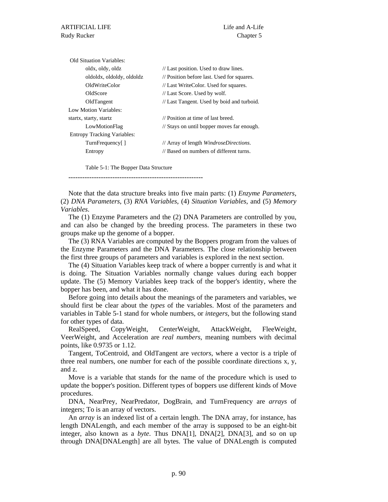| <b>Old Situation Variables:</b>    |                                                |
|------------------------------------|------------------------------------------------|
| oldx, oldy, oldz                   | // Last position. Used to draw lines.          |
| oldoldx, oldoldy, oldoldz          | // Position before last. Used for squares.     |
| OldWriteColor                      | // Last WriteColor. Used for squares.          |
| OldScore                           | // Last Score. Used by wolf.                   |
| OldTangent                         | // Last Tangent. Used by boid and turboid.     |
| Low Motion Variables:              |                                                |
| startx, starty, startz             | // Position at time of last breed.             |
| LowMotionFlag                      | // Stays on until bopper moves far enough.     |
| <b>Entropy Tracking Variables:</b> |                                                |
| TurnFrequency[]                    | // Array of length <i>WindroseDirections</i> . |
| Entropy                            | // Based on numbers of different turns.        |
|                                    |                                                |

Table 5-1: The Bopper Data Structure

----------------------------------------------------------

Note that the data structure breaks into five main parts: (1) *Enzyme Parameters*, (2) *DNA Parameters*, (3) *RNA Variables*, (4) *Situation Variables*, and (5) *Memory Variables*.

The (1) Enzyme Parameters and the (2) DNA Parameters are controlled by you, and can also be changed by the breeding process. The parameters in these two groups make up the genome of a bopper.

The (3) RNA Variables are computed by the Boppers program from the values of the Enzyme Parameters and the DNA Parameters. The close relationship between the first three groups of parameters and variables is explored in the next section.

The (4) Situation Variables keep track of where a bopper currently is and what it is doing. The Situation Variables normally change values during each bopper update. The (5) Memory Variables keep track of the bopper's identity, where the bopper has been, and what it has done.

Before going into details about the meanings of the parameters and variables, we should first be clear about the *types* of the variables. Most of the parameters and variables in Table 5-1 stand for whole numbers, or *integers*, but the following stand for other types of data.

RealSpeed, CopyWeight, CenterWeight, AttackWeight, FleeWeight, VeerWeight, and Acceleration are *real numbers*, meaning numbers with decimal points, like 0.9735 or 1.12.

Tangent, ToCentroid, and OldTangent are *vectors*, where a vector is a triple of three real numbers, one number for each of the possible coordinate directions x, y, and z.

Move is a variable that stands for the name of the procedure which is used to update the bopper's position. Different types of boppers use different kinds of Move procedures.

DNA, NearPrey, NearPredator, DogBrain, and TurnFrequency are *arrays* of integers; To is an array of vectors.

An *array* is an indexed list of a certain length. The DNA array, for instance, has length DNALength, and each member of the array is supposed to be an eight-bit integer, also known as a *byte*. Thus DNA[1], DNA[2], DNA[3], and so on up through DNA[DNALength] are all bytes. The value of DNALength is computed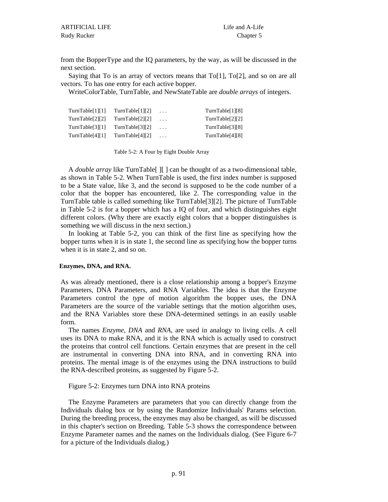from the BopperType and the IQ parameters, by the way, as will be discussed in the next section.

Saying that To is an array of vectors means that To[1], To[2], and so on are all vectors. To has one entry for each active bopper.

WriteColorTable, TurnTable, and NewStateTable are *double arrays* of integers.

| TurnTable[1][1] | TurnTable[1][2] | $\cdots$                | TurnTable[1][8] |
|-----------------|-----------------|-------------------------|-----------------|
| TurnTable[2][2] | TurnTable[2][2] | $\cdot$ $\cdot$ $\cdot$ | TurnTable[2][2] |
| TurnTable[3][1] | TurnTable[3][2] | $\cdots$                | TurnTable[3][8] |
| TurnTable[4][1] | TurnTable[4][2] | $\cdots$                | TurnTable[4][8] |

Table 5-2: A Four by Eight Double Array

A *double array* like TurnTable[ ][ ] can be thought of as a two-dimensional table, as shown in Table 5-2. When TurnTable is used, the first index number is supposed to be a State value, like 3, and the second is supposed to be the code number of a color that the bopper has encountered, like 2. The corresponding value in the TurnTable table is called something like TurnTable[3][2]. The picture of TurnTable in Table 5-2 is for a bopper which has a IQ of four, and which distinguishes eight different colors. (Why there are exactly eight colors that a bopper distinguishes is something we will discuss in the next section.)

In looking at Table 5-2, you can think of the first line as specifying how the bopper turns when it is in state 1, the second line as specifying how the bopper turns when it is in state 2, and so on.

#### **Enzymes, DNA, and RNA.**

As was already mentioned, there is a close relationship among a bopper's Enzyme Parameters, DNA Parameters, and RNA Variables. The idea is that the Enzyme Parameters control the *type* of motion algorithm the bopper uses, the DNA Parameters are the source of the variable settings that the motion algorithm uses, and the RNA Variables store these DNA-determined settings in an easily usable form.

The names *Enzyme*, *DNA* and *RNA*, are used in analogy to living cells. A cell uses its DNA to make RNA, and it is the RNA which is actually used to construct the proteins that control cell functions. Certain enzymes that are present in the cell are instrumental in converting DNA into RNA, and in converting RNA into proteins. The mental image is of the enzymes using the DNA instructions to build the RNA-described proteins, as suggested by Figure 5-2.

Figure 5-2: Enzymes turn DNA into RNA proteins

The Enzyme Parameters are parameters that you can directly change from the Individuals dialog box or by using the Randomize Individuals' Params selection. During the breeding process, the enzymes may also be changed, as will be discussed in this chapter's section on Breeding. Table 5-3 shows the correspondence between Enzyme Parameter names and the names on the Individuals dialog. (See Figure 6-7 for a picture of the Individuals dialog.)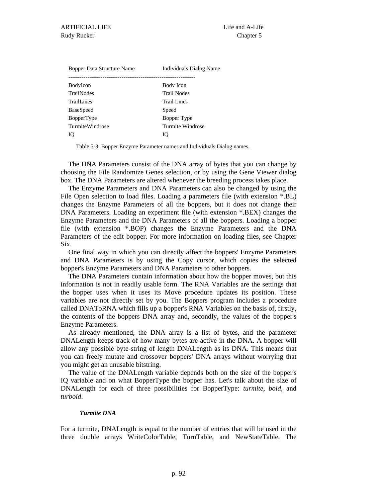| Bopper Data Structure Name | Individuals Dialog Name |
|----------------------------|-------------------------|
| BodyIcon                   | Body Icon               |
| TrailNodes                 | <b>Trail Nodes</b>      |
| TrailLines                 | Trail Lines             |
| <b>BaseSpeed</b>           | Speed                   |
| <b>BopperType</b>          | Bopper Type             |
| TurmiteWindrose            | Turmite Windrose        |
| Ю                          | Ю                       |

Table 5-3: Bopper Enzyme Parameter names and Individuals Dialog names.

The DNA Parameters consist of the DNA array of bytes that you can change by choosing the File Randomize Genes selection, or by using the Gene Viewer dialog box. The DNA Parameters are altered whenever the breeding process takes place.

The Enzyme Parameters and DNA Parameters can also be changed by using the File Open selection to load files. Loading a parameters file (with extension \*.BL) changes the Enzyme Parameters of all the boppers, but it does not change their DNA Parameters. Loading an experiment file (with extension \*.BEX) changes the Enzyme Parameters and the DNA Parameters of all the boppers. Loading a bopper file (with extension \*.BOP) changes the Enzyme Parameters and the DNA Parameters of the edit bopper. For more information on loading files, see Chapter Six.

One final way in which you can directly affect the boppers' Enzyme Parameters and DNA Parameters is by using the Copy cursor, which copies the selected bopper's Enzyme Parameters and DNA Parameters to other boppers.

The DNA Parameters contain information about how the bopper moves, but this information is not in readily usable form. The RNA Variables are the settings that the bopper uses when it uses its Move procedure updates its position. These variables are not directly set by you. The Boppers program includes a procedure called DNAToRNA which fills up a bopper's RNA Variables on the basis of, firstly, the contents of the boppers DNA array and, secondly, the values of the bopper's Enzyme Parameters.

As already mentioned, the DNA array is a list of bytes, and the parameter DNALength keeps track of how many bytes are active in the DNA. A bopper will allow any possible byte-string of length DNALength as its DNA. This means that you can freely mutate and crossover boppers' DNA arrays without worrying that you might get an unusable bitstring.

The value of the DNALength variable depends both on the size of the bopper's IQ variable and on what BopperType the bopper has. Let's talk about the size of DNALength for each of three possibilities for BopperType: *turmite*, *boid*, and *turboid*.

# *Turmite DNA*

For a turmite, DNALength is equal to the number of entries that will be used in the three double arrays WriteColorTable, TurnTable, and NewStateTable. The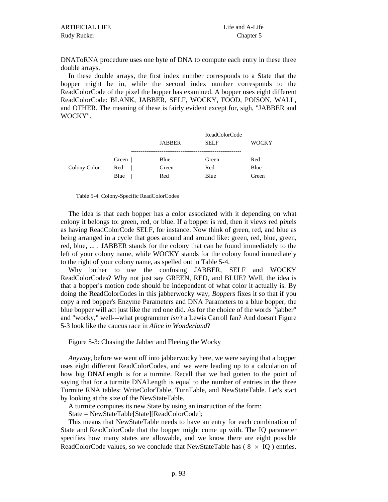DNAToRNA procedure uses one byte of DNA to compute each entry in these three double arrays.

In these double arrays, the first index number corresponds to a State that the bopper might be in, while the second index number corresponds to the ReadColorCode of the pixel the bopper has examined. A bopper uses eight different ReadColorCode: BLANK, JABBER, SELF, WOCKY, FOOD, POISON, WALL, and OTHER. The meaning of these is fairly evident except for, sigh, "JABBER and WOCKY".

|              |       | <b>JABBER</b> | ReadColorCode<br><b>SELF</b> | WOCKY |
|--------------|-------|---------------|------------------------------|-------|
|              | Green | Blue          | Green                        | Red   |
| Colony Color | Red   | Green         | Red                          | Blue  |
|              | Blue  | Red           | Blue                         | Green |

Table 5-4: Colony-Specific ReadColorCodes

The idea is that each bopper has a color associated with it depending on what colony it belongs to: green, red, or blue. If a bopper is red, then it views red pixels as having ReadColorCode SELF, for instance. Now think of green, red, and blue as being arranged in a cycle that goes around and around like: green, red, blue, green, red, blue, ... . JABBER stands for the colony that can be found immediately to the left of your colony name, while WOCKY stands for the colony found immediately to the right of your colony name, as spelled out in Table 5-4.

Why bother to use the confusing JABBER, SELF and WOCKY ReadColorCodes? Why not just say GREEN, RED, and BLUE? Well, the idea is that a bopper's motion code should be independent of what color it actually is. By doing the ReadColorCodes in this jabberwocky way, *Boppers* fixes it so that if you copy a red bopper's Enzyme Parameters and DNA Parameters to a blue bopper, the blue bopper will act just like the red one did. As for the choice of the words "jabber" and "wocky," well---what programmer *isn't* a Lewis Carroll fan? And doesn't Figure 5-3 look like the caucus race in *Alice in Wonderland*?

Figure 5-3: Chasing the Jabber and Fleeing the Wocky

*Anyway*, before we went off into jabberwocky here, we were saying that a bopper uses eight different ReadColorCodes, and we were leading up to a calculation of how big DNALength is for a turmite. Recall that we had gotten to the point of saying that for a turmite DNALength is equal to the number of entries in the three Turmite RNA tables: WriteColorTable, TurnTable, and NewStateTable. Let's start by looking at the size of the NewStateTable.

A turmite computes its new State by using an instruction of the form:

State = NewStateTable[State][ReadColorCode];

This means that NewStateTable needs to have an entry for each combination of State and ReadColorCode that the bopper might come up with. The IQ parameter specifies how many states are allowable, and we know there are eight possible ReadColorCode values, so we conclude that NewStateTable has ( $8 \times$  IQ) entries.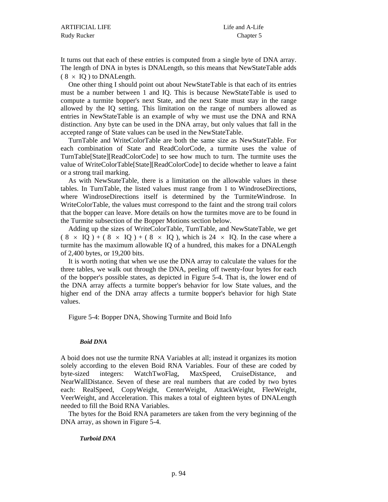It turns out that each of these entries is computed from a single byte of DNA array. The length of DNA in bytes is DNALength, so this means that NewStateTable adds  $( 8 \times IQ)$  to DNALength.

One other thing I should point out about NewStateTable is that each of its entries must be a number between 1 and IQ. This is because NewStateTable is used to compute a turmite bopper's next State, and the next State must stay in the range allowed by the IQ setting. This limitation on the range of numbers allowed as entries in NewStateTable is an example of why we must use the DNA and RNA distinction. Any byte can be used in the DNA array, but only values that fall in the accepted range of State values can be used in the NewStateTable.

TurnTable and WriteColorTable are both the same size as NewStateTable. For each combination of State and ReadColorCode, a turmite uses the value of TurnTable[State][ReadColorCode] to see how much to turn. The turmite uses the value of WriteColorTable[State][ReadColorCode] to decide whether to leave a faint or a strong trail marking.

As with NewStateTable, there is a limitation on the allowable values in these tables. In TurnTable, the listed values must range from 1 to WindroseDirections, where WindroseDirections itself is determined by the TurmiteWindrose. In WriteColorTable, the values must correspond to the faint and the strong trail colors that the bopper can leave. More details on how the turmites move are to be found in the Turmite subsection of the Bopper Motions section below.

Adding up the sizes of WriteColorTable, TurnTable, and NewStateTable, we get  $( 8 \times IQ) + ( 8 \times IQ) + ( 8 \times IQ)$ , which is 24  $\times IQ$ . In the case where a turmite has the maximum allowable IQ of a hundred, this makes for a DNALength of 2,400 bytes, or 19,200 bits.

It is worth noting that when we use the DNA array to calculate the values for the three tables, we walk out through the DNA, peeling off twenty-four bytes for each of the bopper's possible states, as depicted in Figure 5-4. That is, the lower end of the DNA array affects a turmite bopper's behavior for low State values, and the higher end of the DNA array affects a turmite bopper's behavior for high State values.

Figure 5-4: Bopper DNA, Showing Turmite and Boid Info

## *Boid DNA*

A boid does not use the turmite RNA Variables at all; instead it organizes its motion solely according to the eleven Boid RNA Variables. Four of these are coded by byte-sized integers: WatchTwoFlag, MaxSpeed, CruiseDistance, and NearWallDistance. Seven of these are real numbers that are coded by two bytes each: RealSpeed, CopyWeight, CenterWeight, AttackWeight, FleeWeight, VeerWeight, and Acceleration. This makes a total of eighteen bytes of DNALength needed to fill the Boid RNA Variables.

The bytes for the Boid RNA parameters are taken from the very beginning of the DNA array, as shown in Figure 5-4.

#### *Turboid DNA*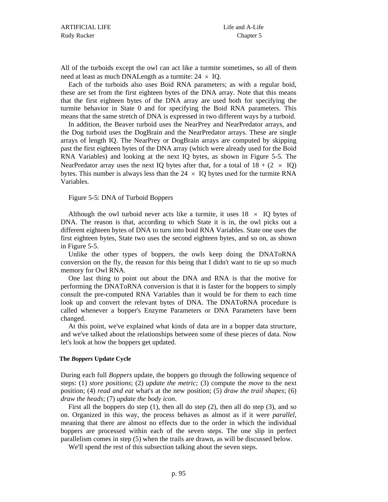All of the turboids except the owl can act like a turmite sometimes, so all of them need at least as much DNALength as a turmite:  $24 \times$  IQ.

Each of the turboids also uses Boid RNA parameters; as with a regular boid, these are set from the first eighteen bytes of the DNA array. Note that this means that the first eighteen bytes of the DNA array are used both for specifying the turmite behavior in State 0 and for specifying the Boid RNA parameters. This means that the same stretch of DNA is expressed in two different ways by a turboid.

In addition, the Beaver turboid uses the NearPrey and NearPredator arrays, and the Dog turboid uses the DogBrain and the NearPredator arrays. These are single arrays of length IQ. The NearPrey or DogBrain arrays are computed by skipping past the first eighteen bytes of the DNA array (which were already used for the Boid RNA Variables) and looking at the next IQ bytes, as shown in Figure 5-5. The NearPredator array uses the next IQ bytes after that, for a total of  $18 + (2 \times IQ)$ bytes. This number is always less than the  $24 \times$  IQ bytes used for the turmite RNA Variables.

Figure 5-5: DNA of Turboid Boppers

Although the owl turboid never acts like a turmite, it uses  $18 \times$  IO bytes of DNA. The reason is that, according to which State it is in, the owl picks out a different eighteen bytes of DNA to turn into boid RNA Variables. State one uses the first eighteen bytes, State two uses the second eighteen bytes, and so on, as shown in Figure 5-5.

Unlike the other types of boppers, the owls keep doing the DNAToRNA conversion on the fly, the reason for this being that I didn't want to tie up so much memory for Owl RNA.

One last thing to point out about the DNA and RNA is that the motive for performing the DNAToRNA conversion is that it is faster for the boppers to simply consult the pre-computed RNA Variables than it would be for them to each time look up and convert the relevant bytes of DNA. The DNAToRNA procedure is called whenever a bopper's Enzyme Parameters or DNA Parameters have been changed.

At this point, we've explained what kinds of data are in a bopper data structure, and we've talked about the relationships between some of these pieces of data. Now let's look at how the boppers get updated.

#### **The** *Boppers* **Update Cycle**

During each full *Boppers* update, the boppers go through the following sequence of steps: (1) *store positions*; (2) *update the metric;* (3) compute the *move* to the next position; (4) *read and eat* what's at the new position; (5) *draw the trail shapes*; (6) *draw the heads*; (7) *update the body icon*.

First all the boppers do step (1), then all do step (2), then all do step (3), and so on. Organized in this way, the process behaves as almost as if it were *parallel*, meaning that there are almost no effects due to the order in which the individual boppers are processed within each of the seven steps. The one slip in perfect parallelism comes in step (5) when the trails are drawn, as will be discussed below.

We'll spend the rest of this subsection talking about the seven steps.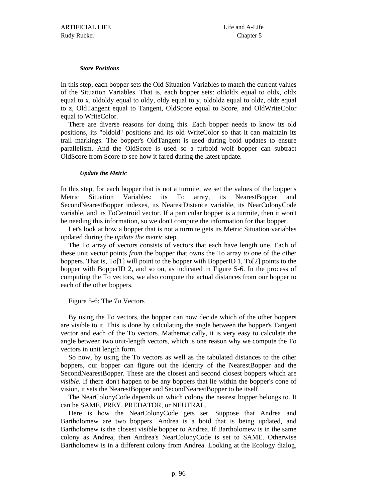#### *Store Positions*

In this step, each bopper sets the Old Situation Variables to match the current values of the Situation Variables. That is, each bopper sets: oldoldx equal to oldx, oldx equal to x, oldoldy equal to oldy, oldy equal to y, oldoldz equal to oldz, oldz equal to z, OldTangent equal to Tangent, OldScore equal to Score, and OldWriteColor equal to WriteColor.

There are diverse reasons for doing this. Each bopper needs to know its old positions, its "oldold" positions and its old WriteColor so that it can maintain its trail markings. The bopper's OldTangent is used during boid updates to ensure parallelism. And the OldScore is used so a turboid wolf bopper can subtract OldScore from Score to see how it fared during the latest update.

## *Update the Metric*

In this step, for each bopper that is not a turmite, we set the values of the bopper's Metric Situation Variables: its To array, its NearestBopper and SecondNearestBopper indexes, its NearestDistance variable, its NearColonyCode variable, and its ToCentroid vector. If a particular bopper is a turmite, then it won't be needing this information, so we don't compute the information for that bopper.

Let's look at how a bopper that is not a turmite gets its Metric Situation variables updated during the *update the metric* step.

The To array of vectors consists of vectors that each have length one. Each of these unit vector points *from* the bopper that owns the To array *to* one of the other boppers. That is, To[1] will point to the bopper with BopperID 1, To[2] points to the bopper with BopperID 2, and so on, as indicated in Figure 5-6. In the process of computing the To vectors, we also compute the actual distances from our bopper to each of the other boppers.

# Figure 5-6: The *To* Vectors

By using the To vectors, the bopper can now decide which of the other boppers are visible to it. This is done by calculating the angle between the bopper's Tangent vector and each of the To vectors. Mathematically, it is very easy to calculate the angle between two unit-length vectors, which is one reason why we compute the To vectors in unit length form.

So now, by using the To vectors as well as the tabulated distances to the other boppers, our bopper can figure out the identity of the NearestBopper and the SecondNearestBopper. These are the closest and second closest boppers which are *visible*. If there don't happen to be any boppers that lie within the bopper's cone of vision, it sets the NearestBopper and SecondNearestBopper to be itself.

The NearColonyCode depends on which colony the nearest bopper belongs to. It can be SAME, PREY, PREDATOR, or NEUTRAL.

Here is how the NearColonyCode gets set. Suppose that Andrea and Bartholomew are two boppers. Andrea is a boid that is being updated, and Bartholomew is the closest visible bopper to Andrea. If Bartholomew is in the same colony as Andrea, then Andrea's NearColonyCode is set to SAME. Otherwise Bartholomew is in a different colony from Andrea. Looking at the Ecology dialog,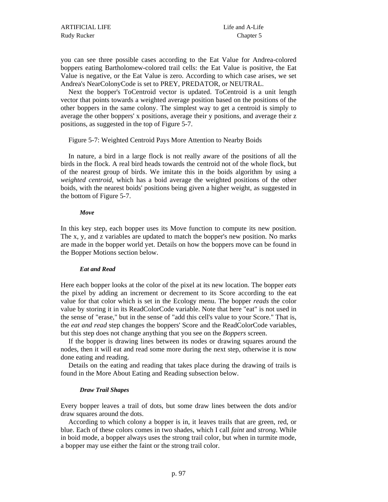you can see three possible cases according to the Eat Value for Andrea-colored boppers eating Bartholomew-colored trail cells: the Eat Value is positive, the Eat Value is negative, or the Eat Value is zero. According to which case arises, we set Andrea's NearColonyCode is set to PREY, PREDATOR, or NEUTRAL.

Next the bopper's ToCentroid vector is updated. ToCentroid is a unit length vector that points towards a weighted average position based on the positions of the other boppers in the same colony. The simplest way to get a centroid is simply to average the other boppers' x positions, average their y positions, and average their z positions, as suggested in the top of Figure 5-7.

Figure 5-7: Weighted Centroid Pays More Attention to Nearby Boids

In nature, a bird in a large flock is not really aware of the positions of all the birds in the flock. A real bird heads towards the centroid not of the whole flock, but of the nearest group of birds. We imitate this in the boids algorithm by using a *weighted centroid*, which has a boid average the weighted positions of the other boids, with the nearest boids' positions being given a higher weight, as suggested in the bottom of Figure 5-7.

### *Move*

In this key step, each bopper uses its Move function to compute its new position. The x, y, and z variables are updated to match the bopper's new position. No marks are made in the bopper world yet. Details on how the boppers move can be found in the Bopper Motions section below.

# *Eat and Read*

Here each bopper looks at the color of the pixel at its new location. The bopper *eats* the pixel by adding an increment or decrement to its Score according to the eat value for that color which is set in the Ecology menu. The bopper *reads* the color value by storing it in its ReadColorCode variable. Note that here "eat" is not used in the sense of "erase," but in the sense of "add this cell's value to your Score." That is, the *eat and read* step changes the boppers' Score and the ReadColorCode variables, but this step does not change anything that you see on the *Boppers* screen.

If the bopper is drawing lines between its nodes or drawing squares around the nodes, then it will eat and read some more during the next step, otherwise it is now done eating and reading.

Details on the eating and reading that takes place during the drawing of trails is found in the More About Eating and Reading subsection below.

#### *Draw Trail Shapes*

Every bopper leaves a trail of dots, but some draw lines between the dots and/or draw squares around the dots.

According to which colony a bopper is in, it leaves trails that are green, red, or blue. Each of these colors comes in two shades, which I call *faint* and *strong*. While in boid mode, a bopper always uses the strong trail color, but when in turmite mode, a bopper may use either the faint or the strong trail color.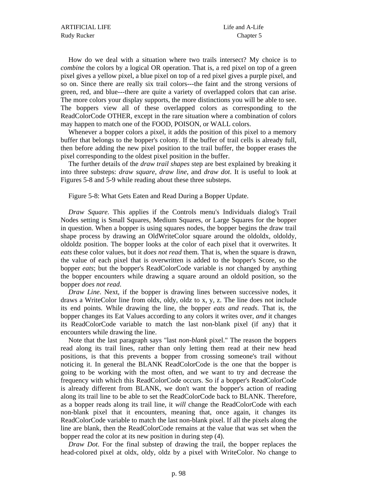How do we deal with a situation where two trails intersect? My choice is to *combine* the colors by a logical OR operation. That is, a red pixel on top of a green pixel gives a yellow pixel, a blue pixel on top of a red pixel gives a purple pixel, and so on. Since there are really six trail colors---the faint and the strong versions of green, red, and blue---there are quite a variety of overlapped colors that can arise. The more colors your display supports, the more distinctions you will be able to see. The boppers view all of these overlapped colors as corresponding to the ReadColorCode OTHER, except in the rare situation where a combination of colors may happen to match one of the FOOD, POISON, or WALL colors.

Whenever a bopper colors a pixel, it adds the position of this pixel to a memory buffer that belongs to the bopper's colony. If the buffer of trail cells is already full, then before adding the new pixel position to the trail buffer, the bopper erases the pixel corresponding to the oldest pixel position in the buffer.

The further details of the *draw trail shapes* step are best explained by breaking it into three substeps: *draw square*, *draw line*, and *draw dot*. It is useful to look at Figures 5-8 and 5-9 while reading about these three substeps.

Figure 5-8: What Gets Eaten and Read During a Bopper Update.

*Draw Square*. This applies if the Controls menu's Individuals dialog's Trail Nodes setting is Small Squares, Medium Squares, or Large Squares for the bopper in question. When a bopper is using squares nodes, the bopper begins the draw trail shape process by drawing an OldWriteColor square around the oldoldx, oldoldy, oldoldz position. The bopper looks at the color of each pixel that it overwrites. It *eats* these color values, but it *does not read* them. That is, when the square is drawn, the value of each pixel that is overwritten is added to the bopper's Score, so the bopper *eats*; but the bopper's ReadColorCode variable is *not* changed by anything the bopper encounters while drawing a square around an oldold position, so the bopper *does not read*.

*Draw Line*. Next, if the bopper is drawing lines between successive nodes, it draws a WriteColor line from oldx, oldy, oldz to x, y, z. The line does not include its end points. While drawing the line, the bopper *eats and reads*. That is, the bopper changes its Eat Values according to any colors it writes over, *and* it changes its ReadColorCode variable to match the last non-blank pixel (if any) that it encounters while drawing the line.

Note that the last paragraph says "last *non-blank* pixel." The reason the boppers read along its trail lines, rather than only letting them read at their new head positions, is that this prevents a bopper from crossing someone's trail without noticing it. In general the BLANK ReadColorCode is the one that the bopper is going to be working with the most often, and we want to try and decrease the frequency with which this ReadColorCode occurs. So if a bopper's ReadColorCode is already different from BLANK, we don't want the bopper's action of reading along its trail line to be able to set the ReadColorCode back to BLANK. Therefore, as a bopper reads along its trail line, it *will* change the ReadColorCode with each non-blank pixel that it encounters, meaning that, once again, it changes its ReadColorCode variable to match the last non-blank pixel. If all the pixels along the line are blank, then the ReadColorCode remains at the value that was set when the bopper read the color at its new position in during step (4).

*Draw Dot*. For the final substep of drawing the trail, the bopper replaces the head-colored pixel at oldx, oldy, oldz by a pixel with WriteColor. No change to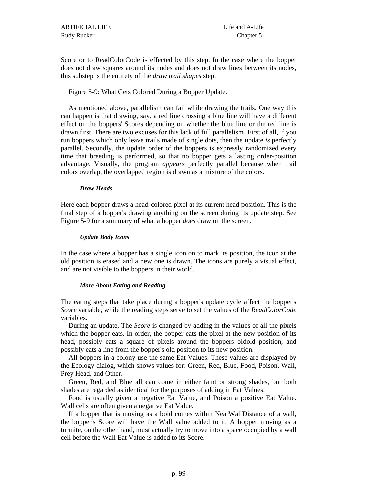Score or to ReadColorCode is effected by this step. In the case where the bopper does not draw squares around its nodes and does not draw lines between its nodes, this substep is the entirety of the *draw trail shapes* step.

# Figure 5-9: What Gets Colored During a Bopper Update.

As mentioned above, parallelism can fail while drawing the trails. One way this can happen is that drawing, say, a red line crossing a blue line will have a different effect on the boppers' Scores depending on whether the blue line or the red line is drawn first. There are two excuses for this lack of full parallelism. First of all, if you run boppers which only leave trails made of single dots, then the update *is* perfectly parallel. Secondly, the update order of the boppers is expressly randomized every time that breeding is performed, so that no bopper gets a lasting order-position advantage. Visually, the program *appears* perfectly parallel because when trail colors overlap, the overlapped region is drawn as a mixture of the colors.

# *Draw Heads*

Here each bopper draws a head-colored pixel at its current head position. This is the final step of a bopper's drawing anything on the screen during its update step. See Figure 5-9 for a summary of what a bopper *does* draw on the screen.

# *Update Body Icons*

In the case where a bopper has a single icon on to mark its position, the icon at the old position is erased and a new one is drawn. The icons are purely a visual effect, and are not visible to the boppers in their world.

# *More About Eating and Reading*

The eating steps that take place during a bopper's update cycle affect the bopper's *Score* variable, while the reading steps serve to set the values of the *ReadColorCode* variables.

During an update, The *Score* is changed by adding in the values of all the pixels which the bopper eats. In order, the bopper eats the pixel at the new position of its head, possibly eats a square of pixels around the boppers oldold position, and possibly eats a line from the bopper's old position to its new position.

All boppers in a colony use the same Eat Values. These values are displayed by the Ecology dialog, which shows values for: Green, Red, Blue, Food, Poison, Wall, Prey Head, and Other.

Green, Red, and Blue all can come in either faint or strong shades, but both shades are regarded as identical for the purposes of adding in Eat Values.

Food is usually given a negative Eat Value, and Poison a positive Eat Value. Wall cells are often given a negative Eat Value.

If a bopper that is moving as a boid comes within NearWallDistance of a wall, the bopper's Score will have the Wall value added to it. A bopper moving as a turmite, on the other hand, must actually try to move into a space occupied by a wall cell before the Wall Eat Value is added to its Score.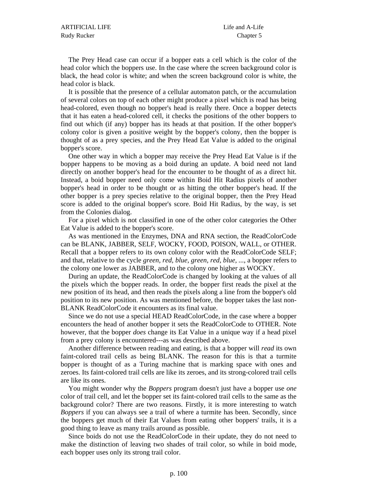The Prey Head case can occur if a bopper eats a cell which is the color of the head color which the boppers use. In the case where the screen background color is black, the head color is white; and when the screen background color is white, the head color is black.

It is possible that the presence of a cellular automaton patch, or the accumulation of several colors on top of each other might produce a pixel which is read has being head-colored, even though no bopper's head is really there. Once a bopper detects that it has eaten a head-colored cell, it checks the positions of the other boppers to find out which (if any) bopper has its heads at that position. If the other bopper's colony color is given a positive weight by the bopper's colony, then the bopper is thought of as a prey species, and the Prey Head Eat Value is added to the original bopper's score.

One other way in which a bopper may receive the Prey Head Eat Value is if the bopper happens to be moving as a boid during an update. A boid need not land directly on another bopper's head for the encounter to be thought of as a direct hit. Instead, a boid bopper need only come within Boid Hit Radius pixels of another bopper's head in order to be thought or as hitting the other bopper's head. If the other bopper is a prey species relative to the original bopper, then the Prey Head score is added to the original bopper's score. Boid Hit Radius, by the way, is set from the Colonies dialog.

For a pixel which is not classified in one of the other color categories the Other Eat Value is added to the bopper's score.

As was mentioned in the Enzymes, DNA and RNA section, the ReadColorCode can be BLANK, JABBER, SELF, WOCKY, FOOD, POISON, WALL, or OTHER. Recall that a bopper refers to its own colony color with the ReadColorCode SELF; and that, relative to the cycle *green, red, blue, green, red, blue, ...*, a bopper refers to the colony one lower as JABBER, and to the colony one higher as WOCKY.

During an update, the ReadColorCode is changed by looking at the values of all the pixels which the bopper reads. In order, the bopper first reads the pixel at the new position of its head, and then reads the pixels along a line from the bopper's old position to its new position. As was mentioned before, the bopper takes the last non-BLANK ReadColorCode it encounters as its final value.

Since we do not use a special HEAD ReadColorCode, in the case where a bopper encounters the head of another bopper it sets the ReadColorCode to OTHER. Note however, that the bopper *does* change its Eat Value in a unique way if a head pixel from a prey colony is encountered---as was described above.

Another difference between reading and eating, is that a bopper will *read* its own faint-colored trail cells as being BLANK. The reason for this is that a turmite bopper is thought of as a Turing machine that is marking space with ones and zeroes. Its faint-colored trail cells are like its zeroes, and its strong-colored trail cells are like its ones.

You might wonder why the *Boppers* program doesn't just have a bopper use *one* color of trail cell, and let the bopper set its faint-colored trail cells to the same as the background color? There are two reasons. Firstly, it is more interesting to watch *Boppers* if you can always see a trail of where a turmite has been. Secondly, since the boppers get much of their Eat Values from eating other boppers' trails, it is a good thing to leave as many trails around as possible.

Since boids do not use the ReadColorCode in their update, they do not need to make the distinction of leaving two shades of trail color, so while in boid mode, each bopper uses only its strong trail color.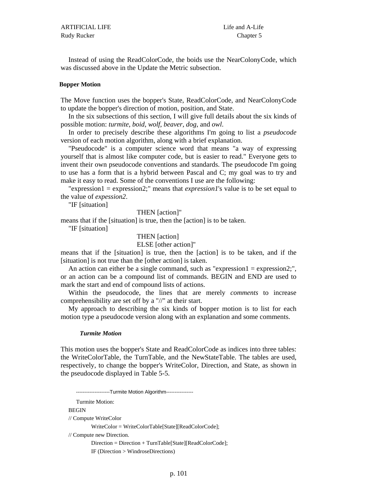Instead of using the ReadColorCode, the boids use the NearColonyCode, which was discussed above in the Update the Metric subsection.

#### **Bopper Motion**

The Move function uses the bopper's State, ReadColorCode, and NearColonyCode to update the bopper's direction of motion, position, and State.

In the six subsections of this section, I will give full details about the six kinds of possible motion: *turmite*, *boid*, *wolf*, *beaver*, *dog*, and *owl*.

In order to precisely describe these algorithms I'm going to list a *pseudocode* version of each motion algorithm, along with a brief explanation.

"Pseudocode" is a computer science word that means "a way of expressing yourself that is almost like computer code, but is easier to read." Everyone gets to invent their own pseudocode conventions and standards. The pseudocode I'm going to use has a form that is a hybrid between Pascal and C; my goal was to try and make it easy to read. Some of the conventions I use are the following:

"expression1 = expression2;" means that *expression1*'s value is to be set equal to the value of *expession2*.

"IF [situation]

THEN [action]"

means that if the [situation] is true, then the [action] is to be taken.

"IF [situation]

THEN [action]

ELSE [other action]"

means that if the [situation] is true, then the [action] is to be taken, and if the [situation] is not true than the [other action] is taken.

An action can either be a single command, such as "expression1 = expression2;", or an action can be a compound list of commands. BEGIN and END are used to mark the start and end of compound lists of actions.

Within the pseudocode, the lines that are merely *comments* to increase comprehensibility are set off by a "//" at their start.

My approach to describing the six kinds of bopper motion is to list for each motion type a pseudocode version along with an explanation and some comments.

#### *Turmite Motion*

This motion uses the bopper's State and ReadColorCode as indices into three tables: the WriteColorTable, the TurnTable, and the NewStateTable. The tables are used, respectively, to change the bopper's WriteColor, Direction, and State, as shown in the pseudocode displayed in Table 5-5.

```
--------------------Turmite Motion Algorithm----------------
```

```
Turmite Motion: 
BEGIN 
// Compute WriteColor 
          WriteColor = WriteColorTable[State][ReadColorCode]; 
// Compute new Direction. 
          Direction = Direction + TurnTable[State][ReadColorCode]; 
          IF (Direction > WindroseDirections)
```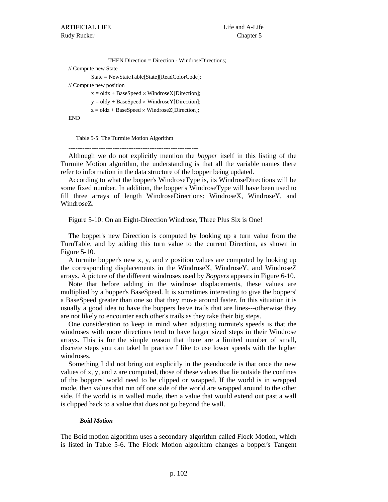THEN Direction = Direction - WindroseDirections;

// Compute new State

State = NewStateTable[State][ReadColorCode];

// Compute new position

 $x = oldx + BaseSpeed \times WindroseX[Direction];$ 

 $y = oldy + BaseSpeed \times WindroseY[Direction];$ 

 $z = oldz + BaseSpeed \times WindowsC[Direction];$ 

END

Table 5-5: The Turmite Motion Algorithm

--------------------------------------------------------

Although we do not explicitly mention the *bopper* itself in this listing of the Turmite Motion algorithm, the understanding is that all the variable names there refer to information in the data structure of the bopper being updated.

According to what the bopper's WindroseType is, its WindroseDirections will be some fixed number. In addition, the bopper's WindroseType will have been used to fill three arrays of length WindroseDirections: WindroseX, WindroseY, and WindroseZ.

Figure 5-10: On an Eight-Direction Windrose, Three Plus Six is One!

The bopper's new Direction is computed by looking up a turn value from the TurnTable, and by adding this turn value to the current Direction, as shown in Figure 5-10.

A turmite bopper's new x, y, and z position values are computed by looking up the corresponding displacements in the WindroseX, WindroseY, and WindroseZ arrays. A picture of the different windroses used by *Boppers* appears in Figure 6-10.

Note that before adding in the windrose displacements, these values are multiplied by a bopper's BaseSpeed. It is sometimes interesting to give the boppers' a BaseSpeed greater than one so that they move around faster. In this situation it is usually a good idea to have the boppers leave trails that are lines---otherwise they are not likely to encounter each other's trails as they take their big steps.

One consideration to keep in mind when adjusting turmite's speeds is that the windroses with more directions tend to have larger sized steps in their Windrose arrays. This is for the simple reason that there are a limited number of small, discrete steps you can take! In practice I like to use lower speeds with the higher windroses.

Something I did not bring out explicitly in the pseudocode is that once the new values of x, y, and z are computed, those of these values that lie outside the confines of the boppers' world need to be clipped or wrapped. If the world is in wrapped mode, then values that run off one side of the world are wrapped around to the other side. If the world is in walled mode, then a value that would extend out past a wall is clipped back to a value that does not go beyond the wall.

#### *Boid Motion*

The Boid motion algorithm uses a secondary algorithm called Flock Motion, which is listed in Table 5-6. The Flock Motion algorithm changes a bopper's Tangent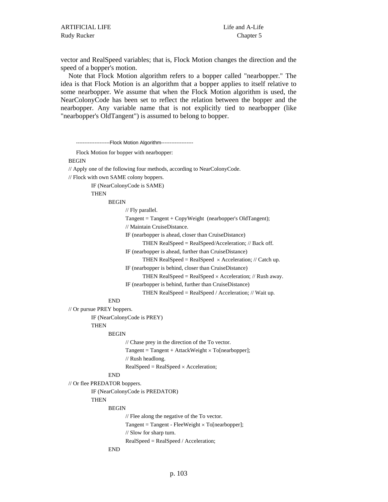vector and RealSpeed variables; that is, Flock Motion changes the direction and the speed of a bopper's motion.

Note that Flock Motion algorithm refers to a bopper called "nearbopper." The idea is that Flock Motion is an algorithm that a bopper applies to itself relative to some nearbopper. We assume that when the Flock Motion algorithm is used, the NearColonyCode has been set to reflect the relation between the bopper and the nearbopper. Any variable name that is not explicitly tied to nearbopper (like "nearbopper's OldTangent") is assumed to belong to bopper.

```
--------------------Flock Motion Algorithm------------------- 
   Flock Motion for bopper with nearbopper: 
BEGIN 
// Apply one of the following four methods, according to NearColonyCode. 
// Flock with own SAME colony boppers. 
          IF (NearColonyCode is SAME) 
          THEN 
                  BEGIN 
                          // Fly parallel. 
                          Tangent = Tangent + CopyWeight (nearbopper's OldTangent); 
                          // Maintain CruiseDistance. 
                          IF (nearbopper is ahead, closer than CruiseDistance) 
                                THEN RealSpeed = RealSpeed/Acceleration; // Back off.
                          IF (nearbopper is ahead, further than CruiseDistance) 
                                THEN RealSpeed = RealSpeed \times Acceleration; // Catch up.
                          IF (nearbopper is behind, closer than CruiseDistance) 
                                THEN RealSpeed = RealSpeed \times Acceleration; // Rush away.
                          IF (nearbopper is behind, further than CruiseDistance) 
                                 THEN RealSpeed = RealSpeed / Acceleration; // Wait up. 
                  END 
// Or pursue PREY boppers. 
           IF (NearColonyCode is PREY) 
         THEN
                  BEGIN 
                          // Chase prey in the direction of the To vector. 
                         Tangent = Tangent + AttackWeight \times To[nearbopper]; // Rush headlong. 
                         RealSpeed = RealSpeed \times Acceleration; END 
// Or flee PREDATOR boppers. 
           IF (NearColonyCode is PREDATOR) 
          THEN 
                  BEGIN 
                          // Flee along the negative of the To vector. 
                         Tangent = Tangent - FleeWeight \times To[nearbopper]; // Slow for sharp turn. 
                          RealSpeed = RealSpeed / Acceleration; 
                  END
```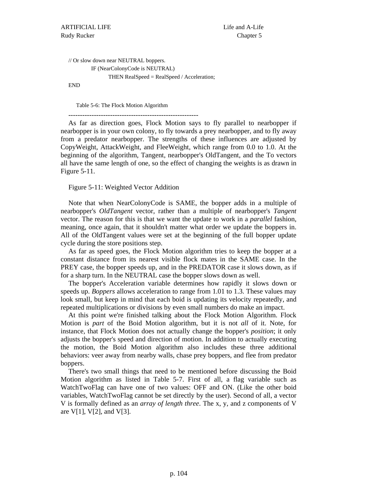```
// Or slow down near NEUTRAL boppers. 
          IF (NearColonyCode is NEUTRAL) 
                 THEN RealSpeed = RealSpeed / Acceleration; 
END
```
Table 5-6: The Flock Motion Algorithm

--------------------------------------------------------

As far as direction goes, Flock Motion says to fly parallel to nearbopper if nearbopper is in your own colony, to fly towards a prey nearbopper, and to fly away from a predator nearbopper. The strengths of these influences are adjusted by CopyWeight, AttackWeight, and FleeWeight, which range from 0.0 to 1.0. At the beginning of the algorithm, Tangent, nearbopper's OldTangent, and the To vectors all have the same length of one, so the effect of changing the weights is as drawn in Figure 5-11.

Figure 5-11: Weighted Vector Addition

Note that when NearColonyCode is SAME, the bopper adds in a multiple of nearbopper's *OldTangent* vector, rather than a multiple of nearbopper's *Tangent* vector. The reason for this is that we want the update to work in a *parallel* fashion, meaning, once again, that it shouldn't matter what order we update the boppers in. All of the OldTangent values were set at the beginning of the full bopper update cycle during the store positions step.

As far as speed goes, the Flock Motion algorithm tries to keep the bopper at a constant distance from its nearest visible flock mates in the SAME case. In the PREY case, the bopper speeds up, and in the PREDATOR case it slows down, as if for a sharp turn. In the NEUTRAL case the bopper slows down as well.

The bopper's Acceleration variable determines how rapidly it slows down or speeds up. *Boppers* allows acceleration to range from 1.01 to 1.3. These values may look small, but keep in mind that each boid is updating its velocity repeatedly, and repeated multiplications or divisions by even small numbers do make an impact.

At this point we're finished talking about the Flock Motion Algorithm. Flock Motion is *part* of the Boid Motion algorithm, but it is not *all* of it. Note, for instance, that Flock Motion does not actually change the bopper's *position*; it only adjusts the bopper's speed and direction of motion. In addition to actually executing the motion, the Boid Motion algorithm also includes these three additional behaviors: veer away from nearby walls, chase prey boppers, and flee from predator boppers.

There's two small things that need to be mentioned before discussing the Boid Motion algorithm as listed in Table 5-7. First of all, a flag variable such as WatchTwoFlag can have one of two values: OFF and ON. (Like the other boid variables, WatchTwoFlag cannot be set directly by the user). Second of all, a vector V is formally defined as an *array of length three*. The x, y, and z components of V are  $V[1]$ ,  $V[2]$ , and  $V[3]$ .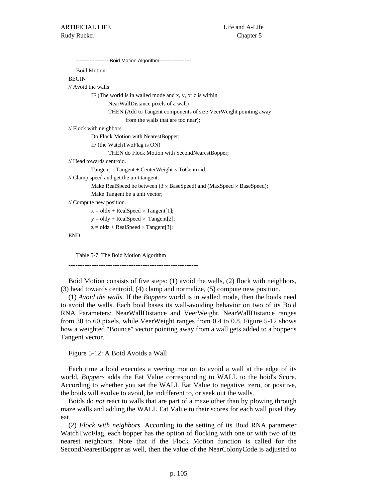```
--------------------Boid Motion Algorithm------------------- 
    Boid Motion: 
BEGIN
// Avoid the walls 
            IF (The world is in walled mode and x, y, or z is within 
                    NearWallDistance pixels of a wall) 
                    THEN (Add to Tangent components of size VeerWeight pointing away 
                            from the walls that are too near); 
// Flock with neighbors. 
            Do Flock Motion with NearestBopper; 
            IF (the WatchTwoFlag is ON) 
                    THEN do Flock Motion with SecondNearestBopper; 
// Head towards centroid. 
           Tangent = Tangent + CenterWeight \times ToCentroid;// Clamp speed and get the unit tangent. 
           Make RealSpeed be between (3 \times \text{BaseSpeed}) and (\text{MaxSpeed} \times \text{BaseSpeed});
            Make Tangent be a unit vector; 
// Compute new position. 
          x = oldx + RealSpeed \times Tangent[1];y = oldy + RealSpeed \times Tangent[2];z = oldz + RealSpeed \times Tangent[3];END 
   Table 5-7: The Boid Motion Algorithm 
                                              --------------------------------------------------------
```
Boid Motion consists of five steps: (1) avoid the walls, (2) flock with neighbors, (3) head towards centroid, (4) clamp and normalize, (5) compute new position.

(1) *Avoid the walls*. If the *Boppers* world is in walled mode, then the boids need to avoid the walls. Each boid bases its wall-avoiding behavior on two of its Boid RNA Parameters: NearWallDistance and VeerWeight. NearWallDistance ranges from 30 to 60 pixels, while VeerWeight ranges from 0.4 to 0.8. Figure 5-12 shows how a weighted "Bounce" vector pointing away from a wall gets added to a bopper's Tangent vector.

Figure 5-12: A Boid Avoids a Wall

Each time a boid executes a veering motion to avoid a wall at the edge of its world, *Boppers* adds the Eat Value corresponding to WALL to the boid's Score. According to whether you set the WALL Eat Value to negative, zero, or positive, the boids will evolve to avoid, be indifferent to, or seek out the walls.

Boids do *not* react to walls that are part of a maze other than by plowing through maze walls and adding the WALL Eat Value to their scores for each wall pixel they eat.

(2) *Flock with neighbors*. According to the setting of its Boid RNA parameter WatchTwoFlag, each bopper has the option of flocking with one or with two of its nearest neighbors. Note that if the Flock Motion function is called for the SecondNearestBopper as well, then the value of the NearColonyCode is adjusted to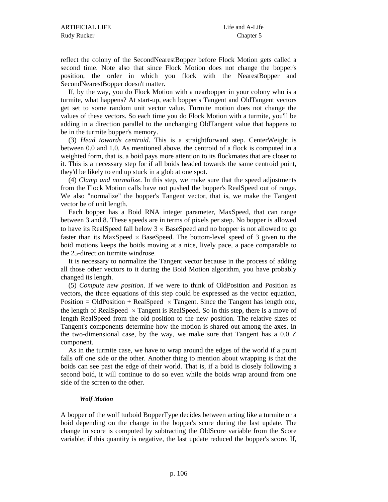reflect the colony of the SecondNearestBopper before Flock Motion gets called a second time. Note also that since Flock Motion does not change the bopper's position, the order in which you flock with the NearestBopper and SecondNearestBopper doesn't matter.

If, by the way, you do Flock Motion with a nearbopper in your colony who is a turmite, what happens? At start-up, each bopper's Tangent and OldTangent vectors get set to some random unit vector value. Turmite motion does not change the values of these vectors. So each time you do Flock Motion with a turmite, you'll be adding in a direction parallel to the unchanging OldTangent value that happens to be in the turmite bopper's memory.

(3) *Head towards centroid*. This is a straightforward step. CenterWeight is between 0.0 and 1.0. As mentioned above, the centroid of a flock is computed in a weighted form, that is, a boid pays more attention to its flockmates that are closer to it. This is a necessary step for if all boids headed towards the same centroid point, they'd be likely to end up stuck in a glob at one spot.

(4) *Clamp and normalize*. In this step, we make sure that the speed adjustments from the Flock Motion calls have not pushed the bopper's RealSpeed out of range. We also "normalize" the bopper's Tangent vector, that is, we make the Tangent vector be of unit length.

Each bopper has a Boid RNA integer parameter, MaxSpeed, that can range between 3 and 8. These speeds are in terms of pixels per step. No bopper is allowed to have its RealSpeed fall below  $3 \times$  BaseSpeed and no bopper is not allowed to go faster than its MaxSpeed  $\times$  BaseSpeed. The bottom-level speed of 3 given to the boid motions keeps the boids moving at a nice, lively pace, a pace comparable to the 25-direction turmite windrose.

It is necessary to normalize the Tangent vector because in the process of adding all those other vectors to it during the Boid Motion algorithm, you have probably changed its length.

(5) *Compute new position*. If we were to think of OldPosition and Position as vectors, the three equations of this step could be expressed as the vector equation, Position = OldPosition + RealSpeed  $\times$  Tangent. Since the Tangent has length one, the length of RealSpeed  $\times$  Tangent is RealSpeed. So in this step, there is a move of length RealSpeed from the old position to the new position. The relative sizes of Tangent's components determine how the motion is shared out among the axes. In the two-dimensional case, by the way, we make sure that Tangent has a 0.0 Z component.

As in the turmite case, we have to wrap around the edges of the world if a point falls off one side or the other. Another thing to mention about wrapping is that the boids can see past the edge of their world. That is, if a boid is closely following a second boid, it will continue to do so even while the boids wrap around from one side of the screen to the other.

# *Wolf Motion*

A bopper of the wolf turboid BopperType decides between acting like a turmite or a boid depending on the change in the bopper's score during the last update. The change in score is computed by subtracting the OldScore variable from the Score variable; if this quantity is negative, the last update reduced the bopper's score. If,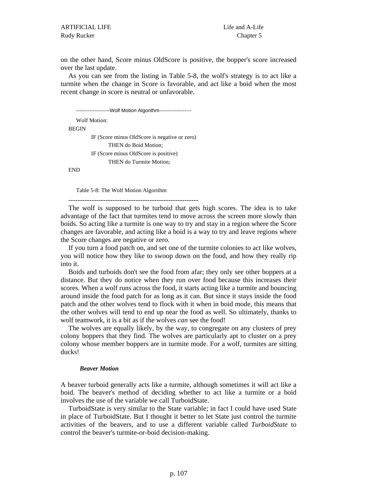ARTIFICIAL LIFELife and A-Life Rudy Rucker Chapter 5

on the other hand, Score minus OldScore is positive, the bopper's score increased over the last update.

As you can see from the listing in Table 5-8, the wolf's strategy is to act like a turmite when the change in Score is favorable, and act like a boid when the most recent change in score is neutral or unfavorable.

```
--------------------Wolf Motion Algorithm------------------- 
   Wolf Motion: 
BEGIN 
           IF (Score minus OldScore is negative or zero) 
                  THEN do Boid Motion; 
           IF (Score minus OldScore is positive) 
                  THEN do Turmite Motion;
```
END

Table 5-8: The Wolf Motion Algorithm

--------------------------------------------------------

The wolf is supposed to be turboid that gets high scores. The idea is to take advantage of the fact that turmites tend to move across the screen more slowly than boids. So acting like a turmite is one way to try and stay in a region where the Score changes are favorable, and acting like a boid is a way to try and leave regions where the Score changes are negative or zero.

If you turn a food patch on, and set one of the turmite colonies to act like wolves, you will notice how they like to swoop down on the food, and how they really rip into it.

Boids and turboids don't see the food from afar; they only see other boppers at a distance. But they do notice when they run over food because this increases their scores. When a wolf runs across the food, it starts acting like a turmite and bouncing around inside the food patch for as long as it can. But since it stays inside the food patch and the other wolves tend to flock with it when in boid mode, this means that the other wolves will tend to end up near the food as well. So ultimately, thanks to wolf teamwork, it is a bit as if the wolves *can* see the food!

The wolves are equally likely, by the way, to congregate on any clusters of prey colony boppers that they find. The wolves are particularly apt to cluster on a prey colony whose member boppers are in turmite mode. For a wolf, turmites are sitting ducks!

#### *Beaver Motion*

A beaver turboid generally acts like a turmite, although sometimes it will act like a boid. The beaver's method of deciding whether to act like a turmite or a boid involves the use of the variable we call TurboidState.

TurboidState is very similar to the State variable; in fact I could have used State in place of TurboidState. But I thought it better to let State just control the turmite activities of the beavers, and to use a different variable called *TurboidState* to control the beaver's turmite-or-boid decision-making.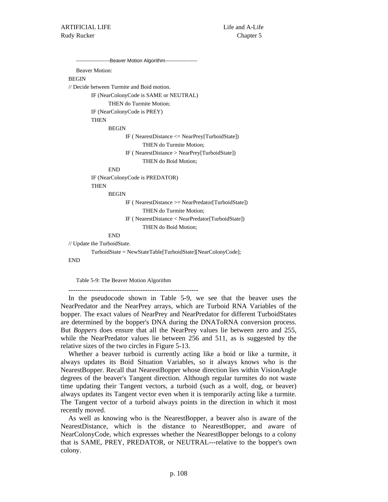```
--------------------Beaver Motion Algorithm------------------- 
   Beaver Motion: 
BEGIN
// Decide between Turmite and Boid motion. 
          IF (NearColonyCode is SAME or NEUTRAL) 
                  THEN do Turmite Motion; 
          IF (NearColonyCode is PREY) 
         THEN
                 BEGIN 
                         IF ( NearestDistance <= NearPrey[TurboidState]) 
                                THEN do Turmite Motion; 
                         IF ( NearestDistance > NearPrey[TurboidState]) 
                                THEN do Boid Motion; 
                 END 
          IF (NearColonyCode is PREDATOR) 
         THEN
                 BEGIN 
                         IF ( NearestDistance >= NearPredator[TurboidState]) 
                                THEN do Turmite Motion; 
                         IF ( NearestDistance < NearPredator[TurboidState]) 
                                THEN do Boid Motion; 
                 END 
// Update the TurboidState. 
          TurboidState = NewStateTable[TurboidState][NearColonyCode]; 
END
```
Table 5-9: The Beaver Motion Algorithm

--------------------------------------------------------

In the pseudocode shown in Table 5-9, we see that the beaver uses the NearPredator and the NearPrey arrays, which are Turboid RNA Variables of the bopper. The exact values of NearPrey and NearPredator for different TurboidStates are determined by the bopper's DNA during the DNAToRNA conversion process. But *Boppers* does ensure that all the NearPrey values lie between zero and 255, while the NearPredator values lie between 256 and 511, as is suggested by the relative sizes of the two circles in Figure 5-13.

Whether a beaver turboid is currently acting like a boid or like a turmite, it always updates its Boid Situation Variables, so it always knows who is the NearestBopper. Recall that NearestBopper whose direction lies within VisionAngle degrees of the beaver's Tangent direction. Although regular turmites do not waste time updating their Tangent vectors, a turboid (such as a wolf, dog, or beaver) always updates its Tangent vector even when it is temporarily acting like a turmite. The Tangent vector of a turboid always points in the direction in which it most recently moved.

As well as knowing who is the NearestBopper, a beaver also is aware of the NearestDistance, which is the distance to NearestBopper, and aware of NearColonyCode, which expresses whether the NearestBopper belongs to a colony that is SAME, PREY, PREDATOR, or NEUTRAL---relative to the bopper's own colony.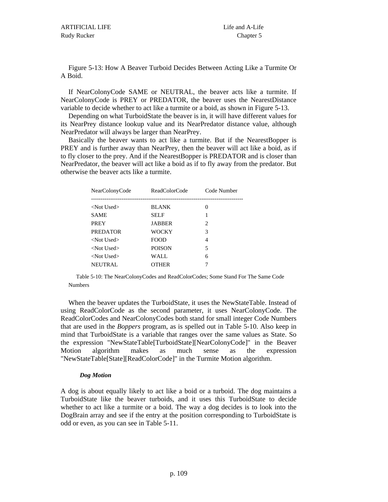Figure 5-13: How A Beaver Turboid Decides Between Acting Like a Turmite Or A Boid.

If NearColonyCode SAME or NEUTRAL, the beaver acts like a turmite. If NearColonyCode is PREY or PREDATOR, the beaver uses the NearestDistance variable to decide whether to act like a turmite or a boid, as shown in Figure 5-13.

Depending on what TurboidState the beaver is in, it will have different values for its NearPrey distance lookup value and its NearPredator distance value, although NearPredator will always be larger than NearPrey.

Basically the beaver wants to act like a turmite. But if the NearestBopper is PREY and is further away than NearPrey, then the beaver will act like a boid, as if to fly closer to the prey. And if the NearestBopper is PREDATOR and is closer than NearPredator, the beaver will act like a boid as if to fly away from the predator. But otherwise the beaver acts like a turmite.

| NearColonyCode               | ReadColorCode | Code Number |
|------------------------------|---------------|-------------|
| $\langle$ Not Used $\rangle$ | <b>BLANK</b>  | $\theta$    |
| <b>SAME</b>                  | <b>SELF</b>   |             |
| <b>PREY</b>                  | <b>JABBER</b> | 2           |
| <b>PREDATOR</b>              | <b>WOCKY</b>  | 3           |
| $\langle$ Not Used $\rangle$ | <b>FOOD</b>   | 4           |
| $\langle$ Not Used $\rangle$ | <b>POISON</b> | 5           |
| $\langle$ Not Used $\rangle$ | WALL.         | 6           |
| <b>NEUTRAL</b>               | <b>OTHER</b>  |             |

Table 5-10: The NearColonyCodes and ReadColorCodes; Some Stand For The Same Code Numbers

When the beaver updates the TurboidState, it uses the NewStateTable. Instead of using ReadColorCode as the second parameter, it uses NearColonyCode. The ReadColorCodes and NearColonyCodes both stand for small integer Code Numbers that are used in the *Boppers* program, as is spelled out in Table 5-10. Also keep in mind that TurboidState is a variable that ranges over the same values as State. So the expression "NewStateTable[TurboidState][NearColonyCode]" in the Beaver Motion algorithm makes as much sense as the expression "NewStateTable[State][ReadColorCode]" in the Turmite Motion algorithm.

# *Dog Motion*

A dog is about equally likely to act like a boid or a turboid. The dog maintains a TurboidState like the beaver turboids, and it uses this TurboidState to decide whether to act like a turmite or a boid. The way a dog decides is to look into the DogBrain array and see if the entry at the position corresponding to TurboidState is odd or even, as you can see in Table 5-11.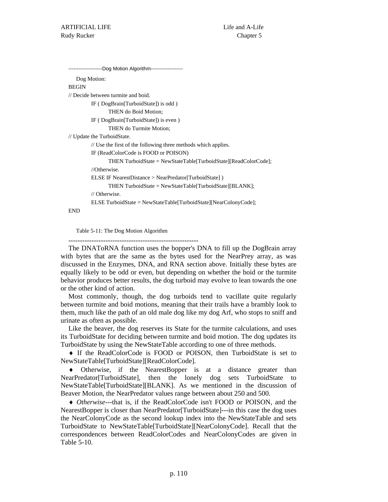| Dog Motion:                                                        |
|--------------------------------------------------------------------|
| <b>BEGIN</b>                                                       |
| // Decide between turmite and boid.                                |
| IF (DogBrain[TurboidState]) is odd)                                |
| THEN do Boid Motion;                                               |
| IF (DogBrain[TurboidState]) is even)                               |
| THEN do Turmite Motion;                                            |
| // Update the TurboidState.                                        |
| // Use the first of the following three methods which applies.     |
| IF (ReadColorCode is FOOD or POISON)                               |
| THEN TurboidState = $NewStateTable [TurboidState][ReadColorCode];$ |
| //Otherwise.                                                       |
| ELSE IF NearestDistance > NearPredator[TurboidState])              |
| THEN TurboidState = $NewStateTable[TurboidState][BLANK];$          |
| // Otherwise.                                                      |
| $ELSE$ TurboidState = NewStateTable[TurboidState][NearColonyCode]; |
| END                                                                |
|                                                                    |

Table 5-11: The Dog Motion Algorithm

--------------------------------------------------------

The DNAToRNA function uses the bopper's DNA to fill up the DogBrain array with bytes that are the same as the bytes used for the NearPrey array, as was discussed in the Enzymes, DNA, and RNA section above. Initially these bytes are equally likely to be odd or even, but depending on whether the boid or the turmite behavior produces better results, the dog turboid may evolve to lean towards the one or the other kind of action.

Most commonly, though, the dog turboids tend to vacillate quite regularly between turmite and boid motions, meaning that their trails have a brambly look to them, much like the path of an old male dog like my dog Arf, who stops to sniff and urinate as often as possible.

Like the beaver, the dog reserves its State for the turmite calculations, and uses its TurboidState for deciding between turmite and boid motion. The dog updates its TurboidState by using the NewStateTable according to one of three methods.

♦ If the ReadColorCode is FOOD or POISON, then TurboidState is set to NewStateTable[TurboidState][ReadColorCode].

♦ Otherwise, if the NearestBopper is at a distance greater than NearPredator[TurboidState], then the lonely dog sets TurboidState to NewStateTable[TurboidState][BLANK]. As we mentioned in the discussion of Beaver Motion, the NearPredator values range between about 250 and 500.

♦ *Otherwise*---that is, if the ReadColorCode isn't FOOD or POISON, and the NearestBopper is closer than NearPredator[TurboidState]---in this case the dog uses the NearColonyCode as the second lookup index into the NewStateTable and sets TurboidState to NewStateTable[TurboidState][NearColonyCode]. Recall that the correspondences between ReadColorCodes and NearColonyCodes are given in Table 5-10.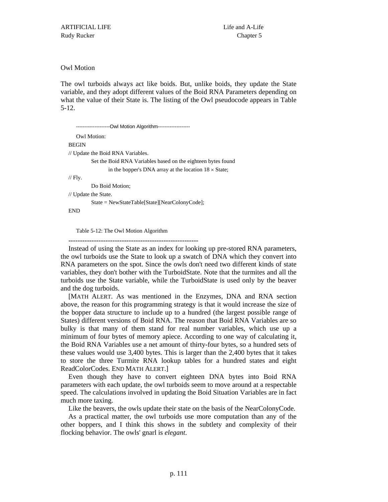## Owl Motion

The owl turboids always act like boids. But, unlike boids, they update the State variable, and they adopt different values of the Boid RNA Parameters depending on what the value of their State is. The listing of the Owl pseudocode appears in Table 5-12.

| -Owl Motion Algorithm------------------                      |
|--------------------------------------------------------------|
| Owl Motion:                                                  |
| <b>BEGIN</b>                                                 |
| // Update the Boid RNA Variables.                            |
| Set the Boid RNA Variables based on the eighteen bytes found |
| in the bopper's DNA array at the location $18 \times$ State; |
| $\mathcal{U}$ Fly.                                           |
| Do Boid Motion:                                              |
| // Update the State.                                         |
| State = NewStateTable[State][NearColonyCode];                |
| END                                                          |
|                                                              |

Table 5-12: The Owl Motion Algorithm

--------------------------------------------------------

Instead of using the State as an index for looking up pre-stored RNA parameters, the owl turboids use the State to look up a swatch of DNA which they convert into RNA parameters on the spot. Since the owls don't need two different kinds of state variables, they don't bother with the TurboidState. Note that the turmites and all the turboids use the State variable, while the TurboidState is used only by the beaver and the dog turboids.

[MATH ALERT. As was mentioned in the Enzymes, DNA and RNA section above, the reason for this programming strategy is that it would increase the size of the bopper data structure to include up to a hundred (the largest possible range of States) different versions of Boid RNA. The reason that Boid RNA Variables are so bulky is that many of them stand for real number variables, which use up a minimum of four bytes of memory apiece. According to one way of calculating it, the Boid RNA Variables use a net amount of thirty-four bytes, so a hundred sets of these values would use 3,400 bytes. This is larger than the 2,400 bytes that it takes to store the three Turmite RNA lookup tables for a hundred states and eight ReadColorCodes. END MATH ALERT.]

Even though they have to convert eighteen DNA bytes into Boid RNA parameters with each update, the owl turboids seem to move around at a respectable speed. The calculations involved in updating the Boid Situation Variables are in fact much more taxing.

Like the beavers, the owls update their state on the basis of the NearColonyCode.

As a practical matter, the owl turboids use more computation than any of the other boppers, and I think this shows in the subtlety and complexity of their flocking behavior. The owls' gnarl is *elegant*.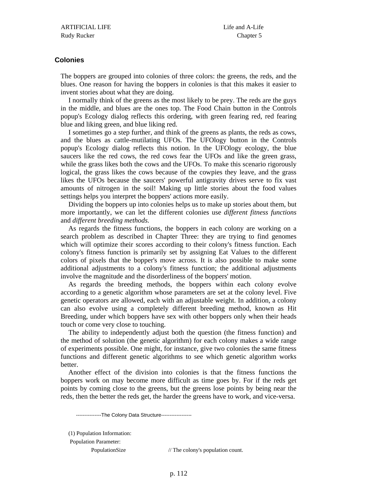# **Colonies**

The boppers are grouped into colonies of three colors: the greens, the reds, and the blues. One reason for having the boppers in colonies is that this makes it easier to invent stories about what they are doing.

I normally think of the greens as the most likely to be prey. The reds are the guys in the middle, and blues are the ones top. The Food Chain button in the Controls popup's Ecology dialog reflects this ordering, with green fearing red, red fearing blue and liking green, and blue liking red.

I sometimes go a step further, and think of the greens as plants, the reds as cows, and the blues as cattle-mutilating UFOs. The UFOlogy button in the Controls popup's Ecology dialog reflects this notion. In the UFOlogy ecology, the blue saucers like the red cows, the red cows fear the UFOs and like the green grass, while the grass likes both the cows and the UFOs. To make this scenario rigorously logical, the grass likes the cows because of the cowpies they leave, and the grass likes the UFOs because the saucers' powerful antigravity drives serve to fix vast amounts of nitrogen in the soil! Making up little stories about the food values settings helps you interpret the boppers' actions more easily.

Dividing the boppers up into colonies helps us to make up stories about them, but more importantly, we can let the different colonies use *different fitness functions* and *different breeding methods*.

As regards the fitness functions, the boppers in each colony are working on a search problem as described in Chapter Three: they are trying to find genomes which will optimize their scores according to their colony's fitness function. Each colony's fitness function is primarily set by assigning Eat Values to the different colors of pixels that the bopper's move across. It is also possible to make some additional adjustments to a colony's fitness function; the additional adjustments involve the magnitude and the disorderliness of the boppers' motion.

As regards the breeding methods, the boppers within each colony evolve according to a genetic algorithm whose parameters are set at the colony level. Five genetic operators are allowed, each with an adjustable weight. In addition, a colony can also evolve using a completely different breeding method, known as Hit Breeding, under which boppers have sex with other boppers only when their heads touch or come very close to touching.

The ability to independently adjust both the question (the fitness function) and the method of solution (the genetic algorithm) for each colony makes a wide range of experiments possible. One might, for instance, give two colonies the same fitness functions and different genetic algorithms to see which genetic algorithm works better.

Another effect of the division into colonies is that the fitness functions the boppers work on may become more difficult as time goes by. For if the reds get points by coming close to the greens, but the greens lose points by being near the reds, then the better the reds get, the harder the greens have to work, and vice-versa.

---------------The Colony Data Structure------------------

(1) Population Information:

Population Parameter:

PopulationSize // The colony's population count.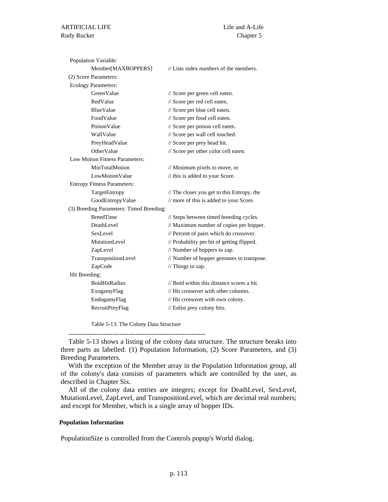| Population Variable:                     |                                            |
|------------------------------------------|--------------------------------------------|
| Member[MAXBOPPERS]                       | $//$ Lists index numbers of the members.   |
| (2) Score Parameters:                    |                                            |
| <b>Ecology Parameters:</b>               |                                            |
| GreenValue                               | // Score per green cell eaten.             |
| RedValue                                 | // Score per red cell eaten.               |
| <b>BlueValue</b>                         | // Score per blue cell eaten.              |
| FoodValue                                | // Score per food cell eaten.              |
| PoisonValue                              | // Score per poison cell eaten.            |
| WallValue                                | // Score per wall cell touched.            |
| PreyHeadValue                            | // Score per prey head hit.                |
| OtherValue                               | // Score per other color cell eaten.       |
| Low Motion Fitness Parameters:           |                                            |
| MinTotalMotion                           | // Minimum pixels to move, or              |
| LowMotionValue                           | // this is added to your Score.            |
| <b>Entropy Fitness Parameters:</b>       |                                            |
| TargetEntropy                            | // The closer you get to this Entropy, the |
| GoodEntropyValue                         | // more of this is added to your Score.    |
| (3) Breeding Parameters: Timed Breeding: |                                            |
| <b>BreedTime</b>                         | // Steps between timed breeding cycles.    |
| DeathLevel                               | // Maximum number of copies per bopper.    |
| SexLevel                                 | // Percent of pairs which do crossover.    |
| MutationLevel                            | // Probability per bit of getting flipped. |
| ZapLevel                                 | // Number of boppers to zap.               |
| TranspositionLevel                       | // Number of bopper genomes to transpose.  |
| ZapCode                                  | // Things to zap.                          |
| Hit Breeding:                            |                                            |
| <b>BoidHitRadius</b>                     | // Boid within this distance scores a hit. |
| ExogamyFlag                              | // Hit crossover with other colonies.      |
| EndogamyFlag                             | // Hit crossover with own colony.          |
| <b>RecruitPreyFlag</b>                   | // Enlist prey colony hits.                |

Table 5-13: The Colony Data Structure

-----------------------------------------------------------

Table 5-13 shows a listing of the colony data structure. The structure breaks into three parts as labelled: (1) Population Information, (2) Score Parameters, and (3) Breeding Parameters.

With the exception of the Member array in the Population Information group, all of the colony's data consists of parameters which are controlled by the user, as described in Chapter Six.

All of the colony data entries are integers; except for DeathLevel, SexLevel, MutationLevel, ZapLevel, and TranspositionLevel, which are decimal real numbers; and except for Member, which is a single array of bopper IDs.

## **Population Information**

PopulationSize is controlled from the Controls popup's World dialog.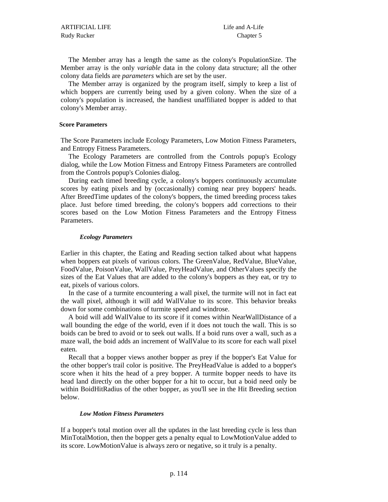The Member array has a length the same as the colony's PopulationSize. The Member array is the only *variable* data in the colony data structure; all the other colony data fields are *parameters* which are set by the user.

The Member array is organized by the program itself, simply to keep a list of which boppers are currently being used by a given colony. When the size of a colony's population is increased, the handiest unaffiliated bopper is added to that colony's Member array.

## **Score Parameters**

The Score Parameters include Ecology Parameters, Low Motion Fitness Parameters, and Entropy Fitness Parameters.

The Ecology Parameters are controlled from the Controls popup's Ecology dialog, while the Low Motion Fitness and Entropy Fitness Parameters are controlled from the Controls popup's Colonies dialog.

During each timed breeding cycle, a colony's boppers continuously accumulate scores by eating pixels and by (occasionally) coming near prey boppers' heads. After BreedTime updates of the colony's boppers, the timed breeding process takes place. Just before timed breeding, the colony's boppers add corrections to their scores based on the Low Motion Fitness Parameters and the Entropy Fitness Parameters.

# *Ecology Parameters*

Earlier in this chapter, the Eating and Reading section talked about what happens when boppers eat pixels of various colors. The GreenValue, RedValue, BlueValue, FoodValue, PoisonValue, WallValue, PreyHeadValue, and OtherValues specify the sizes of the Eat Values that are added to the colony's boppers as they eat, or try to eat, pixels of various colors.

In the case of a turmite encountering a wall pixel, the turmite will not in fact eat the wall pixel, although it will add WallValue to its score. This behavior breaks down for some combinations of turmite speed and windrose.

A boid will add WallValue to its score if it comes within NearWallDistance of a wall bounding the edge of the world, even if it does not touch the wall. This is so boids can be bred to avoid or to seek out walls. If a boid runs over a wall, such as a maze wall, the boid adds an increment of WallValue to its score for each wall pixel eaten.

Recall that a bopper views another bopper as prey if the bopper's Eat Value for the other bopper's trail color is positive. The PreyHeadValue is added to a bopper's score when it hits the head of a prey bopper. A turmite bopper needs to have its head land directly on the other bopper for a hit to occur, but a boid need only be within BoidHitRadius of the other bopper, as you'll see in the Hit Breeding section below.

# *Low Motion Fitness Parameters*

If a bopper's total motion over all the updates in the last breeding cycle is less than MinTotalMotion, then the bopper gets a penalty equal to LowMotionValue added to its score. LowMotionValue is always zero or negative, so it truly is a penalty.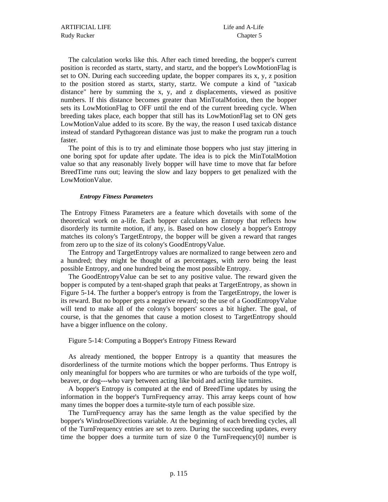The calculation works like this. After each timed breeding, the bopper's current position is recorded as startx, starty, and startz, and the bopper's LowMotionFlag is set to ON. During each succeeding update, the bopper compares its x, y, z position to the position stored as startx, starty, startz. We compute a kind of "taxicab distance" here by summing the x, y, and z displacements, viewed as positive numbers. If this distance becomes greater than MinTotalMotion, then the bopper sets its LowMotionFlag to OFF until the end of the current breeding cycle. When breeding takes place, each bopper that still has its LowMotionFlag set to ON gets LowMotionValue added to its score. By the way, the reason I used taxicab distance instead of standard Pythagorean distance was just to make the program run a touch faster.

The point of this is to try and eliminate those boppers who just stay jittering in one boring spot for update after update. The idea is to pick the MinTotalMotion value so that any reasonably lively bopper will have time to move that far before BreedTime runs out; leaving the slow and lazy boppers to get penalized with the LowMotionValue.

## *Entropy Fitness Parameters*

The Entropy Fitness Parameters are a feature which dovetails with some of the theoretical work on a-life. Each bopper calculates an Entropy that reflects how disorderly its turmite motion, if any, is. Based on how closely a bopper's Entropy matches its colony's TargetEntropy, the bopper will be given a reward that ranges from zero up to the size of its colony's GoodEntropyValue.

The Entropy and TargetEntropy values are normalized to range between zero and a hundred; they might be thought of as percentages, with zero being the least possible Entropy, and one hundred being the most possible Entropy.

The GoodEntropyValue can be set to any positive value. The reward given the bopper is computed by a tent-shaped graph that peaks at TargetEntropy, as shown in Figure 5-14. The further a bopper's entropy is from the TargetEntropy, the lower is its reward. But no bopper gets a negative reward; so the use of a GoodEntropyValue will tend to make all of the colony's boppers' scores a bit higher. The goal, of course, is that the genomes that cause a motion closest to TargetEntropy should have a bigger influence on the colony.

Figure 5-14: Computing a Bopper's Entropy Fitness Reward

As already mentioned, the bopper Entropy is a quantity that measures the disorderliness of the turmite motions which the bopper performs. Thus Entropy is only meaningful for boppers who are turmites or who are turboids of the type wolf, beaver, or dog---who vary between acting like boid and acting like turmites.

A bopper's Entropy is computed at the end of BreedTime updates by using the information in the bopper's TurnFrequency array. This array keeps count of how many times the bopper does a turmite-style turn of each possible size.

The TurnFrequency array has the same length as the value specified by the bopper's WindroseDirections variable. At the beginning of each breeding cycles, all of the TurnFrequency entries are set to zero. During the succeeding updates, every time the bopper does a turmite turn of size 0 the TurnFrequency $[0]$  number is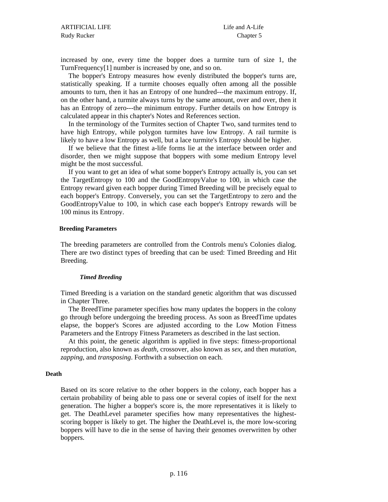increased by one, every time the bopper does a turmite turn of size 1, the TurnFrequency[1] number is increased by one, and so on.

The bopper's Entropy measures how evenly distributed the bopper's turns are, statistically speaking. If a turmite chooses equally often among all the possible amounts to turn, then it has an Entropy of one hundred---the maximum entropy. If, on the other hand, a turmite always turns by the same amount, over and over, then it has an Entropy of zero---the minimum entropy. Further details on how Entropy is calculated appear in this chapter's Notes and References section.

In the terminology of the Turmites section of Chapter Two, sand turmites tend to have high Entropy, while polygon turmites have low Entropy. A rail turmite is likely to have a low Entropy as well, but a lace turmite's Entropy should be higher.

If we believe that the fittest a-life forms lie at the interface between order and disorder, then we might suppose that boppers with some medium Entropy level might be the most successful.

If you want to get an idea of what some bopper's Entropy actually is, you can set the TargetEntropy to 100 and the GoodEntropyValue to 100, in which case the Entropy reward given each bopper during Timed Breeding will be precisely equal to each bopper's Entropy. Conversely, you can set the TargetEntropy to zero and the GoodEntropyValue to 100, in which case each bopper's Entropy rewards will be 100 minus its Entropy.

#### **Breeding Parameters**

The breeding parameters are controlled from the Controls menu's Colonies dialog. There are two distinct types of breeding that can be used: Timed Breeding and Hit Breeding.

## *Timed Breeding*

Timed Breeding is a variation on the standard genetic algorithm that was discussed in Chapter Three.

The BreedTime parameter specifies how many updates the boppers in the colony go through before undergoing the breeding process. As soon as BreedTime updates elapse, the bopper's Scores are adjusted according to the Low Motion Fitness Parameters and the Entropy Fitness Parameters as described in the last section.

At this point, the genetic algorithm is applied in five steps: fitness-proportional reproduction, also known as *death*, crossover, also known as *sex*, and then *mutation*, *zapping*, and *transposing*. Forthwith a subsection on each.

## **Death**

Based on its score relative to the other boppers in the colony, each bopper has a certain probability of being able to pass one or several copies of itself for the next generation. The higher a bopper's score is, the more representatives it is likely to get. The DeathLevel parameter specifies how many representatives the highestscoring bopper is likely to get. The higher the DeathLevel is, the more low-scoring boppers will have to die in the sense of having their genomes overwritten by other boppers.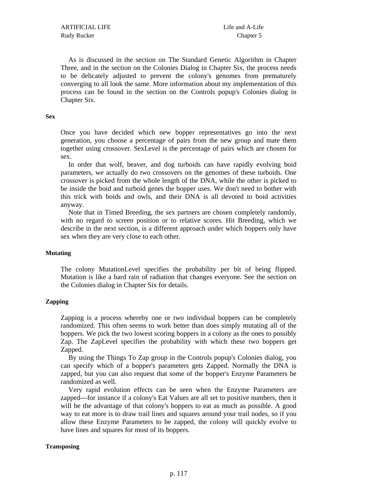ARTIFICIAL LIFELife and A-Life Rudy Rucker Chapter 5

As is discussed in the section on The Standard Genetic Algorithm in Chapter Three, and in the section on the Colonies Dialog in Chapter Six, the process needs to be delicately adjusted to prevent the colony's genomes from prematurely converging to all look the same. More information about my implementation of this process can be found in the section on the Controls popup's Colonies dialog in Chapter Six.

## **Sex**

Once you have decided which new bopper representatives go into the next generation, you choose a percentage of pairs from the new group and mate them together using crossover. SexLevel is the percentage of pairs which are chosen for sex.

In order that wolf, beaver, and dog turboids can have rapidly evolving boid parameters, we actually do *two* crossovers on the genomes of these turboids. One crossover is picked from the whole length of the DNA, while the other is picked to be inside the boid and turboid genes the bopper uses. We don't need to bother with this trick with boids and owls, and their DNA is all devoted to boid activities anyway.

Note that in Timed Breeding, the sex partners are chosen completely randomly, with no regard to screen position or to relative scores. Hit Breeding, which we describe in the next section, is a different approach under which boppers only have sex when they are very close to each other.

## **Mutating**

The colony MutationLevel specifies the probability per bit of being flipped. Mutation is like a hard rain of radiation that changes everyone. See the section on the Colonies dialog in Chapter Six for details.

# **Zapping**

Zapping is a process whereby one or two individual boppers can be completely randomized. This often seems to work better than does simply mutating all of the boppers. We pick the two lowest scoring boppers in a colony as the ones to possibly Zap. The ZapLevel specifies the probability with which these two boppers get Zapped.

By using the Things To Zap group in the Controls popup's Colonies dialog, you can specify which of a bopper's parameters gets Zapped. Normally the DNA is zapped, but you can also request that some of the bopper's Enzyme Parameters be randomized as well.

Very rapid evolution effects can be seen when the Enzyme Parameters are zapped---for instance if a colony's Eat Values are all set to positive numbers, then it will be the advantage of that colony's boppers to eat as much as possible. A good way to eat more is to draw trail lines and squares around your trail nodes, so if you allow these Enzyme Parameters to be zapped, the colony will quickly evolve to have lines and squares for most of its boppers.

# **Transposing**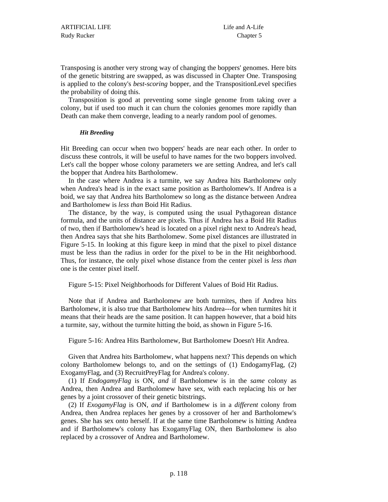Transposing is another very strong way of changing the boppers' genomes. Here bits of the genetic bitstring are swapped, as was discussed in Chapter One. Transposing is applied to the colony's *best-scoring* bopper, and the TranspositionLevel specifies the probability of doing this.

Transposition is good at preventing some single genome from taking over a colony, but if used too much it can churn the colonies genomes more rapidly than Death can make them converge, leading to a nearly random pool of genomes.

## *Hit Breeding*

Hit Breeding can occur when two boppers' heads are near each other. In order to discuss these controls, it will be useful to have names for the two boppers involved. Let's call the bopper whose colony parameters we are setting Andrea, and let's call the bopper that Andrea hits Bartholomew.

In the case where Andrea is a turmite, we say Andrea hits Bartholomew only when Andrea's head is in the exact same position as Bartholomew's. If Andrea is a boid, we say that Andrea hits Bartholomew so long as the distance between Andrea and Bartholomew is *less than* Boid Hit Radius.

The distance, by the way, is computed using the usual Pythagorean distance formula, and the units of distance are pixels. Thus if Andrea has a Boid Hit Radius of two, then if Bartholomew's head is located on a pixel right next to Andrea's head, then Andrea says that she hits Bartholomew. Some pixel distances are illustrated in Figure 5-15. In looking at this figure keep in mind that the pixel to pixel distance must be less than the radius in order for the pixel to be in the Hit neighborhood. Thus, for instance, the only pixel whose distance from the center pixel is *less than* one is the center pixel itself.

Figure 5-15: Pixel Neighborhoods for Different Values of Boid Hit Radius.

Note that if Andrea and Bartholomew are both turmites, then if Andrea hits Bartholomew, it is also true that Bartholomew hits Andrea---for when turmites hit it means that their heads are the same position. It can happen however, that a boid hits a turmite, say, without the turmite hitting the boid, as shown in Figure 5-16.

Figure 5-16: Andrea Hits Bartholomew, But Bartholomew Doesn't Hit Andrea.

Given that Andrea hits Bartholomew, what happens next? This depends on which colony Bartholomew belongs to, and on the settings of (1) EndogamyFlag, (2) ExogamyFlag, and (3) RecruitPreyFlag for Andrea's colony.

(1) If *EndogamyFlag* is ON, *and* if Bartholomew is in the *same* colony as Andrea, then Andrea and Bartholomew have sex, with each replacing his or her genes by a joint crossover of their genetic bitstrings.

(2) If *ExogamyFlag* is ON, *and* if Bartholomew is in a *different* colony from Andrea, then Andrea replaces her genes by a crossover of her and Bartholomew's genes. She has sex onto herself. If at the same time Bartholomew is hitting Andrea and if Bartholomew's colony has ExogamyFlag ON, then Bartholomew is also replaced by a crossover of Andrea and Bartholomew.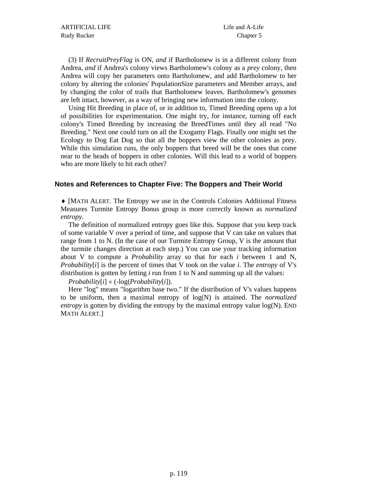(3) If *RecruitPreyFlag* is ON, *and* if Bartholomew is in a different colony from Andrea, *and* if Andrea's colony views Bartholomew's colony as a *prey* colony, then Andrea will copy her parameters onto Bartholomew, and add Bartholomew to her colony by altering the colonies' PopulationSize parameters and Member arrays, and by changing the color of trails that Bartholomew leaves. Bartholomew's genomes are left intact, however, as a way of bringing new information into the colony.

Using Hit Breeding in place of, or in addition to, Timed Breeding opens up a lot of possibilities for experimentation. One might try, for instance, turning off each colony's Timed Breeding by increasing the BreedTimes until they all read "No Breeding." Next one could turn on all the Exogamy Flags. Finally one might set the Ecology to Dog Eat Dog so that all the boppers view the other colonies as prey. While this simulation runs, the only boppers that breed will be the ones that come near to the heads of boppers in other colonies. Will this lead to a world of boppers who are more likely to hit each other?

# **Notes and References to Chapter Five: The Boppers and Their World**

♦ [MATH ALERT. The Entropy we use in the Controls Colonies Additional Fitness Measures Turmite Entropy Bonus group is more correctly known as *normalized entropy*.

The definition of normalized entropy goes like this. Suppose that you keep track of some variable V over a period of time, and suppose that V can take on values that range from 1 to N. (In the case of our Turmite Entropy Group, V is the amount that the turmite changes direction at each step.) You can use your tracking information about V to compute a *Probability* array so that for each *i* between 1 and N, *Probability*[*i*] is the percent of times that V took on the value *i*. The *entropy* of V's distribution is gotten by letting *i* run from 1 to N and summing up all the values:

*Probability*[*i*] × (-log(*Probability*[*i*]).

Here "log" means "logarithm base two." If the distribution of V's values happens to be uniform, then a maximal entropy of log(N) is attained. The *normalized entropy* is gotten by dividing the entropy by the maximal entropy value log(N). END MATH ALERT.]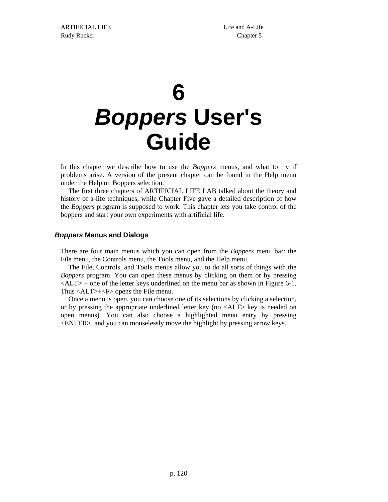# **6** *Boppers* **User's Guide**

In this chapter we describe how to use the *Boppers* menus, and what to try if problems arise. A version of the present chapter can be found in the Help menu under the Help on Boppers selection.

The first three chapters of ARTIFICIAL LIFE LAB talked about the theory and history of a-life techniques, while Chapter Five gave a detailed description of how the *Boppers* program is supposed to work. This chapter lets you take control of the boppers and start your own experiments with artificial life.

# *Boppers* **Menus and Dialogs**

There are four main menus which you can open from the *Boppers* menu bar: the File menu, the Controls menu, the Tools menu, and the Help menu.

The File, Controls, and Tools menus allow you to do all sorts of things with the *Boppers* program. You can open these menus by clicking on them or by pressing  $\langle ALT \rangle$  + one of the letter keys underlined on the menu bar as shown in Figure 6-1. Thus <ALT>+<F> opens the File menu.

Once a menu is open, you can choose one of its selections by clicking a selection, or by pressing the appropriate underlined letter key (no <ALT> key is needed on open menus). You can also choose a highlighted menu entry by pressing <ENTER>, and you can mouselessly move the highlight by pressing arrow keys.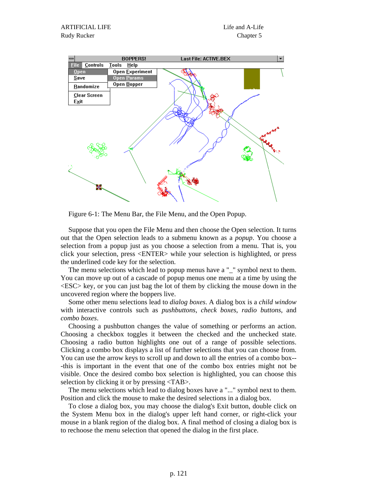

Figure 6-1: The Menu Bar, the File Menu, and the Open Popup.

Suppose that you open the File Menu and then choose the Open selection. It turns out that the Open selection leads to a submenu known as a *popup*. You choose a selection from a popup just as you choose a selection from a menu. That is, you click your selection, press <ENTER> while your selection is highlighted, or press the underlined code key for the selection.

The menu selections which lead to popup menus have a " " symbol next to them. You can move up out of a cascade of popup menus one menu at a time by using the <ESC> key, or you can just bag the lot of them by clicking the mouse down in the uncovered region where the boppers live.

Some other menu selections lead to *dialog boxes*. A dialog box is a *child window* with interactive controls such as *pushbuttons*, *check boxes*, *radio buttons*, and *combo boxes*.

Choosing a pushbutton changes the value of something or performs an action. Choosing a checkbox toggles it between the checked and the unchecked state. Choosing a radio button highlights one out of a range of possible selections. Clicking a combo box displays a list of further selections that you can choose from. You can use the arrow keys to scroll up and down to all the entries of a combo box-- -this is important in the event that one of the combo box entries might not be visible. Once the desired combo box selection is highlighted, you can choose this selection by clicking it or by pressing <TAB>.

The menu selections which lead to dialog boxes have a "..." symbol next to them. Position and click the mouse to make the desired selections in a dialog box.

To close a dialog box, you may choose the dialog's Exit button, double click on the System Menu box in the dialog's upper left hand corner, or right-click your mouse in a blank region of the dialog box. A final method of closing a dialog box is to rechoose the menu selection that opened the dialog in the first place.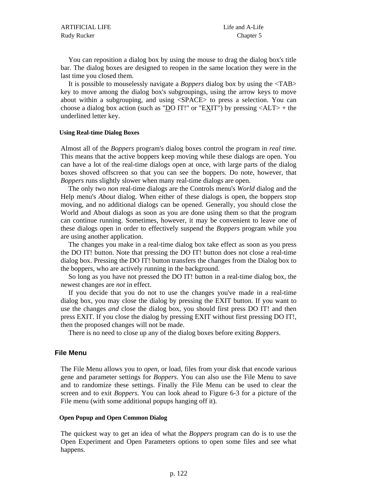You can reposition a dialog box by using the mouse to drag the dialog box's title bar. The dialog boxes are designed to reopen in the same location they were in the last time you closed them.

It is possible to mouselessly navigate a *Boppers* dialog box by using the <TAB> key to move among the dialog box's subgroupings, using the arrow keys to move about within a subgrouping, and using <SPACE> to press a selection. You can choose a dialog box action (such as "DO IT!" or "EXIT") by pressing  $\langle ALT \rangle$  + the underlined letter key.

## **Using Real-time Dialog Boxes**

Almost all of the *Boppers* program's dialog boxes control the program in *real time*. This means that the active boppers keep moving while these dialogs are open. You can have a lot of the real-time dialogs open at once, with large parts of the dialog boxes shoved offscreen so that you can see the boppers. Do note, however, that *Boppers* runs slightly slower when many real-time dialogs are open.

The only two *non* real-time dialogs are the Controls menu's *World* dialog and the Help menu's *About* dialog. When either of these dialogs is open, the boppers stop moving, and no additional dialogs can be opened. Generally, you should close the World and About dialogs as soon as you are done using them so that the program can continue running. Sometimes, however, it may be convenient to leave one of these dialogs open in order to effectively suspend the *Boppers* program while you are using another application.

The changes you make in a real-time dialog box take effect as soon as you press the DO IT! button. Note that pressing the DO IT! button does not close a real-time dialog box. Pressing the DO IT! button transfers the changes from the Dialog box to the boppers, who are actively running in the background.

So long as you have not pressed the DO IT! button in a real-time dialog box, the newest changes are *not* in effect.

If you decide that you do not to use the changes you've made in a real-time dialog box, you may close the dialog by pressing the EXIT button. If you want to use the changes *and* close the dialog box, you should first press DO IT! and then press EXIT. If you close the dialog by pressing EXIT without first pressing DO IT!, then the proposed changes will not be made.

There is no need to close up any of the dialog boxes before exiting *Boppers*.

# **File Menu**

The File Menu allows you to *open*, or load, files from your disk that encode various gene and parameter settings for *Boppers*. You can also use the File Menu to save and to randomize these settings. Finally the File Menu can be used to clear the screen and to exit *Boppers*. You can look ahead to Figure 6-3 for a picture of the File menu (with some additional popups hanging off it).

# **Open Popup and Open Common Dialog**

The quickest way to get an idea of what the *Boppers* program can do is to use the Open Experiment and Open Parameters options to open some files and see what happens.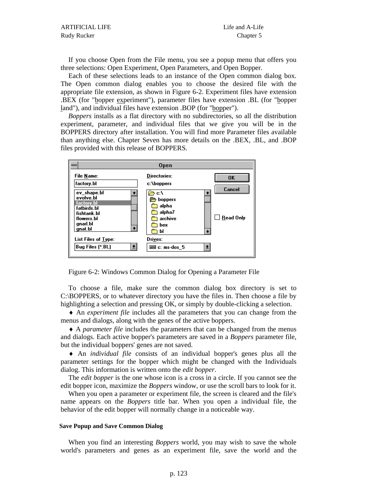If you choose Open from the File menu, you see a popup menu that offers you three selections: Open Experiment, Open Parameters, and Open Bopper.

Each of these selections leads to an instance of the Open common dialog box. The Open common dialog enables you to choose the desired file with the appropriate file extension, as shown in Figure 6-2. Experiment files have extension .BEX (for "bopper experiment"), parameter files have extension .BL (for "bopper land"), and individual files have extension .BOP (for "bopper").

*Boppers* installs as a flat directory with no subdirectories, so all the distribution experiment, parameter, and individual files that we give you will be in the BOPPERS directory after installation. You will find more Parameter files available than anything else. Chapter Seven has more details on the .BEX, .BL, and .BOP files provided with this release of BOPPERS.



Figure 6-2: Windows Common Dialog for Opening a Parameter File

To choose a file, make sure the common dialog box directory is set to C:\BOPPERS, or to whatever directory you have the files in. Then choose a file by highlighting a selection and pressing OK, or simply by double-clicking a selection.

♦ An *experiment file* includes all the parameters that you can change from the menus and dialogs, along with the genes of the active boppers.

♦ A *parameter file* includes the parameters that can be changed from the menus and dialogs. Each active bopper's parameters are saved in a *Boppers* parameter file, but the individual boppers' genes are not saved.

♦ An *individual file* consists of an individual bopper's genes plus all the parameter settings for the bopper which might be changed with the Individuals dialog. This information is written onto the *edit bopper*.

The *edit bopper* is the one whose icon is a cross in a circle. If you cannot see the edit bopper icon, maximize the *Boppers* window, or use the scroll bars to look for it.

When you open a parameter or experiment file, the screen is cleared and the file's name appears on the *Boppers* title bar. When you open a individual file, the behavior of the edit bopper will normally change in a noticeable way.

## **Save Popup and Save Common Dialog**

When you find an interesting *Boppers* world, you may wish to save the whole world's parameters and genes as an experiment file, save the world and the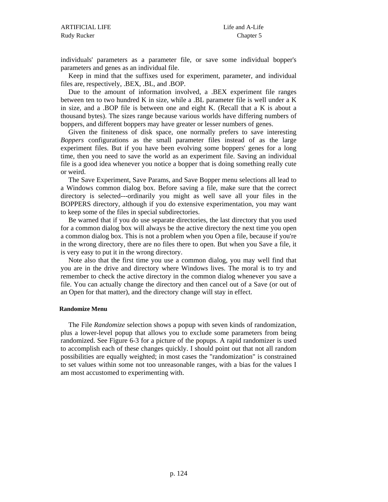individuals' parameters as a parameter file, or save some individual bopper's parameters and genes as an individual file.

Keep in mind that the suffixes used for experiment, parameter, and individual files are, respectively, .BEX, .BL, and .BOP.

Due to the amount of information involved, a .BEX experiment file ranges between ten to two hundred K in size, while a .BL parameter file is well under a K in size, and a .BOP file is between one and eight K. (Recall that a K is about a thousand bytes). The sizes range because various worlds have differing numbers of boppers, and different boppers may have greater or lesser numbers of genes.

Given the finiteness of disk space, one normally prefers to save interesting *Boppers* configurations as the small parameter files instead of as the large experiment files. But if you have been evolving some boppers' genes for a long time, then you need to save the world as an experiment file. Saving an individual file is a good idea whenever you notice a bopper that is doing something really cute or weird.

The Save Experiment, Save Params, and Save Bopper menu selections all lead to a Windows common dialog box. Before saving a file, make sure that the correct directory is selected---ordinarily you might as well save all your files in the BOPPERS directory, although if you do extensive experimentation, you may want to keep some of the files in special subdirectories.

Be warned that if you do use separate directories, the last directory that you used for a common dialog box will always be the active directory the next time you open a common dialog box. This is not a problem when you Open a file, because if you're in the wrong directory, there are no files there to open. But when you Save a file, it is very easy to put it in the wrong directory.

Note also that the first time you use a common dialog, you may well find that you are in the drive and directory where Windows lives. The moral is to try and remember to check the active directory in the common dialog whenever you save a file. You can actually change the directory and then cancel out of a Save (or out of an Open for that matter), and the directory change will stay in effect.

## **Randomize Menu**

The File *Randomize* selection shows a popup with seven kinds of randomization, plus a lower-level popup that allows you to exclude some parameters from being randomized. See Figure 6-3 for a picture of the popups. A rapid randomizer is used to accomplish each of these changes quickly. I should point out that not all random possibilities are equally weighted; in most cases the "randomization" is constrained to set values within some not too unreasonable ranges, with a bias for the values I am most accustomed to experimenting with.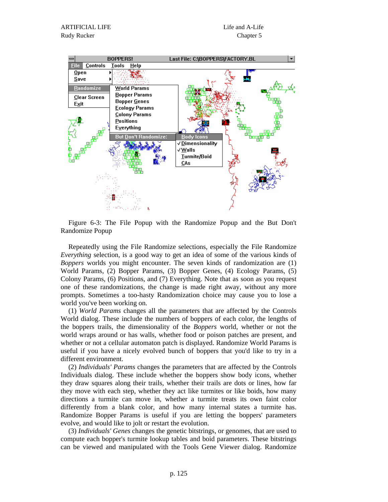

Figure 6-3: The File Popup with the Randomize Popup and the But Don't Randomize Popup

Repeatedly using the File Randomize selections, especially the File Randomize *Everything* selection, is a good way to get an idea of some of the various kinds of *Boppers* worlds you might encounter. The seven kinds of randomization are (1) World Params, (2) Bopper Params, (3) Bopper Genes, (4) Ecology Params, (5) Colony Params, (6) Positions, and (7) Everything. Note that as soon as you request one of these randomizations, the change is made right away, without any more prompts. Sometimes a too-hasty Randomization choice may cause you to lose a world you've been working on.

(1) *World Params* changes all the parameters that are affected by the Controls World dialog. These include the numbers of boppers of each color, the lengths of the boppers trails, the dimensionality of the *Boppers* world, whether or not the world wraps around or has walls, whether food or poison patches are present, and whether or not a cellular automaton patch is displayed. Randomize World Params is useful if you have a nicely evolved bunch of boppers that you'd like to try in a different environment.

(2) *Individuals' Params* changes the parameters that are affected by the Controls Individuals dialog. These include whether the boppers show body icons, whether they draw squares along their trails, whether their trails are dots or lines, how far they move with each step, whether they act like turmites or like boids, how many directions a turmite can move in, whether a turmite treats its own faint color differently from a blank color, and how many internal states a turmite has. Randomize Bopper Params is useful if you are letting the boppers' parameters evolve, and would like to jolt or restart the evolution.

(3) *Individuals' Genes* changes the genetic bitstrings, or genomes, that are used to compute each bopper's turmite lookup tables and boid parameters. These bitstrings can be viewed and manipulated with the Tools Gene Viewer dialog. Randomize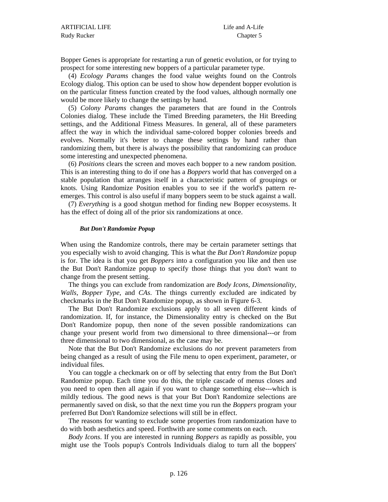Bopper Genes is appropriate for restarting a run of genetic evolution, or for trying to prospect for some interesting new boppers of a particular parameter type.

(4) *Ecology Params* changes the food value weights found on the Controls Ecology dialog. This option can be used to show how dependent bopper evolution is on the particular fitness function created by the food values, although normally one would be more likely to change the settings by hand.

(5) *Colony Params* changes the parameters that are found in the Controls Colonies dialog. These include the Timed Breeding parameters, the Hit Breeding settings, and the Additional Fitness Measures. In general, all of these parameters affect the way in which the individual same-colored bopper colonies breeds and evolves. Normally it's better to change these settings by hand rather than randomizing them, but there is always the possibility that randomizing can produce some interesting and unexpected phenomena.

(6) *Positions* clears the screen and moves each bopper to a new random position. This is an interesting thing to do if one has a *Boppers* world that has converged on a stable population that arranges itself in a characteristic pattern of groupings or knots. Using Randomize Position enables you to see if the world's pattern reemerges. This control is also useful if many boppers seem to be stuck against a wall.

(7) *Everything* is a good shotgun method for finding new Bopper ecosystems. It has the effect of doing all of the prior six randomizations at once.

#### *But Don't Randomize Popup*

When using the Randomize controls, there may be certain parameter settings that you especially wish to avoid changing. This is what the *But Don't Randomize* popup is for. The idea is that you get *Boppers* into a configuration you like and then use the But Don't Randomize popup to specify those things that you don't want to change from the present setting.

The things you can exclude from randomization are *Body Icons*, *Dimensionality*, *Walls*, *Bopper Type*, and *CAs*. The things currently excluded are indicated by checkmarks in the But Don't Randomize popup, as shown in Figure 6-3.

The But Don't Randomize exclusions apply to all seven different kinds of randomization. If, for instance, the Dimensionality entry is checked on the But Don't Randomize popup, then none of the seven possible randomizations can change your present world from two dimensional to three dimensional---or from three dimensional to two dimensional, as the case may be.

Note that the But Don't Randomize exclusions do *not* prevent parameters from being changed as a result of using the File menu to open experiment, parameter, or individual files.

You can toggle a checkmark on or off by selecting that entry from the But Don't Randomize popup. Each time you do this, the triple cascade of menus closes and you need to open then all again if you want to change something else---which is mildly tedious. The good news is that your But Don't Randomize selections are permanently saved on disk, so that the next time you run the *Boppers* program your preferred But Don't Randomize selections will still be in effect.

The reasons for wanting to exclude some properties from randomization have to do with both aesthetics and speed. Forthwith are some comments on each.

*Body Icons*. If you are interested in running *Boppers* as rapidly as possible, you might use the Tools popup's Controls Individuals dialog to turn all the boppers'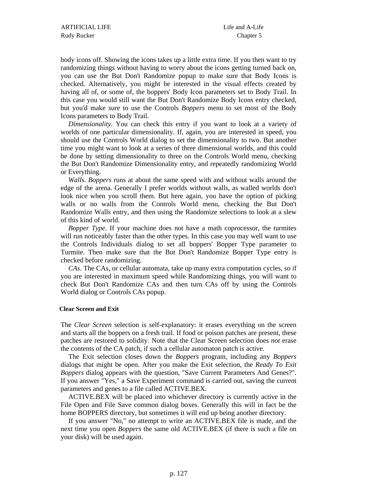body icons off. Showing the icons takes up a little extra time. If you then want to try randomizing things without having to worry about the icons getting turned back on, you can use the But Don't Randomize popup to make sure that Body Icons is checked. Alternatively, you might be interested in the visual effects created by having all of, or some of, the boppers' Body Icon parameters set to Body Trail. In this case you would still want the But Don't Randomize Body Icons entry checked, but you'd make sure to use the Controls *Boppers* menu to set most of the Body Icons parameters to Body Trail.

*Dimensionality*. You can check this entry if you want to look at a variety of worlds of one particular dimensionality. If, again, you are interested in speed, you should use the Controls World dialog to set the dimensionality to two. But another time you might want to look at a series of three dimensional worlds, and this could be done by setting dimensionality to three on the Controls World menu, checking the But Don't Randomize Dimensionality entry, and repeatedly randomizing World or Everything.

*Walls*. *Boppers* runs at about the same speed with and without walls around the edge of the arena. Generally I prefer worlds without walls, as walled worlds don't look nice when you scroll them. But here again, you have the option of picking walls or no walls from the Controls World menu, checking the But Don't Randomize Walls entry, and then using the Randomize selections to look at a slew of this kind of world.

*Bopper Type*. If your machine does not have a math coprocessor, the turmites will run noticeably faster than the other types. In this case you may well want to use the Controls Individuals dialog to set all boppers' Bopper Type parameter to Turmite. Then make sure that the But Don't Randomize Bopper Type entry is checked before randomizing.

*CAs*. The CAs, or cellular automata, take up many extra computation cycles, so if you are interested in maximum speed while Randomizing things, you will want to check But Don't Randomize CAs and then turn CAs off by using the Controls World dialog or Controls CAs popup.

## **Clear Screen and Exit**

The *Clear Screen* selection is self-explanatory: it erases everything on the screen and starts all the boppers on a fresh trail. If food or poison patches are present, these patches are restored to solidity. Note that the Clear Screen selection does *not* erase the contents of the CA patch, if such a cellular automaton patch is active.

The Exit selection closes down the *Boppers* program, including any *Boppers* dialogs that might be open. After you make the Exit selection, the *Ready To Exit Boppers* dialog appears with the question, "Save Current Parameters And Genes?". If you answer "Yes," a Save Experiment command is carried out, saving the current parameters and genes to a file called ACTIVE.BEX.

ACTIVE.BEX will be placed into whichever directory is currently active in the File Open and File Save common dialog boxes. Generally this will in fact be the home BOPPERS directory, but sometimes it will end up being another directory.

If you answer "No," no attempt to write an ACTIVE.BEX file is made, and the next time you open *Boppers* the same old ACTIVE.BEX (if there is such a file on your disk) will be used again.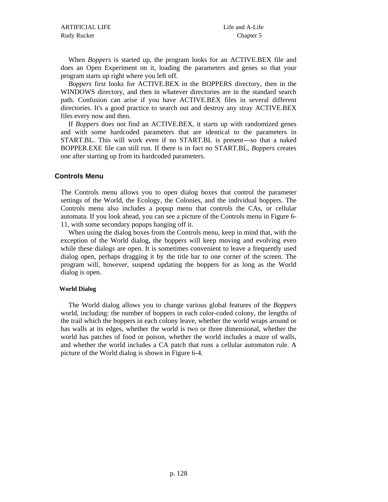When *Boppers* is started up, the program looks for an ACTIVE.BEX file and does an Open Experiment on it, loading the parameters and genes so that your program starts up right where you left off.

*Boppers* first looks for ACTIVE.BEX in the BOPPERS directory, then in the WINDOWS directory, and then in whatever directories are in the standard search path. Confusion can arise if you have ACTIVE.BEX files in several different directories. It's a good practice to search out and destroy any stray ACTIVE.BEX files every now and then.

If *Boppers* does not find an ACTIVE.BEX, it starts up with randomized genes and with some hardcoded parameters that are identical to the parameters in START.BL. This will work even if no START.BL is present---so that a naked BOPPER.EXE file can still run. If there is in fact no START.BL, *Boppers* creates one after starting up from its hardcoded parameters.

# **Controls Menu**

The Controls menu allows you to open dialog boxes that control the parameter settings of the World, the Ecology, the Colonies, and the individual boppers. The Controls menu also includes a popup menu that controls the CAs, or cellular automata. If you look ahead, you can see a picture of the Controls menu in Figure 6- 11, with some secondary popups hanging off it.

When using the dialog boxes from the Controls menu, keep in mind that, with the exception of the World dialog, the boppers will keep moving and evolving even while these dialogs are open. It is sometimes convenient to leave a frequently used dialog open, perhaps dragging it by the title bar to one corner of the screen. The program will, however, suspend updating the boppers for as long as the World dialog is open.

# **World Dialog**

The World dialog allows you to change various global features of the *Boppers* world, including: the number of boppers in each color-coded colony, the lengths of the trail which the boppers in each colony leave, whether the world wraps around or has walls at its edges, whether the world is two or three dimensional, whether the world has patches of food or poison, whether the world includes a maze of walls, and whether the world includes a CA patch that runs a cellular automaton rule. A picture of the World dialog is shown in Figure 6-4.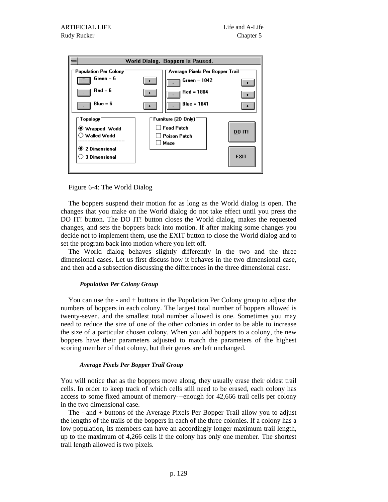

# Figure 6-4: The World Dialog

The boppers suspend their motion for as long as the World dialog is open. The changes that you make on the World dialog do not take effect until you press the DO IT! button. The DO IT! button closes the World dialog, makes the requested changes, and sets the boppers back into motion. If after making some changes you decide not to implement them, use the EXIT button to close the World dialog and to set the program back into motion where you left off.

The World dialog behaves slightly differently in the two and the three dimensional cases. Let us first discuss how it behaves in the two dimensional case, and then add a subsection discussing the differences in the three dimensional case.

## *Population Per Colony Group*

You can use the - and + buttons in the Population Per Colony group to adjust the numbers of boppers in each colony. The largest total number of boppers allowed is twenty-seven, and the smallest total number allowed is one. Sometimes you may need to reduce the size of one of the other colonies in order to be able to increase the size of a particular chosen colony. When you add boppers to a colony, the new boppers have their parameters adjusted to match the parameters of the highest scoring member of that colony, but their genes are left unchanged.

## *Average Pixels Per Bopper Trail Group*

You will notice that as the boppers move along, they usually erase their oldest trail cells. In order to keep track of which cells still need to be erased, each colony has access to some fixed amount of memory---enough for 42,666 trail cells per colony in the two dimensional case.

The - and + buttons of the Average Pixels Per Bopper Trail allow you to adjust the lengths of the trails of the boppers in each of the three colonies. If a colony has a low population, its members can have an accordingly longer maximum trail length, up to the maximum of 4,266 cells if the colony has only one member. The shortest trail length allowed is two pixels.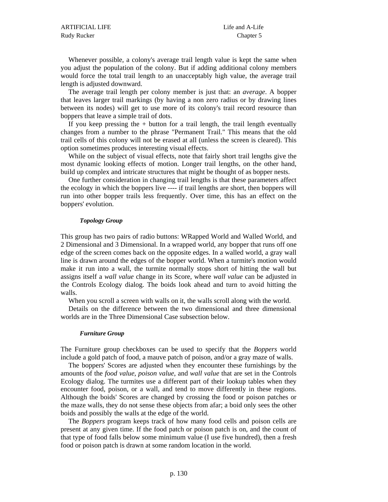Whenever possible, a colony's average trail length value is kept the same when you adjust the population of the colony. But if adding additional colony members would force the total trail length to an unacceptably high value, the average trail length is adjusted downward.

The average trail length per colony member is just that: an *average*. A bopper that leaves larger trail markings (by having a non zero radius or by drawing lines between its nodes) will get to use more of its colony's trail record resource than boppers that leave a simple trail of dots.

If you keep pressing the  $+$  button for a trail length, the trail length eventually changes from a number to the phrase "Permanent Trail." This means that the old trail cells of this colony will not be erased at all (unless the screen is cleared). This option sometimes produces interesting visual effects.

While on the subject of visual effects, note that fairly short trail lengths give the most dynamic looking effects of motion. Longer trail lengths, on the other hand, build up complex and intricate structures that might be thought of as bopper nests.

One further consideration in changing trail lengths is that these parameters affect the ecology in which the boppers live ---- if trail lengths are short, then boppers will run into other bopper trails less frequently. Over time, this has an effect on the boppers' evolution.

## *Topology Group*

This group has two pairs of radio buttons: WRapped World and Walled World, and 2 Dimensional and 3 Dimensional. In a wrapped world, any bopper that runs off one edge of the screen comes back on the opposite edges. In a walled world, a gray wall line is drawn around the edges of the bopper world. When a turmite's motion would make it run into a wall, the turmite normally stops short of hitting the wall but assigns itself a *wall value* change in its Score, where *wall value* can be adjusted in the Controls Ecology dialog. The boids look ahead and turn to avoid hitting the walls.

When you scroll a screen with walls on it, the walls scroll along with the world.

Details on the difference between the two dimensional and three dimensional worlds are in the Three Dimensional Case subsection below.

## *Furniture Group*

The Furniture group checkboxes can be used to specify that the *Boppers* world include a gold patch of food, a mauve patch of poison, and/or a gray maze of walls.

The boppers' Scores are adjusted when they encounter these furnishings by the amounts of the *food value*, *poison value*, and *wall value* that are set in the Controls Ecology dialog. The turmites use a different part of their lookup tables when they encounter food, poison, or a wall, and tend to move differently in these regions. Although the boids' Scores are changed by crossing the food or poison patches or the maze walls, they do not sense these objects from afar; a boid only sees the other boids and possibly the walls at the edge of the world.

The *Boppers* program keeps track of how many food cells and poison cells are present at any given time. If the food patch or poison patch is on, and the count of that type of food falls below some minimum value (I use five hundred), then a fresh food or poison patch is drawn at some random location in the world.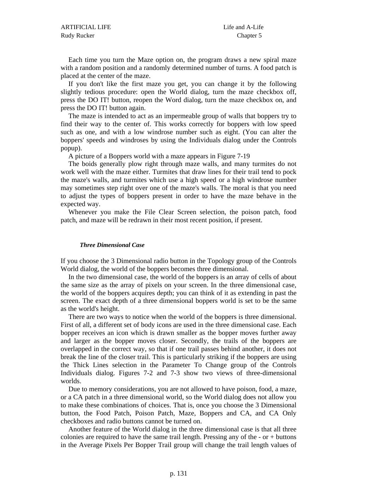Each time you turn the Maze option on, the program draws a new spiral maze with a random position and a randomly determined number of turns. A food patch is placed at the center of the maze.

If you don't like the first maze you get, you can change it by the following slightly tedious procedure: open the World dialog, turn the maze checkbox off, press the DO IT! button, reopen the Word dialog, turn the maze checkbox on, and press the DO IT! button again.

The maze is intended to act as an impermeable group of walls that boppers try to find their way to the center of. This works correctly for boppers with low speed such as one, and with a low windrose number such as eight. (You can alter the boppers' speeds and windroses by using the Individuals dialog under the Controls popup).

A picture of a Boppers world with a maze appears in Figure 7-19

The boids generally plow right through maze walls, and many turmites do not work well with the maze either. Turmites that draw lines for their trail tend to pock the maze's walls, and turmites which use a high speed or a high windrose number may sometimes step right over one of the maze's walls. The moral is that you need to adjust the types of boppers present in order to have the maze behave in the expected way.

Whenever you make the File Clear Screen selection, the poison patch, food patch, and maze will be redrawn in their most recent position, if present.

## *Three Dimensional Case*

If you choose the 3 Dimensional radio button in the Topology group of the Controls World dialog, the world of the boppers becomes three dimensional.

In the two dimensional case, the world of the boppers is an array of cells of about the same size as the array of pixels on your screen. In the three dimensional case, the world of the boppers acquires depth; you can think of it as extending in past the screen. The exact depth of a three dimensional boppers world is set to be the same as the world's height.

There are two ways to notice when the world of the boppers is three dimensional. First of all, a different set of body icons are used in the three dimensional case. Each bopper receives an icon which is drawn smaller as the bopper moves further away and larger as the bopper moves closer. Secondly, the trails of the boppers are overlapped in the correct way, so that if one trail passes behind another, it does not break the line of the closer trail. This is particularly striking if the boppers are using the Thick Lines selection in the Parameter To Change group of the Controls Individuals dialog. Figures 7-2 and 7-3 show two views of three-dimensional worlds.

Due to memory considerations, you are not allowed to have poison, food, a maze, or a CA patch in a three dimensional world, so the World dialog does not allow you to make these combinations of choices. That is, once you choose the 3 Dimensional button, the Food Patch, Poison Patch, Maze, Boppers and CA, and CA Only checkboxes and radio buttons cannot be turned on.

Another feature of the World dialog in the three dimensional case is that all three colonies are required to have the same trail length. Pressing any of the  $-$  or  $+$  buttons in the Average Pixels Per Bopper Trail group will change the trail length values of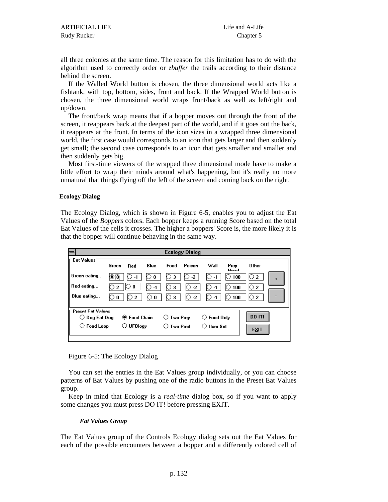all three colonies at the same time. The reason for this limitation has to do with the algorithm used to correctly order or *zbuffer* the trails according to their distance behind the screen.

If the Walled World button is chosen, the three dimensional world acts like a fishtank, with top, bottom, sides, front and back. If the Wrapped World button is chosen, the three dimensional world wraps front/back as well as left/right and up/down.

The front/back wrap means that if a bopper moves out through the front of the screen, it reappears back at the deepest part of the world, and if it goes out the back, it reappears at the front. In terms of the icon sizes in a wrapped three dimensional world, the first case would corresponds to an icon that gets larger and then suddenly get small; the second case corresponds to an icon that gets smaller and smaller and then suddenly gets big.

Most first-time viewers of the wrapped three dimensional mode have to make a little effort to wrap their minds around what's happening, but it's really no more unnatural that things flying off the left of the screen and coming back on the right.

## **Ecology Dialog**

The Ecology Dialog, which is shown in Figure 6-5, enables you to adjust the Eat Values of the *Boppers* colors. Each bopper keeps a running Score based on the total Eat Values of the cells it crosses. The higher a boppers' Score is, the more likely it is that the bopper will continue behaving in the same way.

| <b>Ecology Dialog</b><br>$\equiv$ |                                       |                     |           |                     |           |                      |                        |               |           |
|-----------------------------------|---------------------------------------|---------------------|-----------|---------------------|-----------|----------------------|------------------------|---------------|-----------|
| ∣⊏ Eat Values`                    | Green                                 | Red                 | Blue      | Food                | Poison    | Wall                 | Prev<br>Head           | Other         |           |
| Green eating                      | $\overline{\circ}$ $\overline{\circ}$ |                     |           | 3                   | $-2$      |                      | 100                    |               | $\ddot{}$ |
| Red eating                        |                                       |                     | $-1$<br>O | 3                   | $-2$<br>Ю | O -1.                | Ю 100                  | O 2.          |           |
| Blue eating                       |                                       |                     | O O       | Ю3.                 | O -2      | O-1.                 | $\overline{\circ}$ 100 |               |           |
| l⊏Preset Fat Values               |                                       |                     |           |                     |           |                      |                        |               |           |
| $\bigcirc$ Dog Eat Dog            |                                       | <b>● Food Chain</b> |           | $\bigcirc$ Two Prev |           | $\bigcirc$ Food Only |                        | <b>DO IT!</b> |           |
| $\bigcirc$ Food Loop              |                                       | $\bigcirc$ UFOlogy  |           | $\bigcirc$ Two Pred |           | ○ User Set           |                        | <b>EXIT</b>   |           |

## Figure 6-5: The Ecology Dialog

You can set the entries in the Eat Values group individually, or you can choose patterns of Eat Values by pushing one of the radio buttons in the Preset Eat Values group.

Keep in mind that Ecology is a *real-time* dialog box, so if you want to apply some changes you must press DO IT! before pressing EXIT.

## *Eat Values Group*

The Eat Values group of the Controls Ecology dialog sets out the Eat Values for each of the possible encounters between a bopper and a differently colored cell of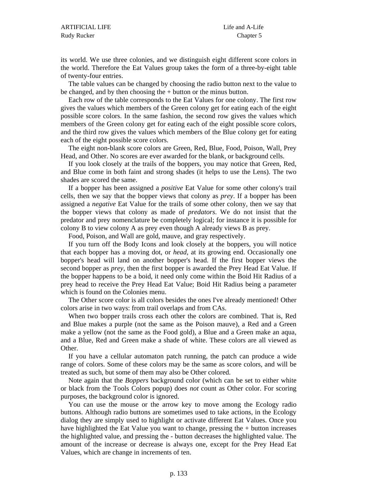its world. We use three colonies, and we distinguish eight different score colors in the world. Therefore the Eat Values group takes the form of a three-by-eight table of twenty-four entries.

The table values can be changed by choosing the radio button next to the value to be changed, and by then choosing the + button or the minus button.

Each row of the table corresponds to the Eat Values for one colony. The first row gives the values which members of the Green colony get for eating each of the eight possible score colors. In the same fashion, the second row gives the values which members of the Green colony get for eating each of the eight possible score colors, and the third row gives the values which members of the Blue colony get for eating each of the eight possible score colors.

The eight non-blank score colors are Green, Red, Blue, Food, Poison, Wall, Prey Head, and Other. No scores are ever awarded for the blank, or background cells.

If you look closely at the trails of the boppers, you may notice that Green, Red, and Blue come in both faint and strong shades (it helps to use the Lens). The two shades are scored the same.

If a bopper has been assigned a *positive* Eat Value for some other colony's trail cells, then we say that the bopper views that colony as *prey*. If a bopper has been assigned a *negative* Eat Value for the trails of some other colony, then we say that the bopper views that colony as made of *predators*. We do not insist that the predator and prey nomenclature be completely logical; for instance it is possible for colony B to view colony A as prey even though A already views B as prey.

Food, Poison, and Wall are gold, mauve, and gray respectively.

If you turn off the Body Icons and look closely at the boppers, you will notice that each bopper has a moving dot, or *head*, at its growing end. Occasionally one bopper's head will land on another bopper's head. If the first bopper views the second bopper as *prey*, then the first bopper is awarded the Prey Head Eat Value. If the bopper happens to be a boid, it need only come within the Boid Hit Radius of a prey head to receive the Prey Head Eat Value; Boid Hit Radius being a parameter which is found on the Colonies menu.

The Other score color is all colors besides the ones I've already mentioned! Other colors arise in two ways: from trail overlaps and from CAs.

When two bopper trails cross each other the colors are combined. That is, Red and Blue makes a purple (not the same as the Poison mauve), a Red and a Green make a yellow (not the same as the Food gold), a Blue and a Green make an aqua, and a Blue, Red and Green make a shade of white. These colors are all viewed as Other.

If you have a cellular automaton patch running, the patch can produce a wide range of colors. Some of these colors may be the same as score colors, and will be treated as such, but some of them may also be Other colored.

Note again that the *Boppers* background color (which can be set to either white or black from the Tools Colors popup) does *not* count as Other color. For scoring purposes, the background color is ignored.

You can use the mouse or the arrow key to move among the Ecology radio buttons. Although radio buttons are sometimes used to take actions, in the Ecology dialog they are simply used to highlight or activate different Eat Values. Once you have highlighted the Eat Value you want to change, pressing the + button increases the highlighted value, and pressing the - button decreases the highlighted value. The amount of the increase or decrease is always one, except for the Prey Head Eat Values, which are change in increments of ten.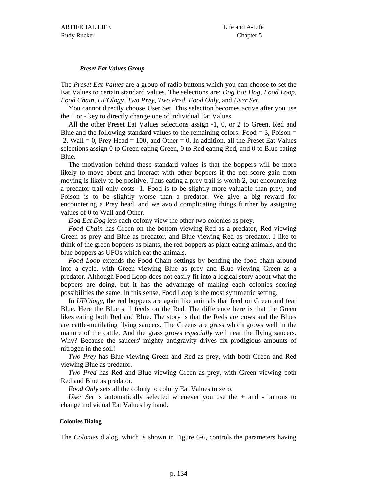## *Preset Eat Values Group*

The *Preset Eat Values* are a group of radio buttons which you can choose to set the Eat Values to certain standard values. The selections are: *Dog Eat Dog*, *Food Loop*, *Food Chain*, *UFOlogy*, *Two Prey*, *Two Pred*, *Food Only*, and *User Set*.

You cannot directly choose User Set. This selection becomes active after you use the  $+$  or  $-$  key to directly change one of individual Eat Values.

All the other Preset Eat Values selections assign -1, 0, or 2 to Green, Red and Blue and the following standard values to the remaining colors: Food  $=$  3, Poison  $=$  $-2$ , Wall  $= 0$ , Prey Head  $= 100$ , and Other  $= 0$ . In addition, all the Preset Eat Values selections assign 0 to Green eating Green, 0 to Red eating Red, and 0 to Blue eating Blue.

The motivation behind these standard values is that the boppers will be more likely to move about and interact with other boppers if the net score gain from moving is likely to be positive. Thus eating a prey trail is worth 2, but encountering a predator trail only costs -1. Food is to be slightly more valuable than prey, and Poison is to be slightly worse than a predator. We give a big reward for encountering a Prey head, and we avoid complicating things further by assigning values of 0 to Wall and Other.

*Dog Eat Dog* lets each colony view the other two colonies as prey.

*Food Chain* has Green on the bottom viewing Red as a predator, Red viewing Green as prey and Blue as predator, and Blue viewing Red as predator. I like to think of the green boppers as plants, the red boppers as plant-eating animals, and the blue boppers as UFOs which eat the animals.

*Food Loop* extends the Food Chain settings by bending the food chain around into a cycle, with Green viewing Blue as prey and Blue viewing Green as a predator. Although Food Loop does not easily fit into a logical story about what the boppers are doing, but it has the advantage of making each colonies scoring possibilities the same. In this sense, Food Loop is the most symmetric setting.

In *UFOlogy*, the red boppers are again like animals that feed on Green and fear Blue. Here the Blue still feeds on the Red. The difference here is that the Green likes eating both Red and Blue. The story is that the Reds are cows and the Blues are cattle-mutilating flying saucers. The Greens are grass which grows well in the manure of the cattle. And the grass grows *especially* well near the flying saucers. Why? Because the saucers' mighty antigravity drives fix prodigious amounts of nitrogen in the soil!

*Two Prey* has Blue viewing Green and Red as prey, with both Green and Red viewing Blue as predator.

*Two Pred* has Red and Blue viewing Green as prey, with Green viewing both Red and Blue as predator.

*Food Only* sets all the colony to colony Eat Values to zero.

*User Set* is automatically selected whenever you use the + and - buttons to change individual Eat Values by hand.

## **Colonies Dialog**

The *Colonies* dialog, which is shown in Figure 6-6, controls the parameters having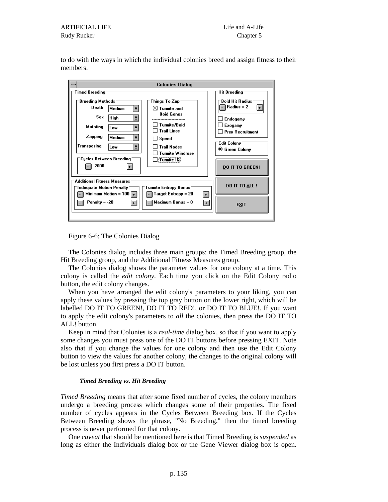to do with the ways in which the individual colonies breed and assign fitness to their members.

| <b>Colonies Dialog</b>                                                                                                                                                                                                                                               |                                                                                                                                                                                 |  |  |  |  |
|----------------------------------------------------------------------------------------------------------------------------------------------------------------------------------------------------------------------------------------------------------------------|---------------------------------------------------------------------------------------------------------------------------------------------------------------------------------|--|--|--|--|
| <b>Timed Breeding</b><br><b>Breeding Methods</b><br>Death<br>Ł<br>Medium                                                                                                                                                                                             | <b>Hit Breeding</b><br><b>Boid Hit Radius</b><br>Things To Zapi<br>∥Radius = 2<br>$+$<br>$\boxtimes$ Turmite and<br><b>Boid Genes</b>                                           |  |  |  |  |
| Sex<br>회<br>High<br>Mutating<br>Ł<br>Low<br>Zapping<br>회<br>Medium<br>Transposing<br>회<br>Low                                                                                                                                                                        | Endogamy<br>Turmite/Roid<br>Exogamy<br><b>Trail Lines</b><br><b>Prey Recruitment</b><br>Speed<br><b>Edit Colony</b><br><b>Trail Nodes</b><br>◉ Green Colony<br>Turmite Windrose |  |  |  |  |
| Cycles Between Breeding<br>2000                                                                                                                                                                                                                                      | <b>Turmite IQ</b><br><b>DO IT TO GREEN!</b>                                                                                                                                     |  |  |  |  |
| Additional Fitness Measures<br><b>DO IT TO ALL!</b><br>Indequate Motion Penalty<br>Turmite Entropy Bonus'<br>$\Box$<br>Minimum Motion = $100$ $\boxed{+}$<br>Target Entropy = 20<br>Penalty = $-20$<br>$Maximum = 0$<br>$\left  \cdot \right $<br>$+$<br><b>EXIT</b> |                                                                                                                                                                                 |  |  |  |  |



The Colonies dialog includes three main groups: the Timed Breeding group, the Hit Breeding group, and the Additional Fitness Measures group.

The Colonies dialog shows the parameter values for one colony at a time. This colony is called the *edit colony*. Each time you click on the Edit Colony radio button, the edit colony changes.

When you have arranged the edit colony's parameters to your liking, you can apply these values by pressing the top gray button on the lower right, which will be labelled DO IT TO GREEN!, DO IT TO RED!, or DO IT TO BLUE!. If you want to apply the edit colony's parameters to *all* the colonies, then press the DO IT TO ALL! button.

Keep in mind that Colonies is a *real-time* dialog box, so that if you want to apply some changes you must press one of the DO IT buttons before pressing EXIT. Note also that if you change the values for one colony and then use the Edit Colony button to view the values for another colony, the changes to the original colony will be lost unless you first press a DO IT button.

# *Timed Breeding vs. Hit Breeding*

*Timed Breeding* means that after some fixed number of cycles, the colony members undergo a breeding process which changes some of their properties. The fixed number of cycles appears in the Cycles Between Breeding box. If the Cycles Between Breeding shows the phrase, "No Breeding," then the timed breeding process is never performed for that colony.

One *caveat* that should be mentioned here is that Timed Breeding is *suspended* as long as either the Individuals dialog box or the Gene Viewer dialog box is open.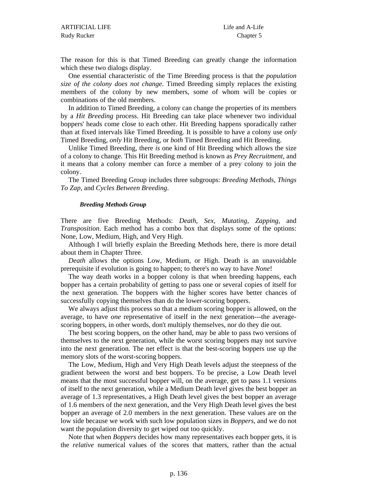The reason for this is that Timed Breeding can greatly change the information which these two dialogs display.

One essential characteristic of the Time Breeding process is that the *population size of the colony does not change*. Timed Breeding simply replaces the existing members of the colony by new members, some of whom will be copies or combinations of the old members.

In addition to Timed Breeding, a colony can change the properties of its members by a *Hit Breeding* process. Hit Breeding can take place whenever two individual boppers' heads come close to each other. Hit Breeding happens sporadically rather than at fixed intervals like Timed Breeding. It is possible to have a colony use *only* Timed Breeding, *only* Hit Breeding, or *both* Timed Breeding and Hit Breeding.

Unlike Timed Breeding, there *is* one kind of Hit Breeding which allows the size of a colony to change. This Hit Breeding method is known as *Prey Recruitment*, and it means that a colony member can force a member of a prey colony to join the colony.

The Timed Breeding Group includes three subgroups: *Breeding Methods*, *Things To Zap*, and *Cycles Between Breeding*.

#### *Breeding Methods Group*

There are five Breeding Methods: *Death*, *Sex*, *Mutating*, *Zapping*, and *Transposition*. Each method has a combo box that displays some of the options: None, Low, Medium, High, and Very High.

Although I will briefly explain the Breeding Methods here, there is more detail about them in Chapter Three.

*Death* allows the options Low, Medium, or High. Death is an unavoidable prerequisite if evolution is going to happen; to there's no way to have *None*!

The way death works in a bopper colony is that when breeding happens, each bopper has a certain probability of getting to pass one or several copies of itself for the next generation. The boppers with the higher scores have better chances of successfully copying themselves than do the lower-scoring boppers.

We always adjust this process so that a medium scoring bopper is allowed, on the average, to have *one* representative of itself in the next generation---the averagescoring boppers, in other words, don't multiply themselves, nor do they die out.

The best scoring boppers, on the other hand, may be able to pass two versions of themselves to the next generation, while the worst scoring boppers may not survive into the next generation. The net effect is that the best-scoring boppers use up the memory slots of the worst-scoring boppers.

The Low, Medium, High and Very High Death levels adjust the steepness of the gradient between the worst and best boppers. To be precise, a Low Death level means that the most successful bopper will, on the average, get to pass 1.1 versions of itself to the next generation, while a Medium Death level gives the best bopper an average of 1.3 representatives, a High Death level gives the best bopper an average of 1.6 members of the next generation, and the Very High Death level gives the best bopper an average of 2.0 members in the next generation. These values are on the low side because we work with such low population sizes in *Boppers*, and we do not want the population diversity to get wiped out too quickly.

Note that when *Boppers* decides how many representatives each bopper gets, it is the *relative* numerical values of the scores that matters, rather than the actual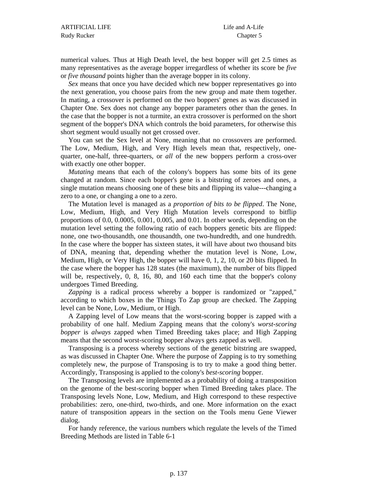numerical values. Thus at High Death level, the best bopper will get 2.5 times as many representatives as the average bopper irregardless of whether its score be *five* or *five thousand* points higher than the average bopper in its colony.

*Sex* means that once you have decided which new bopper representatives go into the next generation, you choose pairs from the new group and mate them together. In mating, a crossover is performed on the two boppers' genes as was discussed in Chapter One. Sex does not change any bopper parameters other than the genes. In the case that the bopper is not a turmite, an extra crossover is performed on the short segment of the bopper's DNA which controls the boid parameters, for otherwise this short segment would usually not get crossed over.

You can set the Sex level at None, meaning that no crossovers are performed. The Low, Medium, High, and Very High levels mean that, respectively, onequarter, one-half, three-quarters, or *all* of the new boppers perform a cross-over with exactly one other bopper.

*Mutating* means that each of the colony's boppers has some bits of its gene changed at random. Since each bopper's gene is a bitstring of zeroes and ones, a single mutation means choosing one of these bits and flipping its value---changing a zero to a one, or changing a one to a zero.

The Mutation level is managed as a *proportion of bits to be flipped*. The None, Low, Medium, High, and Very High Mutation levels correspond to bitflip proportions of 0.0, 0.0005, 0.001, 0.005, and 0.01. In other words, depending on the mutation level setting the following ratio of each boppers genetic bits are flipped: none, one two-thousandth, one thousandth, one two-hundredth, and one hundredth. In the case where the bopper has sixteen states, it will have about two thousand bits of DNA, meaning that, depending whether the mutation level is None, Low, Medium, High, or Very High, the bopper will have 0, 1, 2, 10, or 20 bits flipped. In the case where the bopper has 128 states (the maximum), the number of bits flipped will be, respectively, 0, 8, 16, 80, and 160 each time that the bopper's colony undergoes Timed Breeding.

*Zapping* is a radical process whereby a bopper is randomized or "zapped," according to which boxes in the Things To Zap group are checked. The Zapping level can be None, Low, Medium, or High.

A Zapping level of Low means that the worst-scoring bopper is zapped with a probability of one half. Medium Zapping means that the colony's *worst-scoring bopper* is *always* zapped when Timed Breeding takes place; and High Zapping means that the second worst-scoring bopper always gets zapped as well.

Transposing is a process whereby sections of the genetic bitstring are swapped, as was discussed in Chapter One. Where the purpose of Zapping is to try something completely new, the purpose of Transposing is to try to make a good thing better. Accordingly, Transposing is applied to the colony's *best-scoring* bopper.

The Transposing levels are implemented as a probability of doing a transposition on the genome of the best-scoring bopper when Timed Breeding takes place. The Transposing levels None, Low, Medium, and High correspond to these respective probabilities: zero, one-third, two-thirds, and one. More information on the exact nature of transposition appears in the section on the Tools menu Gene Viewer dialog.

For handy reference, the various numbers which regulate the levels of the Timed Breeding Methods are listed in Table 6-1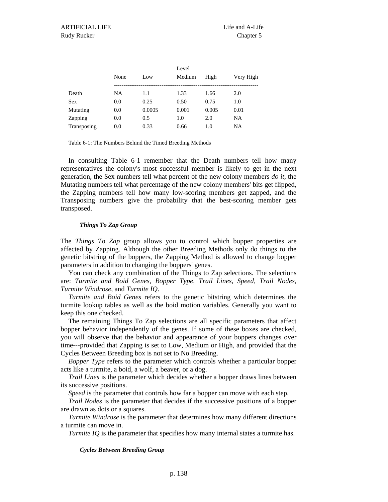|             |      |        | Level  |       |           |
|-------------|------|--------|--------|-------|-----------|
|             | None | Low    | Medium | High  | Very High |
|             |      |        |        |       |           |
| Death       | NA   | 1.1    | 1.33   | 1.66  | 2.0       |
| <b>Sex</b>  | 0.0  | 0.25   | 0.50   | 0.75  | 1.0       |
| Mutating    | 0.0  | 0.0005 | 0.001  | 0.005 | 0.01      |
| Zapping     | 0.0  | 0.5    | 1.0    | 2.0   | NA        |
| Transposing | 0.0  | 0.33   | 0.66   | 1.0   | NA        |

Table 6-1: The Numbers Behind the Timed Breeding Methods

In consulting Table 6-1 remember that the Death numbers tell how many representatives the colony's most successful member is likely to get in the next generation, the Sex numbers tell what percent of the new colony members *do it*, the Mutating numbers tell what percentage of the new colony members' bits get flipped, the Zapping numbers tell how many low-scoring members get zapped, and the Transposing numbers give the probability that the best-scoring member gets transposed.

# *Things To Zap Group*

The *Things To Zap* group allows you to control which bopper properties are affected by Zapping. Although the other Breeding Methods only do things to the genetic bitstring of the boppers, the Zapping Method is allowed to change bopper parameters in addition to changing the boppers' genes.

You can check any combination of the Things to Zap selections. The selections are: *Turmite and Boid Genes*, *Bopper Type*, *Trail Lines*, *Speed*, *Trail Nodes*, *Turmite Windrose*, and *Turmite IQ*.

*Turmite and Boid Genes* refers to the genetic bitstring which determines the turmite lookup tables as well as the boid motion variables. Generally you want to keep this one checked.

The remaining Things To Zap selections are all specific parameters that affect bopper behavior independently of the genes. If some of these boxes are checked, you will observe that the behavior and appearance of your boppers changes over time---provided that Zapping is set to Low, Medium or High, and provided that the Cycles Between Breeding box is not set to No Breeding.

*Bopper Type* refers to the parameter which controls whether a particular bopper acts like a turmite, a boid, a wolf, a beaver, or a dog.

*Trail Lines* is the parameter which decides whether a bopper draws lines between its successive positions.

*Speed* is the parameter that controls how far a bopper can move with each step.

*Trail Nodes* is the parameter that decides if the successive positions of a bopper are drawn as dots or a squares.

*Turmite Windrose* is the parameter that determines how many different directions a turmite can move in.

*Turmite IQ* is the parameter that specifies how many internal states a turmite has.

*Cycles Between Breeding Group*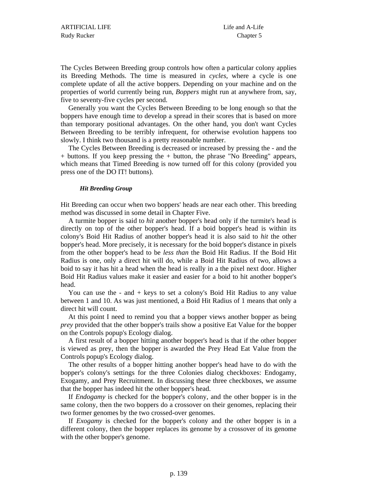The Cycles Between Breeding group controls how often a particular colony applies its Breeding Methods. The time is measured in *cycles*, where a cycle is one complete update of all the active boppers. Depending on your machine and on the properties of world currently being run, *Boppers* might run at anywhere from, say, five to seventy-five cycles per second.

Generally you want the Cycles Between Breeding to be long enough so that the boppers have enough time to develop a spread in their scores that is based on more than temporary positional advantages. On the other hand, you don't want Cycles Between Breeding to be terribly infrequent, for otherwise evolution happens too slowly. I think two thousand is a pretty reasonable number.

The Cycles Between Breeding is decreased or increased by pressing the - and the + buttons. If you keep pressing the + button, the phrase "No Breeding" appears, which means that Timed Breeding is now turned off for this colony (provided you press one of the DO IT! buttons).

## *Hit Breeding Group*

Hit Breeding can occur when two boppers' heads are near each other. This breeding method was discussed in some detail in Chapter Five.

A turmite bopper is said to *hit* another bopper's head only if the turmite's head is directly on top of the other bopper's head. If a boid bopper's head is within its colony's Boid Hit Radius of another bopper's head it is also said to *hit* the other bopper's head. More precisely, it is necessary for the boid bopper's distance in pixels from the other bopper's head to be *less than* the Boid Hit Radius. If the Boid Hit Radius is one, only a direct hit will do, while a Boid Hit Radius of two, allows a boid to say it has hit a head when the head is really in a the pixel next door. Higher Boid Hit Radius values make it easier and easier for a boid to hit another bopper's head.

You can use the - and + keys to set a colony's Boid Hit Radius to any value between 1 and 10. As was just mentioned, a Boid Hit Radius of 1 means that only a direct hit will count.

At this point I need to remind you that a bopper views another bopper as being *prey* provided that the other bopper's trails show a positive Eat Value for the bopper on the Controls popup's Ecology dialog.

A first result of a bopper hitting another bopper's head is that if the other bopper is viewed as prey, then the bopper is awarded the Prey Head Eat Value from the Controls popup's Ecology dialog.

The other results of a bopper hitting another bopper's head have to do with the bopper's colony's settings for the three Colonies dialog checkboxes: Endogamy, Exogamy, and Prey Recruitment. In discussing these three checkboxes, we assume that the bopper has indeed hit the other bopper's head.

If *Endogamy* is checked for the bopper's colony, and the other bopper is in the same colony, then the two boppers do a crossover on their genomes, replacing their two former genomes by the two crossed-over genomes.

If *Exogamy* is checked for the bopper's colony and the other bopper is in a different colony, then the bopper replaces its genome by a crossover of its genome with the other bopper's genome.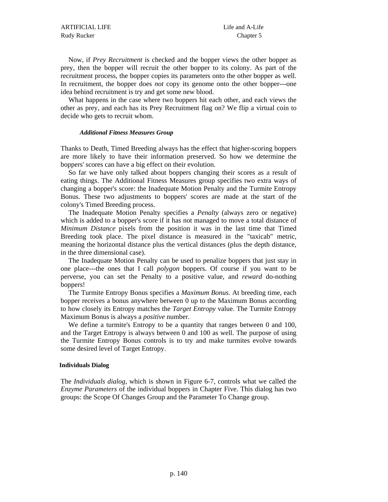Now, if *Prey Recruitment* is checked and the bopper views the other bopper as prey, then the bopper will recruit the other bopper to its colony. As part of the recruitment process, the bopper copies its parameters onto the other bopper as well. In recruitment, the bopper does *not* copy its genome onto the other bopper---one idea behind recruitment is try and get some new blood.

What happens in the case where two boppers hit each other, and each views the other as prey, and each has its Prey Recruitment flag on? We flip a virtual coin to decide who gets to recruit whom.

## *Additional Fitness Measures Group*

Thanks to Death, Timed Breeding always has the effect that higher-scoring boppers are more likely to have their information preserved. So how we determine the boppers' scores can have a big effect on their evolution.

So far we have only talked about boppers changing their scores as a result of eating things. The Additional Fitness Measures group specifies two extra ways of changing a bopper's score: the Inadequate Motion Penalty and the Turmite Entropy Bonus. These two adjustments to boppers' scores are made at the start of the colony's Timed Breeding process.

The Inadequate Motion Penalty specifies a *Penalty* (always zero or negative) which is added to a bopper's score if it has not managed to move a total distance of *Minimum Distance* pixels from the position it was in the last time that Timed Breeding took place. The pixel distance is measured in the "taxicab" metric, meaning the horizontal distance plus the vertical distances (plus the depth distance, in the three dimensional case).

The Inadequate Motion Penalty can be used to penalize boppers that just stay in one place---the ones that I call *polygon* boppers. Of course if you want to be perverse, you can set the Penalty to a positive value, and *reward* do-nothing boppers!

The Turmite Entropy Bonus specifies a *Maximum Bonus.* At breeding time, each bopper receives a bonus anywhere between 0 up to the Maximum Bonus according to how closely its Entropy matches the *Target Entropy* value. The Turmite Entropy Maximum Bonus is always a *positive* number.

We define a turmite's Entropy to be a quantity that ranges between 0 and 100, and the Target Entropy is always between 0 and 100 as well. The purpose of using the Turmite Entropy Bonus controls is to try and make turmites evolve towards some desired level of Target Entropy.

# **Individuals Dialog**

The *Individuals dialog*, which is shown in Figure 6-7, controls what we called the *Enzyme Parameters* of the individual boppers in Chapter Five. This dialog has two groups: the Scope Of Changes Group and the Parameter To Change group.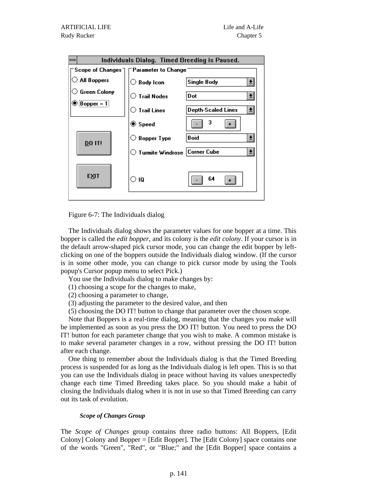| Individuals Dialog. Timed Breeding is Paused. |                                |                                |  |  |  |
|-----------------------------------------------|--------------------------------|--------------------------------|--|--|--|
| Scope of Changes ๅ                            | $\sqcap$ Parameter to Change   |                                |  |  |  |
| $\bigcirc$ All Boppers                        | $\bigcirc$ Body Icon           | <b>Single Body</b><br>ᆂ        |  |  |  |
| ) Green Colony                                | ◯ Trail Nodes                  | Dot                            |  |  |  |
| $\bigcirc$ Bopper = 1                         | ◯ Trail Lines                  | <b>Depth-Scaled Lines</b><br>士 |  |  |  |
|                                               | $\circledast$ Speed            | з                              |  |  |  |
| <b>DO IT!</b>                                 | ○ Bopper Type                  | <b>Boid</b>                    |  |  |  |
|                                               | ◯ Turmite Windrose Corner Cube | Ŧ                              |  |  |  |
| <u>EXIT</u>                                   | 3 IQ                           | 64                             |  |  |  |



The Individuals dialog shows the parameter values for one bopper at a time. This bopper is called the *edit bopper*, and its colony is the *edit colony*. If your cursor is in the default arrow-shaped pick cursor mode, you can change the edit bopper by leftclicking on one of the boppers outside the Individuals dialog window. (If the cursor is in some other mode, you can change to pick cursor mode by using the Tools popup's Cursor popup menu to select Pick.)

You use the Individuals dialog to make changes by:

(1) choosing a scope for the changes to make,

(2) choosing a parameter to change,

(3) adjusting the parameter to the desired value, and then

(5) choosing the DO IT! button to change that parameter over the chosen scope.

Note that Boppers is a real-time dialog, meaning that the changes you make will be implemented as soon as you press the DO IT! button. You need to press the DO IT! button for each parameter change that you wish to make. A common mistake is to make several parameter changes in a row, without pressing the DO IT! button after each change.

One thing to remember about the Individuals dialog is that the Timed Breeding process is suspended for as long as the Individuals dialog is left open. This is so that you can use the Individuals dialog in peace without having its values unexpectedly change each time Timed Breeding takes place. So you should make a habit of closing the Individuals dialog when it is not in use so that Timed Breeding can carry out its task of evolution.

# *Scope of Changes Group*

The *Scope of Changes* group contains three radio buttons: All Boppers, [Edit Colony] Colony and Bopper = [Edit Bopper]. The [Edit Colony] space contains one of the words "Green", "Red", or "Blue;" and the [Edit Bopper] space contains a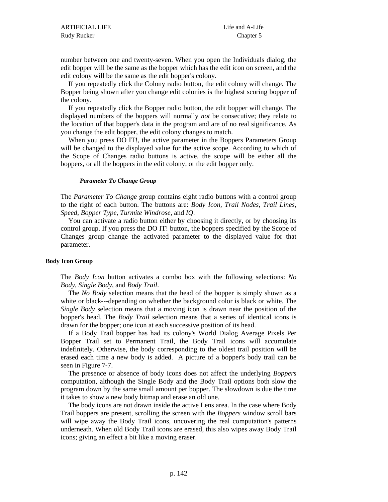number between one and twenty-seven. When you open the Individuals dialog, the edit bopper will be the same as the bopper which has the edit icon on screen, and the edit colony will be the same as the edit bopper's colony.

If you repeatedly click the Colony radio button, the edit colony will change. The Bopper being shown after you change edit colonies is the highest scoring bopper of the colony.

If you repeatedly click the Bopper radio button, the edit bopper will change. The displayed numbers of the boppers will normally *not* be consecutive; they relate to the location of that bopper's data in the program and are of no real significance. As you change the edit bopper, the edit colony changes to match.

When you press DO IT!, the active parameter in the Boppers Parameters Group will be changed to the displayed value for the active scope. According to which of the Scope of Changes radio buttons is active, the scope will be either all the boppers, or all the boppers in the edit colony, or the edit bopper only.

#### *Parameter To Change Group*

The *Parameter To Change* group contains eight radio buttons with a control group to the right of each button. The buttons are: *Body Icon*, *Trail Nodes*, *Trail Lines*, *Speed*, *Bopper Type*, *Turmite Windrose*, and *IQ*.

You can activate a radio button either by choosing it directly, or by choosing its control group. If you press the DO IT! button, the boppers specified by the Scope of Changes group change the activated parameter to the displayed value for that parameter.

## **Body Icon Group**

The *Body Icon* button activates a combo box with the following selections: *No Body*, *Single Body*, and *Body Trail*.

The *No Body* selection means that the head of the bopper is simply shown as a white or black---depending on whether the background color is black or white. The *Single Body* selection means that a moving icon is drawn near the position of the bopper's head. The *Body Trail* selection means that a series of identical icons is drawn for the bopper; one icon at each successive position of its head.

If a Body Trail bopper has had its colony's World Dialog Average Pixels Per Bopper Trail set to Permanent Trail, the Body Trail icons will accumulate indefinitely. Otherwise, the body corresponding to the oldest trail position will be erased each time a new body is added. A picture of a bopper's body trail can be seen in Figure 7-7.

The presence or absence of body icons does not affect the underlying *Boppers* computation, although the Single Body and the Body Trail options both slow the program down by the same small amount per bopper. The slowdown is due the time it takes to show a new body bitmap and erase an old one.

The body icons are not drawn inside the active Lens area. In the case where Body Trail boppers are present, scrolling the screen with the *Boppers* window scroll bars will wipe away the Body Trail icons, uncovering the real computation's patterns underneath. When old Body Trail icons are erased, this also wipes away Body Trail icons; giving an effect a bit like a moving eraser.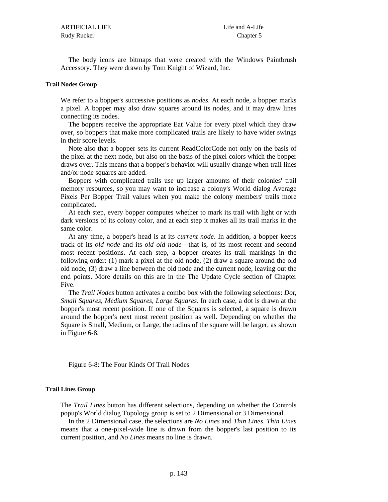The body icons are bitmaps that were created with the Windows Paintbrush Accessory. They were drawn by Tom Knight of Wizard, Inc.

#### **Trail Nodes Group**

We refer to a bopper's successive positions as *nodes*. At each node, a bopper marks a pixel. A bopper may also draw squares around its nodes, and it may draw lines connecting its nodes.

The boppers receive the appropriate Eat Value for every pixel which they draw over, so boppers that make more complicated trails are likely to have wider swings in their score levels.

Note also that a bopper sets its current ReadColorCode not only on the basis of the pixel at the next node, but also on the basis of the pixel colors which the bopper draws over. This means that a bopper's behavior will usually change when trail lines and/or node squares are added.

Boppers with complicated trails use up larger amounts of their colonies' trail memory resources, so you may want to increase a colony's World dialog Average Pixels Per Bopper Trail values when you make the colony members' trails more complicated.

At each step, every bopper computes whether to mark its trail with light or with dark versions of its colony color, and at each step it makes all its trail marks in the same color.

At any time, a bopper's head is at its *current node*. In addition, a bopper keeps track of its *old node* and its *old old node*---that is, of its most recent and second most recent positions. At each step, a bopper creates its trail markings in the following order: (1) mark a pixel at the old node, (2) draw a square around the old old node, (3) draw a line between the old node and the current node, leaving out the end points. More details on this are in the The Update Cycle section of Chapter Five.

The *Trail Nodes* button activates a combo box with the following selections: *Dot*, *Small Squares*, *Medium Squares*, *Large Squares*. In each case, a dot is drawn at the bopper's most recent position. If one of the Squares is selected, a square is drawn around the bopper's next most recent position as well. Depending on whether the Square is Small, Medium, or Large, the radius of the square will be larger, as shown in Figure 6-8.

Figure 6-8: The Four Kinds Of Trail Nodes

## **Trail Lines Group**

The *Trail Lines* button has different selections, depending on whether the Controls popup's World dialog Topology group is set to 2 Dimensional or 3 Dimensional.

In the 2 Dimensional case, the selections are *No Lines* and *Thin Lines*. *Thin Lines* means that a one-pixel-wide line is drawn from the bopper's last position to its current position, and *No Lines* means no line is drawn.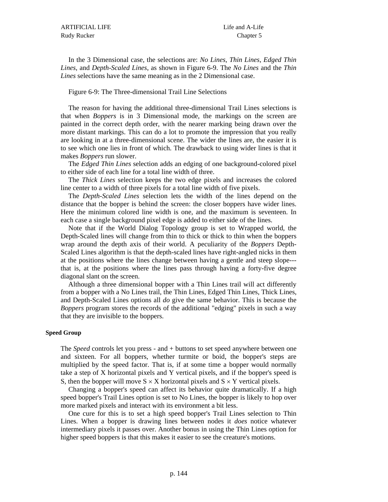In the 3 Dimensional case, the selections are: *No Lines*, *Thin Lines*, *Edged Thin Lines*, and *Depth-Scaled Lines*, as shown in Figure 6-9. The *No Lines* and the *Thin Lines* selections have the same meaning as in the 2 Dimensional case.

Figure 6-9: The Three-dimensional Trail Line Selections

The reason for having the additional three-dimensional Trail Lines selections is that when *Boppers* is in 3 Dimensional mode, the markings on the screen are painted in the correct depth order, with the nearer marking being drawn over the more distant markings. This can do a lot to promote the impression that you really are looking in at a three-dimensional scene. The wider the lines are, the easier it is to see which one lies in front of which. The drawback to using wider lines is that it makes *Boppers* run slower.

The *Edged Thin Lines* selection adds an edging of one background-colored pixel to either side of each line for a total line width of three.

The *Thick Lines* selection keeps the two edge pixels and increases the colored line center to a width of three pixels for a total line width of five pixels.

The *Depth-Scaled Lines* selection lets the width of the lines depend on the distance that the bopper is behind the screen: the closer boppers have wider lines. Here the minimum colored line width is one, and the maximum is seventeen. In each case a single background pixel edge is added to either side of the lines.

Note that if the World Dialog Topology group is set to Wrapped world, the Depth-Scaled lines will change from thin to thick or thick to thin when the boppers wrap around the depth axis of their world. A peculiarity of the *Boppers* Depth-Scaled Lines algorithm is that the depth-scaled lines have right-angled nicks in them at the positions where the lines change between having a gentle and steep slope-- that is, at the positions where the lines pass through having a forty-five degree diagonal slant on the screen.

Although a three dimensional bopper with a Thin Lines trail will act differently from a bopper with a No Lines trail, the Thin Lines, Edged Thin Lines, Thick Lines, and Depth-Scaled Lines options all *do* give the same behavior. This is because the *Boppers* program stores the records of the additional "edging" pixels in such a way that they are invisible to the boppers.

# **Speed Group**

The *Speed* controls let you press - and + buttons to set speed anywhere between one and sixteen. For all boppers, whether turmite or boid, the bopper's steps are multiplied by the speed factor. That is, if at some time a bopper would normally take a step of X horizontal pixels and Y vertical pixels, and if the bopper's speed is S, then the bopper will move  $S \times X$  horizontal pixels and  $S \times Y$  vertical pixels.

Changing a bopper's speed can affect its behavior quite dramatically. If a high speed bopper's Trail Lines option is set to No Lines, the bopper is likely to hop over more marked pixels and interact with its environment a bit less.

One cure for this is to set a high speed bopper's Trail Lines selection to Thin Lines. When a bopper is drawing lines between nodes it *does* notice whatever intermediary pixels it passes over. Another bonus in using the Thin Lines option for higher speed boppers is that this makes it easier to see the creature's motions.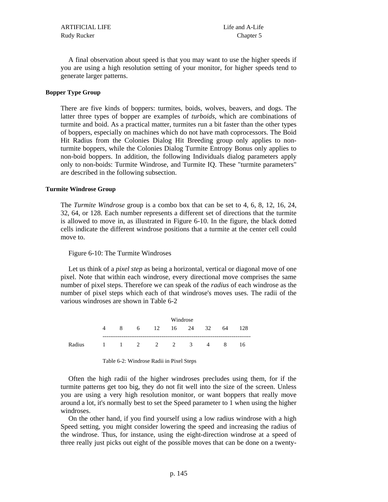A final observation about speed is that you may want to use the higher speeds if you are using a high resolution setting of your monitor, for higher speeds tend to generate larger patterns.

#### **Bopper Type Group**

There are five kinds of boppers: turmites, boids, wolves, beavers, and dogs. The latter three types of bopper are examples of *turboids*, which are combinations of turmite and boid. As a practical matter, turmites run a bit faster than the other types of boppers, especially on machines which do not have math coprocessors. The Boid Hit Radius from the Colonies Dialog Hit Breeding group only applies to nonturmite boppers, while the Colonies Dialog Turmite Entropy Bonus only applies to non-boid boppers. In addition, the following Individuals dialog parameters apply only to non-boids: Turmite Windrose, and Turmite IQ. These "turmite parameters" are described in the following subsection.

#### **Turmite Windrose Group**

The *Turmite Windrose* group is a combo box that can be set to 4, 6, 8, 12, 16, 24, 32, 64, or 128. Each number represents a different set of directions that the turmite is allowed to move in, as illustrated in Figure 6-10. In the figure, the black dotted cells indicate the different windrose positions that a turmite at the center cell could move to.

#### Figure 6-10: The Turmite Windroses

Let us think of a *pixel step* as being a horizontal, vertical or diagonal move of one pixel. Note that within each windrose, every directional move comprises the same number of pixel steps. Therefore we can speak of the *radius* of each windrose as the number of pixel steps which each of that windrose's moves uses. The radii of the various windroses are shown in Table 6-2





Often the high radii of the higher windroses precludes using them, for if the turmite patterns get too big, they do not fit well into the size of the screen. Unless you are using a very high resolution monitor, or want boppers that really move around a lot, it's normally best to set the Speed parameter to 1 when using the higher windroses.

On the other hand, if you find yourself using a low radius windrose with a high Speed setting, you might consider lowering the speed and increasing the radius of the windrose. Thus, for instance, using the eight-direction windrose at a speed of three really just picks out eight of the possible moves that can be done on a twenty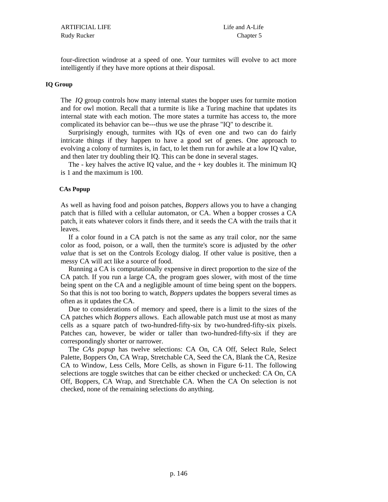four-direction windrose at a speed of one. Your turmites will evolve to act more intelligently if they have more options at their disposal.

#### **IQ Group**

The *IQ* group controls how many internal states the bopper uses for turmite motion and for owl motion. Recall that a turmite is like a Turing machine that updates its internal state with each motion. The more states a turmite has access to, the more complicated its behavior can be---thus we use the phrase "IQ" to describe it.

Surprisingly enough, turmites with IQs of even one and two can do fairly intricate things if they happen to have a good set of genes. One approach to evolving a colony of turmites is, in fact, to let them run for awhile at a low IQ value, and then later try doubling their IQ. This can be done in several stages.

The - key halves the active IQ value, and the + key doubles it. The minimum IQ is 1 and the maximum is 100.

#### **CAs Popup**

As well as having food and poison patches, *Boppers* allows you to have a changing patch that is filled with a cellular automaton, or CA. When a bopper crosses a CA patch, it eats whatever colors it finds there, and it seeds the CA with the trails that it leaves.

If a color found in a CA patch is not the same as any trail color, nor the same color as food, poison, or a wall, then the turmite's score is adjusted by the *other value* that is set on the Controls Ecology dialog. If other value is positive, then a messy CA will act like a source of food.

Running a CA is computationally expensive in direct proportion to the size of the CA patch. If you run a large CA, the program goes slower, with most of the time being spent on the CA and a negligible amount of time being spent on the boppers. So that this is not too boring to watch, *Boppers* updates the boppers several times as often as it updates the CA.

Due to considerations of memory and speed, there is a limit to the sizes of the CA patches which *Boppers* allows. Each allowable patch must use at most as many cells as a square patch of two-hundred-fifty-six by two-hundred-fifty-six pixels. Patches can, however, be wider or taller than two-hundred-fifty-six if they are correspondingly shorter or narrower.

The *CAs popup* has twelve selections: CA On, CA Off, Select Rule, Select Palette, Boppers On, CA Wrap, Stretchable CA, Seed the CA, Blank the CA, Resize CA to Window, Less Cells, More Cells, as shown in Figure 6-11. The following selections are toggle switches that can be either checked or unchecked: CA On, CA Off, Boppers, CA Wrap, and Stretchable CA. When the CA On selection is not checked, none of the remaining selections do anything.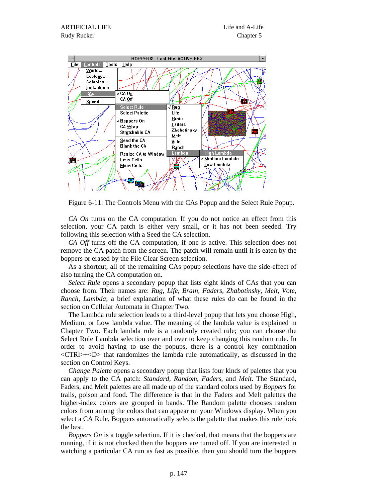

Figure 6-11: The Controls Menu with the CAs Popup and the Select Rule Popup.

*CA On* turns on the CA computation. If you do not notice an effect from this selection, your CA patch is either very small, or it has not been seeded. Try following this selection with a Seed the CA selection.

*CA Off* turns off the CA computation, if one is active. This selection does not remove the CA patch from the screen. The patch will remain until it is eaten by the boppers or erased by the File Clear Screen selection.

As a shortcut, all of the remaining CAs popup selections have the side-effect of also turning the CA computation on.

*Select Rule* opens a secondary popup that lists eight kinds of CAs that you can choose from. Their names are: *Rug*, *Life*, *Brain*, *Faders, Zhabotinsky*, *Melt*, *Vote*, *Ranch*, *Lambda*; a brief explanation of what these rules do can be found in the section on Cellular Automata in Chapter Two.

The Lambda rule selection leads to a third-level popup that lets you choose High, Medium, or Low lambda value. The meaning of the lambda value is explained in Chapter Two. Each lambda rule is a randomly created rule; you can choose the Select Rule Lambda selection over and over to keep changing this random rule. In order to avoid having to use the popups, there is a control key combination <CTRl>+<D> that randomizes the lambda rule automatically, as discussed in the section on Control Keys.

*Change Palette* opens a secondary popup that lists four kinds of palettes that you can apply to the CA patch: *Standard*, *Random*, *Faders*, and *Melt*. The Standard, Faders, and Melt palettes are all made up of the standard colors used by *Boppers* for trails, poison and food. The difference is that in the Faders and Melt palettes the higher-index colors are grouped in bands. The Random palette chooses random colors from among the colors that can appear on your Windows display. When you select a CA Rule, Boppers automatically selects the palette that makes this rule look the best.

*Boppers On* is a toggle selection. If it is checked, that means that the boppers are running, if it is not checked then the boppers are turned off. If you are interested in watching a particular CA run as fast as possible, then you should turn the boppers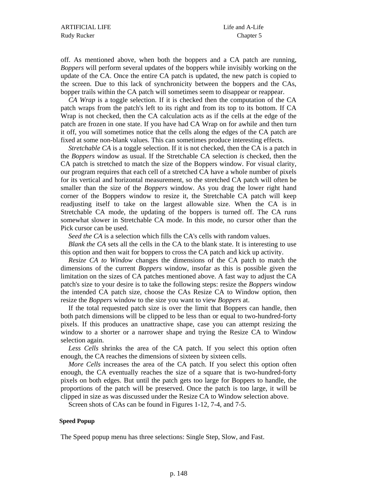off. As mentioned above, when both the boppers and a CA patch are running, *Boppers* will perform several updates of the boppers while invisibly working on the update of the CA. Once the entire CA patch is updated, the new patch is copied to the screen. Due to this lack of synchronicity between the boppers and the CAs, bopper trails within the CA patch will sometimes seem to disappear or reappear.

*CA Wrap* is a toggle selection. If it is checked then the computation of the CA patch wraps from the patch's left to its right and from its top to its bottom. If CA Wrap is not checked, then the CA calculation acts as if the cells at the edge of the patch are frozen in one state. If you have had CA Wrap on for awhile and then turn it off, you will sometimes notice that the cells along the edges of the CA patch are fixed at some non-blank values. This can sometimes produce interesting effects.

*Stretchable CA* is a toggle selection. If it is not checked, then the CA is a patch in the *Boppers* window as usual. If the Stretchable CA selection *is* checked, then the CA patch is stretched to match the size of the Boppers window. For visual clarity, our program requires that each cell of a stretched CA have a whole number of pixels for its vertical and horizontal measurement, so the stretched CA patch will often be smaller than the size of the *Boppers* window. As you drag the lower right hand corner of the Boppers window to resize it, the Stretchable CA patch will keep readjusting itself to take on the largest allowable size. When the CA is in Stretchable CA mode, the updating of the boppers is turned off. The CA runs somewhat slower in Stretchable CA mode. In this mode, no cursor other than the Pick cursor can be used.

*Seed the CA* is a selection which fills the CA's cells with random values.

*Blank the CA* sets all the cells in the CA to the blank state. It is interesting to use this option and then wait for boppers to cross the CA patch and kick up activity.

*Resize CA to Window* changes the dimensions of the CA patch to match the dimensions of the current *Boppers* window, insofar as this is possible given the limitation on the sizes of CA patches mentioned above. A fast way to adjust the CA patch's size to your desire is to take the following steps: resize the *Boppers* window the intended CA patch size, choose the CAs Resize CA to Window option, then resize the *Boppers* window to the size you want to view *Boppers* at.

If the total requested patch size is over the limit that Boppers can handle, then both patch dimensions will be clipped to be less than or equal to two-hundred-forty pixels. If this produces an unattractive shape, case you can attempt resizing the window to a shorter or a narrower shape and trying the Resize CA to Window selection again.

*Less Cells* shrinks the area of the CA patch. If you select this option often enough, the CA reaches the dimensions of sixteen by sixteen cells.

*More Cells* increases the area of the CA patch. If you select this option often enough, the CA eventually reaches the size of a square that is two-hundred-forty pixels on both edges. But until the patch gets too large for Boppers to handle, the proportions of the patch will be preserved. Once the patch is too large, it will be clipped in size as was discussed under the Resize CA to Window selection above.

Screen shots of CAs can be found in Figures 1-12, 7-4, and 7-5.

#### **Speed Popup**

The Speed popup menu has three selections: Single Step, Slow, and Fast.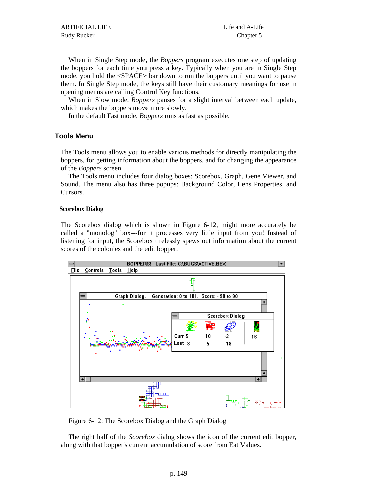When in Single Step mode, the *Boppers* program executes one step of updating the boppers for each time you press a key. Typically when you are in Single Step mode, you hold the <SPACE> bar down to run the boppers until you want to pause them. In Single Step mode, the keys still have their customary meanings for use in opening menus are calling Control Key functions.

When in Slow mode, *Boppers* pauses for a slight interval between each update, which makes the boppers move more slowly.

In the default Fast mode, *Boppers* runs as fast as possible.

### **Tools Menu**

The Tools menu allows you to enable various methods for directly manipulating the boppers, for getting information about the boppers, and for changing the appearance of the *Boppers* screen.

The Tools menu includes four dialog boxes: Scorebox, Graph, Gene Viewer, and Sound. The menu also has three popups: Background Color, Lens Properties, and Cursors.

#### **Scorebox Dialog**

The Scorebox dialog which is shown in Figure 6-12, might more accurately be called a "monolog" box---for it processes very little input from you! Instead of listening for input, the Scorebox tirelessly spews out information about the current scores of the colonies and the edit bopper.



Figure 6-12: The Scorebox Dialog and the Graph Dialog

The right half of the *Scorebox* dialog shows the icon of the current edit bopper, along with that bopper's current accumulation of score from Eat Values.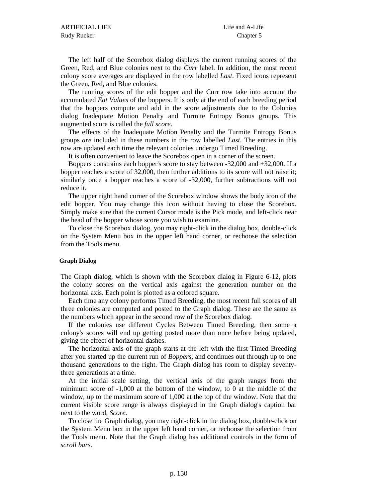The left half of the Scorebox dialog displays the current running scores of the Green, Red, and Blue colonies next to the *Curr* label. In addition, the most recent colony score averages are displayed in the row labelled *Last*. Fixed icons represent the Green, Red, and Blue colonies.

The running scores of the edit bopper and the Curr row take into account the accumulated *Eat Values* of the boppers. It is only at the end of each breeding period that the boppers compute and add in the score adjustments due to the Colonies dialog Inadequate Motion Penalty and Turmite Entropy Bonus groups. This augmented score is called the *full score*.

The effects of the Inadequate Motion Penalty and the Turmite Entropy Bonus groups *are* included in these numbers in the row labelled *Last*. The entries in this row are updated each time the relevant colonies undergo Timed Breeding.

It is often convenient to leave the Scorebox open in a corner of the screen.

Boppers constrains each bopper's score to stay between -32,000 and +32,000. If a bopper reaches a score of 32,000, then further additions to its score will not raise it; similarly once a bopper reaches a score of -32,000, further subtractions will not reduce it.

The upper right hand corner of the Scorebox window shows the body icon of the edit bopper. You may change this icon without having to close the Scorebox. Simply make sure that the current Cursor mode is the Pick mode, and left-click near the head of the bopper whose score you wish to examine.

To close the Scorebox dialog, you may right-click in the dialog box, double-click on the System Menu box in the upper left hand corner, or rechoose the selection from the Tools menu.

#### **Graph Dialog**

The Graph dialog, which is shown with the Scorebox dialog in Figure 6-12, plots the colony scores on the vertical axis against the generation number on the horizontal axis. Each point is plotted as a colored square.

Each time any colony performs Timed Breeding, the most recent full scores of all three colonies are computed and posted to the Graph dialog. These are the same as the numbers which appear in the second row of the Scorebox dialog.

If the colonies use different Cycles Between Timed Breeding, then some a colony's scores will end up getting posted more than once before being updated, giving the effect of horizontal dashes.

The horizontal axis of the graph starts at the left with the first Timed Breeding after you started up the current run of *Boppers*, and continues out through up to one thousand generations to the right. The Graph dialog has room to display seventythree generations at a time.

At the initial scale setting, the vertical axis of the graph ranges from the minimum score of -1,000 at the bottom of the window, to 0 at the middle of the window, up to the maximum score of 1,000 at the top of the window. Note that the current visible score range is always displayed in the Graph dialog's caption bar next to the word, *Score*.

To close the Graph dialog, you may right-click in the dialog box, double-click on the System Menu box in the upper left hand corner, or rechoose the selection from the Tools menu. Note that the Graph dialog has additional controls in the form of *scroll bars*.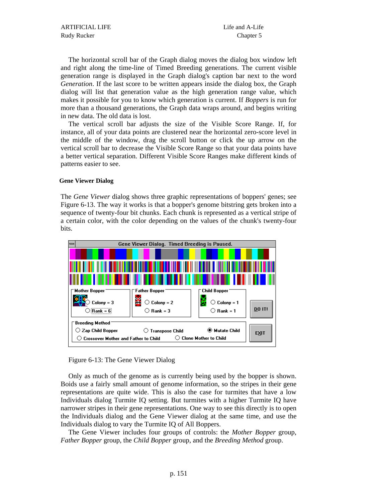The horizontal scroll bar of the Graph dialog moves the dialog box window left and right along the time-line of Timed Breeding generations. The current visible generation range is displayed in the Graph dialog's caption bar next to the word *Generation*. If the last score to be written appears inside the dialog box, the Graph dialog will list that generation value as the high generation range value, which makes it possible for you to know which generation is current. If *Boppers* is run for more than a thousand generations, the Graph data wraps around, and begins writing in new data. The old data is lost.

The vertical scroll bar adjusts the size of the Visible Score Range. If, for instance, all of your data points are clustered near the horizontal zero-score level in the middle of the window, drag the scroll button or click the up arrow on the vertical scroll bar to decrease the Visible Score Range so that your data points have a better vertical separation. Different Visible Score Ranges make different kinds of patterns easier to see.

#### **Gene Viewer Dialog**

The *Gene Viewer* dialog shows three graphic representations of boppers' genes; see Figure 6-13. The way it works is that a bopper's genome bitstring gets broken into a sequence of twenty-four bit chunks. Each chunk is represented as a vertical stripe of a certain color, with the color depending on the values of the chunk's twenty-four bits.



#### Figure 6-13: The Gene Viewer Dialog

Only as much of the genome as is currently being used by the bopper is shown. Boids use a fairly small amount of genome information, so the stripes in their gene representations are quite wide. This is also the case for turmites that have a low Individuals dialog Turmite IQ setting. But turmites with a higher Turmite IQ have narrower stripes in their gene representations. One way to see this directly is to open the Individuals dialog and the Gene Viewer dialog at the same time, and use the Individuals dialog to vary the Turmite IQ of All Boppers.

The Gene Viewer includes four groups of controls: the *Mother Bopper* group, *Father Bopper* group, the *Child Bopper* group, and the *Breeding Method* group.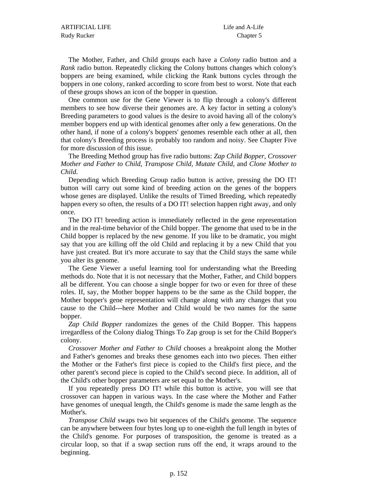The Mother, Father, and Child groups each have a *Colony* radio button and a *Rank* radio button. Repeatedly clicking the Colony buttons changes which colony's boppers are being examined, while clicking the Rank buttons cycles through the boppers in one colony, ranked according to score from best to worst. Note that each of these groups shows an icon of the bopper in question.

One common use for the Gene Viewer is to flip through a colony's different members to see how diverse their genomes are. A key factor in setting a colony's Breeding parameters to good values is the desire to avoid having all of the colony's member boppers end up with identical genomes after only a few generations. On the other hand, if none of a colony's boppers' genomes resemble each other at all, then that colony's Breeding process is probably too random and noisy. See Chapter Five for more discussion of this issue.

The Breeding Method group has five radio buttons: *Zap Child Bopper*, *Crossover Mother and Father to Child*, *Transpose Child*, *Mutate Child*, and *Clone Mother to Child*.

Depending which Breeding Group radio button is active, pressing the DO IT! button will carry out some kind of breeding action on the genes of the boppers whose genes are displayed. Unlike the results of Timed Breeding, which repeatedly happen every so often, the results of a DO IT! selection happen right away, and only once.

The DO IT! breeding action is immediately reflected in the gene representation and in the real-time behavior of the Child bopper. The genome that used to be in the Child bopper is replaced by the new genome. If you like to be dramatic, you might say that you are killing off the old Child and replacing it by a new Child that you have just created. But it's more accurate to say that the Child stays the same while you alter its genome.

The Gene Viewer a useful learning tool for understanding what the Breeding methods do. Note that it is not necessary that the Mother, Father, and Child boppers all be different. You can choose a single bopper for two or even for three of these roles. If, say, the Mother bopper happens to be the same as the Child bopper, the Mother bopper's gene representation will change along with any changes that you cause to the Child---here Mother and Child would be two names for the same bopper.

*Zap Child Bopper* randomizes the genes of the Child Bopper. This happens irregardless of the Colony dialog Things To Zap group is set for the Child Bopper's colony.

*Crossover Mother and Father to Child* chooses a breakpoint along the Mother and Father's genomes and breaks these genomes each into two pieces. Then either the Mother or the Father's first piece is copied to the Child's first piece, and the other parent's second piece is copied to the Child's second piece. In addition, all of the Child's other bopper parameters are set equal to the Mother's.

If you repeatedly press DO IT! while this button is active, you will see that crossover can happen in various ways. In the case where the Mother and Father have genomes of unequal length, the Child's genome is made the same length as the Mother's.

*Transpose Child* swaps two bit sequences of the Child's genome. The sequence can be anywhere between four bytes long up to one-eighth the full length in bytes of the Child's genome. For purposes of transposition, the genome is treated as a circular loop, so that if a swap section runs off the end, it wraps around to the beginning.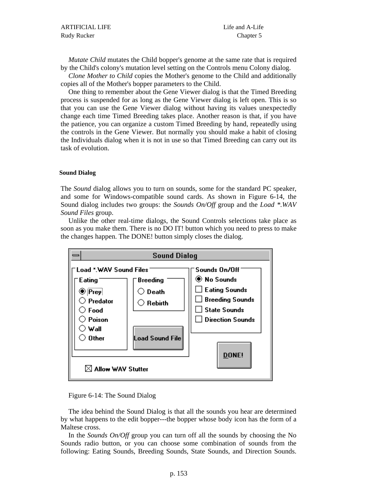*Mutate Child* mutates the Child bopper's genome at the same rate that is required by the Child's colony's mutation level setting on the Controls menu Colony dialog.

*Clone Mother to Child* copies the Mother's genome to the Child and additionally copies all of the Mother's bopper parameters to the Child.

One thing to remember about the Gene Viewer dialog is that the Timed Breeding process is suspended for as long as the Gene Viewer dialog is left open. This is so that you can use the Gene Viewer dialog without having its values unexpectedly change each time Timed Breeding takes place. Another reason is that, if you have the patience, you can organize a custom Timed Breeding by hand, repeatedly using the controls in the Gene Viewer. But normally you should make a habit of closing the Individuals dialog when it is not in use so that Timed Breeding can carry out its task of evolution.

#### **Sound Dialog**

The *Sound* dialog allows you to turn on sounds, some for the standard PC speaker, and some for Windows-compatible sound cards. As shown in Figure 6-14, the Sound dialog includes two groups: the *Sounds On/Off* group and the *Load \*.WAV Sound Files* group.

Unlike the other real-time dialogs, the Sound Controls selections take place as soon as you make them. There is no DO IT! button which you need to press to make the changes happen. The DONE! button simply closes the dialog.





The idea behind the Sound Dialog is that all the sounds you hear are determined by what happens to the edit bopper---the bopper whose body icon has the form of a Maltese cross.

In the *Sounds On/Off* group you can turn off all the sounds by choosing the No Sounds radio button, or you can choose some combination of sounds from the following: Eating Sounds, Breeding Sounds, State Sounds, and Direction Sounds.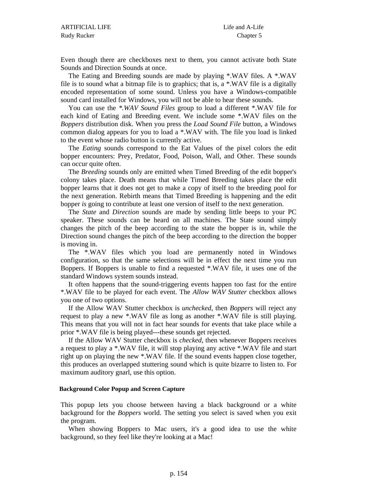Even though there are checkboxes next to them, you cannot activate both State Sounds and Direction Sounds at once.

The Eating and Breeding sounds are made by playing \*.WAV files. A \*.WAV file is to sound what a bitmap file is to graphics; that is, a \*.WAV file is a digitally encoded representation of some sound. Unless you have a Windows-compatible sound card installed for Windows, you will not be able to hear these sounds.

You can use the *\*.WAV Sound Files* group to load a different \*.WAV file for each kind of Eating and Breeding event. We include some \*.WAV files on the *Boppers* distribution disk. When you press the *Load Sound File* button, a Windows common dialog appears for you to load a \*.WAV with. The file you load is linked to the event whose radio button is currently active.

The *Eating* sounds correspond to the Eat Values of the pixel colors the edit bopper encounters: Prey, Predator, Food, Poison, Wall, and Other. These sounds can occur quite often.

The *Breeding* sounds only are emitted when Timed Breeding of the edit bopper's colony takes place. Death means that while Timed Breeding takes place the edit bopper learns that it does not get to make a copy of itself to the breeding pool for the next generation. Rebirth means that Timed Breeding is happening and the edit bopper *is* going to contribute at least one version of itself to the next generation.

The *State* and *Direction* sounds are made by sending little beeps to your PC speaker. These sounds can be heard on all machines. The State sound simply changes the pitch of the beep according to the state the bopper is in, while the Direction sound changes the pitch of the beep according to the direction the bopper is moving in.

The \*.WAV files which you load are permanently noted in Windows configuration, so that the same selections will be in effect the next time you run Boppers. If Boppers is unable to find a requested \*.WAV file, it uses one of the standard Windows system sounds instead.

It often happens that the sound-triggering events happen too fast for the entire \*.WAV file to be played for each event. The *Allow WAV Stutter* checkbox allows you one of two options.

If the Allow WAV Stutter checkbox is *unchecked*, then *Boppers* will reject any request to play a new \*.WAV file as long as another \*.WAV file is still playing. This means that you will not in fact hear sounds for events that take place while a prior \*.WAV file is being played---these sounds get rejected.

If the Allow WAV Stutter checkbox is *checked*, then whenever Boppers receives a request to play a \*.WAV file, it will stop playing any active \*.WAV file and start right up on playing the new \*.WAV file. If the sound events happen close together, this produces an overlapped stuttering sound which is quite bizarre to listen to. For maximum auditory gnarl, use this option.

#### **Background Color Popup and Screen Capture**

This popup lets you choose between having a black background or a white background for the *Boppers* world. The setting you select is saved when you exit the program.

When showing Boppers to Mac users, it's a good idea to use the white background, so they feel like they're looking at a Mac!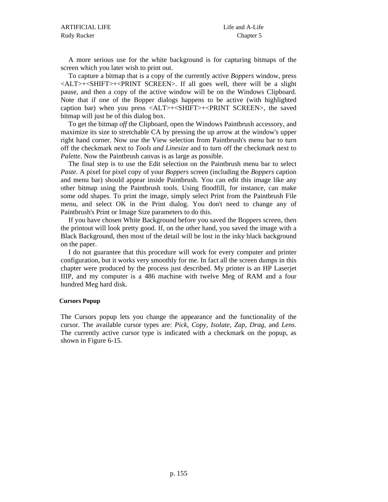A more serious use for the white background is for capturing bitmaps of the screen which you later wish to print out.

To capture a bitmap that is a copy of the currently active *Boppers* window, press <ALT>+<SHIFT>+<PRINT SCREEN>. If all goes well, there will be a slight pause, and then a copy of the active window will be on the Windows Clipboard. Note that if one of the Bopper dialogs happens to be active (with highlighted caption bar) when you press <ALT>+<SHIFT>+<PRINT SCREEN>, the saved bitmap will just be of this dialog box.

To get the bitmap *off* the Clipboard, open the Windows Paintbrush accessory, and maximize its size to stretchable CA by pressing the up arrow at the window's upper right hand corner. Now use the View selection from Paintbrush's menu bar to turn off the checkmark next to *Tools and Linesize* and to turn off the checkmark next to *Palette*. Now the Paintbrush canvas is as large as possible.

The final step is to use the Edit selection on the Paintbrush menu bar to select *Paste*. A pixel for pixel copy of your *Boppers* screen (including the *Boppers* caption and menu bar) should appear inside Paintbrush. You can edit this image like any other bitmap using the Paintbrush tools. Using floodfill, for instance, can make some odd shapes. To print the image, simply select Print from the Paintbrush File menu, and select OK in the Print dialog. You don't need to change any of Paintbrush's Print or Image Size parameters to do this.

If you have chosen White Background before you saved the Boppers screen, then the printout will look pretty good. If, on the other hand, you saved the image with a Black Background, then most of the detail will be lost in the inky black background on the paper.

I do not guarantee that this procedure will work for every computer and printer configuration, but it works very smoothly for me. In fact all the screen dumps in this chapter were produced by the process just described. My printer is an HP Laserjet IIIP, and my computer is a 486 machine with twelve Meg of RAM and a four hundred Meg hard disk.

#### **Cursors Popup**

The Cursors popup lets you change the appearance and the functionality of the cursor. The available cursor types are: *Pick*, *Copy*, *Isolate*, *Zap*, *Drag*, and *Lens*. The currently active cursor type is indicated with a checkmark on the popup, as shown in Figure 6-15.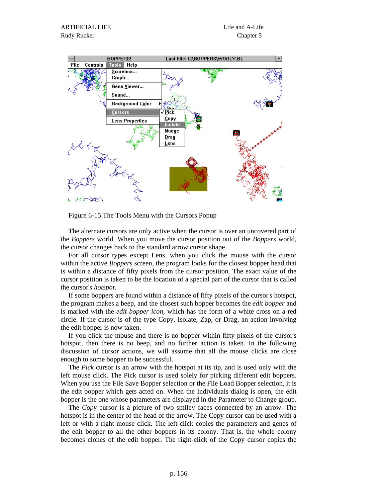

Figure 6-15 The Tools Menu with the Cursors Popup

The alternate cursors are only active when the cursor is over an uncovered part of the *Boppers* world. When you move the cursor position out of the *Boppers* world, the cursor changes back to the standard arrow cursor shape.

For all cursor types except Lens, when you click the mouse with the cursor within the active *Boppers* screen, the program looks for the closest bopper head that is within a distance of fifty pixels from the cursor position. The exact value of the cursor position is taken to be the location of a special part of the cursor that is called the cursor's *hotspot*.

If some boppers are found within a distance of fifty pixels of the cursor's hotspot, the program makes a beep, and the closest such bopper becomes the *edit bopper* and is marked with the *edit bopper icon*, which has the form of a white cross on a red circle. If the cursor is of the type Copy, Isolate, Zap, or Drag, an action involving the edit bopper is now taken.

If you click the mouse and there is no bopper within fifty pixels of the cursor's hotspot, then there is no beep, and no further action is taken. In the following discussion of cursor actions, we will assume that all the mouse clicks are close enough to some bopper to be successful.

The *Pick* cursor is an arrow with the hotspot at its tip, and is used only with the left mouse click. The Pick cursor is used solely for picking different edit boppers. When you use the File Save Bopper selection or the File Load Bopper selection, it is the edit bopper which gets acted on. When the Individuals dialog is open, the edit bopper is the one whose parameters are displayed in the Parameter to Change group.

The *Copy* cursor is a picture of two smiley faces connected by an arrow. The hotspot is in the center of the head of the arrow. The Copy cursor can be used with a left or with a right mouse click. The left-click copies the parameters and genes of the edit bopper to all the other boppers in its colony. That is, the whole colony becomes clones of the edit bopper. The right-click of the Copy cursor copies the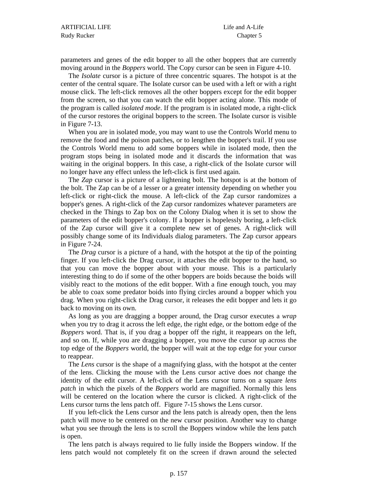parameters and genes of the edit bopper to all the other boppers that are currently moving around in the *Boppers* world. The Copy cursor can be seen in Figure 4-10.

The *Isolate* cursor is a picture of three concentric squares. The hotspot is at the center of the central square. The Isolate cursor can be used with a left or with a right mouse click. The left-click removes all the other boppers except for the edit bopper from the screen, so that you can watch the edit bopper acting alone. This mode of the program is called *isolated mode*. If the program is in isolated mode, a right-click of the cursor restores the original boppers to the screen. The Isolate cursor is visible in Figure 7-13.

When you are in isolated mode, you may want to use the Controls World menu to remove the food and the poison patches, or to lengthen the bopper's trail. If you use the Controls World menu to add some boppers while in isolated mode, then the program stops being in isolated mode and it discards the information that was waiting in the original boppers. In this case, a right-click of the Isolate cursor will no longer have any effect unless the left-click is first used again.

The *Zap* cursor is a picture of a lightening bolt. The hotspot is at the bottom of the bolt. The Zap can be of a lesser or a greater intensity depending on whether you left-click or right-click the mouse. A left-click of the Zap cursor randomizes a bopper's genes. A right-click of the Zap cursor randomizes whatever parameters are checked in the Things to Zap box on the Colony Dialog when it is set to show the parameters of the edit bopper's colony. If a bopper is hopelessly boring, a left-click of the Zap cursor will give it a complete new set of genes. A right-click will possibly change some of its Individuals dialog parameters. The Zap cursor appears in Figure 7-24.

The *Drag* cursor is a picture of a hand, with the hotspot at the tip of the pointing finger. If you left-click the Drag cursor, it attaches the edit bopper to the hand, so that you can move the bopper about with your mouse. This is a particularly interesting thing to do if some of the other boppers are boids because the boids will visibly react to the motions of the edit bopper. With a fine enough touch, you may be able to coax some predator boids into flying circles around a bopper which you drag. When you right-click the Drag cursor, it releases the edit bopper and lets it go back to moving on its own.

As long as you are dragging a bopper around, the Drag cursor executes a *wrap* when you try to drag it across the left edge, the right edge, or the bottom edge of the *Boppers* word. That is, if you drag a bopper off the right, it reappears on the left, and so on. If, while you are dragging a bopper, you move the cursor up across the top edge of the *Boppers* world, the bopper will wait at the top edge for your cursor to reappear.

The *Lens* cursor is the shape of a magnifying glass, with the hotspot at the center of the lens. Clicking the mouse with the Lens cursor active does *not* change the identity of the edit cursor. A left-click of the Lens cursor turns on a square *lens patch* in which the pixels of the *Boppers* world are magnified. Normally this lens will be centered on the location where the cursor is clicked. A right-click of the Lens cursor turns the lens patch off. Figure 7-15 shows the Lens cursor.

If you left-click the Lens cursor and the lens patch is already open, then the lens patch will move to be centered on the new cursor position. Another way to change what you see through the lens is to scroll the Boppers window while the lens patch is open.

The lens patch is always required to lie fully inside the Boppers window. If the lens patch would not completely fit on the screen if drawn around the selected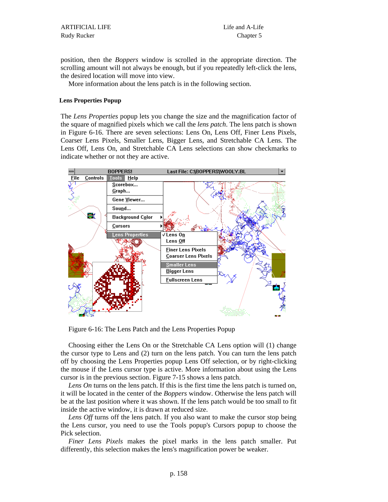position, then the *Boppers* window is scrolled in the appropriate direction. The scrolling amount will not always be enough, but if you repeatedly left-click the lens, the desired location will move into view.

More information about the lens patch is in the following section.

### **Lens Properties Popup**

The *Lens Properties* popup lets you change the size and the magnification factor of the square of magnified pixels which we call the *lens patch*. The lens patch is shown in Figure 6-16. There are seven selections: Lens On, Lens Off, Finer Lens Pixels, Coarser Lens Pixels, Smaller Lens, Bigger Lens, and Stretchable CA Lens. The Lens Off, Lens On, and Stretchable CA Lens selections can show checkmarks to indicate whether or not they are active.



Figure 6-16: The Lens Patch and the Lens Properties Popup

Choosing either the Lens On or the Stretchable CA Lens option will (1) change the cursor type to Lens and (2) turn on the lens patch. You can turn the lens patch off by choosing the Lens Properties popup Lens Off selection, or by right-clicking the mouse if the Lens cursor type is active. More information about using the Lens cursor is in the previous section. Figure 7-15 shows a lens patch.

*Lens On* turns on the lens patch. If this is the first time the lens patch is turned on, it will be located in the center of the *Boppers* window. Otherwise the lens patch will be at the last position where it was shown. If the lens patch would be too small to fit inside the active window, it is drawn at reduced size.

*Lens Off* turns off the lens patch. If you also want to make the cursor stop being the Lens cursor, you need to use the Tools popup's Cursors popup to choose the Pick selection.

*Finer Lens Pixels* makes the pixel marks in the lens patch smaller. Put differently, this selection makes the lens's magnification power be weaker.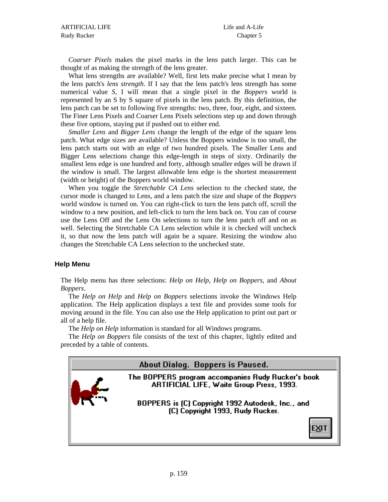*Coarser Pixels* makes the pixel marks in the lens patch larger. This can be thought of as making the strength of the lens greater.

What lens strengths are available? Well, first lets make precise what I mean by the lens patch's *lens strength*. If I say that the lens patch's lens strength has some numerical value *S*, I will mean that a single pixel in the *Boppers* world is represented by an S by S square of pixels in the lens patch. By this definition, the lens patch can be set to following five strengths: two, three, four, eight, and sixteen. The Finer Lens Pixels and Coarser Lens Pixels selections step up and down through these five options, staying put if pushed out to either end.

*Smaller Lens* and *Bigger Lens* change the length of the edge of the square lens patch. What edge sizes are available? Unless the Boppers window is too small, the lens patch starts out with an edge of two hundred pixels. The Smaller Lens and Bigger Lens selections change this edge-length in steps of sixty. Ordinarily the smallest lens edge is one hundred and forty, although smaller edges will be drawn if the window is small. The largest allowable lens edge is the shortest measurement (width or height) of the Boppers world window.

When you toggle the *Stretchable CA Lens* selection to the checked state, the cursor mode is changed to Lens, and a lens patch the size and shape of the *Boppers* world window is turned on. You can right-click to turn the lens patch off, scroll the window to a new position, and left-click to turn the lens back on. You can of course use the Lens Off and the Lens On selections to turn the lens patch off and on as well. Selecting the Stretchable CA Lens selection while it is checked will uncheck it, so that now the lens patch will again be a square. Resizing the window also changes the Stretchable CA Lens selection to the unchecked state.

#### **Help Menu**

The Help menu has three selections: *Help on Help*, *Help on Boppers*, and *About Boppers*.

The *Help on Help* and *Help on Boppers* selections invoke the Windows Help application. The Help application displays a text file and provides some tools for moving around in the file. You can also use the Help application to print out part or all of a help file.

The *Help on Help* information is standard for all Windows programs.

The *Help on Boppers* file consists of the text of this chapter, lightly edited and preceded by a table of contents.

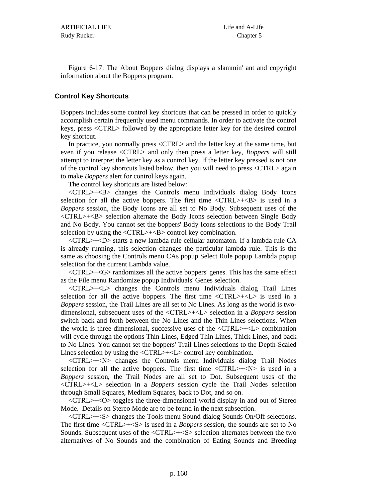Figure 6-17: The About Boppers dialog displays a slammin' ant and copyright information about the Boppers program.

### **Control Key Shortcuts**

Boppers includes some control key shortcuts that can be pressed in order to quickly accomplish certain frequently used menu commands. In order to activate the control keys, press <CTRL> followed by the appropriate letter key for the desired control key shortcut.

In practice, you normally press <CTRL> and the letter key at the same time, but even if you release <CTRL> and only then press a letter key, *Boppers* will still attempt to interpret the letter key as a control key. If the letter key pressed is not one of the control key shortcuts listed below, then you will need to press <CTRL> again to make *Boppers* alert for control keys again.

The control key shortcuts are listed below:

<CTRL>+<B> changes the Controls menu Individuals dialog Body Icons selection for all the active boppers. The first time  $\langle \text{CTRL}>+\langle \text{B}\rangle$  is used in a *Boppers* session, the Body Icons are all set to No Body. Subsequent uses of the <CTRL>+<B> selection alternate the Body Icons selection between Single Body and No Body. You cannot set the boppers' Body Icons selections to the Body Trail selection by using the  $\langle \text{CTR} \rangle + \langle \text{B} \rangle$  control key combination.

<CTRL>+<D> starts a new lambda rule cellular automaton. If a lambda rule CA is already running, this selection changes the particular lambda rule. This is the same as choosing the Controls menu CAs popup Select Rule popup Lambda popup selection for the current Lambda value.

<CTRL>+<G> randomizes all the active boppers' genes. This has the same effect as the File menu Randomize popup Individuals' Genes selection.

<CTRL>+<L> changes the Controls menu Individuals dialog Trail Lines selection for all the active boppers. The first time  $\langle \text{CTRL}>+\langle \text{L}\rangle$  is used in a *Boppers* session, the Trail Lines are all set to No Lines. As long as the world is twodimensional, subsequent uses of the <CTRL>+<L> selection in a *Boppers* session switch back and forth between the No Lines and the Thin Lines selections. When the world is three-dimensional, successive uses of the <CTRL>+<L> combination will cycle through the options Thin Lines, Edged Thin Lines, Thick Lines, and back to No Lines. You cannot set the boppers' Trail Lines selections to the Depth-Scaled Lines selection by using the  $\langle \text{CTR} \rangle + \langle \text{L} \rangle$  control key combination.

<CTRL>+<N> changes the Controls menu Individuals dialog Trail Nodes selection for all the active boppers. The first time  $\langle \text{CTRL}>+\langle N \rangle$  is used in a *Boppers* session, the Trail Nodes are all set to Dot. Subsequent uses of the <CTRL>+<L> selection in a *Boppers* session cycle the Trail Nodes selection through Small Squares, Medium Squares, back to Dot, and so on.

<CTRL>+<O> toggles the three-dimensional world display in and out of Stereo Mode. Details on Stereo Mode are to be found in the next subsection.

<CTRL>+<S> changes the Tools menu Sound dialog Sounds On/Off selections. The first time <CTRL>+<S> is used in a *Boppers* session, the sounds are set to No Sounds. Subsequent uses of the <CTRL>+<S> selection alternates between the two alternatives of No Sounds and the combination of Eating Sounds and Breeding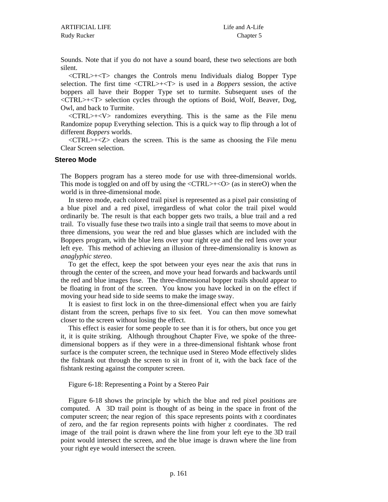Sounds. Note that if you do not have a sound board, these two selections are both silent.

<CTRL>+<T> changes the Controls menu Individuals dialog Bopper Type selection. The first time <CTRL>+<T> is used in a *Boppers* session, the active boppers all have their Bopper Type set to turmite. Subsequent uses of the <CTRL>+<T> selection cycles through the options of Boid, Wolf, Beaver, Dog, Owl, and back to Turmite.

 $\langle \text{CTR} \rangle$  + $\langle \text{V} \rangle$  randomizes everything. This is the same as the File menu Randomize popup Everything selection. This is a quick way to flip through a lot of different *Boppers* worlds.

 $\langle \text{CTR} \rangle \rightarrow \langle \text{Z} \rangle$  clears the screen. This is the same as choosing the File menu Clear Screen selection.

#### **Stereo Mode**

The Boppers program has a stereo mode for use with three-dimensional worlds. This mode is toggled on and off by using the  $\langle \text{CTR} \rangle + \langle \text{O} \rangle$  (as in stereO) when the world is in three-dimensional mode.

In stereo mode, each colored trail pixel is represented as a pixel pair consisting of a blue pixel and a red pixel, irregardless of what color the trail pixel would ordinarily be. The result is that each bopper gets two trails, a blue trail and a red trail. To visually fuse these two trails into a single trail that seems to move about in three dimensions, you wear the red and blue glasses which are included with the Boppers program, with the blue lens over your right eye and the red lens over your left eye. This method of achieving an illusion of three-dimensionality is known as *anaglyphic stereo*.

To get the effect, keep the spot between your eyes near the axis that runs in through the center of the screen, and move your head forwards and backwards until the red and blue images fuse. The three-dimensional bopper trails should appear to be floating in front of the screen. You know you have locked in on the effect if moving your head side to side seems to make the image sway.

It is easiest to first lock in on the three-dimensional effect when you are fairly distant from the screen, perhaps five to six feet. You can then move somewhat closer to the screen without losing the effect.

This effect is easier for some people to see than it is for others, but once you get it, it is quite striking. Although throughout Chapter Five, we spoke of the threedimensional boppers as if they were in a three-dimensional fishtank whose front surface is the computer screen, the technique used in Stereo Mode effectively slides the fishtank out through the screen to sit in front of it, with the back face of the fishtank resting against the computer screen.

Figure 6-18: Representing a Point by a Stereo Pair

Figure 6-18 shows the principle by which the blue and red pixel positions are computed. A 3D trail point is thought of as being in the space in front of the computer screen; the near region of this space represents points with z coordinates of zero, and the far region represents points with higher z coordinates. The red image of the trail point is drawn where the line from your left eye to the 3D trail point would intersect the screen, and the blue image is drawn where the line from your right eye would intersect the screen.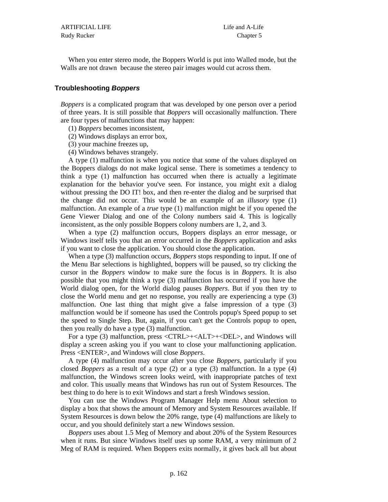When you enter stereo mode, the Boppers World is put into Walled mode, but the Walls are not drawn because the stereo pair images would cut across them.

### **Troubleshooting** *Boppers*

*Boppers* is a complicated program that was developed by one person over a period of three years. It is still possible that *Boppers* will occasionally malfunction. There are four types of malfunctions that may happen:

(1) *Boppers* becomes inconsistent,

(2) Windows displays an error box,

(3) your machine freezes up,

(4) Windows behaves strangely.

A type (1) malfunction is when you notice that some of the values displayed on the Boppers dialogs do not make logical sense. There is sometimes a tendency to think a type (1) malfunction has occurred when there is actually a legitimate explanation for the behavior you've seen. For instance, you might exit a dialog without pressing the DO IT! box, and then re-enter the dialog and be surprised that the change did not occur. This would be an example of an *illusory* type (1) malfunction. An example of a *true* type (1) malfunction might be if you opened the Gene Viewer Dialog and one of the Colony numbers said 4. This is logically inconsistent, as the only possible Boppers colony numbers are 1, 2, and 3.

When a type (2) malfunction occurs, Boppers displays an error message, or Windows itself tells you that an error occurred in the *Boppers* application and asks if you want to close the application. You should close the application.

When a type (3) malfunction occurs, *Boppers* stops responding to input. If one of the Menu Bar selections is highlighted, boppers will be paused, so try clicking the cursor in the *Boppers* window to make sure the focus is in *Boppers*. It is also possible that you might think a type (3) malfunction has occurred if you have the World dialog open, for the World dialog pauses *Boppers*. But if you then try to close the World menu and get no response, you really are experiencing a type (3) malfunction. One last thing that might give a false impression of a type (3) malfunction would be if someone has used the Controls popup's Speed popup to set the speed to Single Step. But, again, if you can't get the Controls popup to open, then you really do have a type (3) malfunction.

For a type (3) malfunction, press <CTRL>+<ALT>+<DEL>, and Windows will display a screen asking you if you want to close your malfunctioning application. Press <ENTER>, and Windows will close *Boppers*.

A type (4) malfunction may occur after you close *Boppers*, particularly if you closed *Boppers* as a result of a type (2) or a type (3) malfunction. In a type (4) malfunction, the Windows screen looks weird, with inappropriate patches of text and color. This usually means that Windows has run out of System Resources. The best thing to do here is to exit Windows and start a fresh Windows session.

You can use the Windows Program Manager Help menu About selection to display a box that shows the amount of Memory and System Resources available. If System Resources is down below the 20% range, type (4) malfunctions are likely to occur, and you should definitely start a new Windows session.

*Boppers* uses about 1.5 Meg of Memory and about 20% of the System Resources when it runs. But since Windows itself uses up some RAM, a very minimum of 2 Meg of RAM is required. When Boppers exits normally, it gives back all but about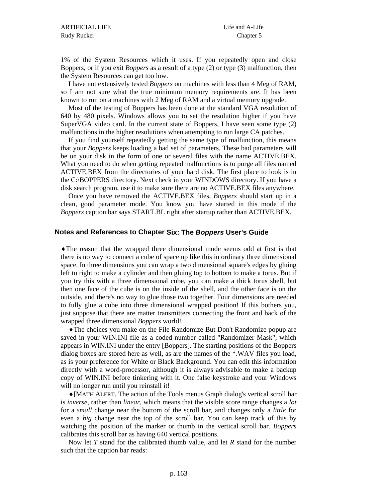1% of the System Resources which it uses. If you repeatedly open and close Boppers, or if you exit *Boppers* as a result of a type (2) or type (3) malfunction, then the System Resources can get too low.

I have not extensively tested *Boppers* on machines with less than 4 Meg of RAM, so I am not sure what the true minimum memory requirements are. It has been known to run on a machines with 2 Meg of RAM and a virtual memory upgrade.

Most of the testing of Boppers has been done at the standard VGA resolution of 640 by 480 pixels. Windows allows you to set the resolution higher if you have SuperVGA video card. In the current state of Boppers, I have seen some type (2) malfunctions in the higher resolutions when attempting to run large CA patches.

If you find yourself repeatedly getting the same type of malfunction, this means that your *Boppers* keeps loading a bad set of parameters. These bad parameters will be on your disk in the form of one or several files with the name ACTIVE.BEX. What you need to do when getting repeated malfunctions is to purge all files named ACTIVE.BEX from the directories of your hard disk. The first place to look is in the C:\BOPPERS directory. Next check in your WINDOWS directory. If you have a disk search program, use it to make sure there are no ACTIVE.BEX files anywhere.

Once you have removed the ACTIVE.BEX files, *Boppers* should start up in a clean, good parameter mode. You know you have started in this mode if the *Boppers* caption bar says START.BL right after startup rather than ACTIVE.BEX.

#### **Notes and References to Chapter Six: The** *Boppers* **User's Guide**

♦The reason that the wrapped three dimensional mode seems odd at first is that there is no way to connect a cube of space up like this in ordinary three dimensional space. In three dimensions you can wrap a two dimensional square's edges by gluing left to right to make a cylinder and then gluing top to bottom to make a torus. But if you try this with a three dimensional cube, you can make a thick torus shell, but then one face of the cube is on the inside of the shell, and the other face is on the outside, and there's no way to glue those two together. Four dimensions are needed to fully glue a cube into three dimensional wrapped position! If this bothers you, just suppose that there are matter transmitters connecting the front and back of the wrapped three dimensional *Boppers* world!

♦The choices you make on the File Randomize But Don't Randomize popup are saved in your WIN.INI file as a coded number called "Randomizer Mask", which appears in WIN.INI under the entry [Boppers]. The starting positions of the Boppers dialog boxes are stored here as well, as are the names of the \*.WAV files you load, as is your preference for White or Black Background. You can edit this information directly with a word-processor, although it is always advisable to make a backup copy of WIN.INI before tinkering with it. One false keystroke and your Windows will no longer run until you reinstall it!

♦[MATH ALERT. The action of the Tools menus Graph dialog's vertical scroll bar is *inverse*, rather than *linear*, which means that the visible score range changes a *lot* for a *small* change near the bottom of the scroll bar, and changes only a *little* for even a *big* change near the top of the scroll bar. You can keep track of this by watching the position of the marker or thumb in the vertical scroll bar. *Boppers* calibrates this scroll bar as having 640 vertical positions.

Now let *T* stand for the calibrated thumb value, and let *R* stand for the number such that the caption bar reads: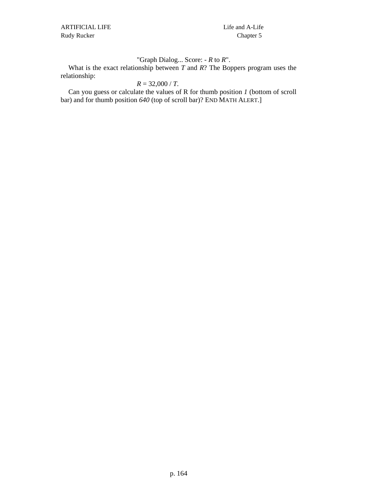# "Graph Dialog... Score: - *R* to *R*".

What is the exact relationship between *T* and *R*? The Boppers program uses the relationship:

# $R = 32,000 / T$ .

Can you guess or calculate the values of R for thumb position *1* (bottom of scroll bar) and for thumb position *640* (top of scroll bar)? END MATH ALERT.]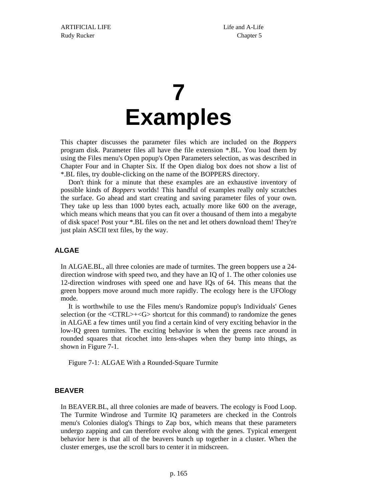

This chapter discusses the parameter files which are included on the *Boppers* program disk. Parameter files all have the file extension \*.BL. You load them by using the Files menu's Open popup's Open Parameters selection, as was described in Chapter Four and in Chapter Six. If the Open dialog box does not show a list of \*.BL files, try double-clicking on the name of the BOPPERS directory.

Don't think for a minute that these examples are an exhaustive inventory of possible kinds of *Boppers* worlds! This handful of examples really only scratches the surface. Go ahead and start creating and saving parameter files of your own. They take up less than 1000 bytes each, actually more like 600 on the average, which means which means that you can fit over a thousand of them into a megabyte of disk space! Post your \*.BL files on the net and let others download them! They're just plain ASCII text files, by the way.

### **ALGAE**

In ALGAE.BL, all three colonies are made of turmites. The green boppers use a 24 direction windrose with speed two, and they have an IQ of 1. The other colonies use 12-direction windroses with speed one and have IQs of 64. This means that the green boppers move around much more rapidly. The ecology here is the UFOlogy mode.

It is worthwhile to use the Files menu's Randomize popup's Individuals' Genes selection (or the  $\langle \text{CTR} \rangle + \langle \text{G} \rangle$  shortcut for this command) to randomize the genes in ALGAE a few times until you find a certain kind of very exciting behavior in the low-IQ green turmites. The exciting behavior is when the greens race around in rounded squares that ricochet into lens-shapes when they bump into things, as shown in Figure 7-1.

Figure 7-1: ALGAE With a Rounded-Square Turmite

### **BEAVER**

In BEAVER.BL, all three colonies are made of beavers. The ecology is Food Loop. The Turmite Windrose and Turmite IQ parameters are checked in the Controls menu's Colonies dialog's Things to Zap box, which means that these parameters undergo zapping and can therefore evolve along with the genes. Typical emergent behavior here is that all of the beavers bunch up together in a cluster. When the cluster emerges, use the scroll bars to center it in midscreen.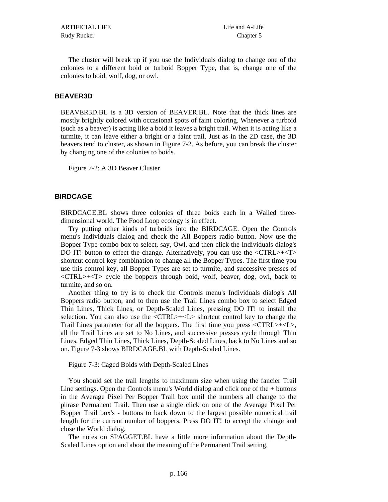The cluster will break up if you use the Individuals dialog to change one of the colonies to a different boid or turboid Bopper Type, that is, change one of the colonies to boid, wolf, dog, or owl.

### **BEAVER3D**

BEAVER3D.BL is a 3D version of BEAVER.BL. Note that the thick lines are mostly brightly colored with occasional spots of faint coloring. Whenever a turboid (such as a beaver) is acting like a boid it leaves a bright trail. When it is acting like a turmite, it can leave either a bright or a faint trail. Just as in the 2D case, the 3D beavers tend to cluster, as shown in Figure 7-2. As before, you can break the cluster by changing one of the colonies to boids.

Figure 7-2: A 3D Beaver Cluster

### **BIRDCAGE**

BIRDCAGE.BL shows three colonies of three boids each in a Walled threedimensional world. The Food Loop ecology is in effect.

Try putting other kinds of turboids into the BIRDCAGE. Open the Controls menu's Individuals dialog and check the All Boppers radio button. Now use the Bopper Type combo box to select, say, Owl, and then click the Individuals dialog's DO IT! button to effect the change. Alternatively, you can use the  $\langle \text{CTR} \rangle + \langle \text{T} \rangle$ shortcut control key combination to change all the Bopper Types. The first time you use this control key, all Bopper Types are set to turmite, and successive presses of  $\langle \text{CTR} \rangle$  + $\langle \text{T} \rangle$  cycle the boppers through boid, wolf, beaver, dog, owl, back to turmite, and so on.

Another thing to try is to check the Controls menu's Individuals dialog's All Boppers radio button, and to then use the Trail Lines combo box to select Edged Thin Lines, Thick Lines, or Depth-Scaled Lines, pressing DO IT! to install the selection. You can also use the  $\langle \text{CTR} \rangle + \langle \text{L} \rangle$  shortcut control key to change the Trail Lines parameter for all the boppers. The first time you press  $\langle \text{CTRL>+}\langle \text{L>}, \text{R} \rangle$ all the Trail Lines are set to No Lines, and successive presses cycle through Thin Lines, Edged Thin Lines, Thick Lines, Depth-Scaled Lines, back to No Lines and so on. Figure 7-3 shows BIRDCAGE.BL with Depth-Scaled Lines.

Figure 7-3: Caged Boids with Depth-Scaled Lines

You should set the trail lengths to maximum size when using the fancier Trail Line settings. Open the Controls menu's World dialog and click one of the + buttons in the Average Pixel Per Bopper Trail box until the numbers all change to the phrase Permanent Trail. Then use a single click on one of the Average Pixel Per Bopper Trail box's - buttons to back down to the largest possible numerical trail length for the current number of boppers. Press DO IT! to accept the change and close the World dialog.

The notes on SPAGGET.BL have a little more information about the Depth-Scaled Lines option and about the meaning of the Permanent Trail setting.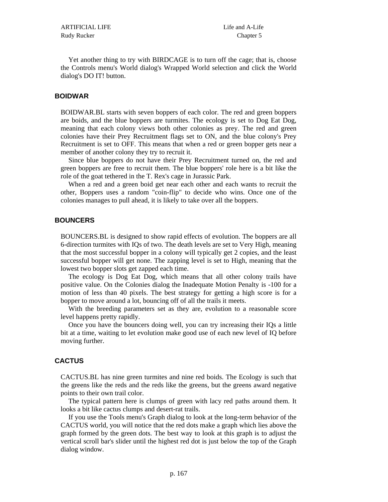Yet another thing to try with BIRDCAGE is to turn off the cage; that is, choose the Controls menu's World dialog's Wrapped World selection and click the World dialog's DO IT! button.

### **BOIDWAR**

BOIDWAR.BL starts with seven boppers of each color. The red and green boppers are boids, and the blue boppers are turmites. The ecology is set to Dog Eat Dog, meaning that each colony views both other colonies as prey. The red and green colonies have their Prey Recruitment flags set to ON, and the blue colony's Prey Recruitment is set to OFF. This means that when a red or green bopper gets near a member of another colony they try to recruit it.

Since blue boppers do not have their Prey Recruitment turned on, the red and green boppers are free to recruit them. The blue boppers' role here is a bit like the role of the goat tethered in the T. Rex's cage in Jurassic Park.

When a red and a green boid get near each other and each wants to recruit the other, Boppers uses a random "coin-flip" to decide who wins. Once one of the colonies manages to pull ahead, it is likely to take over all the boppers.

### **BOUNCERS**

BOUNCERS.BL is designed to show rapid effects of evolution. The boppers are all 6-direction turmites with IQs of two. The death levels are set to Very High, meaning that the most successful bopper in a colony will typically get 2 copies, and the least successful bopper will get none. The zapping level is set to High, meaning that the lowest two bopper slots get zapped each time.

The ecology is Dog Eat Dog, which means that all other colony trails have positive value. On the Colonies dialog the Inadequate Motion Penalty is -100 for a motion of less than 40 pixels. The best strategy for getting a high score is for a bopper to move around a lot, bouncing off of all the trails it meets.

With the breeding parameters set as they are, evolution to a reasonable score level happens pretty rapidly.

Once you have the bouncers doing well, you can try increasing their IQs a little bit at a time, waiting to let evolution make good use of each new level of IQ before moving further.

### **CACTUS**

CACTUS.BL has nine green turmites and nine red boids. The Ecology is such that the greens like the reds and the reds like the greens, but the greens award negative points to their own trail color.

The typical pattern here is clumps of green with lacy red paths around them. It looks a bit like cactus clumps and desert-rat trails.

If you use the Tools menu's Graph dialog to look at the long-term behavior of the CACTUS world, you will notice that the red dots make a graph which lies above the graph formed by the green dots. The best way to look at this graph is to adjust the vertical scroll bar's slider until the highest red dot is just below the top of the Graph dialog window.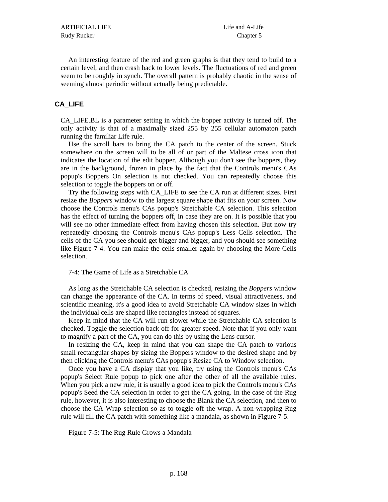An interesting feature of the red and green graphs is that they tend to build to a certain level, and then crash back to lower levels. The fluctuations of red and green seem to be roughly in synch. The overall pattern is probably chaotic in the sense of seeming almost periodic without actually being predictable.

# **CA\_LIFE**

CA\_LIFE.BL is a parameter setting in which the bopper activity is turned off. The only activity is that of a maximally sized 255 by 255 cellular automaton patch running the familiar Life rule.

Use the scroll bars to bring the CA patch to the center of the screen. Stuck somewhere on the screen will to be all of or part of the Maltese cross icon that indicates the location of the edit bopper. Although you don't see the boppers, they are in the background, frozen in place by the fact that the Controls menu's CAs popup's Boppers On selection is not checked. You can repeatedly choose this selection to toggle the boppers on or off.

Try the following steps with CA\_LIFE to see the CA run at different sizes. First resize the *Boppers* window to the largest square shape that fits on your screen. Now choose the Controls menu's CAs popup's Stretchable CA selection. This selection has the effect of turning the boppers off, in case they are on. It is possible that you will see no other immediate effect from having chosen this selection. But now try repeatedly choosing the Controls menu's CAs popup's Less Cells selection. The cells of the CA you see should get bigger and bigger, and you should see something like Figure 7-4. You can make the cells smaller again by choosing the More Cells selection.

7-4: The Game of Life as a Stretchable CA

As long as the Stretchable CA selection is checked, resizing the *Boppers* window can change the appearance of the CA. In terms of speed, visual attractiveness, and scientific meaning, it's a good idea to avoid Stretchable CA window sizes in which the individual cells are shaped like rectangles instead of squares.

Keep in mind that the CA will run slower while the Stretchable CA selection is checked. Toggle the selection back off for greater speed. Note that if you only want to magnify a part of the CA, you can do this by using the Lens cursor.

In resizing the CA, keep in mind that you can shape the CA patch to various small rectangular shapes by sizing the Boppers window to the desired shape and by then clicking the Controls menu's CAs popup's Resize CA to Window selection.

Once you have a CA display that you like, try using the Controls menu's CAs popup's Select Rule popup to pick one after the other of all the available rules. When you pick a new rule, it is usually a good idea to pick the Controls menu's CAs popup's Seed the CA selection in order to get the CA going. In the case of the Rug rule, however, it is also interesting to choose the Blank the CA selection, and then to choose the CA Wrap selection so as to toggle off the wrap. A non-wrapping Rug rule will fill the CA patch with something like a mandala, as shown in Figure 7-5.

Figure 7-5: The Rug Rule Grows a Mandala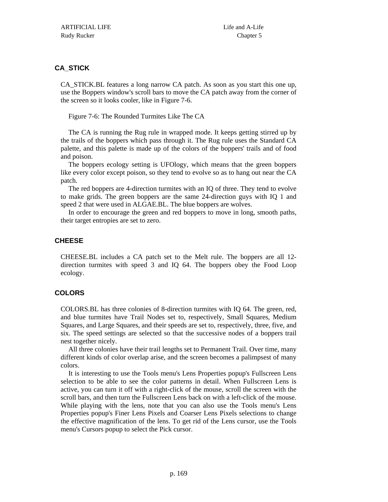# **CA\_STICK**

CA\_STICK.BL features a long narrow CA patch. As soon as you start this one up, use the Boppers window's scroll bars to move the CA patch away from the corner of the screen so it looks cooler, like in Figure 7-6.

Figure 7-6: The Rounded Turmites Like The CA

The CA is running the Rug rule in wrapped mode. It keeps getting stirred up by the trails of the boppers which pass through it. The Rug rule uses the Standard CA palette, and this palette is made up of the colors of the boppers' trails and of food and poison.

The boppers ecology setting is UFOlogy, which means that the green boppers like every color except poison, so they tend to evolve so as to hang out near the CA patch.

The red boppers are 4-direction turmites with an IQ of three. They tend to evolve to make grids. The green boppers are the same 24-direction guys with IQ 1 and speed 2 that were used in ALGAE.BL. The blue boppers are wolves.

In order to encourage the green and red boppers to move in long, smooth paths, their target entropies are set to zero.

# **CHEESE**

CHEESE.BL includes a CA patch set to the Melt rule. The boppers are all 12 direction turmites with speed 3 and IQ 64. The boppers obey the Food Loop ecology.

# **COLORS**

COLORS.BL has three colonies of 8-direction turmites with IQ 64. The green, red, and blue turmites have Trail Nodes set to, respectively, Small Squares, Medium Squares, and Large Squares, and their speeds are set to, respectively, three, five, and six. The speed settings are selected so that the successive nodes of a boppers trail nest together nicely.

All three colonies have their trail lengths set to Permanent Trail. Over time, many different kinds of color overlap arise, and the screen becomes a palimpsest of many colors.

It is interesting to use the Tools menu's Lens Properties popup's Fullscreen Lens selection to be able to see the color patterns in detail. When Fullscreen Lens is active, you can turn it off with a right-click of the mouse, scroll the screen with the scroll bars, and then turn the Fullscreen Lens back on with a left-click of the mouse. While playing with the lens, note that you can also use the Tools menu's Lens Properties popup's Finer Lens Pixels and Coarser Lens Pixels selections to change the effective magnification of the lens. To get rid of the Lens cursor, use the Tools menu's Cursors popup to select the Pick cursor.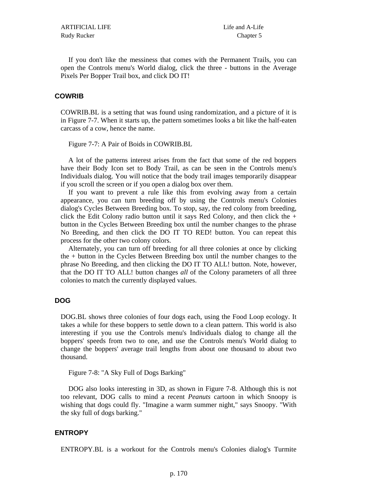If you don't like the messiness that comes with the Permanent Trails, you can open the Controls menu's World dialog, click the three - buttons in the Average Pixels Per Bopper Trail box, and click DO IT!

### **COWRIB**

COWRIB.BL is a setting that was found using randomization, and a picture of it is in Figure 7-7. When it starts up, the pattern sometimes looks a bit like the half-eaten carcass of a cow, hence the name.

Figure 7-7: A Pair of Boids in COWRIB.BL

A lot of the patterns interest arises from the fact that some of the red boppers have their Body Icon set to Body Trail, as can be seen in the Controls menu's Individuals dialog. You will notice that the body trail images temporarily disappear if you scroll the screen or if you open a dialog box over them.

If you want to prevent a rule like this from evolving away from a certain appearance, you can turn breeding off by using the Controls menu's Colonies dialog's Cycles Between Breeding box. To stop, say, the red colony from breeding, click the Edit Colony radio button until it says Red Colony, and then click the  $+$ button in the Cycles Between Breeding box until the number changes to the phrase No Breeding, and then click the DO IT TO RED! button. You can repeat this process for the other two colony colors.

Alternately, you can turn off breeding for all three colonies at once by clicking the + button in the Cycles Between Breeding box until the number changes to the phrase No Breeding, and then clicking the DO IT TO ALL! button. Note, however, that the DO IT TO ALL! button changes *all* of the Colony parameters of all three colonies to match the currently displayed values.

### **DOG**

DOG.BL shows three colonies of four dogs each, using the Food Loop ecology. It takes a while for these boppers to settle down to a clean pattern. This world is also interesting if you use the Controls menu's Individuals dialog to change all the boppers' speeds from two to one, and use the Controls menu's World dialog to change the boppers' average trail lengths from about one thousand to about two thousand.

Figure 7-8: "A Sky Full of Dogs Barking"

DOG also looks interesting in 3D, as shown in Figure 7-8. Although this is not too relevant, DOG calls to mind a recent *Peanuts* cartoon in which Snoopy is wishing that dogs could fly. "Imagine a warm summer night," says Snoopy. "With the sky full of dogs barking."

#### **ENTROPY**

ENTROPY.BL is a workout for the Controls menu's Colonies dialog's Turmite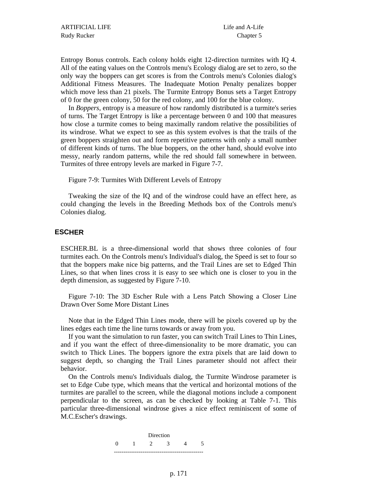Entropy Bonus controls. Each colony holds eight 12-direction turmites with IQ 4. All of the eating values on the Controls menu's Ecology dialog are set to zero, so the only way the boppers can get scores is from the Controls menu's Colonies dialog's Additional Fitness Measures. The Inadequate Motion Penalty penalizes bopper which move less than 21 pixels. The Turmite Entropy Bonus sets a Target Entropy of 0 for the green colony, 50 for the red colony, and 100 for the blue colony.

In *Boppers*, entropy is a measure of how randomly distributed is a turmite's series of turns. The Target Entropy is like a percentage between 0 and 100 that measures how close a turmite comes to being maximally random relative the possibilities of its windrose. What we expect to see as this system evolves is that the trails of the green boppers straighten out and form repetitive patterns with only a small number of different kinds of turns. The blue boppers, on the other hand, should evolve into messy, nearly random patterns, while the red should fall somewhere in between. Turmites of three entropy levels are marked in Figure 7-7.

Figure 7-9: Turmites With Different Levels of Entropy

Tweaking the size of the IQ and of the windrose could have an effect here, as could changing the levels in the Breeding Methods box of the Controls menu's Colonies dialog.

#### **ESCHER**

ESCHER.BL is a three-dimensional world that shows three colonies of four turmites each. On the Controls menu's Individual's dialog, the Speed is set to four so that the boppers make nice big patterns, and the Trail Lines are set to Edged Thin Lines, so that when lines cross it is easy to see which one is closer to you in the depth dimension, as suggested by Figure 7-10.

Figure 7-10: The 3D Escher Rule with a Lens Patch Showing a Closer Line Drawn Over Some More Distant Lines

Note that in the Edged Thin Lines mode, there will be pixels covered up by the lines edges each time the line turns towards or away from you.

If you want the simulation to run faster, you can switch Trail Lines to Thin Lines, and if you want the effect of three-dimensionality to be more dramatic, you can switch to Thick Lines. The boppers ignore the extra pixels that are laid down to suggest depth, so changing the Trail Lines parameter should not affect their behavior.

On the Controls menu's Individuals dialog, the Turmite Windrose parameter is set to Edge Cube type, which means that the vertical and horizontal motions of the turmites are parallel to the screen, while the diagonal motions include a component perpendicular to the screen, as can be checked by looking at Table 7-1. This particular three-dimensional windrose gives a nice effect reminiscent of some of M.C.Escher's drawings.

|  | Direction |  |  |  |  |  |  |  |  |
|--|-----------|--|--|--|--|--|--|--|--|
|  |           |  |  |  |  |  |  |  |  |
|  |           |  |  |  |  |  |  |  |  |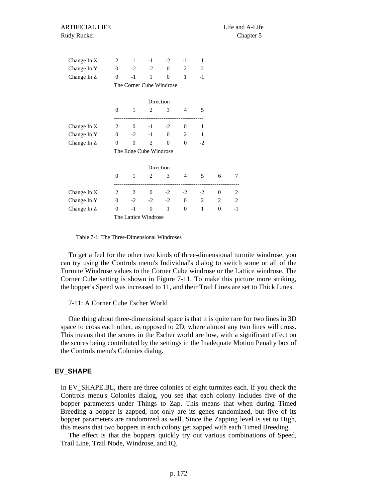| Change In X              |                |                        |                | 2 1 $-1$ $-2$  | $-1$                   | 1              |                  |      |  |  |  |
|--------------------------|----------------|------------------------|----------------|----------------|------------------------|----------------|------------------|------|--|--|--|
| Change In Y              | $\overline{0}$ |                        | $-2$ $-2$      | $\overline{0}$ | $\mathbf{2}$           | $\overline{2}$ |                  |      |  |  |  |
| Change In Z              | $\overline{0}$ | $-1$                   | $\mathbf{1}$   | $\overline{0}$ | $1 \quad \blacksquare$ | $-1$           |                  |      |  |  |  |
| The Corner Cube Windrose |                |                        |                |                |                        |                |                  |      |  |  |  |
|                          |                |                        |                |                |                        |                |                  |      |  |  |  |
|                          | Direction      |                        |                |                |                        |                |                  |      |  |  |  |
|                          | $\overline{0}$ | $1 \quad \blacksquare$ | $\overline{2}$ | $3^{\circ}$    | $\overline{4}$         | 5              |                  |      |  |  |  |
|                          |                |                        |                |                |                        |                |                  |      |  |  |  |
| Change In X              |                |                        |                | 2 0 $-1$ $-2$  | 0                      | 1              |                  |      |  |  |  |
| Change In Y              | $\overline{0}$ |                        |                | $-2$ $-1$ 0    | $\mathbf{2}$           | 1              |                  |      |  |  |  |
| Change In Z              | 0              | 0                      | $\overline{2}$ | $\overline{0}$ | $\overline{0}$         | $-2$           |                  |      |  |  |  |
| The Edge Cube Windrose   |                |                        |                |                |                        |                |                  |      |  |  |  |
|                          |                |                        |                |                |                        |                |                  |      |  |  |  |
| Direction                |                |                        |                |                |                        |                |                  |      |  |  |  |
|                          | $\overline{0}$ | $1 \quad \blacksquare$ |                | $2 \qquad 3$   | $4 \quad$              | 5 <sup>5</sup> | 6                | 7    |  |  |  |
|                          |                |                        |                |                |                        |                |                  |      |  |  |  |
| Change In X              |                |                        |                |                |                        | 2 2 0 -2 -2 -2 | 0                | 2    |  |  |  |
| Change In Y              | $\overline{0}$ |                        |                | $-2$ $-2$ $-2$ | 0                      | $\mathbf{2}$   | 2                | 2    |  |  |  |
| Change In Z              | 0              | $-1$                   | $\overline{0}$ | $\mathbf{1}$   | $\mathbf{0}$           | $\mathbf{1}$   | $\boldsymbol{0}$ | $-1$ |  |  |  |
|                          |                | The Lattice Windrose   |                |                |                        |                |                  |      |  |  |  |

Table 7-1: The Three-Dimensional Windroses

To get a feel for the other two kinds of three-dimensional turmite windrose, you can try using the Controls menu's Individual's dialog to switch some or all of the Turmite Windrose values to the Corner Cube windrose or the Lattice windrose. The Corner Cube setting is shown in Figure 7-11. To make this picture more striking, the bopper's Speed was increased to 11, and their Trail Lines are set to Thick Lines.

#### 7-11: A Corner Cube Escher World

One thing about three-dimensional space is that it is quite rare for two lines in 3D space to cross each other, as opposed to 2D, where almost any two lines will cross. This means that the scores in the Escher world are low, with a significant effect on the scores being contributed by the settings in the Inadequate Motion Penalty box of the Controls menu's Colonies dialog.

### **EV\_SHAPE**

In EV\_SHAPE.BL, there are three colonies of eight turmites each. If you check the Controls menu's Colonies dialog, you see that each colony includes five of the bopper parameters under Things to Zap. This means that when during Timed Breeding a bopper is zapped, not only are its genes randomized, but five of its bopper parameters are randomized as well. Since the Zapping level is set to High, this means that two boppers in each colony get zapped with each Timed Breeding.

The effect is that the boppers quickly try out various combinations of Speed, Trail Line, Trail Node, Windrose, and IQ.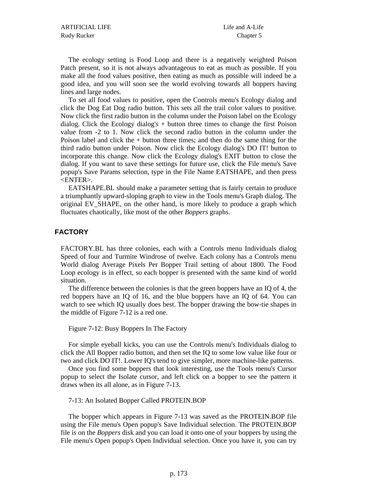The ecology setting is Food Loop and there is a negatively weighted Poison Patch present, so it is not always advantageous to eat as much as possible. If you make all the food values positive, then eating as much as possible will indeed be a good idea, and you will soon see the world evolving towards all boppers having lines and large nodes.

To set all food values to positive, open the Controls menu's Ecology dialog and click the Dog Eat Dog radio button. This sets all the trail color values to positive. Now click the first radio button in the column under the Poison label on the Ecology dialog. Click the Ecology dialog's + button three times to change the first Poison value from -2 to 1. Now click the second radio button in the column under the Poison label and click the + button three times; and then do the same thing for the third radio button under Poison. Now click the Ecology dialog's DO IT! button to incorporate this change. Now click the Ecology dialog's EXIT button to close the dialog. If you want to save these settings for future use, click the File menu's Save popup's Save Params selection, type in the File Name EATSHAPE, and then press <ENTER>.

EATSHAPE.BL should make a parameter setting that is fairly certain to produce a triumphantly upward-sloping graph to view in the Tools menu's Graph dialog. The original EV\_SHAPE, on the other hand, is more likely to produce a graph which fluctuates chaotically, like most of the other *Boppers* graphs.

### **FACTORY**

FACTORY.BL has three colonies, each with a Controls menu Individuals dialog Speed of four and Turmite Windrose of twelve. Each colony has a Controls menu World dialog Average Pixels Per Bopper Trail setting of about 1800. The Food Loop ecology is in effect, so each bopper is presented with the same kind of world situation.

The difference between the colonies is that the green boppers have an IQ of 4, the red boppers have an IQ of 16, and the blue boppers have an IQ of 64. You can watch to see which IQ usually does best. The bopper drawing the bow-tie shapes in the middle of Figure 7-12 is a red one.

Figure 7-12: Busy Boppers In The Factory

For simple eyeball kicks, you can use the Controls menu's Individuals dialog to click the All Bopper radio button, and then set the IQ to some low value like four or two and click DO IT!. Lower IQ's tend to give simpler, more machine-like patterns.

Once you find some boppers that look interesting, use the Tools menu's Cursor popup to select the Isolate cursor, and left click on a bopper to see the pattern it draws when its all alone, as in Figure 7-13.

#### 7-13: An Isolated Bopper Called PROTEIN.BOP

The bopper which appears in Figure 7-13 was saved as the PROTEIN.BOP file using the File menu's Open popup's Save Individual selection. The PROTEIN.BOP file is on the *Boppers* disk and you can load it onto one of your boppers by using the File menu's Open popup's Open Individual selection. Once you have it, you can try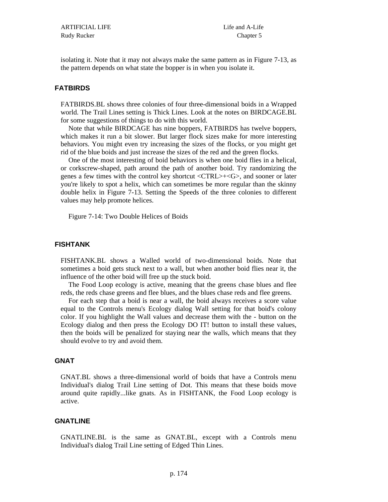isolating it. Note that it may not always make the same pattern as in Figure 7-13, as the pattern depends on what state the bopper is in when you isolate it.

## **FATBIRDS**

FATBIRDS.BL shows three colonies of four three-dimensional boids in a Wrapped world. The Trail Lines setting is Thick Lines. Look at the notes on BIRDCAGE.BL for some suggestions of things to do with this world.

Note that while BIRDCAGE has nine boppers, FATBIRDS has twelve boppers, which makes it run a bit slower. But larger flock sizes make for more interesting behaviors. You might even try increasing the sizes of the flocks, or you might get rid of the blue boids and just increase the sizes of the red and the green flocks.

One of the most interesting of boid behaviors is when one boid flies in a helical, or corkscrew-shaped, path around the path of another boid. Try randomizing the genes a few times with the control key shortcut <CTRL>+<G>, and sooner or later you're likely to spot a helix, which can sometimes be more regular than the skinny double helix in Figure 7-13. Setting the Speeds of the three colonies to different values may help promote helices.

Figure 7-14: Two Double Helices of Boids

### **FISHTANK**

FISHTANK.BL shows a Walled world of two-dimensional boids. Note that sometimes a boid gets stuck next to a wall, but when another boid flies near it, the influence of the other boid will free up the stuck boid.

The Food Loop ecology is active, meaning that the greens chase blues and flee reds, the reds chase greens and flee blues, and the blues chase reds and flee greens.

For each step that a boid is near a wall, the boid always receives a score value equal to the Controls menu's Ecology dialog Wall setting for that boid's colony color. If you highlight the Wall values and decrease them with the - button on the Ecology dialog and then press the Ecology DO IT! button to install these values, then the boids will be penalized for staying near the walls, which means that they should evolve to try and avoid them.

### **GNAT**

GNAT.BL shows a three-dimensional world of boids that have a Controls menu Individual's dialog Trail Line setting of Dot. This means that these boids move around quite rapidly...like gnats. As in FISHTANK, the Food Loop ecology is active.

#### **GNATLINE**

GNATLINE.BL is the same as GNAT.BL, except with a Controls menu Individual's dialog Trail Line setting of Edged Thin Lines.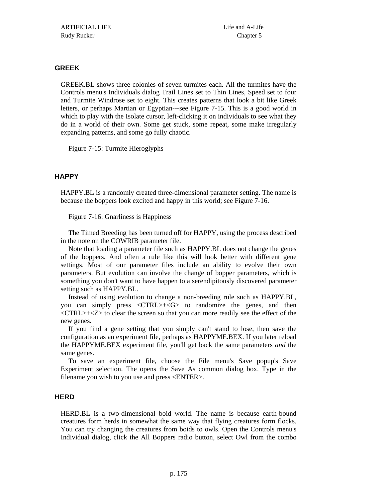### **GREEK**

GREEK.BL shows three colonies of seven turmites each. All the turmites have the Controls menu's Individuals dialog Trail Lines set to Thin Lines, Speed set to four and Turmite Windrose set to eight. This creates patterns that look a bit like Greek letters, or perhaps Martian or Egyptian---see Figure 7-15. This is a good world in which to play with the Isolate cursor, left-clicking it on individuals to see what they do in a world of their own. Some get stuck, some repeat, some make irregularly expanding patterns, and some go fully chaotic.

Figure 7-15: Turmite Hieroglyphs

### **HAPPY**

HAPPY.BL is a randomly created three-dimensional parameter setting. The name is because the boppers look excited and happy in this world; see Figure 7-16.

Figure 7-16: Gnarliness is Happiness

The Timed Breeding has been turned off for HAPPY, using the process described in the note on the COWRIB parameter file.

Note that loading a parameter file such as HAPPY.BL does not change the genes of the boppers. And often a rule like this will look better with different gene settings. Most of our parameter files include an ability to evolve their own parameters. But evolution can involve the change of bopper parameters, which is something you don't want to have happen to a serendipitously discovered parameter setting such as HAPPY.BL.

Instead of using evolution to change a non-breeding rule such as HAPPY.BL, you can simply press <CTRL>+<G> to randomize the genes, and then <CTRL>+<Z> to clear the screen so that you can more readily see the effect of the new genes.

If you find a gene setting that you simply can't stand to lose, then save the configuration as an experiment file, perhaps as HAPPYME.BEX. If you later reload the HAPPYME.BEX experiment file, you'll get back the same parameters *and* the same genes.

To save an experiment file, choose the File menu's Save popup's Save Experiment selection. The opens the Save As common dialog box. Type in the filename you wish to you use and press <ENTER>.

### **HERD**

HERD.BL is a two-dimensional boid world. The name is because earth-bound creatures form herds in somewhat the same way that flying creatures form flocks. You can try changing the creatures from boids to owls. Open the Controls menu's Individual dialog, click the All Boppers radio button, select Owl from the combo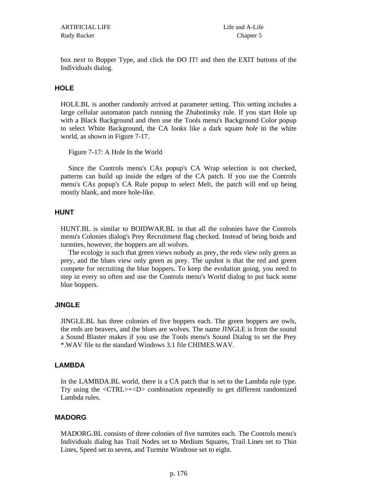box next to Bopper Type, and click the DO IT! and then the EXIT buttons of the Individuals dialog.

## **HOLE**

HOLE.BL is another randomly arrived at parameter setting. This setting includes a large cellular automaton patch running the Zhabotinsky rule. If you start Hole up with a Black Background and then use the Tools menu's Background Color popup to select White Background, the CA looks like a dark square *hole* in the white world, as shown in Figure 7-17.

Figure 7-17: A Hole In the World

Since the Controls menu's CAs popup's CA Wrap selection is not checked, patterns can build up inside the edges of the CA patch. If you use the Controls menu's CAs popup's CA Rule popup to select Melt, the patch will end up being mostly blank, and more hole-like.

### **HUNT**

HUNT.BL is similar to BOIDWAR.BL in that all the colonies have the Controls menu's Colonies dialog's Prey Recruitment flag checked. Instead of being boids and turmites, however, the boppers are all wolves.

The ecology is such that green views nobody as prey, the reds view only green as prey, and the blues view only green as prey. The upshot is that the red and green compete for recruiting the blue boppers. To keep the evolution going, you need to step in every so often and use the Controls menu's World dialog to put back some blue boppers.

# **JINGLE**

JINGLE.BL has three colonies of five boppers each. The green boppers are owls, the reds are beavers, and the blues are wolves. The name JINGLE is from the sound a Sound Blaster makes if you use the Tools menu's Sound Dialog to set the Prey \*.WAV file to the standard Windows 3.1 file CHIMES.WAV.

### **LAMBDA**

In the LAMBDA.BL world, there is a CA patch that is set to the Lambda rule type. Try using the  $\langle \text{CTR} \rangle + \langle \text{D} \rangle$  combination repeatedly to get different randomized Lambda rules.

### **MADORG**

MADORG.BL consists of three colonies of five turmites each. The Controls menu's Individuals dialog has Trail Nodes set to Medium Squares, Trail Lines set to Thin Lines, Speed set to seven, and Turmite Windrose set to eight.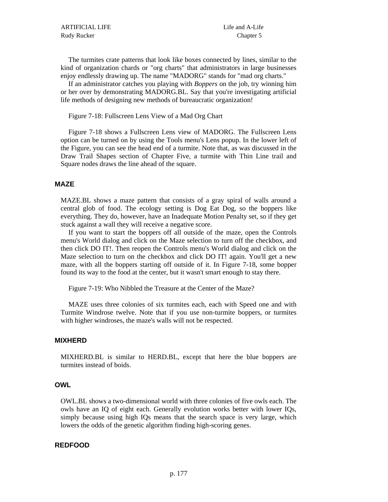The turmites crate patterns that look like boxes connected by lines, similar to the kind of organization chards or "org charts" that administrators in large businesses enjoy endlessly drawing up. The name "MADORG" stands for "mad org charts."

If an administrator catches you playing with *Boppers* on the job, try winning him or her over by demonstrating MADORG.BL. Say that you're investigating artificial life methods of designing new methods of bureaucratic organization!

Figure 7-18: Fullscreen Lens View of a Mad Org Chart

Figure 7-18 shows a Fullscreen Lens view of MADORG. The Fullscreen Lens option can be turned on by using the Tools menu's Lens popup. In the lower left of the Figure, you can see the head end of a turmite. Note that, as was discussed in the Draw Trail Shapes section of Chapter Five, a turmite with Thin Line trail and Square nodes draws the line ahead of the square.

#### **MAZE**

MAZE.BL shows a maze pattern that consists of a gray spiral of walls around a central glob of food. The ecology setting is Dog Eat Dog, so the boppers like everything. They do, however, have an Inadequate Motion Penalty set, so if they get stuck against a wall they will receive a negative score.

If you want to start the boppers off all outside of the maze, open the Controls menu's World dialog and click on the Maze selection to turn off the checkbox, and then click DO IT!. Then reopen the Controls menu's World dialog and click on the Maze selection to turn on the checkbox and click DO IT! again. You'll get a new maze, with all the boppers starting off outside of it. In Figure 7-18, some bopper found its way to the food at the center, but it wasn't smart enough to stay there.

Figure 7-19: Who Nibbled the Treasure at the Center of the Maze?

MAZE uses three colonies of six turmites each, each with Speed one and with Turmite Windrose twelve. Note that if you use non-turmite boppers, or turmites with higher windroses, the maze's walls will not be respected.

#### **MIXHERD**

MIXHERD.BL is similar to HERD.BL, except that here the blue boppers are turmites instead of boids.

### **OWL**

OWL.BL shows a two-dimensional world with three colonies of five owls each. The owls have an IQ of eight each. Generally evolution works better with lower IQs, simply because using high IQs means that the search space is very large, which lowers the odds of the genetic algorithm finding high-scoring genes.

#### **REDFOOD**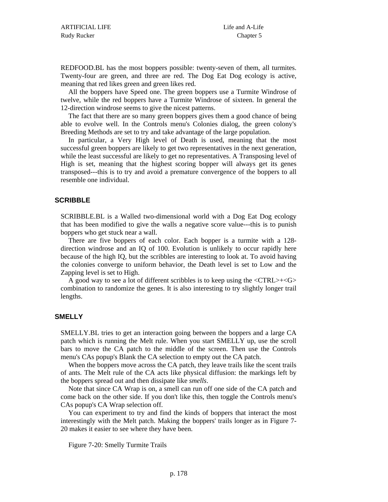REDFOOD.BL has the most boppers possible: twenty-seven of them, all turmites. Twenty-four are green, and three are red. The Dog Eat Dog ecology is active, meaning that red likes green and green likes red.

All the boppers have Speed one. The green boppers use a Turmite Windrose of twelve, while the red boppers have a Turmite Windrose of sixteen. In general the 12-direction windrose seems to give the nicest patterns.

The fact that there are so many green boppers gives them a good chance of being able to evolve well. In the Controls menu's Colonies dialog, the green colony's Breeding Methods are set to try and take advantage of the large population.

In particular, a Very High level of Death is used, meaning that the most successful green boppers are likely to get two representatives in the next generation, while the least successful are likely to get no representatives. A Transposing level of High is set, meaning that the highest scoring bopper will always get its genes transposed---this is to try and avoid a premature convergence of the boppers to all resemble one individual.

### **SCRIBBLE**

SCRIBBLE.BL is a Walled two-dimensional world with a Dog Eat Dog ecology that has been modified to give the walls a negative score value---this is to punish boppers who get stuck near a wall.

There are five boppers of each color. Each bopper is a turmite with a 128 direction windrose and an IQ of 100. Evolution is unlikely to occur rapidly here because of the high IQ, but the scribbles are interesting to look at. To avoid having the colonies converge to uniform behavior, the Death level is set to Low and the Zapping level is set to High.

A good way to see a lot of different scribbles is to keep using the  $\langle \text{CTRL}>+\langle \text{G}\rangle$ combination to randomize the genes. It is also interesting to try slightly longer trail lengths.

#### **SMELLY**

SMELLY.BL tries to get an interaction going between the boppers and a large CA patch which is running the Melt rule. When you start SMELLY up, use the scroll bars to move the CA patch to the middle of the screen. Then use the Controls menu's CAs popup's Blank the CA selection to empty out the CA patch.

When the boppers move across the CA patch, they leave trails like the scent trails of ants. The Melt rule of the CA acts like physical diffusion: the markings left by the boppers spread out and then dissipate like *smells*.

Note that since CA Wrap is on, a smell can run off one side of the CA patch and come back on the other side. If you don't like this, then toggle the Controls menu's CAs popup's CA Wrap selection off.

You can experiment to try and find the kinds of boppers that interact the most interestingly with the Melt patch. Making the boppers' trails longer as in Figure 7- 20 makes it easier to see where they have been.

Figure 7-20: Smelly Turmite Trails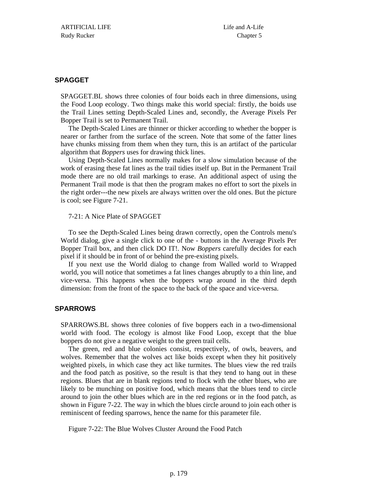### **SPAGGET**

SPAGGET.BL shows three colonies of four boids each in three dimensions, using the Food Loop ecology. Two things make this world special: firstly, the boids use the Trail Lines setting Depth-Scaled Lines and, secondly, the Average Pixels Per Bopper Trail is set to Permanent Trail.

The Depth-Scaled Lines are thinner or thicker according to whether the bopper is nearer or farther from the surface of the screen. Note that some of the fatter lines have chunks missing from them when they turn, this is an artifact of the particular algorithm that *Boppers* uses for drawing thick lines.

Using Depth-Scaled Lines normally makes for a slow simulation because of the work of erasing these fat lines as the trail tidies itself up. But in the Permanent Trail mode there are no old trail markings to erase. An additional aspect of using the Permanent Trail mode is that then the program makes no effort to sort the pixels in the right order---the new pixels are always written over the old ones. But the picture is cool; see Figure 7-21.

### 7-21: A Nice Plate of SPAGGET

To see the Depth-Scaled Lines being drawn correctly, open the Controls menu's World dialog, give a single click to one of the - buttons in the Average Pixels Per Bopper Trail box, and then click DO IT!. Now *Boppers* carefully decides for each pixel if it should be in front of or behind the pre-existing pixels.

If you next use the World dialog to change from Walled world to Wrapped world, you will notice that sometimes a fat lines changes abruptly to a thin line, and vice-versa. This happens when the boppers wrap around in the third depth dimension: from the front of the space to the back of the space and vice-versa.

### **SPARROWS**

SPARROWS.BL shows three colonies of five boppers each in a two-dimensional world with food. The ecology is almost like Food Loop, except that the blue boppers do not give a negative weight to the green trail cells.

The green, red and blue colonies consist, respectively, of owls, beavers, and wolves. Remember that the wolves act like boids except when they hit positively weighted pixels, in which case they act like turmites. The blues view the red trails and the food patch as positive, so the result is that they tend to hang out in these regions. Blues that are in blank regions tend to flock with the other blues, who are likely to be munching on positive food, which means that the blues tend to circle around to join the other blues which are in the red regions or in the food patch, as shown in Figure 7-22. The way in which the blues circle around to join each other is reminiscent of feeding sparrows, hence the name for this parameter file.

Figure 7-22: The Blue Wolves Cluster Around the Food Patch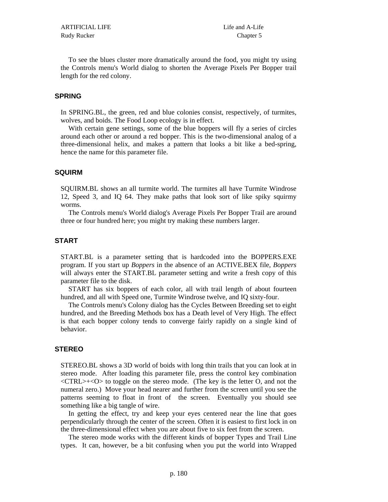To see the blues cluster more dramatically around the food, you might try using the Controls menu's World dialog to shorten the Average Pixels Per Bopper trail length for the red colony.

### **SPRING**

In SPRING.BL, the green, red and blue colonies consist, respectively, of turmites, wolves, and boids. The Food Loop ecology is in effect.

With certain gene settings, some of the blue boppers will fly a series of circles around each other or around a red bopper. This is the two-dimensional analog of a three-dimensional helix, and makes a pattern that looks a bit like a bed-spring, hence the name for this parameter file.

#### **SQUIRM**

SQUIRM.BL shows an all turmite world. The turmites all have Turmite Windrose 12, Speed 3, and IQ 64. They make paths that look sort of like spiky squirmy worms.

The Controls menu's World dialog's Average Pixels Per Bopper Trail are around three or four hundred here; you might try making these numbers larger.

### **START**

START.BL is a parameter setting that is hardcoded into the BOPPERS.EXE program. If you start up *Boppers* in the absence of an ACTIVE.BEX file, *Boppers* will always enter the START.BL parameter setting and write a fresh copy of this parameter file to the disk.

START has six boppers of each color, all with trail length of about fourteen hundred, and all with Speed one, Turmite Windrose twelve, and IQ sixty-four.

The Controls menu's Colony dialog has the Cycles Between Breeding set to eight hundred, and the Breeding Methods box has a Death level of Very High. The effect is that each bopper colony tends to converge fairly rapidly on a single kind of behavior.

# **STEREO**

STEREO.BL shows a 3D world of boids with long thin trails that you can look at in stereo mode. After loading this parameter file, press the control key combination  $\langle \text{CTR} \rangle$  to toggle on the stereo mode. (The key is the letter O, and not the numeral zero.) Move your head nearer and further from the screen until you see the patterns seeming to float in front of the screen. Eventually you should see something like a big tangle of wire.

In getting the effect, try and keep your eyes centered near the line that goes perpendicularly through the center of the screen. Often it is easiest to first lock in on the three-dimensional effect when you are about five to six feet from the screen.

The stereo mode works with the different kinds of bopper Types and Trail Line types. It can, however, be a bit confusing when you put the world into Wrapped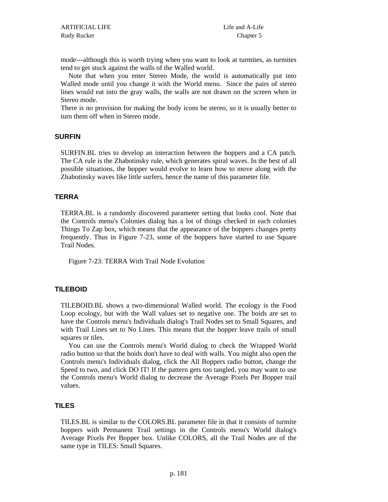mode---although this is worth trying when you want to look at turmites, as turmites tend to get stuck against the walls of the Walled world.

Note that when you enter Stereo Mode, the world is automatically put into Walled mode until you change it with the World menu. Since the pairs of stereo lines would eat into the gray walls, the walls are not drawn on the screen when in Stereo mode.

There is no provision for making the body icons be stereo, so it is usually better to turn them off when in Stereo mode.

# **SURFIN**

SURFIN.BL tries to develop an interaction between the boppers and a CA patch. The CA rule is the Zhabotinsky rule, which generates spiral waves. In the best of all possible situations, the bopper would evolve to learn how to move along with the Zhabotinsky waves like little surfers, hence the name of this parameter file.

## **TERRA**

TERRA.BL is a randomly discovered parameter setting that looks cool. Note that the Controls menu's Colonies dialog has a lot of things checked in each colonies Things To Zap box, which means that the appearance of the boppers changes pretty frequently. Thus in Figure 7-23, some of the boppers have started to use Square Trail Nodes.

Figure 7-23: TERRA With Trail Node Evolution

# **TILEBOID**

TILEBOID.BL shows a two-dimensional Walled world. The ecology is the Food Loop ecology, but with the Wall values set to negative one. The boids are set to have the Controls menu's Individuals dialog's Trail Nodes set to Small Squares, and with Trail Lines set to No Lines. This means that the bopper leave trails of small squares or tiles.

You can use the Controls menu's World dialog to check the Wrapped World radio button so that the boids don't have to deal with walls. You might also open the Controls menu's Individuals dialog, click the All Boppers radio button, change the Speed to two, and click DO IT! If the pattern gets too tangled, you may want to use the Controls menu's World dialog to decrease the Average Pixels Per Bopper trail values.

## **TILES**

TILES.BL is similar to the COLORS.BL parameter file in that it consists of turmite boppers with Permanent Trail settings in the Controls menu's World dialog's Average Pixels Per Bopper box. Unlike COLORS, all the Trail Nodes are of the same type in TILES: Small Squares.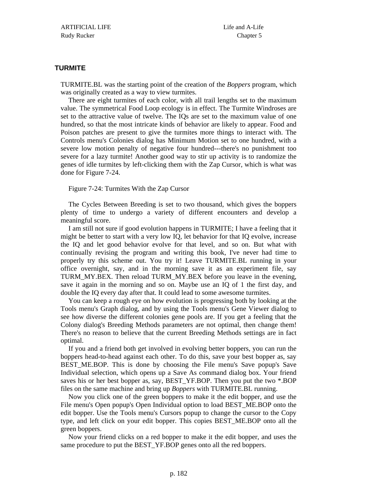## **TURMITE**

TURMITE.BL was the starting point of the creation of the *Boppers* program, which was originally created as a way to view turmites.

There are eight turmites of each color, with all trail lengths set to the maximum value. The symmetrical Food Loop ecology is in effect. The Turmite Windroses are set to the attractive value of twelve. The IQs are set to the maximum value of one hundred, so that the most intricate kinds of behavior are likely to appear. Food and Poison patches are present to give the turmites more things to interact with. The Controls menu's Colonies dialog has Minimum Motion set to one hundred, with a severe low motion penalty of negative four hundred---there's no punishment too severe for a lazy turmite! Another good way to stir up activity is to randomize the genes of idle turmites by left-clicking them with the Zap Cursor, which is what was done for Figure 7-24.

Figure 7-24: Turmites With the Zap Cursor

The Cycles Between Breeding is set to two thousand, which gives the boppers plenty of time to undergo a variety of different encounters and develop a meaningful score.

I am still not sure if good evolution happens in TURMITE; I have a feeling that it might be better to start with a very low IQ, let behavior for that IQ evolve, increase the IQ and let good behavior evolve for that level, and so on. But what with continually revising the program and writing this book, I've never had time to properly try this scheme out. You try it! Leave TURMITE.BL running in your office overnight, say, and in the morning save it as an experiment file, say TURM\_MY.BEX. Then reload TURM\_MY.BEX before you leave in the evening, save it again in the morning and so on. Maybe use an IQ of 1 the first day, and double the IQ every day after that. It could lead to some awesome turmites.

You can keep a rough eye on how evolution is progressing both by looking at the Tools menu's Graph dialog, and by using the Tools menu's Gene Viewer dialog to see how diverse the different colonies gene pools are. If you get a feeling that the Colony dialog's Breeding Methods parameters are not optimal, then change them! There's no reason to believe that the current Breeding Methods settings are in fact optimal.

If you and a friend both get involved in evolving better boppers, you can run the boppers head-to-head against each other. To do this, save your best bopper as, say BEST\_ME.BOP. This is done by choosing the File menu's Save popup's Save Individual selection, which opens up a Save As command dialog box. Your friend saves his or her best bopper as, say, BEST\_YF.BOP. Then you put the two \*.BOP files on the same machine and bring up *Boppers* with TURMITE.BL running.

Now you click one of the green boppers to make it the edit bopper, and use the File menu's Open popup's Open Individual option to load BEST\_ME.BOP onto the edit bopper. Use the Tools menu's Cursors popup to change the cursor to the Copy type, and left click on your edit bopper. This copies BEST\_ME.BOP onto all the green boppers.

Now your friend clicks on a red bopper to make it the edit bopper, and uses the same procedure to put the BEST\_YF.BOP genes onto all the red boppers.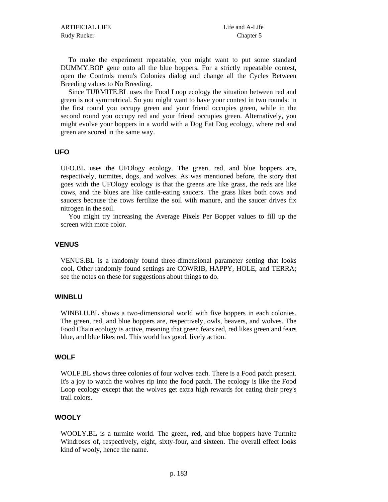To make the experiment repeatable, you might want to put some standard DUMMY.BOP gene onto all the blue boppers. For a strictly repeatable contest, open the Controls menu's Colonies dialog and change all the Cycles Between Breeding values to No Breeding.

Since TURMITE.BL uses the Food Loop ecology the situation between red and green is not symmetrical. So you might want to have your contest in two rounds: in the first round you occupy green and your friend occupies green, while in the second round you occupy red and your friend occupies green. Alternatively, you might evolve your boppers in a world with a Dog Eat Dog ecology, where red and green are scored in the same way.

# **UFO**

UFO.BL uses the UFOlogy ecology. The green, red, and blue boppers are, respectively, turmites, dogs, and wolves. As was mentioned before, the story that goes with the UFOlogy ecology is that the greens are like grass, the reds are like cows, and the blues are like cattle-eating saucers. The grass likes both cows and saucers because the cows fertilize the soil with manure, and the saucer drives fix nitrogen in the soil.

You might try increasing the Average Pixels Per Bopper values to fill up the screen with more color.

# **VENUS**

VENUS.BL is a randomly found three-dimensional parameter setting that looks cool. Other randomly found settings are COWRIB, HAPPY, HOLE, and TERRA; see the notes on these for suggestions about things to do.

#### **WINBLU**

WINBLU.BL shows a two-dimensional world with five boppers in each colonies. The green, red, and blue boppers are, respectively, owls, beavers, and wolves. The Food Chain ecology is active, meaning that green fears red, red likes green and fears blue, and blue likes red. This world has good, lively action.

#### **WOLF**

WOLF.BL shows three colonies of four wolves each. There is a Food patch present. It's a joy to watch the wolves rip into the food patch. The ecology is like the Food Loop ecology except that the wolves get extra high rewards for eating their prey's trail colors.

#### **WOOLY**

WOOLY.BL is a turmite world. The green, red, and blue boppers have Turmite Windroses of, respectively, eight, sixty-four, and sixteen. The overall effect looks kind of wooly, hence the name.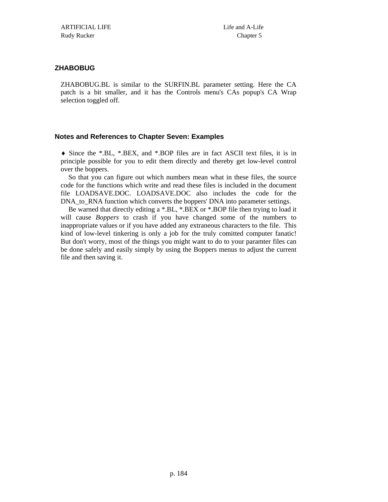# **ZHABOBUG**

ZHABOBUG.BL is similar to the SURFIN.BL parameter setting. Here the CA patch is a bit smaller, and it has the Controls menu's CAs popup's CA Wrap selection toggled off.

## **Notes and References to Chapter Seven: Examples**

♦ Since the \*.BL, \*.BEX, and \*.BOP files are in fact ASCII text files, it is in principle possible for you to edit them directly and thereby get low-level control over the boppers.

So that you can figure out which numbers mean what in these files, the source code for the functions which write and read these files is included in the document file LOADSAVE.DOC. LOADSAVE.DOC also includes the code for the DNA\_to\_RNA function which converts the boppers' DNA into parameter settings.

Be warned that directly editing a \*.BL, \*.BEX or \*.BOP file then trying to load it will cause *Boppers* to crash if you have changed some of the numbers to inappropriate values or if you have added any extraneous characters to the file. This kind of low-level tinkering is only a job for the truly comitted computer fanatic! But don't worry, most of the things you might want to do to your paramter files can be done safely and easily simply by using the Boppers menus to adjust the current file and then saving it.